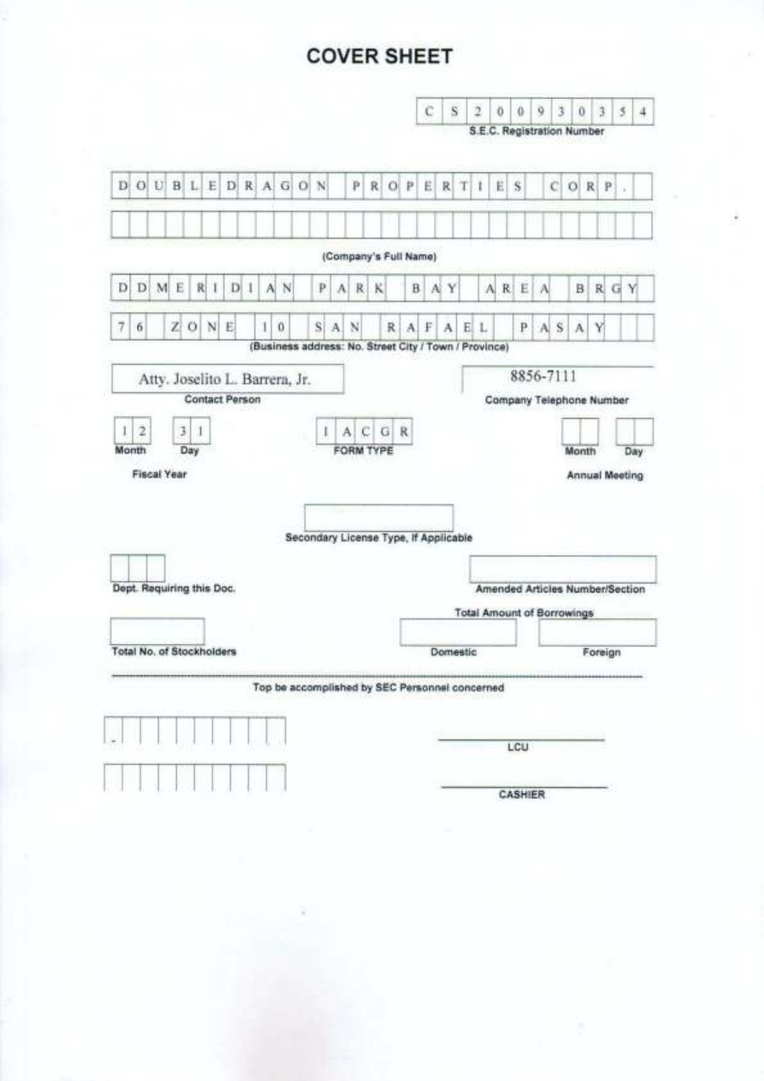# **COVER SHEET**

| c<br>9<br>š<br>S<br>$\overline{2}$<br>Ø.<br>ö<br>3<br>$\bf{0}$                                                                                                       | $\overline{\mathcal{S}}$<br>$\overline{4}$ |
|----------------------------------------------------------------------------------------------------------------------------------------------------------------------|--------------------------------------------|
| S.E.C. Registration Number                                                                                                                                           |                                            |
| $O$ $P$<br>T 1<br>E.<br>Ë<br>S<br>c<br>R<br>R<br>$\circ$<br>R <sub>1</sub><br>P                                                                                      | ×                                          |
| (Company's Full Name)                                                                                                                                                |                                            |
| ARE<br>κ<br>B<br>Y<br>R G Y<br>Al.<br>A<br>B                                                                                                                         |                                            |
| $\Lambda$<br>A S<br>R.<br>$\mathbf{F}$<br>A<br>E.<br>L<br>p<br>A<br>Y                                                                                                |                                            |
| (Business address: No. Street City / Town / Province)                                                                                                                |                                            |
| ACGR<br>FORM TYPE<br>Month<br><b>Annual Meeting</b><br>Secondary License Type, If Applicable<br>Amended Articles Number/Section<br><b>Total Amount of Borrowings</b> | Day                                        |
| Domestic<br>Foreign                                                                                                                                                  |                                            |
| Top be accomplished by SEC Personnel concerned<br>LCU                                                                                                                |                                            |
| CASHIER                                                                                                                                                              |                                            |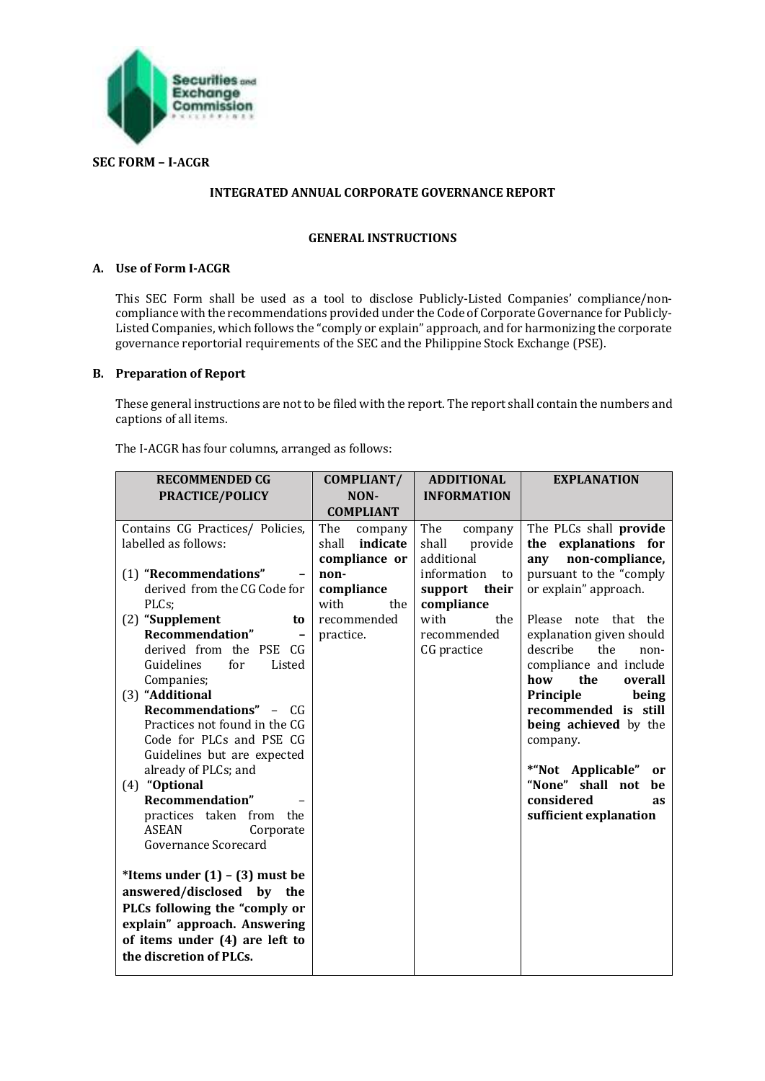

## **SEC FORM – I-ACGR**

## **INTEGRATED ANNUAL CORPORATE GOVERNANCE REPORT**

#### **GENERAL INSTRUCTIONS**

## **A. Use of Form I-ACGR**

This SEC Form shall be used as a tool to disclose Publicly-Listed Companies' compliance/noncompliance with the recommendations provided under the Code of Corporate Governance for Publicly-Listed Companies, which follows the "comply or explain" approach, and for harmonizing the corporate governance reportorial requirements of the SEC and the Philippine Stock Exchange (PSE).

## **B. Preparation of Report**

These general instructions are not to be filed with the report. The report shall contain the numbers and captions of all items.

The I-ACGR has four columns, arranged as follows:

| <b>RECOMMENDED CG</b><br>PRACTICE/POLICY                                                                                                                                                                                                                                                                                                                                                                                                                                                                                                                  | COMPLIANT/<br>NON-<br><b>COMPLIANT</b>                                                                                | <b>ADDITIONAL</b><br><b>INFORMATION</b>                                                                                                              | <b>EXPLANATION</b>                                                                                                                                                                                                                                                                                                                                                                                                                                                           |
|-----------------------------------------------------------------------------------------------------------------------------------------------------------------------------------------------------------------------------------------------------------------------------------------------------------------------------------------------------------------------------------------------------------------------------------------------------------------------------------------------------------------------------------------------------------|-----------------------------------------------------------------------------------------------------------------------|------------------------------------------------------------------------------------------------------------------------------------------------------|------------------------------------------------------------------------------------------------------------------------------------------------------------------------------------------------------------------------------------------------------------------------------------------------------------------------------------------------------------------------------------------------------------------------------------------------------------------------------|
| Contains CG Practices/ Policies,<br>labelled as follows:<br>(1) "Recommendations"<br>derived from the CG Code for<br>PLCs;<br>(2) "Supplement<br>to<br>Recommendation"<br>$\qquad \qquad$<br>derived from the PSE CG<br>Guidelines<br>for<br>Listed<br>Companies;<br>(3) "Additional<br>Recommendations" - CG<br>Practices not found in the CG<br>Code for PLCs and PSE CG<br>Guidelines but are expected<br>already of PLCs; and<br>(4) "Optional<br>Recommendation"<br>practices taken<br>from the<br><b>ASEAN</b><br>Corporate<br>Governance Scorecard | The<br>company<br>indicate<br>shall<br>compliance or<br>non-<br>compliance<br>with<br>the<br>recommended<br>practice. | The<br>company<br>shall<br>provide<br>additional<br>information<br>to<br>support<br>their<br>compliance<br>with<br>the<br>recommended<br>CG practice | The PLCs shall provide<br>explanations for<br>the<br>non-compliance,<br>any<br>pursuant to the "comply<br>or explain" approach.<br>note that the<br>Please<br>explanation given should<br>describe<br>the<br>non-<br>compliance and include<br>the<br>how<br>overall<br>Principle<br>being<br>recommended is still<br>being achieved by the<br>company.<br>*"Not Applicable"<br><sub>or</sub><br>"None" shall not<br>be<br>considered<br><b>as</b><br>sufficient explanation |
| *Items under $(1) - (3)$ must be<br>answered/disclosed<br>by the<br>PLCs following the "comply or<br>explain" approach. Answering<br>of items under (4) are left to<br>the discretion of PLCs.                                                                                                                                                                                                                                                                                                                                                            |                                                                                                                       |                                                                                                                                                      |                                                                                                                                                                                                                                                                                                                                                                                                                                                                              |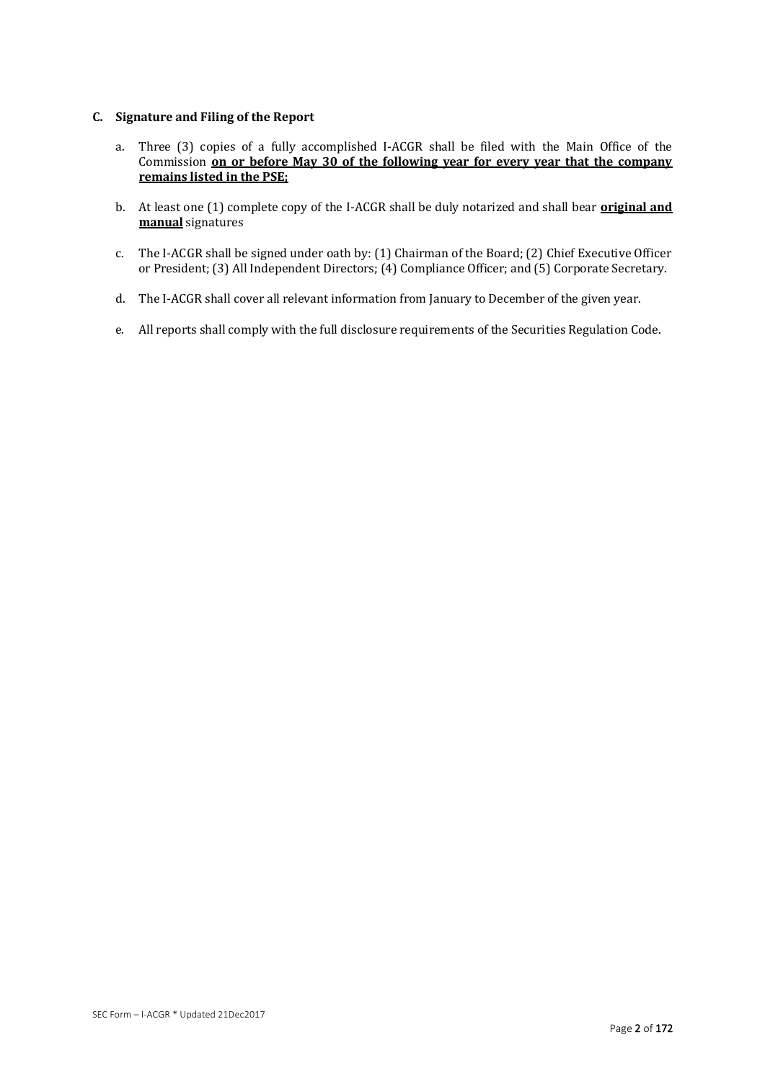## **C. Signature and Filing of the Report**

- a. Three (3) copies of a fully accomplished I-ACGR shall be filed with the Main Office of the Commission **on or before May 30 of the following year for every year that the company remains listed in the PSE;**
- b. At least one (1) complete copy of the I-ACGR shall be duly notarized and shall bear **original and manual** signatures
- c. The I-ACGR shall be signed under oath by: (1) Chairman of the Board; (2) Chief Executive Officer or President; (3) All Independent Directors; (4) Compliance Officer; and (5) Corporate Secretary.
- d. The I-ACGR shall cover all relevant information from January to December of the given year.
- e. All reports shall comply with the full disclosure requirements of the Securities Regulation Code.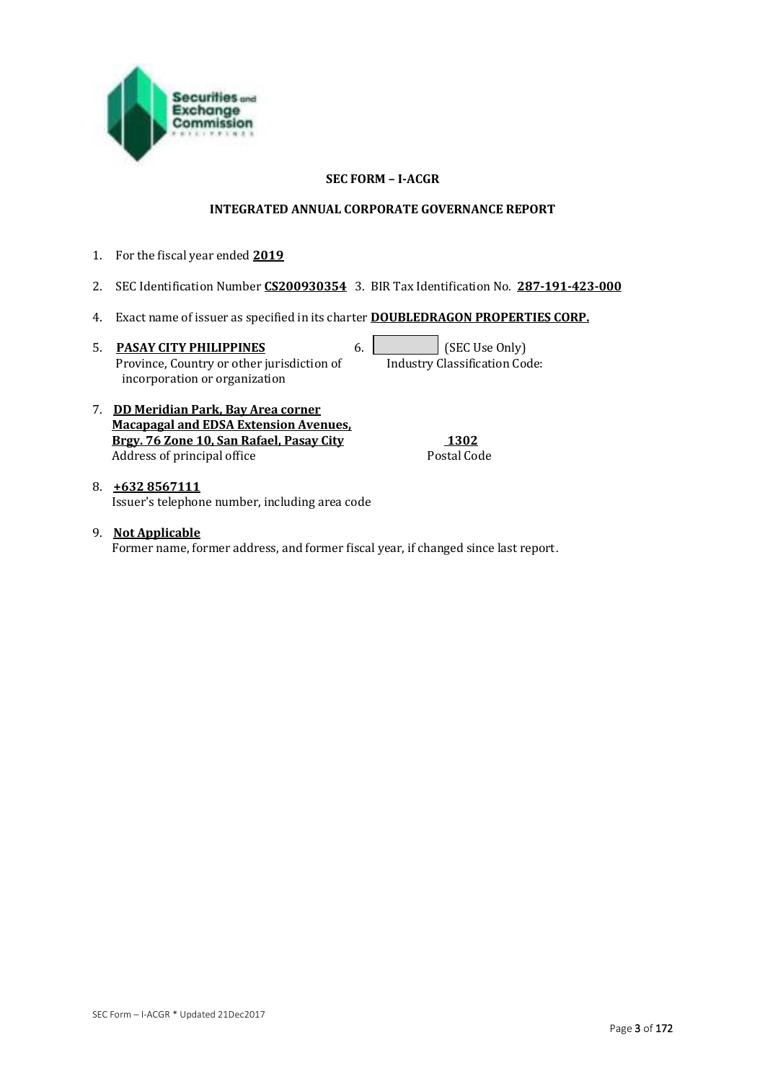

## **SEC FORM – I-ACGR**

#### **INTEGRATED ANNUAL CORPORATE GOVERNANCE REPORT**

- 1. For the fiscal year ended **2019**
- 2. SEC Identification Number **CS200930354** 3. BIR Tax Identification No. **287-191-423-000**
- 4. Exact name of issuer as specified in its charter **DOUBLEDRAGON PROPERTIES CORP.**
- 5. **PASAY CITY PHILIPPINES** 6. **6. SEC Use Only**  Province, Country or other jurisdiction of incorporation or organization

Industry Classification Code:

7. **DD Meridian Park, Bay Area corner Macapagal and EDSA Extension Avenues, Brgy. 76 Zone 10, San Rafael, Pasay City 1302** Address of principal office

8. **+632 8567111**  Issuer's telephone number, including area code

9. **Not Applicable**  Former name, former address, and former fiscal year, if changed since last report.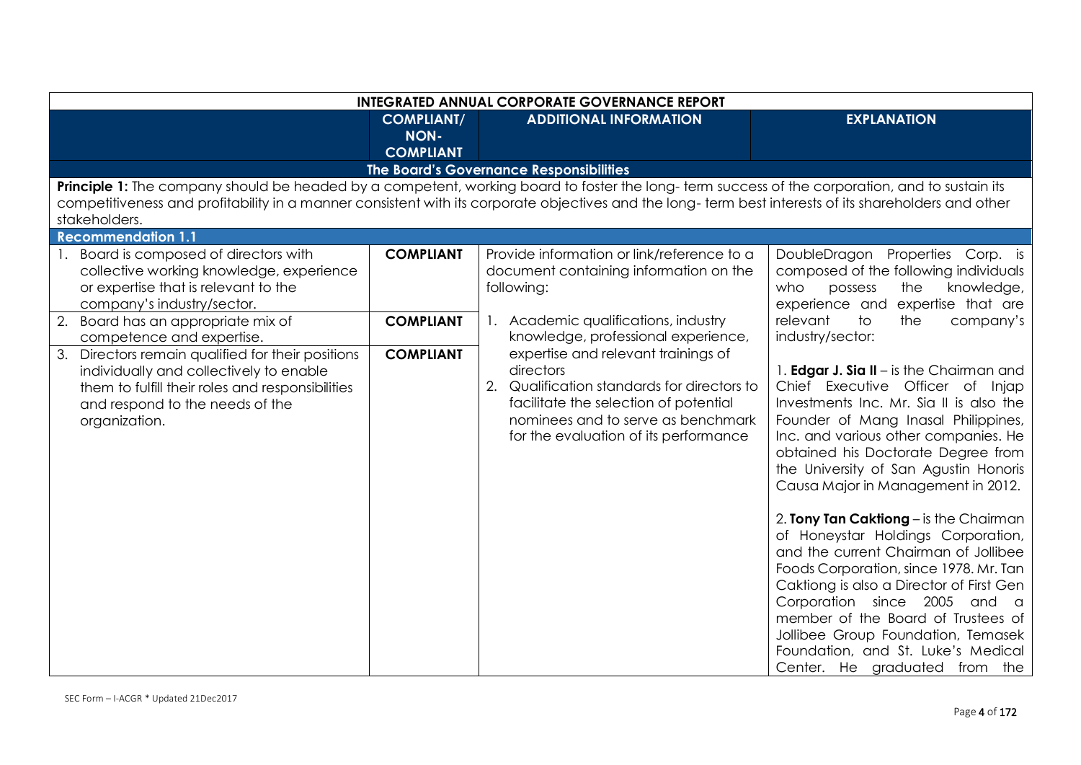|    | <b>INTEGRATED ANNUAL CORPORATE GOVERNANCE REPORT</b>                                                                                                                                                                                                                                                                     |                                                      |    |                                                                                                                                                                                                                      |                                                                                                                                                                                                                                                                                                                                                                                                                                                                                                                                                                                                                        |
|----|--------------------------------------------------------------------------------------------------------------------------------------------------------------------------------------------------------------------------------------------------------------------------------------------------------------------------|------------------------------------------------------|----|----------------------------------------------------------------------------------------------------------------------------------------------------------------------------------------------------------------------|------------------------------------------------------------------------------------------------------------------------------------------------------------------------------------------------------------------------------------------------------------------------------------------------------------------------------------------------------------------------------------------------------------------------------------------------------------------------------------------------------------------------------------------------------------------------------------------------------------------------|
|    |                                                                                                                                                                                                                                                                                                                          | <b>COMPLIANT/</b><br><b>NON-</b><br><b>COMPLIANT</b> |    | <b>ADDITIONAL INFORMATION</b>                                                                                                                                                                                        | <b>EXPLANATION</b>                                                                                                                                                                                                                                                                                                                                                                                                                                                                                                                                                                                                     |
|    |                                                                                                                                                                                                                                                                                                                          |                                                      |    | The Board's Governance Responsibilities                                                                                                                                                                              |                                                                                                                                                                                                                                                                                                                                                                                                                                                                                                                                                                                                                        |
|    | Principle 1: The company should be headed by a competent, working board to foster the long-term success of the corporation, and to sustain its<br>competitiveness and profitability in a manner consistent with its corporate objectives and the long-term best interests of its shareholders and other<br>stakeholders. |                                                      |    |                                                                                                                                                                                                                      |                                                                                                                                                                                                                                                                                                                                                                                                                                                                                                                                                                                                                        |
|    | <b>Recommendation 1.1</b>                                                                                                                                                                                                                                                                                                |                                                      |    |                                                                                                                                                                                                                      |                                                                                                                                                                                                                                                                                                                                                                                                                                                                                                                                                                                                                        |
|    | 1. Board is composed of directors with<br>collective working knowledge, experience<br>or expertise that is relevant to the<br>company's industry/sector.                                                                                                                                                                 | <b>COMPLIANT</b>                                     |    | Provide information or link/reference to a<br>document containing information on the<br>following:                                                                                                                   | DoubleDragon Properties Corp. is<br>composed of the following individuals<br>the<br>knowledge,<br>who<br>possess<br>experience and expertise that are                                                                                                                                                                                                                                                                                                                                                                                                                                                                  |
|    | 2. Board has an appropriate mix of<br>competence and expertise.                                                                                                                                                                                                                                                          | <b>COMPLIANT</b>                                     |    | Academic qualifications, industry<br>knowledge, professional experience,                                                                                                                                             | relevant<br>company's<br>the<br>to<br>industry/sector:                                                                                                                                                                                                                                                                                                                                                                                                                                                                                                                                                                 |
| 3. | Directors remain qualified for their positions<br>individually and collectively to enable<br>them to fulfill their roles and responsibilities<br>and respond to the needs of the<br>organization.                                                                                                                        | <b>COMPLIANT</b>                                     | 2. | expertise and relevant trainings of<br>directors<br>Qualification standards for directors to<br>facilitate the selection of potential<br>nominees and to serve as benchmark<br>for the evaluation of its performance | 1. <b>Edgar J. Sia II</b> – is the Chairman and<br>Chief Executive Officer of Injap<br>Investments Inc. Mr. Sia II is also the<br>Founder of Mang Inasal Philippines,<br>Inc. and various other companies. He<br>obtained his Doctorate Degree from<br>the University of San Agustin Honoris<br>Causa Major in Management in 2012.<br>2. Tony Tan Caktiong - is the Chairman<br>of Honeystar Holdings Corporation,<br>and the current Chairman of Jollibee<br>Foods Corporation, since 1978. Mr. Tan<br>Caktiong is also a Director of First Gen<br>Corporation since 2005 and a<br>member of the Board of Trustees of |
|    |                                                                                                                                                                                                                                                                                                                          |                                                      |    |                                                                                                                                                                                                                      | Jollibee Group Foundation, Temasek<br>Foundation, and St. Luke's Medical<br>Center. He graduated from the                                                                                                                                                                                                                                                                                                                                                                                                                                                                                                              |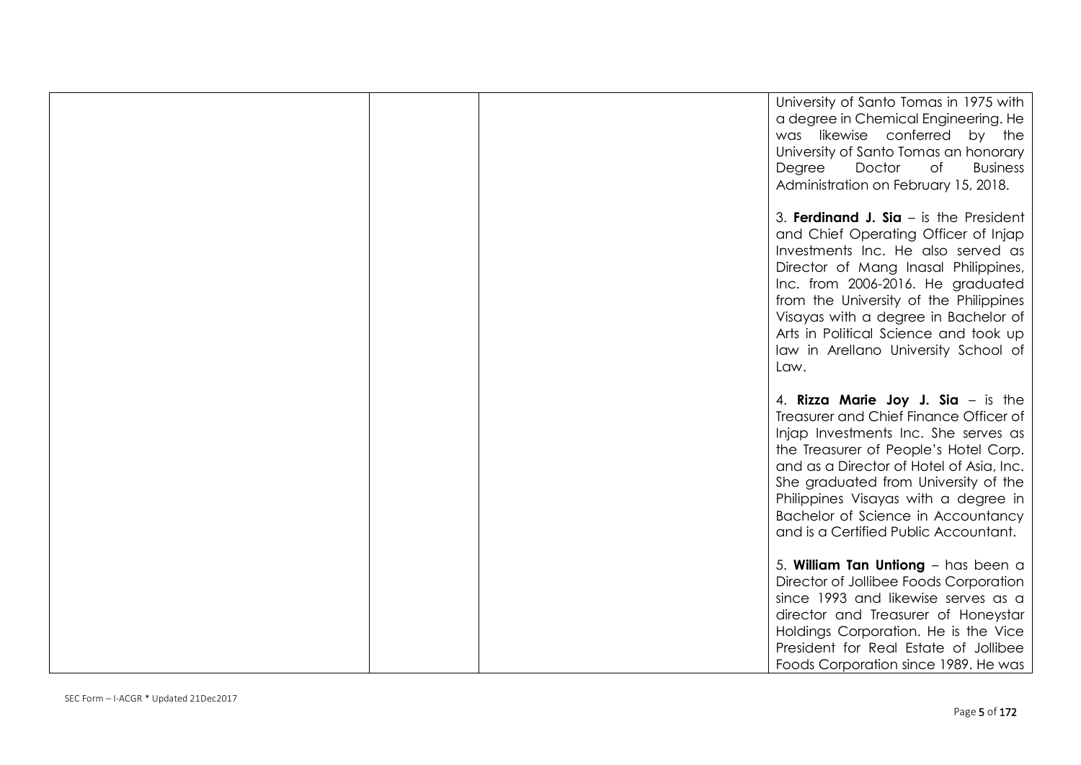|  | University of Santo Tomas in 1975 with<br>a degree in Chemical Engineering. He<br>was likewise conferred by the<br>University of Santo Tomas an honorary<br>Doctor<br><b>Business</b><br>Degree<br>of<br>Administration on February 15, 2018.                                                                                                                                  |
|--|--------------------------------------------------------------------------------------------------------------------------------------------------------------------------------------------------------------------------------------------------------------------------------------------------------------------------------------------------------------------------------|
|  | 3. Ferdinand J. Sia $-$ is the President<br>and Chief Operating Officer of Injap<br>Investments Inc. He also served as<br>Director of Mang Inasal Philippines,<br>Inc. from 2006-2016. He graduated<br>from the University of the Philippines<br>Visayas with a degree in Bachelor of<br>Arts in Political Science and took up<br>law in Arellano University School of<br>Law. |
|  | 4. Rizza Marie Joy J. Sia $-$ is the<br>Treasurer and Chief Finance Officer of<br>Injap Investments Inc. She serves as<br>the Treasurer of People's Hotel Corp.<br>and as a Director of Hotel of Asia, Inc.<br>She graduated from University of the<br>Philippines Visayas with a degree in<br>Bachelor of Science in Accountancy<br>and is a Certified Public Accountant.     |
|  | 5. William Tan Untiong - has been a<br>Director of Jollibee Foods Corporation<br>since 1993 and likewise serves as a<br>director and Treasurer of Honeystar<br>Holdings Corporation. He is the Vice<br>President for Real Estate of Jollibee<br>Foods Corporation since 1989. He was                                                                                           |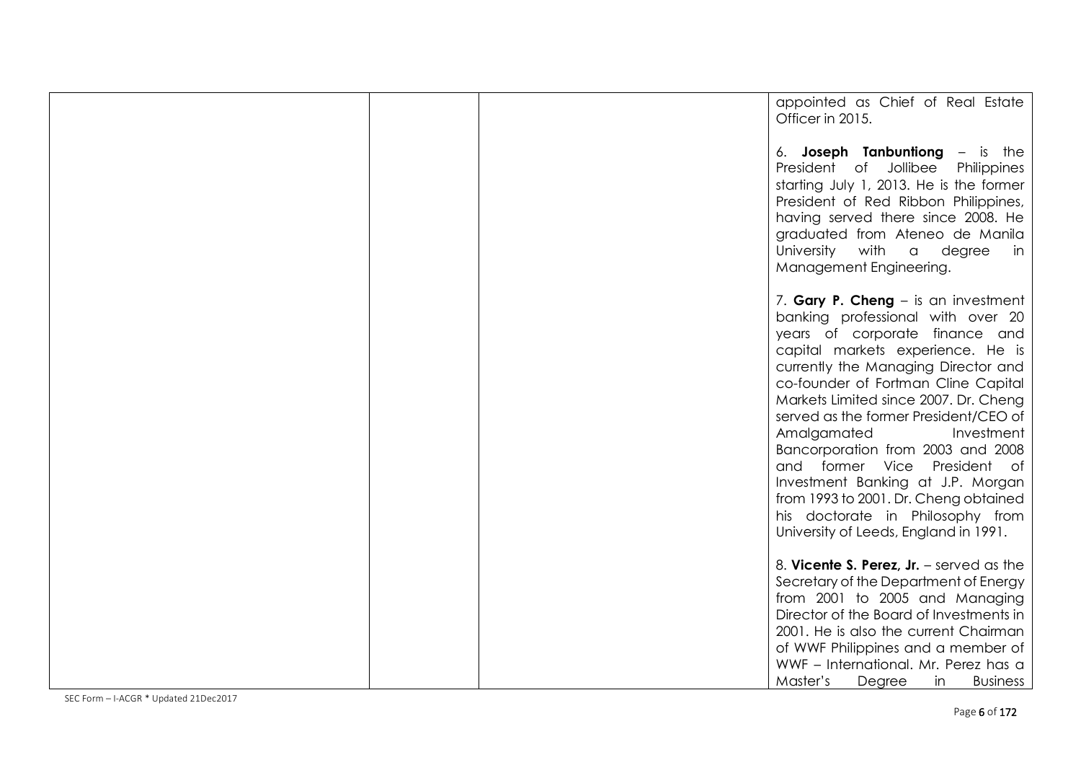| appointed as Chief of Real Estate<br>Officer in 2015.                                                                                                                                                                                                                                                                                                                                                                                                                                                                                                                        |
|------------------------------------------------------------------------------------------------------------------------------------------------------------------------------------------------------------------------------------------------------------------------------------------------------------------------------------------------------------------------------------------------------------------------------------------------------------------------------------------------------------------------------------------------------------------------------|
| 6. Joseph Tanbuntiong - is the<br>President of Jollibee<br>Philippines<br>starting July 1, 2013. He is the former<br>President of Red Ribbon Philippines,<br>having served there since 2008. He<br>graduated from Ateneo de Manila<br>University with a<br>degree<br>in.<br>Management Engineering.                                                                                                                                                                                                                                                                          |
| 7. Gary P. Cheng – is an investment<br>banking professional with over 20<br>years of corporate finance and<br>capital markets experience. He is<br>currently the Managing Director and<br>co-founder of Fortman Cline Capital<br>Markets Limited since 2007. Dr. Cheng<br>served as the former President/CEO of<br>Amalgamated<br>Investment<br>Bancorporation from 2003 and 2008<br>and former Vice President of<br>Investment Banking at J.P. Morgan<br>from 1993 to 2001. Dr. Cheng obtained<br>his doctorate in Philosophy from<br>University of Leeds, England in 1991. |
| 8. Vicente S. Perez, $Jr.$ – served as the<br>Secretary of the Department of Energy<br>from 2001 to 2005 and Managing<br>Director of the Board of Investments in<br>2001. He is also the current Chairman<br>of WWF Philippines and a member of<br>WWF - International. Mr. Perez has a<br>Master's<br>Degree<br>in<br><b>Business</b>                                                                                                                                                                                                                                       |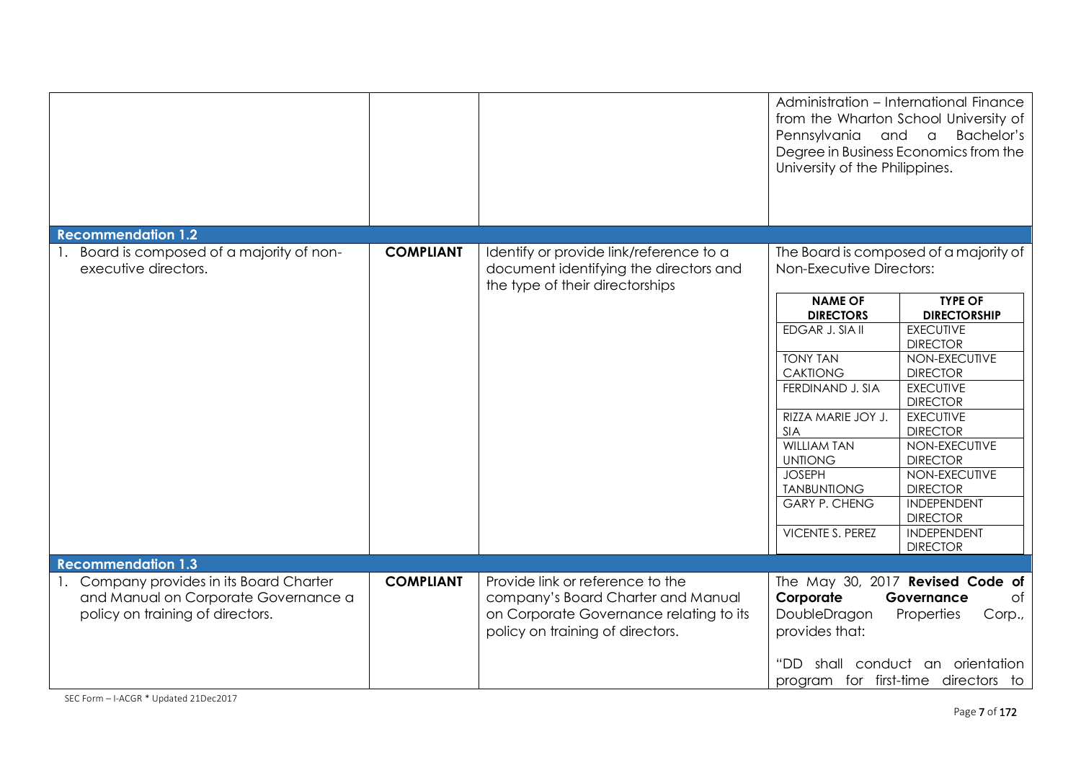|                                                                                                                      |                  |                                                                                                                                                       | Pennsylvania and a<br>University of the Philippines. | Administration - International Finance<br>from the Wharton School University of<br>Bachelor's<br>Degree in Business Economics from the |
|----------------------------------------------------------------------------------------------------------------------|------------------|-------------------------------------------------------------------------------------------------------------------------------------------------------|------------------------------------------------------|----------------------------------------------------------------------------------------------------------------------------------------|
| <b>Recommendation 1.2</b>                                                                                            |                  |                                                                                                                                                       |                                                      |                                                                                                                                        |
| 1. Board is composed of a majority of non-<br>executive directors.                                                   | <b>COMPLIANT</b> | Identify or provide link/reference to a<br>document identifying the directors and<br>the type of their directorships                                  | Non-Executive Directors:                             | The Board is composed of a majority of                                                                                                 |
|                                                                                                                      |                  |                                                                                                                                                       | <b>NAME OF</b><br><b>DIRECTORS</b>                   | <b>TYPE OF</b><br><b>DIRECTORSHIP</b>                                                                                                  |
|                                                                                                                      |                  |                                                                                                                                                       | EDGAR J. SIA II                                      | <b>EXECUTIVE</b><br><b>DIRECTOR</b>                                                                                                    |
|                                                                                                                      |                  |                                                                                                                                                       | <b>TONY TAN</b>                                      | NON-EXECUTIVE                                                                                                                          |
|                                                                                                                      |                  |                                                                                                                                                       | <b>CAKTIONG</b><br>FERDINAND J. SIA                  | <b>DIRECTOR</b><br><b>EXECUTIVE</b><br><b>DIRECTOR</b>                                                                                 |
|                                                                                                                      |                  |                                                                                                                                                       | RIZZA MARIE JOY J.<br><b>SIA</b>                     | <b>EXECUTIVE</b><br><b>DIRECTOR</b>                                                                                                    |
|                                                                                                                      |                  |                                                                                                                                                       | <b>WILLIAM TAN</b><br><b>UNTIONG</b>                 | NON-EXECUTIVE<br><b>DIRECTOR</b>                                                                                                       |
|                                                                                                                      |                  |                                                                                                                                                       | <b>JOSEPH</b><br><b>TANBUNTIONG</b>                  | NON-EXECUTIVE<br><b>DIRECTOR</b>                                                                                                       |
|                                                                                                                      |                  |                                                                                                                                                       | <b>GARY P. CHENG</b>                                 | <b>INDEPENDENT</b><br><b>DIRECTOR</b>                                                                                                  |
|                                                                                                                      |                  |                                                                                                                                                       | <b>VICENTE S. PEREZ</b>                              | <b>INDEPENDENT</b><br><b>DIRECTOR</b>                                                                                                  |
| <b>Recommendation 1.3</b>                                                                                            |                  |                                                                                                                                                       |                                                      |                                                                                                                                        |
| 1. Company provides in its Board Charter<br>and Manual on Corporate Governance a<br>policy on training of directors. | <b>COMPLIANT</b> | Provide link or reference to the<br>company's Board Charter and Manual<br>on Corporate Governance relating to its<br>policy on training of directors. | Corporate<br>DoubleDragon<br>provides that:          | The May 30, 2017 Revised Code of<br>Governance<br>of<br>Properties<br>Corp.,                                                           |
|                                                                                                                      |                  |                                                                                                                                                       | "DD                                                  | shall conduct an orientation<br>program for first-time directors to                                                                    |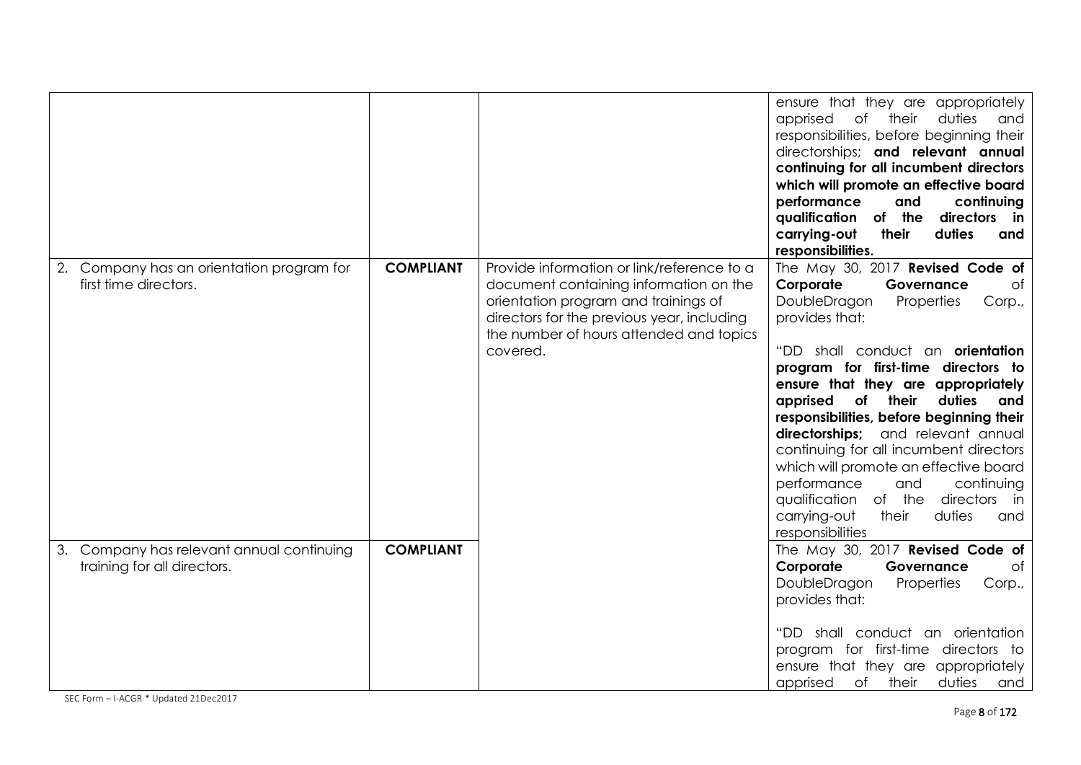|                                                                             |                  |                                                                                                                                                                                                                                   | ensure that they are appropriately<br>of<br>duties<br>apprised<br>their<br>and<br>responsibilities, before beginning their<br>directorships; and relevant annual<br>continuing for all incumbent directors<br>which will promote an effective board<br>performance<br>and<br>continuing<br>qualification of the<br>directors in<br>their<br>carrying-out<br>duties<br>and<br>responsibilities.                                                                                                                                                                                                                       |
|-----------------------------------------------------------------------------|------------------|-----------------------------------------------------------------------------------------------------------------------------------------------------------------------------------------------------------------------------------|----------------------------------------------------------------------------------------------------------------------------------------------------------------------------------------------------------------------------------------------------------------------------------------------------------------------------------------------------------------------------------------------------------------------------------------------------------------------------------------------------------------------------------------------------------------------------------------------------------------------|
| Company has an orientation program for<br>2.<br>first time directors.       | <b>COMPLIANT</b> | Provide information or link/reference to a<br>document containing information on the<br>orientation program and trainings of<br>directors for the previous year, including<br>the number of hours attended and topics<br>covered. | The May 30, 2017 Revised Code of<br>Corporate<br>Governance<br>Оf<br>DoubleDragon<br>Properties<br>Corp.,<br>provides that:<br>"DD shall conduct an <b>orientation</b><br>program for first-time directors to<br>ensure that they are appropriately<br>duties<br>apprised<br>of<br>their<br>and<br>responsibilities, before beginning their<br>directorships; and relevant annual<br>continuing for all incumbent directors<br>which will promote an effective board<br>performance<br>and<br>continuing<br>of the<br>qualification<br>directors<br>in<br>their<br>duties<br>carrying-out<br>and<br>responsibilities |
| Company has relevant annual continuing<br>3.<br>training for all directors. | <b>COMPLIANT</b> |                                                                                                                                                                                                                                   | The May 30, 2017 Revised Code of<br>Corporate<br>Governance<br>Оf<br>DoubleDragon<br>Properties<br>Corp.,<br>provides that:<br>"DD shall conduct an orientation<br>program for first-time directors to<br>ensure that they are appropriately<br>$\circ$ f<br>apprised<br>their<br>duties<br>and                                                                                                                                                                                                                                                                                                                      |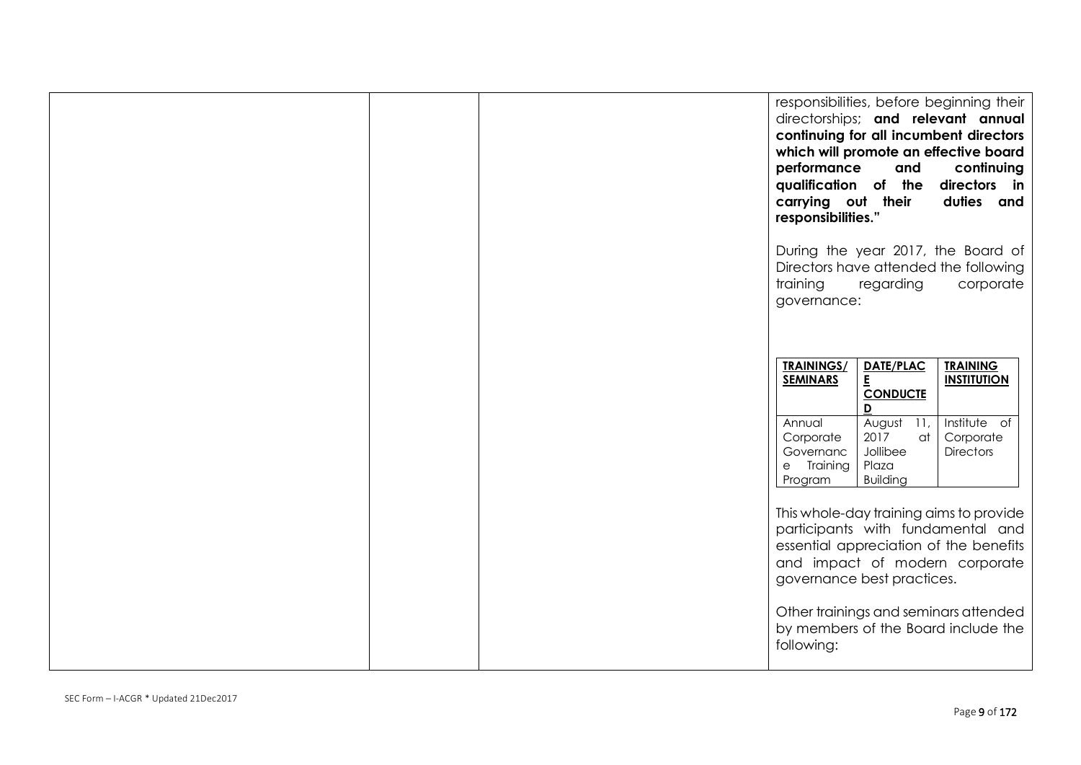|  | responsibilities, before beginning their<br>directorships; and relevant annual<br>continuing for all incumbent directors<br>which will promote an effective board<br>performance<br>continuing<br>and<br>qualification of the<br>directors in<br>carrying out their<br>duties and<br>responsibilities."   |
|--|-----------------------------------------------------------------------------------------------------------------------------------------------------------------------------------------------------------------------------------------------------------------------------------------------------------|
|  | During the year 2017, the Board of<br>Directors have attended the following<br>training<br>regarding<br>corporate<br>governance:                                                                                                                                                                          |
|  | <b>TRAININGS/</b><br>DATE/PLAC<br><b>TRAINING</b><br>E<br><b>SEMINARS</b><br><b>INSTITUTION</b><br><b>CONDUCTE</b><br>D<br>August 11,<br>Institute of<br>Annual<br>2017<br>Corporate<br>Corporate<br>at<br>Jollibee<br><b>Directors</b><br>Governanc<br>Plaza<br>e Training<br><b>Building</b><br>Program |
|  | This whole-day training aims to provide<br>participants with fundamental and<br>essential appreciation of the benefits<br>and impact of modern corporate<br>governance best practices.                                                                                                                    |
|  | Other trainings and seminars attended<br>by members of the Board include the<br>following:                                                                                                                                                                                                                |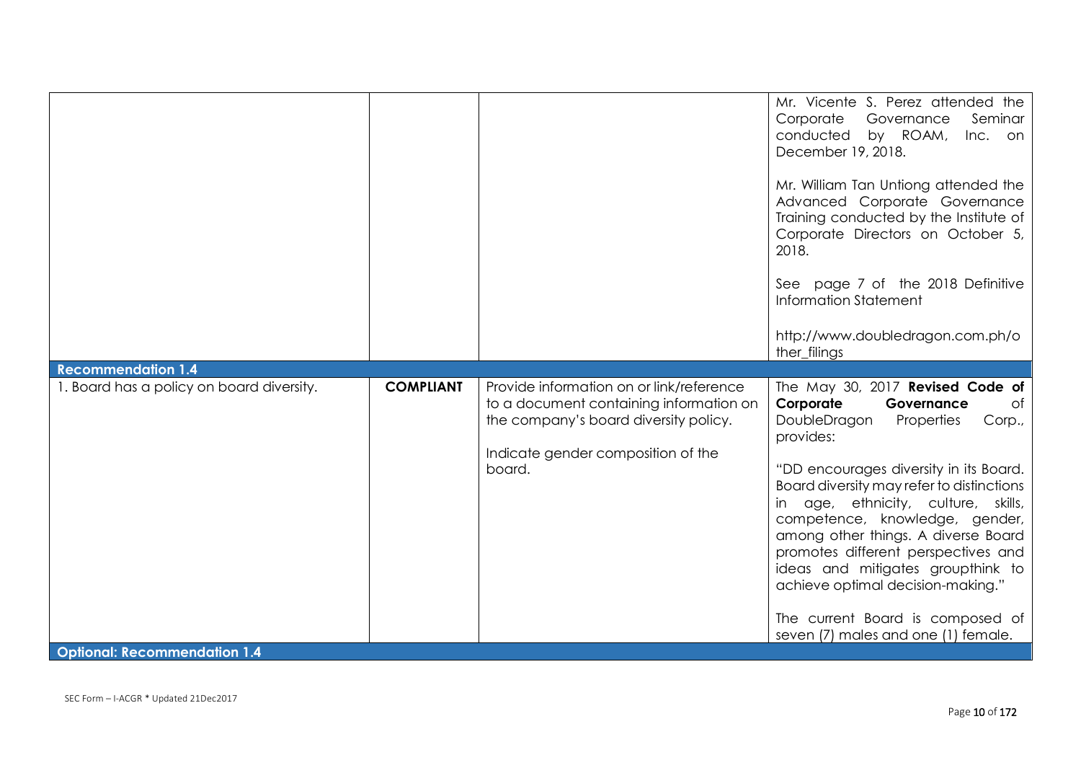| <b>Recommendation 1.4</b>                                                        |                  |                                                                                                                                                                              | Mr. Vicente S. Perez attended the<br>Corporate<br>Governance<br>Seminar<br>conducted<br>by ROAM,<br>Inc. on<br>December 19, 2018.<br>Mr. William Tan Untiong attended the<br>Advanced Corporate Governance<br>Training conducted by the Institute of<br>Corporate Directors on October 5,<br>2018.<br>See page 7 of the 2018 Definitive<br>Information Statement<br>http://www.doubledragon.com.ph/o<br>ther_filings                                                                                                      |
|----------------------------------------------------------------------------------|------------------|------------------------------------------------------------------------------------------------------------------------------------------------------------------------------|---------------------------------------------------------------------------------------------------------------------------------------------------------------------------------------------------------------------------------------------------------------------------------------------------------------------------------------------------------------------------------------------------------------------------------------------------------------------------------------------------------------------------|
| 1. Board has a policy on board diversity.<br><b>Optional: Recommendation 1.4</b> | <b>COMPLIANT</b> | Provide information on or link/reference<br>to a document containing information on<br>the company's board diversity policy.<br>Indicate gender composition of the<br>board. | The May 30, 2017 Revised Code of<br>Corporate<br>Governance<br>Оf<br>DoubleDragon<br>Properties<br>Corp.,<br>provides:<br>"DD encourages diversity in its Board.<br>Board diversity may refer to distinctions<br>in age, ethnicity, culture, skills,<br>competence, knowledge, gender,<br>among other things. A diverse Board<br>promotes different perspectives and<br>ideas and mitigates groupthink to<br>achieve optimal decision-making."<br>The current Board is composed of<br>seven (7) males and one (1) female. |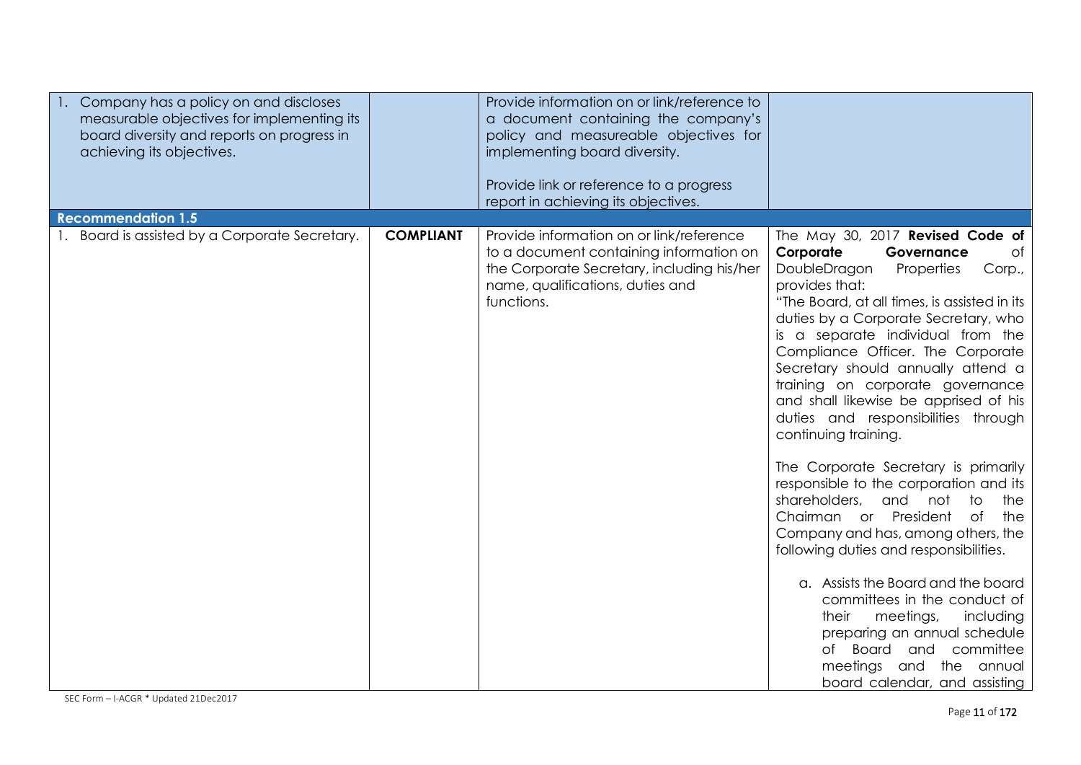| Company has a policy on and discloses<br>measurable objectives for implementing its<br>board diversity and reports on progress in<br>achieving its objectives. |                  | Provide information on or link/reference to<br>a document containing the company's<br>policy and measureable objectives for<br>implementing board diversity.<br>Provide link or reference to a progress<br>report in achieving its objectives. |                                                                                                                                                                                                                                                                                                                                                                                                                                                                                                                                                                                                                                                                                                                                                                                                                                                                                                                                |
|----------------------------------------------------------------------------------------------------------------------------------------------------------------|------------------|------------------------------------------------------------------------------------------------------------------------------------------------------------------------------------------------------------------------------------------------|--------------------------------------------------------------------------------------------------------------------------------------------------------------------------------------------------------------------------------------------------------------------------------------------------------------------------------------------------------------------------------------------------------------------------------------------------------------------------------------------------------------------------------------------------------------------------------------------------------------------------------------------------------------------------------------------------------------------------------------------------------------------------------------------------------------------------------------------------------------------------------------------------------------------------------|
| <b>Recommendation 1.5</b><br>1. Board is assisted by a Corporate Secretary.                                                                                    | <b>COMPLIANT</b> | Provide information on or link/reference                                                                                                                                                                                                       | The May 30, 2017 Revised Code of                                                                                                                                                                                                                                                                                                                                                                                                                                                                                                                                                                                                                                                                                                                                                                                                                                                                                               |
|                                                                                                                                                                |                  | to a document containing information on<br>the Corporate Secretary, including his/her<br>name, qualifications, duties and<br>functions.                                                                                                        | Corporate<br>Governance<br>Оf<br>DoubleDragon<br>Properties<br>Corp.,<br>provides that:<br>"The Board, at all times, is assisted in its<br>duties by a Corporate Secretary, who<br>is a separate individual from the<br>Compliance Officer. The Corporate<br>Secretary should annually attend a<br>training on corporate governance<br>and shall likewise be apprised of his<br>duties and responsibilities through<br>continuing training.<br>The Corporate Secretary is primarily<br>responsible to the corporation and its<br>shareholders,<br>and not<br>to<br>the<br>Chairman or President<br>of<br>the<br>Company and has, among others, the<br>following duties and responsibilities.<br>a. Assists the Board and the board<br>committees in the conduct of<br>their<br>meetings,<br>including<br>preparing an annual schedule<br>Board and committee<br>of<br>meetings and the annual<br>board calendar, and assisting |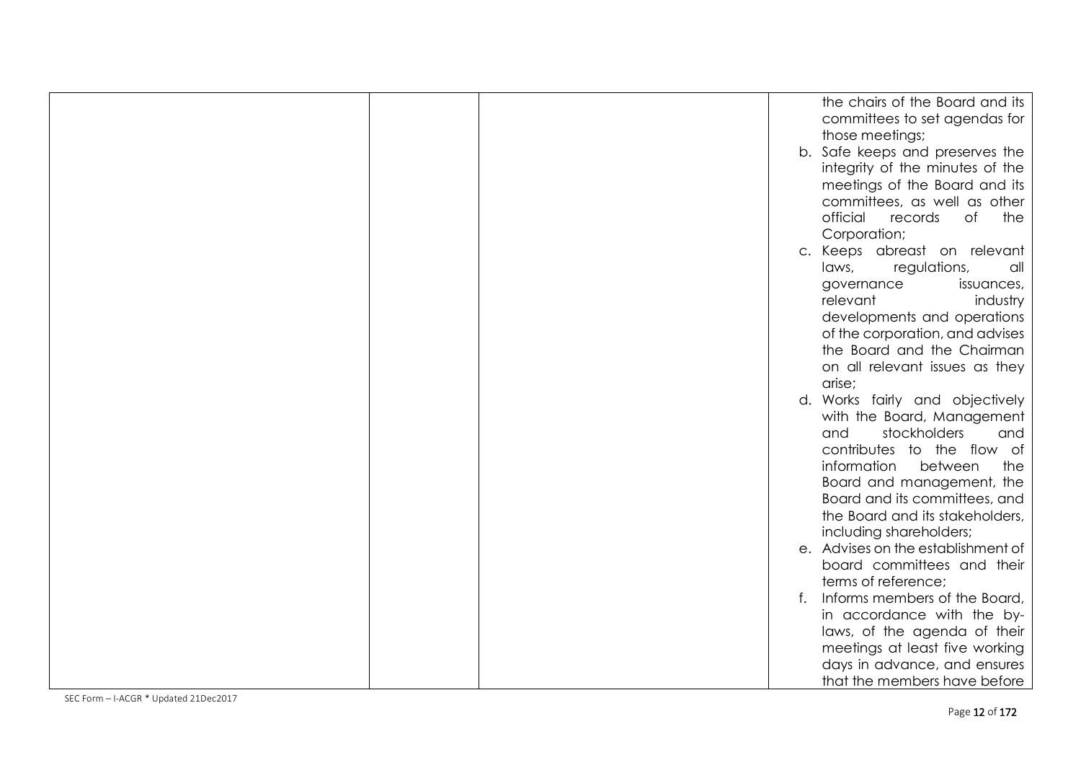|  | the chairs of the Board and its    |
|--|------------------------------------|
|  | committees to set agendas for      |
|  | those meetings;                    |
|  | b. Safe keeps and preserves the    |
|  | integrity of the minutes of the    |
|  | meetings of the Board and its      |
|  | committees, as well as other       |
|  | official<br>the<br>records<br>of   |
|  | Corporation;                       |
|  | Keeps abreast on relevant<br>C.    |
|  | laws,<br>regulations,<br>all       |
|  | governance<br>issuances,           |
|  | relevant<br>industry               |
|  | developments and operations        |
|  | of the corporation, and advises    |
|  | the Board and the Chairman         |
|  | on all relevant issues as they     |
|  | arise;                             |
|  | d. Works fairly and objectively    |
|  | with the Board, Management         |
|  | stockholders<br>and<br>and         |
|  | contributes to the flow of         |
|  | information<br>between<br>the      |
|  | Board and management, the          |
|  | Board and its committees, and      |
|  | the Board and its stakeholders,    |
|  | including shareholders;            |
|  | e. Advises on the establishment of |
|  | board committees and their         |
|  | terms of reference;                |
|  | Informs members of the Board,      |
|  | in accordance with the by-         |
|  | laws, of the agenda of their       |
|  | meetings at least five working     |
|  | days in advance, and ensures       |
|  | that the members have before       |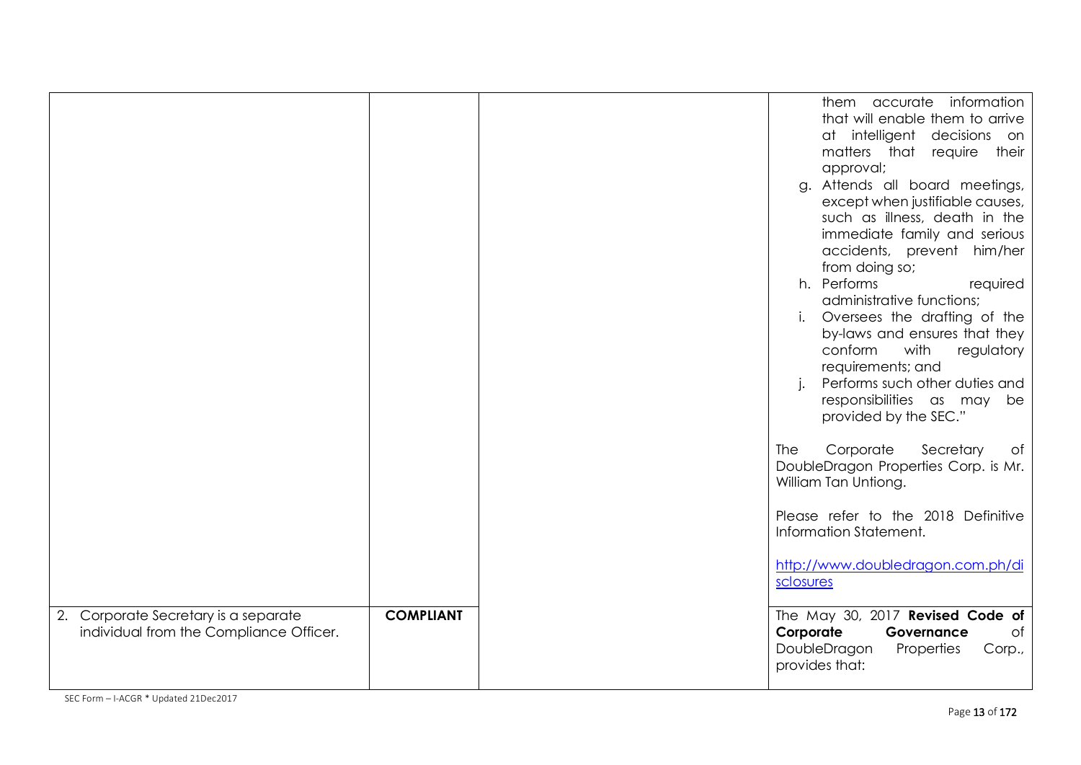|                                                                                 |                  | them accurate information<br>that will enable them to arrive<br>at intelligent decisions<br>on<br>matters that<br>require their<br>approval;<br>g. Attends all board meetings,<br>except when justifiable causes,<br>such as illness, death in the<br>immediate family and serious<br>accidents, prevent him/her<br>from doing so;<br>h. Performs<br>required<br>administrative functions;<br>i. Oversees the drafting of the<br>by-laws and ensures that they<br>conform<br>with<br>regulatory<br>requirements; and<br>Performs such other duties and<br>responsibilities as may<br>be<br>provided by the SEC."<br>Corporate<br><b>The</b><br>Secretary<br>of<br>DoubleDragon Properties Corp. is Mr.<br>William Tan Untiong.<br>Please refer to the 2018 Definitive<br>Information Statement.<br>http://www.doubledragon.com.ph/di<br>sclosures |
|---------------------------------------------------------------------------------|------------------|---------------------------------------------------------------------------------------------------------------------------------------------------------------------------------------------------------------------------------------------------------------------------------------------------------------------------------------------------------------------------------------------------------------------------------------------------------------------------------------------------------------------------------------------------------------------------------------------------------------------------------------------------------------------------------------------------------------------------------------------------------------------------------------------------------------------------------------------------|
| 2. Corporate Secretary is a separate<br>individual from the Compliance Officer. | <b>COMPLIANT</b> | The May 30, 2017 Revised Code of<br>Corporate<br>Governance<br>of<br>DoubleDragon<br>Properties<br>Corp.,<br>provides that:                                                                                                                                                                                                                                                                                                                                                                                                                                                                                                                                                                                                                                                                                                                       |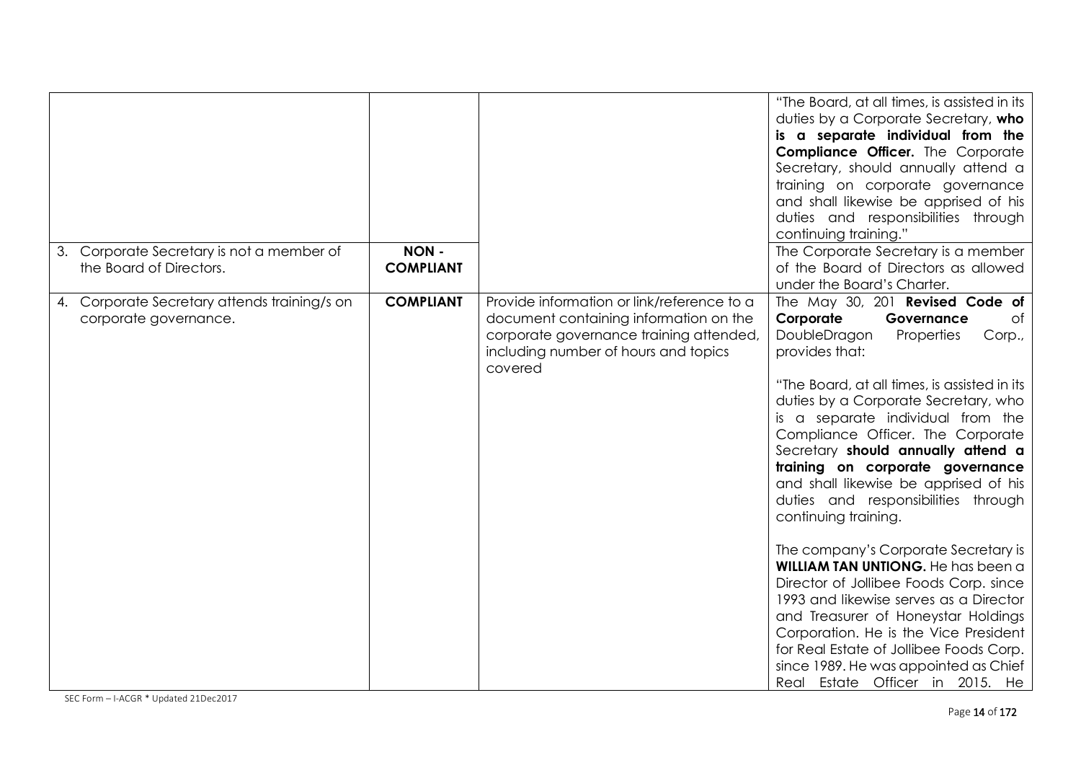|                         |                                              |                                 |                                                                                                                                                                                    | "The Board, at all times, is assisted in its<br>duties by a Corporate Secretary, who<br>is a separate individual from the                                                                                                                                                                                                                                                                                                                                                                                                                                                                                                                                                                                                                                                                                                                                      |
|-------------------------|----------------------------------------------|---------------------------------|------------------------------------------------------------------------------------------------------------------------------------------------------------------------------------|----------------------------------------------------------------------------------------------------------------------------------------------------------------------------------------------------------------------------------------------------------------------------------------------------------------------------------------------------------------------------------------------------------------------------------------------------------------------------------------------------------------------------------------------------------------------------------------------------------------------------------------------------------------------------------------------------------------------------------------------------------------------------------------------------------------------------------------------------------------|
|                         |                                              |                                 |                                                                                                                                                                                    | <b>Compliance Officer.</b> The Corporate<br>Secretary, should annually attend a                                                                                                                                                                                                                                                                                                                                                                                                                                                                                                                                                                                                                                                                                                                                                                                |
|                         |                                              |                                 |                                                                                                                                                                                    | training on corporate governance<br>and shall likewise be apprised of his                                                                                                                                                                                                                                                                                                                                                                                                                                                                                                                                                                                                                                                                                                                                                                                      |
|                         |                                              |                                 |                                                                                                                                                                                    | duties and responsibilities through<br>continuing training."                                                                                                                                                                                                                                                                                                                                                                                                                                                                                                                                                                                                                                                                                                                                                                                                   |
| the Board of Directors. | 3. Corporate Secretary is not a member of    | <b>NON-</b><br><b>COMPLIANT</b> |                                                                                                                                                                                    | The Corporate Secretary is a member<br>of the Board of Directors as allowed<br>under the Board's Charter.                                                                                                                                                                                                                                                                                                                                                                                                                                                                                                                                                                                                                                                                                                                                                      |
| corporate governance.   | 4. Corporate Secretary attends training/s on | <b>COMPLIANT</b>                | Provide information or link/reference to a<br>document containing information on the<br>corporate governance training attended,<br>including number of hours and topics<br>covered | The May 30, 201 Revised Code of<br>Corporate<br>Governance<br>of<br>DoubleDragon<br>Properties<br>Corp.,<br>provides that:<br>"The Board, at all times, is assisted in its<br>duties by a Corporate Secretary, who<br>is a separate individual from the<br>Compliance Officer. The Corporate<br>Secretary should annually attend a<br>training on corporate governance<br>and shall likewise be apprised of his<br>duties and responsibilities through<br>continuing training.<br>The company's Corporate Secretary is<br><b>WILLIAM TAN UNTIONG.</b> He has been a<br>Director of Jollibee Foods Corp. since<br>1993 and likewise serves as a Director<br>and Treasurer of Honeystar Holdings<br>Corporation. He is the Vice President<br>for Real Estate of Jollibee Foods Corp.<br>since 1989. He was appointed as Chief<br>Real Estate Officer in 2015. He |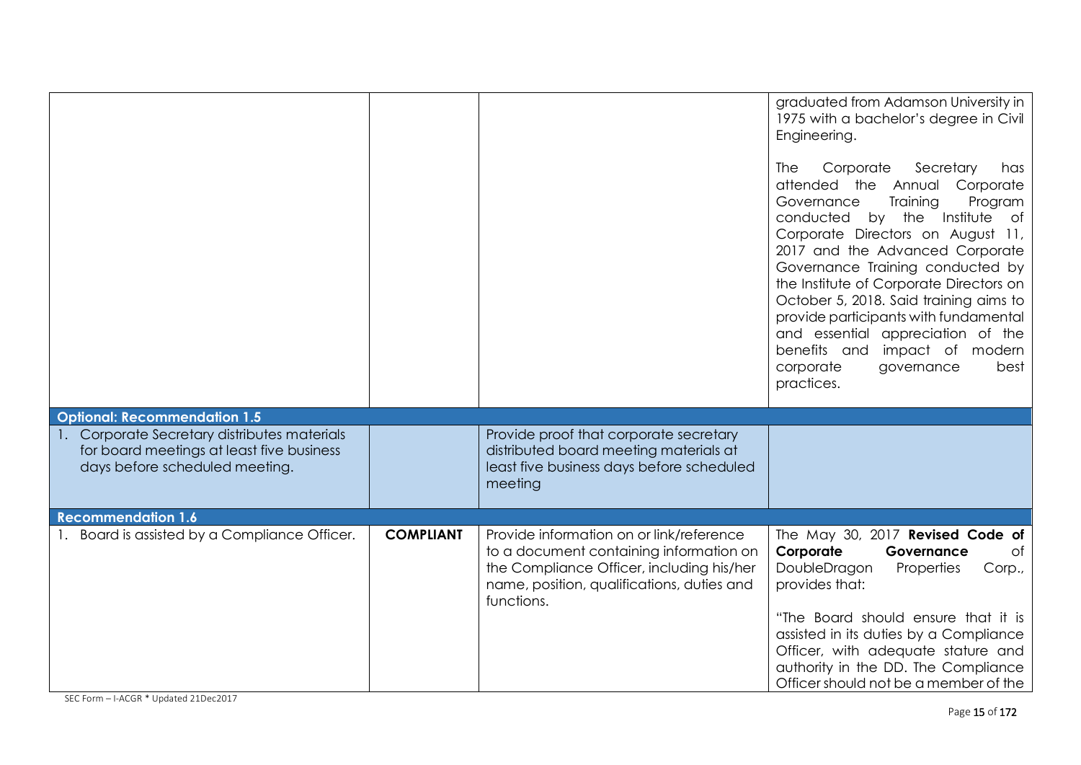| <b>Optional: Recommendation 1.5</b>                                                                                         |                  |                                                                                                                                                                                              | graduated from Adamson University in<br>1975 with a bachelor's degree in Civil<br>Engineering.<br>The<br>Corporate<br>Secretary<br>has<br>attended the Annual<br>Corporate<br>Training<br>Governance<br>Program<br>by the Institute<br>conducted<br>of<br>Corporate Directors on August 11,<br>2017 and the Advanced Corporate<br>Governance Training conducted by<br>the Institute of Corporate Directors on<br>October 5, 2018. Said training aims to<br>provide participants with fundamental<br>and essential appreciation of the<br>benefits and impact of modern<br>corporate<br>governance<br>best<br>practices. |
|-----------------------------------------------------------------------------------------------------------------------------|------------------|----------------------------------------------------------------------------------------------------------------------------------------------------------------------------------------------|-------------------------------------------------------------------------------------------------------------------------------------------------------------------------------------------------------------------------------------------------------------------------------------------------------------------------------------------------------------------------------------------------------------------------------------------------------------------------------------------------------------------------------------------------------------------------------------------------------------------------|
| 1. Corporate Secretary distributes materials<br>for board meetings at least five business<br>days before scheduled meeting. |                  | Provide proof that corporate secretary<br>distributed board meeting materials at<br>least five business days before scheduled<br>meeting                                                     |                                                                                                                                                                                                                                                                                                                                                                                                                                                                                                                                                                                                                         |
| <b>Recommendation 1.6</b>                                                                                                   |                  |                                                                                                                                                                                              |                                                                                                                                                                                                                                                                                                                                                                                                                                                                                                                                                                                                                         |
| 1. Board is assisted by a Compliance Officer.                                                                               | <b>COMPLIANT</b> | Provide information on or link/reference<br>to a document containing information on<br>the Compliance Officer, including his/her<br>name, position, qualifications, duties and<br>functions. | The May 30, 2017 Revised Code of<br>Corporate<br>Governance<br>of<br>DoubleDragon<br>Properties<br>Corp.,<br>provides that:<br>"The Board should ensure that it is<br>assisted in its duties by a Compliance<br>Officer, with adequate stature and<br>authority in the DD. The Compliance<br>Officer should not be a member of the                                                                                                                                                                                                                                                                                      |

SEC Form – I-ACGR \* Updated 21Dec2017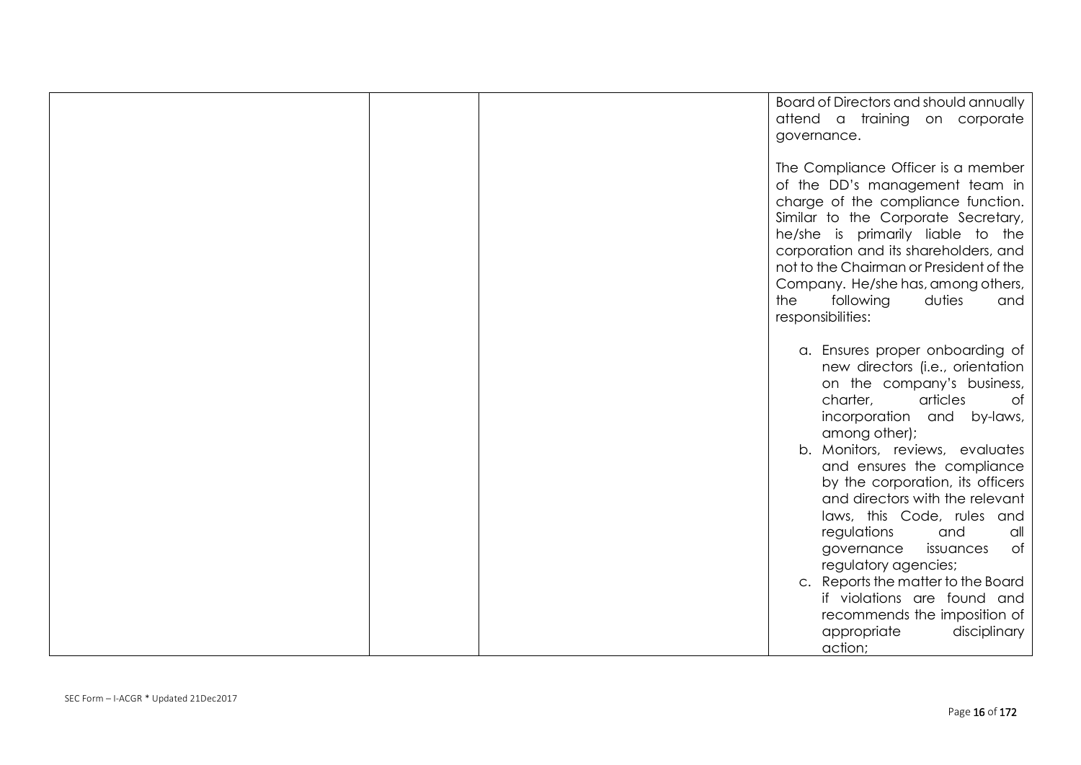|  | Board of Directors and should annually<br>attend a training on corporate<br>governance.                                                                                                                                                                                                                                                                                    |
|--|----------------------------------------------------------------------------------------------------------------------------------------------------------------------------------------------------------------------------------------------------------------------------------------------------------------------------------------------------------------------------|
|  | The Compliance Officer is a member<br>of the DD's management team in<br>charge of the compliance function.<br>Similar to the Corporate Secretary,<br>he/she is primarily liable to the<br>corporation and its shareholders, and<br>not to the Chairman or President of the<br>Company. He/she has, among others,<br>following<br>the<br>duties<br>and<br>responsibilities: |
|  | a. Ensures proper onboarding of<br>new directors (i.e., orientation<br>on the company's business,<br>charter,<br>articles<br>0t<br>incorporation<br>and<br>by-laws,<br>among other);                                                                                                                                                                                       |
|  | b. Monitors, reviews, evaluates<br>and ensures the compliance<br>by the corporation, its officers<br>and directors with the relevant<br>laws, this Code, rules and<br>regulations<br>and<br>all<br>governance<br>issuances<br>0f<br>regulatory agencies;                                                                                                                   |
|  | c. Reports the matter to the Board<br>if violations are found and<br>recommends the imposition of<br>appropriate<br>disciplinary<br>action;                                                                                                                                                                                                                                |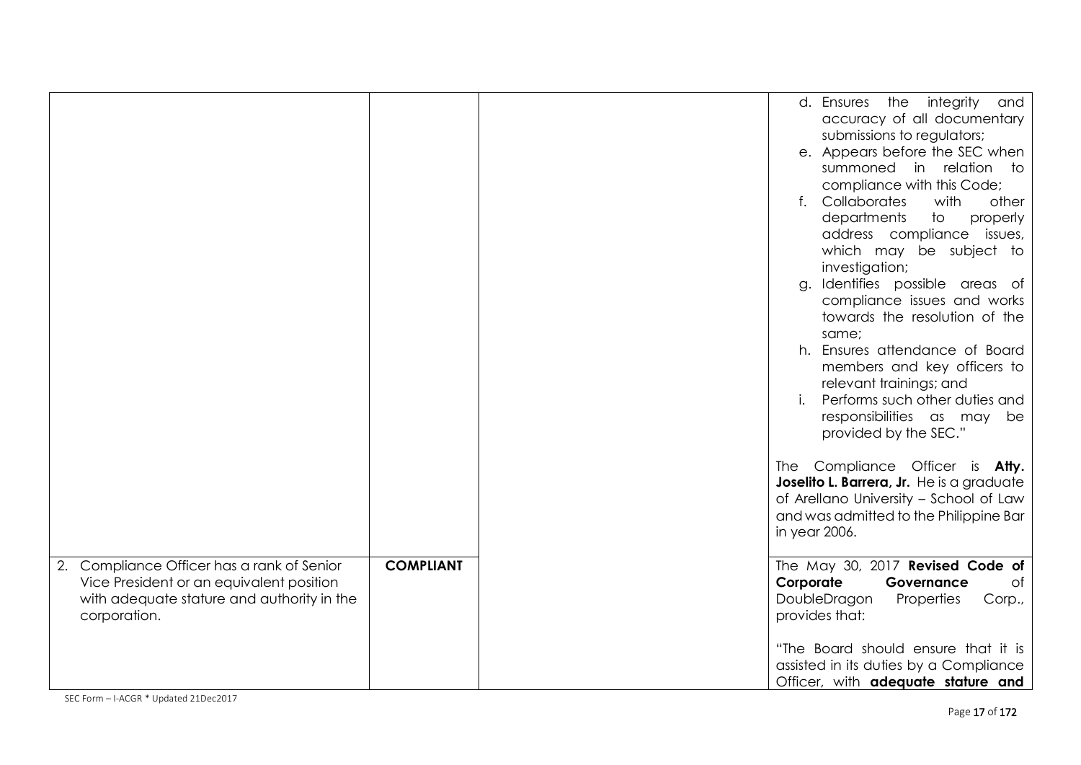|                                                                                                                                                      |                  | d. Ensures the integrity<br>and<br>accuracy of all documentary<br>submissions to regulators;<br>e. Appears before the SEC when<br>summoned in relation to<br>compliance with this Code;<br>Collaborates<br>$f_{\star}$<br>with<br>other<br>departments<br>$\mathsf{to}$<br>properly<br>address compliance<br>issues,<br>which may be subject to<br>investigation;<br>Identifies possible areas of<br>g.<br>compliance issues and works<br>towards the resolution of the<br>same;<br>h. Ensures attendance of Board<br>members and key officers to<br>relevant trainings; and<br>Performs such other duties and<br>responsibilities as may be<br>provided by the SEC."<br>The Compliance Officer is Atty.<br>Joselito L. Barrera, Jr. He is a graduate<br>of Arellano University - School of Law<br>and was admitted to the Philippine Bar<br>in year 2006. |
|------------------------------------------------------------------------------------------------------------------------------------------------------|------------------|------------------------------------------------------------------------------------------------------------------------------------------------------------------------------------------------------------------------------------------------------------------------------------------------------------------------------------------------------------------------------------------------------------------------------------------------------------------------------------------------------------------------------------------------------------------------------------------------------------------------------------------------------------------------------------------------------------------------------------------------------------------------------------------------------------------------------------------------------------|
| 2. Compliance Officer has a rank of Senior<br>Vice President or an equivalent position<br>with adequate stature and authority in the<br>corporation. | <b>COMPLIANT</b> | The May 30, 2017 Revised Code of<br>Corporate<br>Governance<br>of<br>DoubleDragon<br>Properties<br>Corp.,<br>provides that:<br>"The Board should ensure that it is<br>assisted in its duties by a Compliance<br>Officer, with adequate stature and                                                                                                                                                                                                                                                                                                                                                                                                                                                                                                                                                                                                         |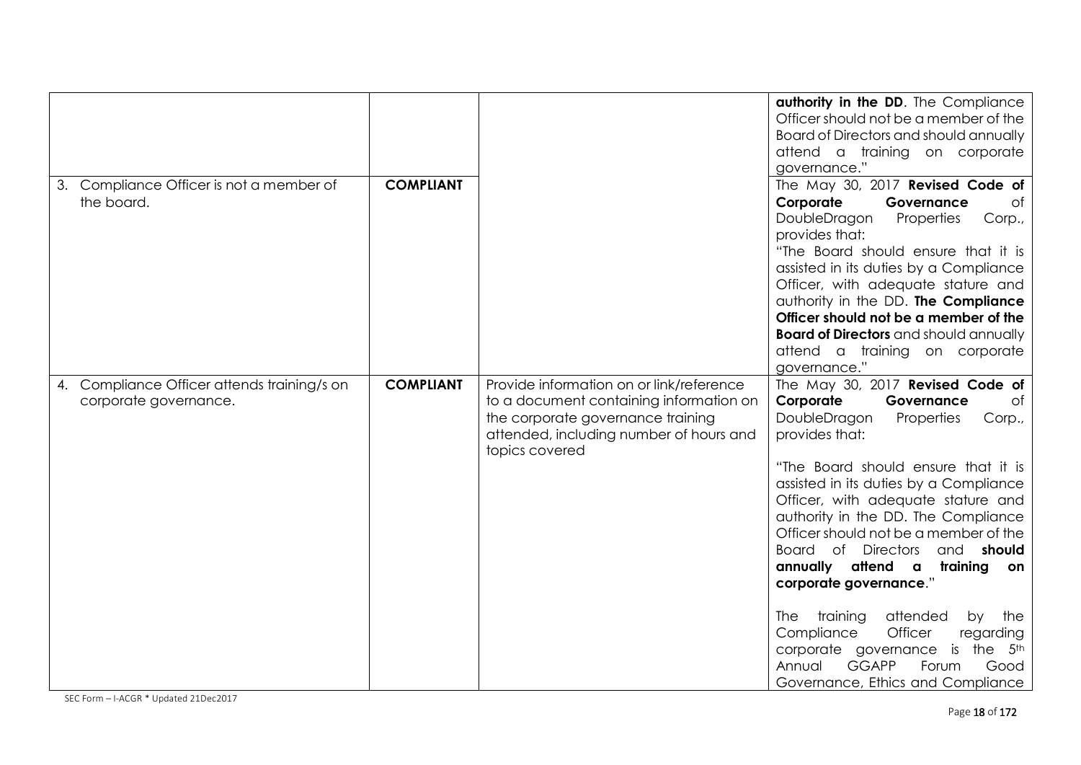|                                                                      |                  |                                                                                                                                                                                       | authority in the DD. The Compliance<br>Officer should not be a member of the<br>Board of Directors and should annually<br>attend a training on corporate<br>governance."                                                                                                                                                                                                                                                                                                                                                                                                                                                                                               |
|----------------------------------------------------------------------|------------------|---------------------------------------------------------------------------------------------------------------------------------------------------------------------------------------|------------------------------------------------------------------------------------------------------------------------------------------------------------------------------------------------------------------------------------------------------------------------------------------------------------------------------------------------------------------------------------------------------------------------------------------------------------------------------------------------------------------------------------------------------------------------------------------------------------------------------------------------------------------------|
| 3. Compliance Officer is not a member of<br>the board.               | <b>COMPLIANT</b> |                                                                                                                                                                                       | The May 30, 2017 Revised Code of<br>Corporate<br>Governance<br>Оf<br>DoubleDragon<br>Properties<br>Corp.,<br>provides that:<br>"The Board should ensure that it is<br>assisted in its duties by a Compliance<br>Officer, with adequate stature and<br>authority in the DD. The Compliance<br>Officer should not be a member of the<br><b>Board of Directors</b> and should annually<br>attend a training on corporate<br>governance."                                                                                                                                                                                                                                  |
| 4. Compliance Officer attends training/s on<br>corporate governance. | <b>COMPLIANT</b> | Provide information on or link/reference<br>to a document containing information on<br>the corporate governance training<br>attended, including number of hours and<br>topics covered | The May 30, 2017 Revised Code of<br>Corporate<br>Governance<br>of<br>DoubleDragon<br>Properties<br>Corp.,<br>provides that:<br>"The Board should ensure that it is<br>assisted in its duties by a Compliance<br>Officer, with adequate stature and<br>authority in the DD. The Compliance<br>Officer should not be a member of the<br>Board of<br><b>Directors</b><br>and <b>should</b><br>annually attend a<br>training<br>on<br>corporate governance."<br>attended<br>training<br>the<br>The<br>by<br>Officer<br>Compliance<br>regarding<br>corporate governance<br>the<br>is<br>5th<br><b>GGAPP</b><br>Annual<br>Forum<br>Good<br>Governance, Ethics and Compliance |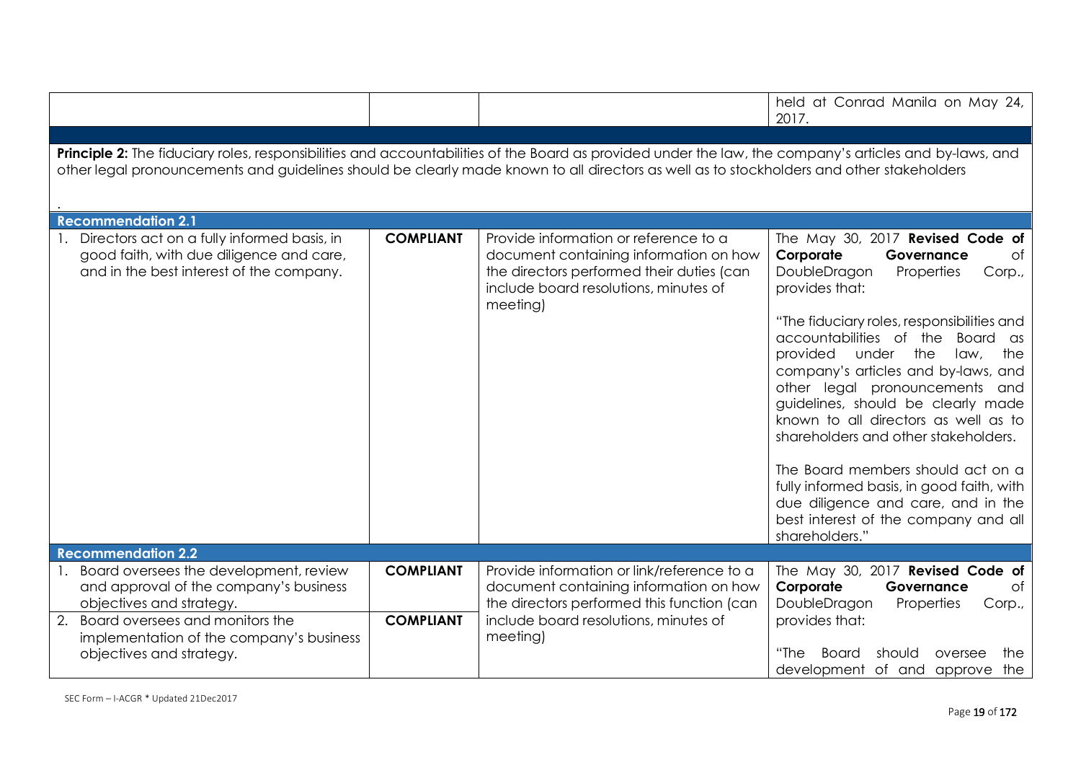|                                                                                                                                                                                                                                                                                                      |                  |                                                                                                                                                                                   | held at Conrad Manila on May 24,<br>2017.                                                                                                                                                                                                                                                                                                                                                                                                                                                                                                                                                                                                              |  |
|------------------------------------------------------------------------------------------------------------------------------------------------------------------------------------------------------------------------------------------------------------------------------------------------------|------------------|-----------------------------------------------------------------------------------------------------------------------------------------------------------------------------------|--------------------------------------------------------------------------------------------------------------------------------------------------------------------------------------------------------------------------------------------------------------------------------------------------------------------------------------------------------------------------------------------------------------------------------------------------------------------------------------------------------------------------------------------------------------------------------------------------------------------------------------------------------|--|
|                                                                                                                                                                                                                                                                                                      |                  |                                                                                                                                                                                   |                                                                                                                                                                                                                                                                                                                                                                                                                                                                                                                                                                                                                                                        |  |
| Principle 2: The fiduciary roles, responsibilities and accountabilities of the Board as provided under the law, the company's articles and by-laws, and<br>other legal pronouncements and guidelines should be clearly made known to all directors as well as to stockholders and other stakeholders |                  |                                                                                                                                                                                   |                                                                                                                                                                                                                                                                                                                                                                                                                                                                                                                                                                                                                                                        |  |
| <b>Recommendation 2.1</b>                                                                                                                                                                                                                                                                            |                  |                                                                                                                                                                                   |                                                                                                                                                                                                                                                                                                                                                                                                                                                                                                                                                                                                                                                        |  |
| Directors act on a fully informed basis, in<br>good faith, with due diligence and care,<br>and in the best interest of the company.                                                                                                                                                                  | <b>COMPLIANT</b> | Provide information or reference to a<br>document containing information on how<br>the directors performed their duties (can<br>include board resolutions, minutes of<br>meeting) | The May 30, 2017 Revised Code of<br>Corporate<br>Governance<br>of<br>DoubleDragon<br>Properties<br>Corp.,<br>provides that:<br>"The fiduciary roles, responsibilities and<br>accountabilities of the<br><b>Board</b><br>as<br>provided<br>the<br>under<br>law,<br>the<br>company's articles and by-laws, and<br>other legal pronouncements and<br>guidelines, should be clearly made<br>known to all directors as well as to<br>shareholders and other stakeholders.<br>The Board members should act on a<br>fully informed basis, in good faith, with<br>due diligence and care, and in the<br>best interest of the company and all<br>shareholders." |  |
| <b>Recommendation 2.2</b>                                                                                                                                                                                                                                                                            |                  |                                                                                                                                                                                   |                                                                                                                                                                                                                                                                                                                                                                                                                                                                                                                                                                                                                                                        |  |
| Board oversees the development, review<br>and approval of the company's business<br>objectives and strategy.                                                                                                                                                                                         | <b>COMPLIANT</b> | Provide information or link/reference to a<br>document containing information on how<br>the directors performed this function (can                                                | The May 30, 2017 Revised Code of<br>Corporate<br>Governance<br>of<br>DoubleDragon<br>Properties<br>Corp.,                                                                                                                                                                                                                                                                                                                                                                                                                                                                                                                                              |  |
| 2. Board oversees and monitors the<br>implementation of the company's business<br>objectives and strategy.                                                                                                                                                                                           | <b>COMPLIANT</b> | include board resolutions, minutes of<br>meeting)                                                                                                                                 | provides that:<br>"The<br>Board<br>should<br>the<br>oversee<br>development of and approve the                                                                                                                                                                                                                                                                                                                                                                                                                                                                                                                                                          |  |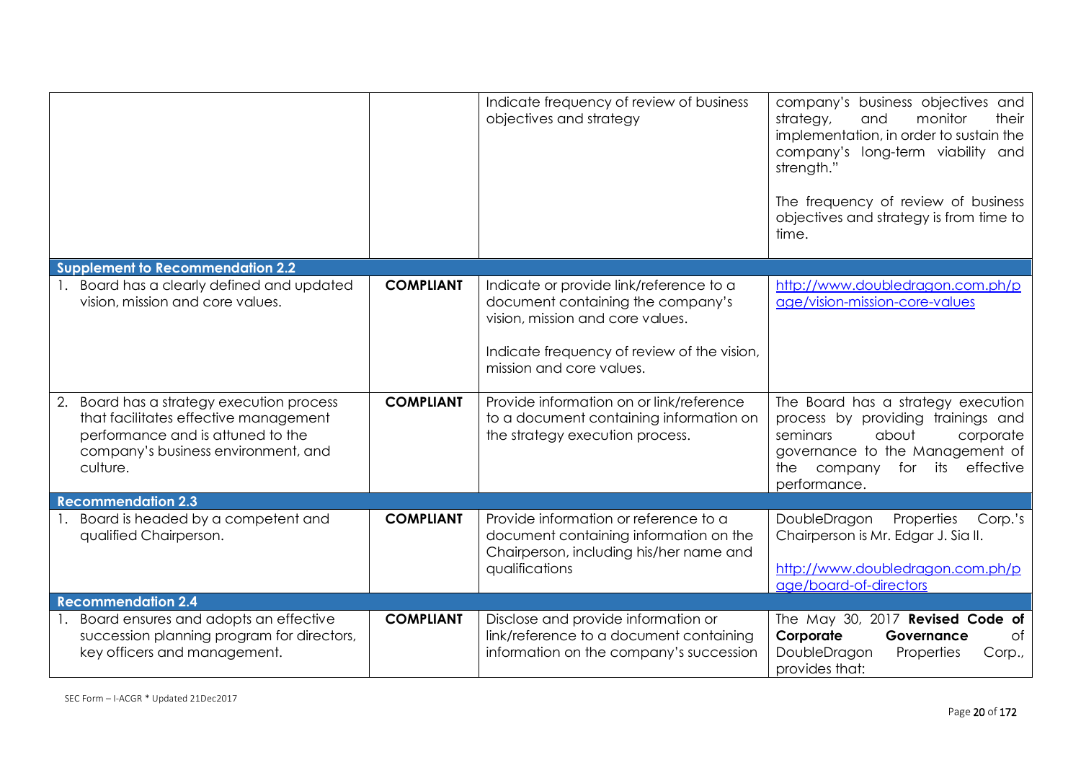|                                                                                                                                                                            |                  | Indicate frequency of review of business<br>objectives and strategy                                                                                                                         | company's business objectives and<br>strategy,<br>and<br>monitor<br>their<br>implementation, in order to sustain the<br>company's long-term viability and<br>strength."<br>The frequency of review of business<br>objectives and strategy is from time to<br>time. |
|----------------------------------------------------------------------------------------------------------------------------------------------------------------------------|------------------|---------------------------------------------------------------------------------------------------------------------------------------------------------------------------------------------|--------------------------------------------------------------------------------------------------------------------------------------------------------------------------------------------------------------------------------------------------------------------|
| <b>Supplement to Recommendation 2.2</b>                                                                                                                                    |                  |                                                                                                                                                                                             |                                                                                                                                                                                                                                                                    |
| Board has a clearly defined and updated<br>vision, mission and core values.                                                                                                | <b>COMPLIANT</b> | Indicate or provide link/reference to a<br>document containing the company's<br>vision, mission and core values.<br>Indicate frequency of review of the vision,<br>mission and core values. | http://www.doubledragon.com.ph/p<br>age/vision-mission-core-values                                                                                                                                                                                                 |
| 2. Board has a strategy execution process<br>that facilitates effective management<br>performance and is attuned to the<br>company's business environment, and<br>culture. | <b>COMPLIANT</b> | Provide information on or link/reference<br>to a document containing information on<br>the strategy execution process.                                                                      | The Board has a strategy execution<br>process by providing trainings and<br>seminars<br>about<br>corporate<br>governance to the Management of<br>company<br>its<br>effective<br>the<br>for<br>performance.                                                         |
| <b>Recommendation 2.3</b>                                                                                                                                                  |                  |                                                                                                                                                                                             |                                                                                                                                                                                                                                                                    |
| Board is headed by a competent and<br>qualified Chairperson.                                                                                                               | <b>COMPLIANT</b> | Provide information or reference to a<br>document containing information on the<br>Chairperson, including his/her name and<br>qualifications                                                | DoubleDragon<br>Properties<br>Corp.'s<br>Chairperson is Mr. Edgar J. Sia II.<br>http://www.doubledragon.com.ph/p<br>age/board-of-directors                                                                                                                         |
| <b>Recommendation 2.4</b>                                                                                                                                                  |                  |                                                                                                                                                                                             |                                                                                                                                                                                                                                                                    |
| Board ensures and adopts an effective<br>succession planning program for directors,<br>key officers and management.                                                        | <b>COMPLIANT</b> | Disclose and provide information or<br>link/reference to a document containing<br>information on the company's succession                                                                   | The May 30, 2017 Revised Code of<br>Corporate<br>Governance<br>of<br>DoubleDragon<br>Properties<br>Corp.,<br>provides that:                                                                                                                                        |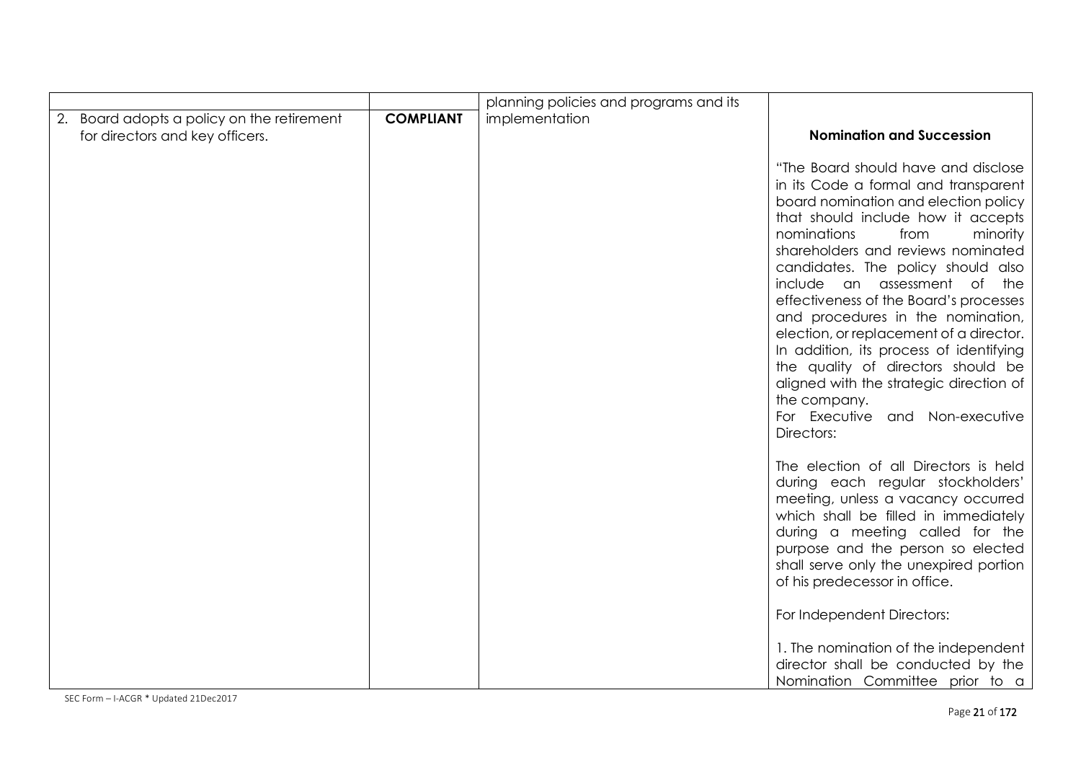| <b>COMPLIANT</b> | implementation |                                                                                                                                                                                                                                                                                                                                                                                                                                                                                                                                                                                                                                 |
|------------------|----------------|---------------------------------------------------------------------------------------------------------------------------------------------------------------------------------------------------------------------------------------------------------------------------------------------------------------------------------------------------------------------------------------------------------------------------------------------------------------------------------------------------------------------------------------------------------------------------------------------------------------------------------|
|                  |                | <b>Nomination and Succession</b>                                                                                                                                                                                                                                                                                                                                                                                                                                                                                                                                                                                                |
|                  |                | "The Board should have and disclose<br>in its Code a formal and transparent<br>board nomination and election policy<br>that should include how it accepts<br>nominations<br>from<br>minority<br>shareholders and reviews nominated<br>candidates. The policy should also<br>include an assessment of the<br>effectiveness of the Board's processes<br>and procedures in the nomination,<br>election, or replacement of a director.<br>In addition, its process of identifying<br>the quality of directors should be<br>aligned with the strategic direction of<br>the company.<br>For Executive and Non-executive<br>Directors: |
|                  |                | The election of all Directors is held<br>during each regular stockholders'<br>meeting, unless a vacancy occurred<br>which shall be filled in immediately<br>during a meeting called for the<br>purpose and the person so elected<br>shall serve only the unexpired portion<br>of his predecessor in office.<br>For Independent Directors:<br>1. The nomination of the independent<br>director shall be conducted by the                                                                                                                                                                                                         |
|                  |                |                                                                                                                                                                                                                                                                                                                                                                                                                                                                                                                                                                                                                                 |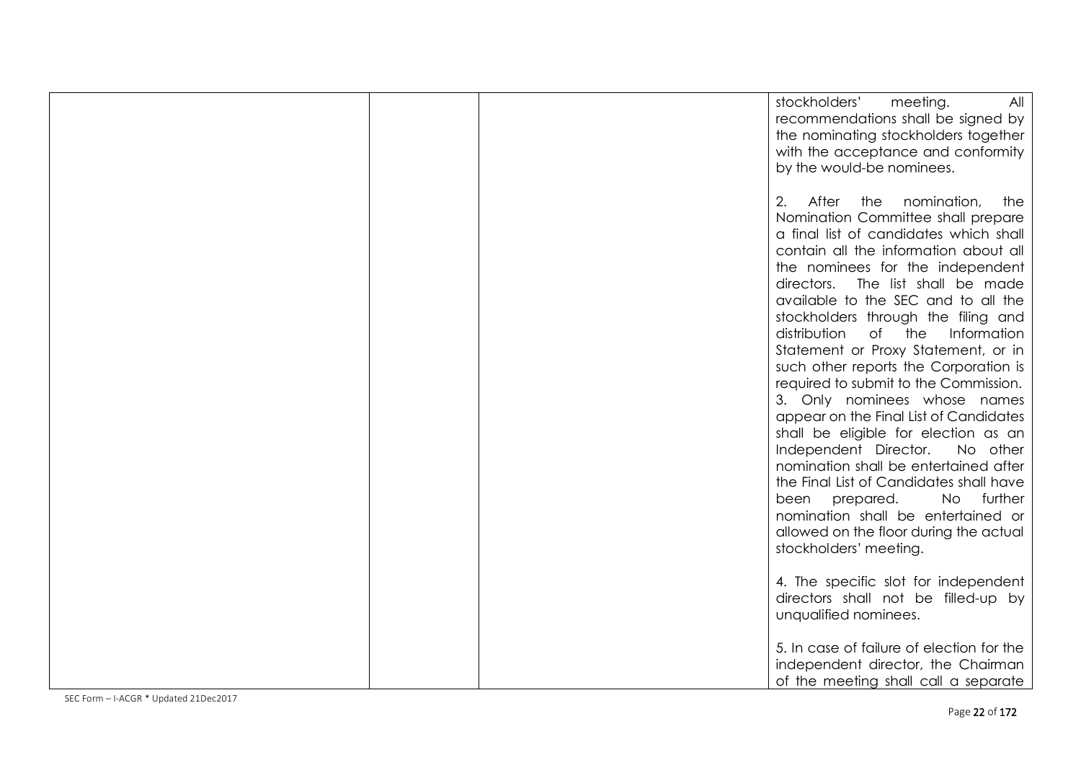|  | stockholders'<br>meeting.<br>All<br>recommendations shall be signed by<br>the nominating stockholders together<br>with the acceptance and conformity<br>by the would-be nominees.                                                                                                                                     |
|--|-----------------------------------------------------------------------------------------------------------------------------------------------------------------------------------------------------------------------------------------------------------------------------------------------------------------------|
|  | 2. After the<br>nomination,<br>the<br>Nomination Committee shall prepare<br>a final list of candidates which shall<br>contain all the information about all<br>the nominees for the independent<br>directors.<br>The list shall be made<br>available to the SEC and to all the<br>stockholders through the filing and |
|  | distribution of the<br>Information<br>Statement or Proxy Statement, or in<br>such other reports the Corporation is<br>required to submit to the Commission.<br>3. Only nominees whose names<br>appear on the Final List of Candidates<br>shall be eligible for election as an                                         |
|  | Independent Director.<br>No other<br>nomination shall be entertained after<br>the Final List of Candidates shall have<br>No further<br>been prepared.<br>nomination shall be entertained or<br>allowed on the floor during the actual<br>stockholders' meeting.                                                       |
|  | 4. The specific slot for independent<br>directors shall not be filled-up by<br>unqualified nominees.                                                                                                                                                                                                                  |
|  | 5. In case of failure of election for the<br>independent director, the Chairman<br>of the meeting shall call a separate                                                                                                                                                                                               |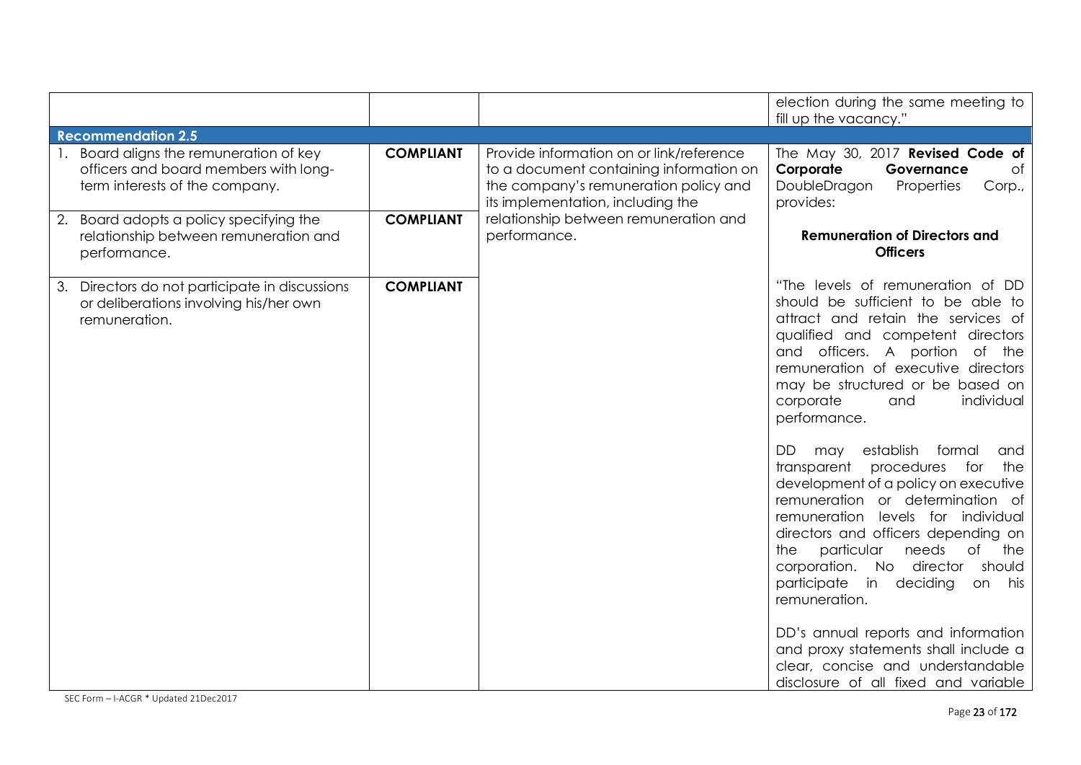|                                                                                                                 |                  |                                                                                                                                                                   | election during the same meeting to<br>fill up the vacancy."                                                                                                                                                                                                                                                                                                                                 |
|-----------------------------------------------------------------------------------------------------------------|------------------|-------------------------------------------------------------------------------------------------------------------------------------------------------------------|----------------------------------------------------------------------------------------------------------------------------------------------------------------------------------------------------------------------------------------------------------------------------------------------------------------------------------------------------------------------------------------------|
| <b>Recommendation 2.5</b>                                                                                       |                  |                                                                                                                                                                   |                                                                                                                                                                                                                                                                                                                                                                                              |
| Board aligns the remuneration of key<br>officers and board members with long-<br>term interests of the company. | <b>COMPLIANT</b> | Provide information on or link/reference<br>to a document containing information on<br>the company's remuneration policy and<br>its implementation, including the | The May 30, 2017 Revised Code of<br>Corporate<br>$\circ$ f<br>Governance<br>DoubleDragon<br>Properties<br>Corp.,<br>provides:                                                                                                                                                                                                                                                                |
| Board adopts a policy specifying the<br>2.<br>relationship between remuneration and<br>performance.             | <b>COMPLIANT</b> | relationship between remuneration and<br>performance.                                                                                                             | <b>Remuneration of Directors and</b><br><b>Officers</b>                                                                                                                                                                                                                                                                                                                                      |
| Directors do not participate in discussions<br>3.<br>or deliberations involving his/her own<br>remuneration.    | <b>COMPLIANT</b> |                                                                                                                                                                   | "The levels of remuneration of DD<br>should be sufficient to be able to<br>attract and retain the services of<br>qualified and competent directors<br>and officers. A portion<br>of the<br>remuneration of executive directors<br>may be structured or be based on<br>corporate<br>individual<br>and<br>performance.                                                                         |
|                                                                                                                 |                  |                                                                                                                                                                   | DD.<br>establish<br>formal<br>and<br>may<br>transparent<br>for<br>the<br>procedures<br>development of a policy on executive<br>remuneration or determination of<br>remuneration levels for individual<br>directors and officers depending on<br>of<br>particular<br>needs<br>the<br>the<br>No director<br>corporation.<br>should<br>participate<br>deciding<br>in<br>on his<br>remuneration. |
|                                                                                                                 |                  |                                                                                                                                                                   | DD's annual reports and information<br>and proxy statements shall include a<br>clear, concise and understandable<br>disclosure of all fixed and variable                                                                                                                                                                                                                                     |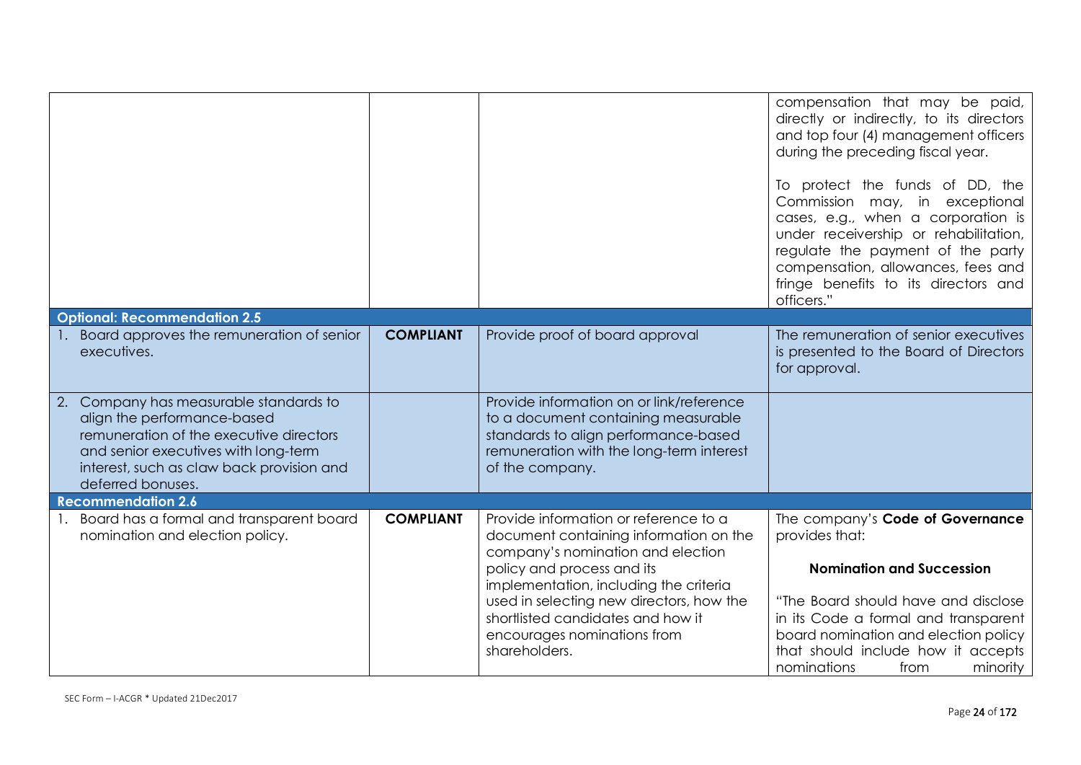|                                                                                                                                                                                                                            |                  |                                                                                                                                                                                                       | compensation that may be paid,<br>directly or indirectly, to its directors<br>and top four (4) management officers<br>during the preceding fiscal year.<br>To protect the funds of DD, the<br>Commission may, in exceptional<br>cases, e.g., when a corporation is<br>under receivership or rehabilitation,<br>regulate the payment of the party<br>compensation, allowances, fees and<br>fringe benefits to its directors and<br>officers." |
|----------------------------------------------------------------------------------------------------------------------------------------------------------------------------------------------------------------------------|------------------|-------------------------------------------------------------------------------------------------------------------------------------------------------------------------------------------------------|----------------------------------------------------------------------------------------------------------------------------------------------------------------------------------------------------------------------------------------------------------------------------------------------------------------------------------------------------------------------------------------------------------------------------------------------|
| <b>Optional: Recommendation 2.5</b>                                                                                                                                                                                        |                  |                                                                                                                                                                                                       |                                                                                                                                                                                                                                                                                                                                                                                                                                              |
| Board approves the remuneration of senior<br>executives.                                                                                                                                                                   | <b>COMPLIANT</b> | Provide proof of board approval                                                                                                                                                                       | The remuneration of senior executives<br>is presented to the Board of Directors<br>for approval.                                                                                                                                                                                                                                                                                                                                             |
| 2. Company has measurable standards to<br>align the performance-based<br>remuneration of the executive directors<br>and senior executives with long-term<br>interest, such as claw back provision and<br>deferred bonuses. |                  | Provide information on or link/reference<br>to a document containing measurable<br>standards to align performance-based<br>remuneration with the long-term interest<br>of the company.                |                                                                                                                                                                                                                                                                                                                                                                                                                                              |
| <b>Recommendation 2.6</b>                                                                                                                                                                                                  |                  |                                                                                                                                                                                                       |                                                                                                                                                                                                                                                                                                                                                                                                                                              |
| 1. Board has a formal and transparent board<br>nomination and election policy.                                                                                                                                             | <b>COMPLIANT</b> | Provide information or reference to a<br>document containing information on the<br>company's nomination and election                                                                                  | The company's Code of Governance<br>provides that:                                                                                                                                                                                                                                                                                                                                                                                           |
|                                                                                                                                                                                                                            |                  | policy and process and its<br>implementation, including the criteria<br>used in selecting new directors, how the<br>shortlisted candidates and how it<br>encourages nominations from<br>shareholders. | <b>Nomination and Succession</b><br>"The Board should have and disclose<br>in its Code a formal and transparent<br>board nomination and election policy<br>that should include how it accepts<br>nominations<br>from<br>minority                                                                                                                                                                                                             |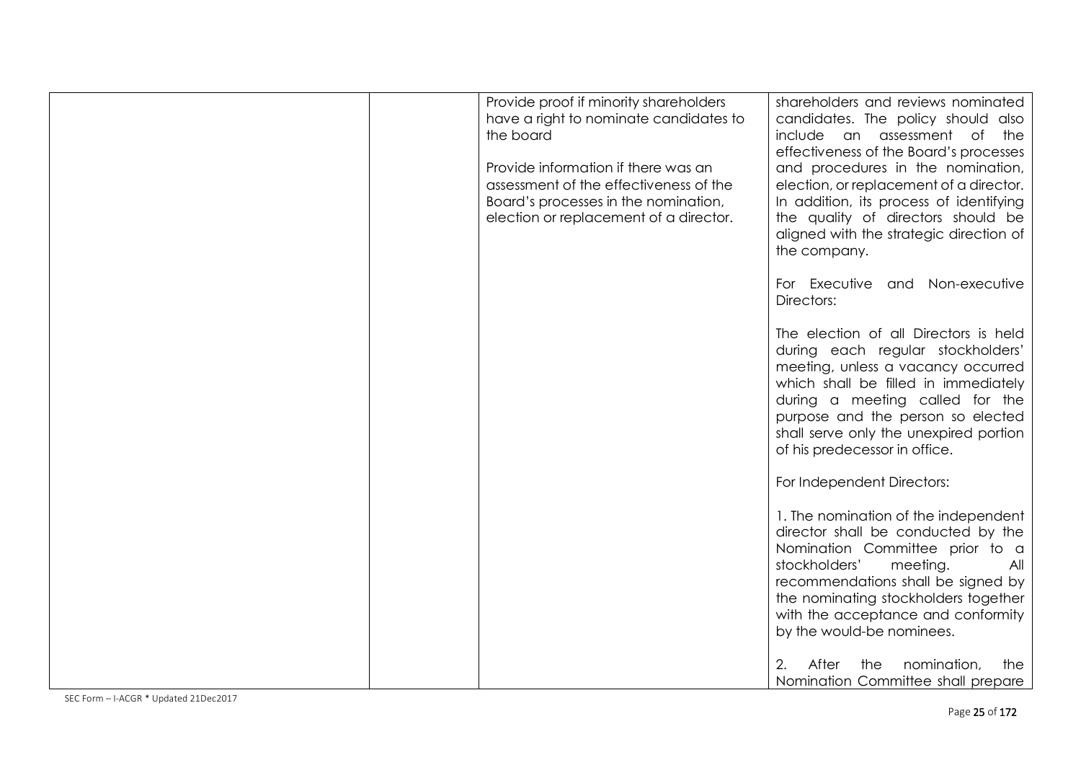| Provide proof if minority shareholders<br>have a right to nominate candidates to<br>the board<br>Provide information if there was an<br>assessment of the effectiveness of the<br>Board's processes in the nomination,<br>election or replacement of a director. | shareholders and reviews nominated<br>candidates. The policy should also<br>include an assessment of the<br>effectiveness of the Board's processes<br>and procedures in the nomination,<br>election, or replacement of a director.<br>In addition, its process of identifying<br>the quality of directors should be<br>aligned with the strategic direction of<br>the company. |
|------------------------------------------------------------------------------------------------------------------------------------------------------------------------------------------------------------------------------------------------------------------|--------------------------------------------------------------------------------------------------------------------------------------------------------------------------------------------------------------------------------------------------------------------------------------------------------------------------------------------------------------------------------|
|                                                                                                                                                                                                                                                                  | For Executive and Non-executive<br>Directors:                                                                                                                                                                                                                                                                                                                                  |
|                                                                                                                                                                                                                                                                  | The election of all Directors is held<br>during each regular stockholders'<br>meeting, unless a vacancy occurred<br>which shall be filled in immediately<br>during a meeting called for the<br>purpose and the person so elected<br>shall serve only the unexpired portion<br>of his predecessor in office.                                                                    |
|                                                                                                                                                                                                                                                                  | For Independent Directors:                                                                                                                                                                                                                                                                                                                                                     |
|                                                                                                                                                                                                                                                                  | 1. The nomination of the independent<br>director shall be conducted by the<br>Nomination Committee prior to a<br>stockholders'<br>meeting.<br>All<br>recommendations shall be signed by<br>the nominating stockholders together<br>with the acceptance and conformity<br>by the would-be nominees.                                                                             |
|                                                                                                                                                                                                                                                                  | After<br>the<br>nomination,<br>2.<br>the<br>Nomination Committee shall prepare                                                                                                                                                                                                                                                                                                 |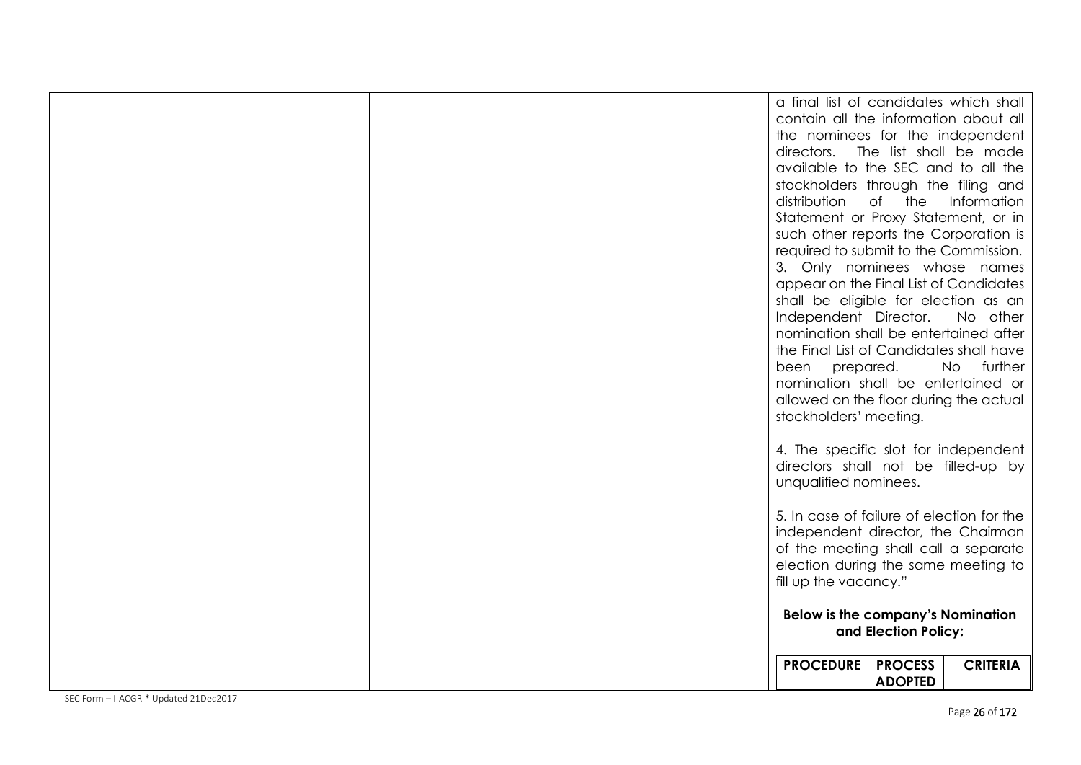|  |  |  | a final list of candidates which shall<br>contain all the information about all |                      |                 |
|--|--|--|---------------------------------------------------------------------------------|----------------------|-----------------|
|  |  |  | the nominees for the independent                                                |                      |                 |
|  |  |  | directors. The list shall be made                                               |                      |                 |
|  |  |  | available to the SEC and to all the                                             |                      |                 |
|  |  |  | stockholders through the filing and                                             |                      |                 |
|  |  |  | distribution                                                                    | of the               | Information     |
|  |  |  | Statement or Proxy Statement, or in                                             |                      |                 |
|  |  |  | such other reports the Corporation is                                           |                      |                 |
|  |  |  | required to submit to the Commission.                                           |                      |                 |
|  |  |  | 3. Only nominees whose names                                                    |                      |                 |
|  |  |  | appear on the Final List of Candidates                                          |                      |                 |
|  |  |  | shall be eligible for election as an                                            |                      |                 |
|  |  |  | Independent Director.                                                           |                      | No other        |
|  |  |  | nomination shall be entertained after                                           |                      |                 |
|  |  |  | the Final List of Candidates shall have                                         |                      |                 |
|  |  |  | been prepared.                                                                  |                      | further<br>No   |
|  |  |  | nomination shall be entertained or<br>allowed on the floor during the actual    |                      |                 |
|  |  |  | stockholders' meeting.                                                          |                      |                 |
|  |  |  |                                                                                 |                      |                 |
|  |  |  | 4. The specific slot for independent                                            |                      |                 |
|  |  |  | directors shall not be filled-up by                                             |                      |                 |
|  |  |  | unqualified nominees.                                                           |                      |                 |
|  |  |  |                                                                                 |                      |                 |
|  |  |  | 5. In case of failure of election for the                                       |                      |                 |
|  |  |  | independent director, the Chairman                                              |                      |                 |
|  |  |  | of the meeting shall call a separate                                            |                      |                 |
|  |  |  | election during the same meeting to                                             |                      |                 |
|  |  |  | fill up the vacancy."                                                           |                      |                 |
|  |  |  | <b>Below is the company's Nomination</b>                                        |                      |                 |
|  |  |  |                                                                                 | and Election Policy: |                 |
|  |  |  |                                                                                 |                      |                 |
|  |  |  | <b>PROCEDURE</b>                                                                | <b>PROCESS</b>       | <b>CRITERIA</b> |
|  |  |  |                                                                                 | <b>ADOPTED</b>       |                 |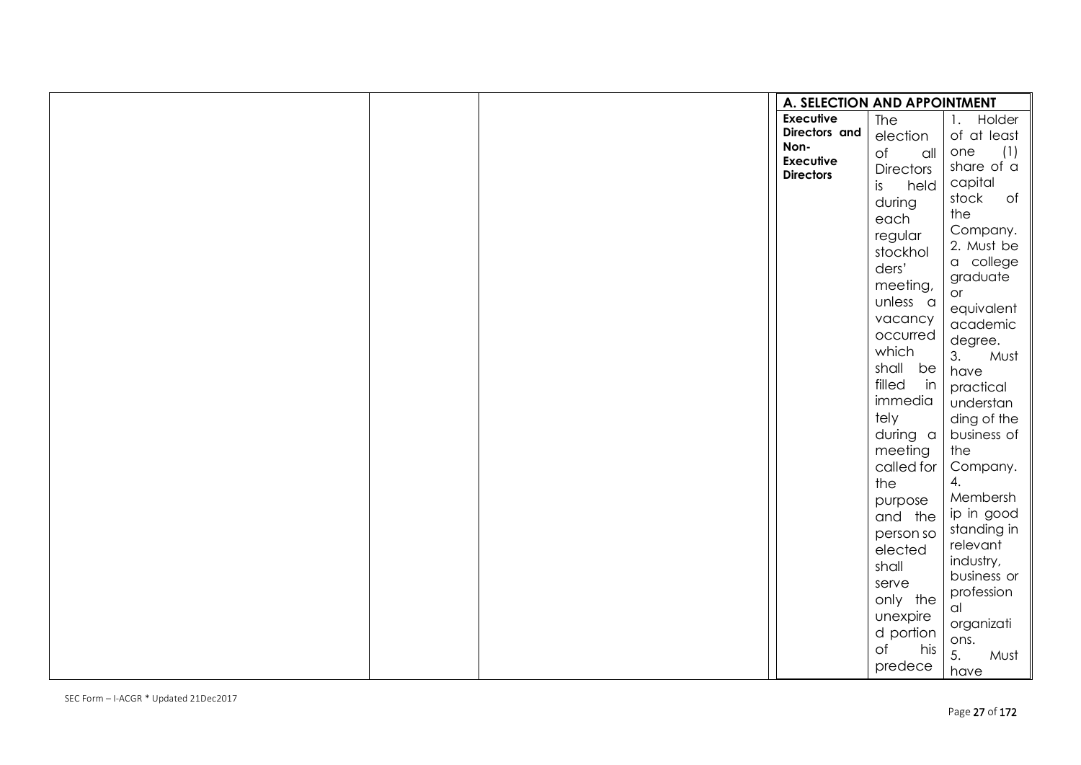|  | A. SELECTION AND APPOINTMENT |                       |                          |
|--|------------------------------|-----------------------|--------------------------|
|  | <b>Executive</b>             | <b>The</b>            | Holder<br>1.             |
|  | Directors and                | election              | of at least              |
|  | Non-<br><b>Executive</b>     | $\circ$ f<br>$\alpha$ | (1)<br>one               |
|  | <b>Directors</b>             | <b>Directors</b>      | share of a               |
|  |                              | is<br>held            | capital                  |
|  |                              | during                | stock<br>$\circ$ f       |
|  |                              | each                  | the                      |
|  |                              | regular               | Company.                 |
|  |                              | stockhol              | 2. Must be               |
|  |                              | ders'                 | a college<br>graduate    |
|  |                              | meeting,              | or                       |
|  |                              | unless a              | equivalent               |
|  |                              | vacancy               | academic                 |
|  |                              | occurred              | degree.                  |
|  |                              | which                 | 3.<br>Must               |
|  |                              | shall be              | have                     |
|  |                              | filled<br>in          | practical                |
|  |                              | immedia               | understan                |
|  |                              | tely                  | ding of the              |
|  |                              | during a              | business of              |
|  |                              | meeting               | the                      |
|  |                              | called for            | Company.                 |
|  |                              | the                   | 4.                       |
|  |                              | purpose               | Membersh                 |
|  |                              | and the               | ip in good               |
|  |                              | person so             | standing in              |
|  |                              | elected               | relevant<br>industry,    |
|  |                              | shall                 | business or              |
|  |                              | serve                 | profession               |
|  |                              | only the              | al                       |
|  |                              | unexpire              | organizati               |
|  |                              | d portion             | ons.                     |
|  |                              | $\circ$ f<br>his      | $\overline{5}$ .<br>Must |
|  |                              | predece               | have                     |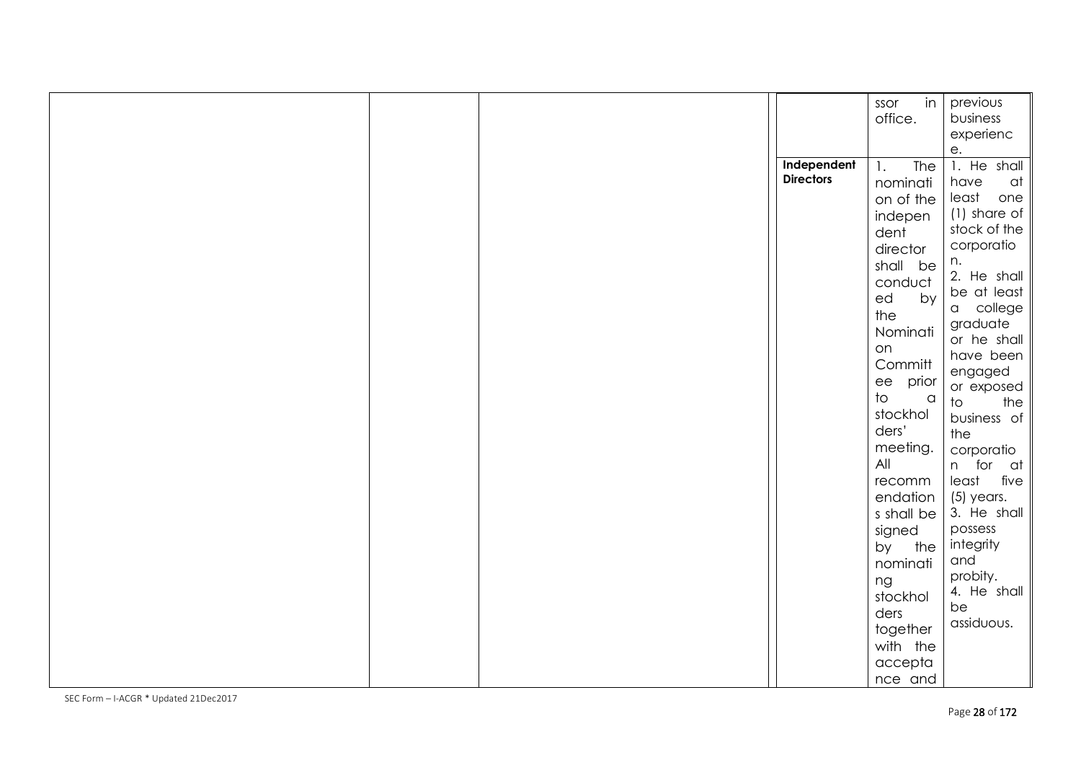|  | Independent      | in<br>ssor<br>office.<br>The<br>1.                                                                                                                                                                                                                                                                                                                      | previous<br>business<br>experienc<br>е.<br>1. He shall                                                                                                                                                                                                                                                                                                                                                       |
|--|------------------|---------------------------------------------------------------------------------------------------------------------------------------------------------------------------------------------------------------------------------------------------------------------------------------------------------------------------------------------------------|--------------------------------------------------------------------------------------------------------------------------------------------------------------------------------------------------------------------------------------------------------------------------------------------------------------------------------------------------------------------------------------------------------------|
|  | <b>Directors</b> | nominati<br>on of the<br>indepen<br>dent<br>director<br>shall be<br>conduct<br>ed<br>by<br>the<br>Nominati<br>on<br>Committ<br>ee prior<br>$\overline{\mathrm{t}}$<br>$\alpha$<br>stockhol<br>ders'<br>meeting.<br>All<br>recomm<br>endation<br>s shall be<br>signed<br>by the<br>nominati<br>ng<br>stockhol<br>ders<br>together<br>with the<br>accepta | have<br>at<br>least<br>one<br>$(1)$ share of<br>stock of the<br>corporatio<br>n.<br>2. He shall<br>be at least<br>a college<br>graduate<br>or he shall<br>have been<br>engaged<br>or exposed<br>$\overline{\mathrm{d}}$<br>the<br>business of<br>the<br>corporatio<br>n for at<br>least<br>five<br>$(5)$ years.<br>3. He shall<br>possess<br>integrity<br>and<br>probity.<br>4. He shall<br>be<br>assiduous. |
|  |                  | nce and                                                                                                                                                                                                                                                                                                                                                 |                                                                                                                                                                                                                                                                                                                                                                                                              |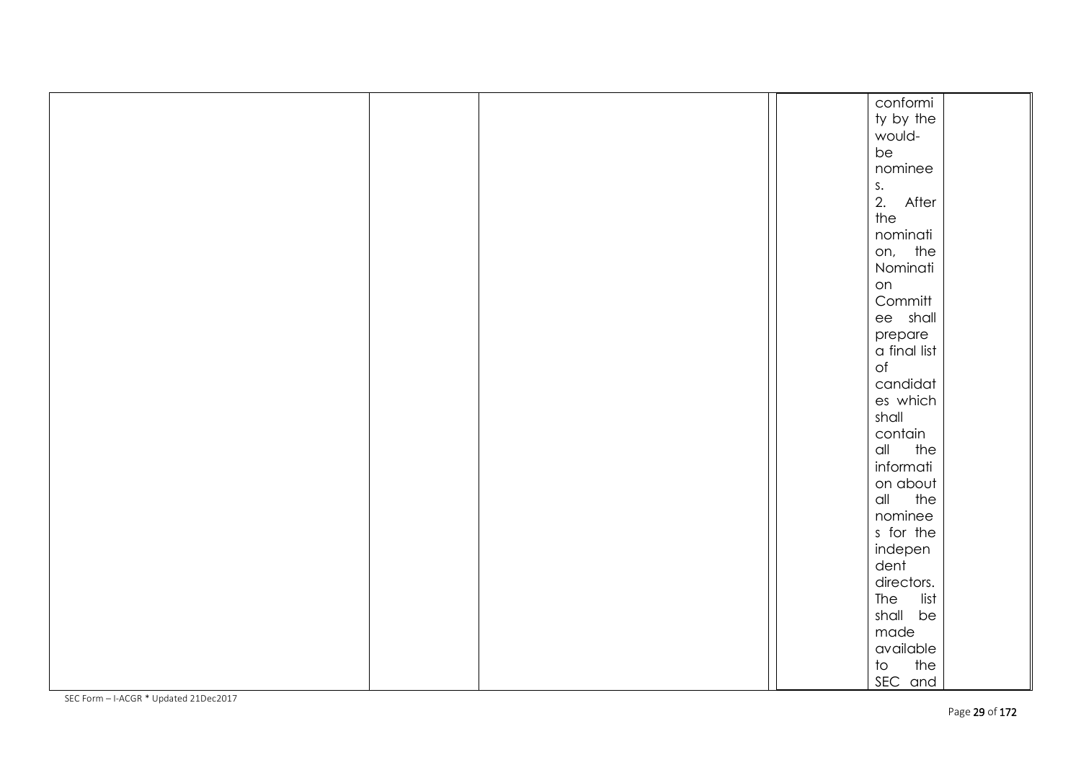|  |  | conformi                            |  |
|--|--|-------------------------------------|--|
|  |  | ty by the                           |  |
|  |  | would-                              |  |
|  |  | be                                  |  |
|  |  | nominee                             |  |
|  |  |                                     |  |
|  |  | s.<br>2. After                      |  |
|  |  | the                                 |  |
|  |  | nominati                            |  |
|  |  | on, the                             |  |
|  |  | Nominati                            |  |
|  |  | on                                  |  |
|  |  | Committ                             |  |
|  |  | ee shall                            |  |
|  |  | prepare                             |  |
|  |  | a final list                        |  |
|  |  | $\circ f$                           |  |
|  |  | candidat                            |  |
|  |  | es which                            |  |
|  |  | shall                               |  |
|  |  | contain                             |  |
|  |  | all<br>the                          |  |
|  |  | informati                           |  |
|  |  | on about                            |  |
|  |  | the<br>all                          |  |
|  |  | nominee                             |  |
|  |  | s for the                           |  |
|  |  | indepen                             |  |
|  |  | dent                                |  |
|  |  | directors.                          |  |
|  |  | The<br>list                         |  |
|  |  | shall be                            |  |
|  |  | made                                |  |
|  |  | available                           |  |
|  |  | the<br>$\operatorname{\mathsf{to}}$ |  |
|  |  | SEC and                             |  |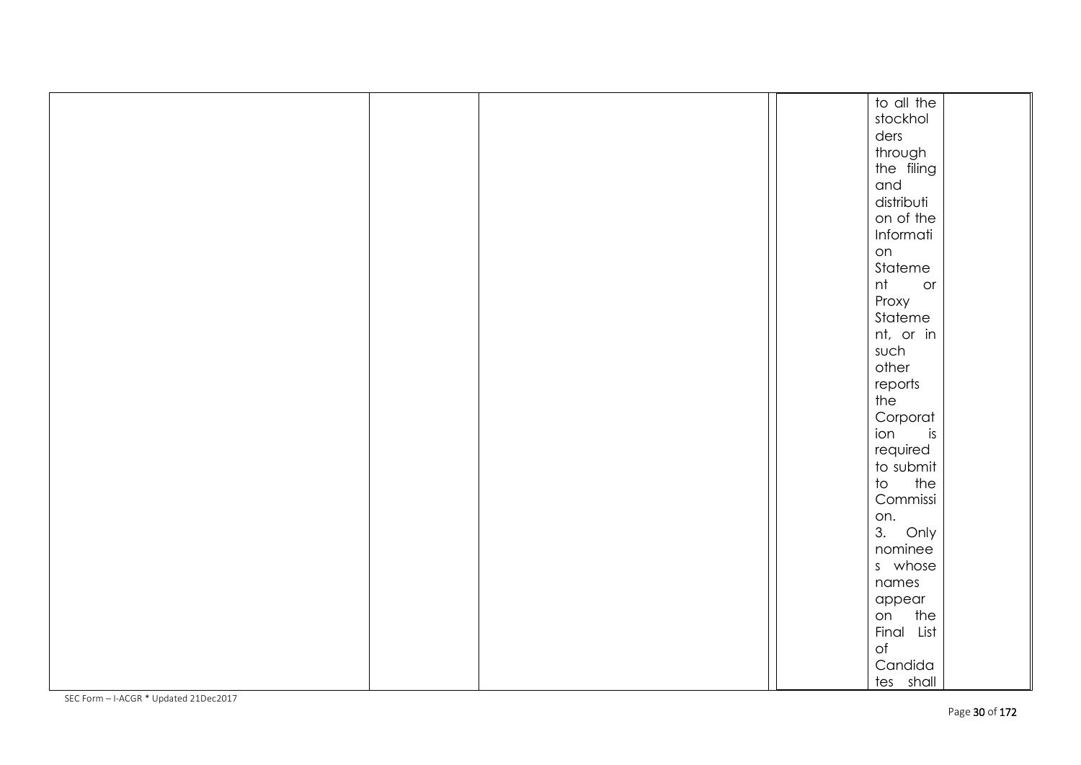|  |  | to all the                      |
|--|--|---------------------------------|
|  |  | stockhol                        |
|  |  | ders                            |
|  |  |                                 |
|  |  | through<br>the filing           |
|  |  | and                             |
|  |  |                                 |
|  |  | distributi                      |
|  |  | on of the                       |
|  |  | Informati                       |
|  |  | on                              |
|  |  | Stateme                         |
|  |  | nt<br>or                        |
|  |  | Proxy                           |
|  |  | Stateme                         |
|  |  | nt, or in                       |
|  |  | such                            |
|  |  | other                           |
|  |  | reports                         |
|  |  | the                             |
|  |  | Corporat                        |
|  |  | ion<br>is                       |
|  |  | required                        |
|  |  |                                 |
|  |  | to submit                       |
|  |  | $\overline{\phantom{a}}$<br>the |
|  |  | Commissi                        |
|  |  | on.                             |
|  |  | 3.<br>Only                      |
|  |  | nominee                         |
|  |  | s whose                         |
|  |  | names                           |
|  |  | appear                          |
|  |  | on the                          |
|  |  | Final List                      |
|  |  | $\circ f$                       |
|  |  | Candida                         |
|  |  | tes shall                       |
|  |  |                                 |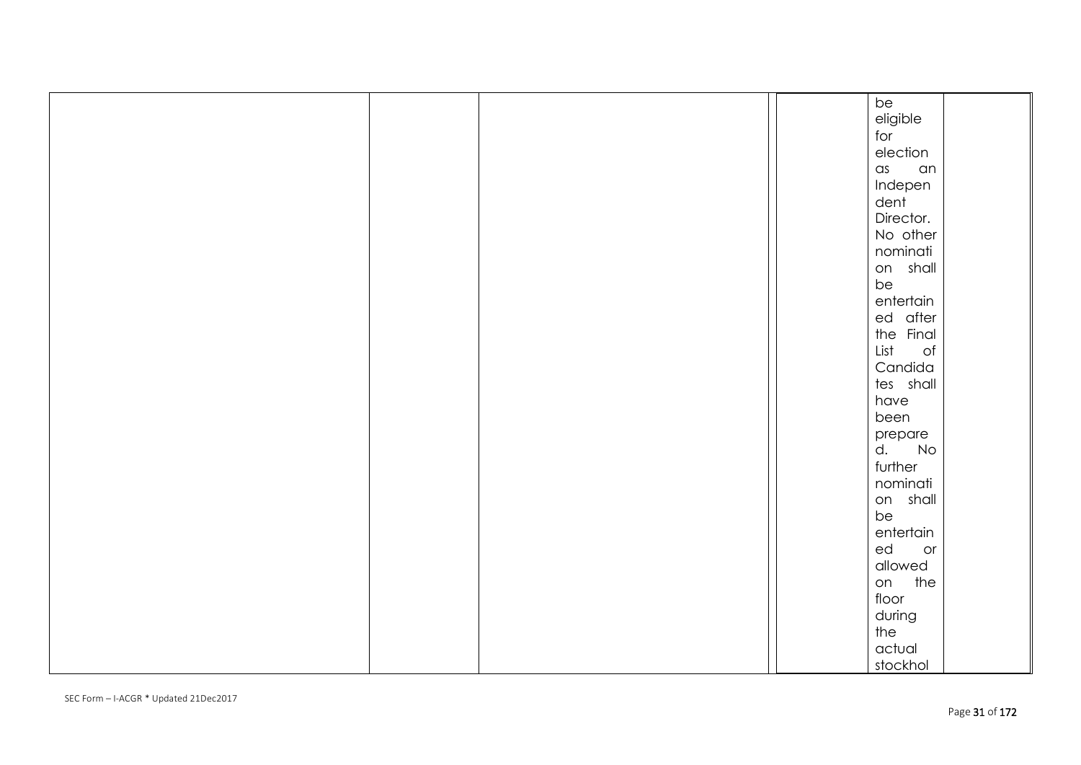|  |  | be                |
|--|--|-------------------|
|  |  | eligible          |
|  |  | for               |
|  |  | election          |
|  |  | $\alpha$ s<br>an  |
|  |  | Indepen           |
|  |  | dent              |
|  |  | Director.         |
|  |  | No other          |
|  |  | nominati          |
|  |  | on shall          |
|  |  | be                |
|  |  | entertain         |
|  |  | ed after          |
|  |  | the Final         |
|  |  | List<br>$\circ f$ |
|  |  | Candida           |
|  |  | tes shall         |
|  |  | have              |
|  |  | been              |
|  |  | prepare           |
|  |  | d.<br>No          |
|  |  | further           |
|  |  | nominati          |
|  |  | on shall          |
|  |  | be                |
|  |  | entertain         |
|  |  | ed<br>or          |
|  |  | allowed           |
|  |  | on the            |
|  |  | floor             |
|  |  | during            |
|  |  | the               |
|  |  | actual            |
|  |  |                   |
|  |  | stockhol          |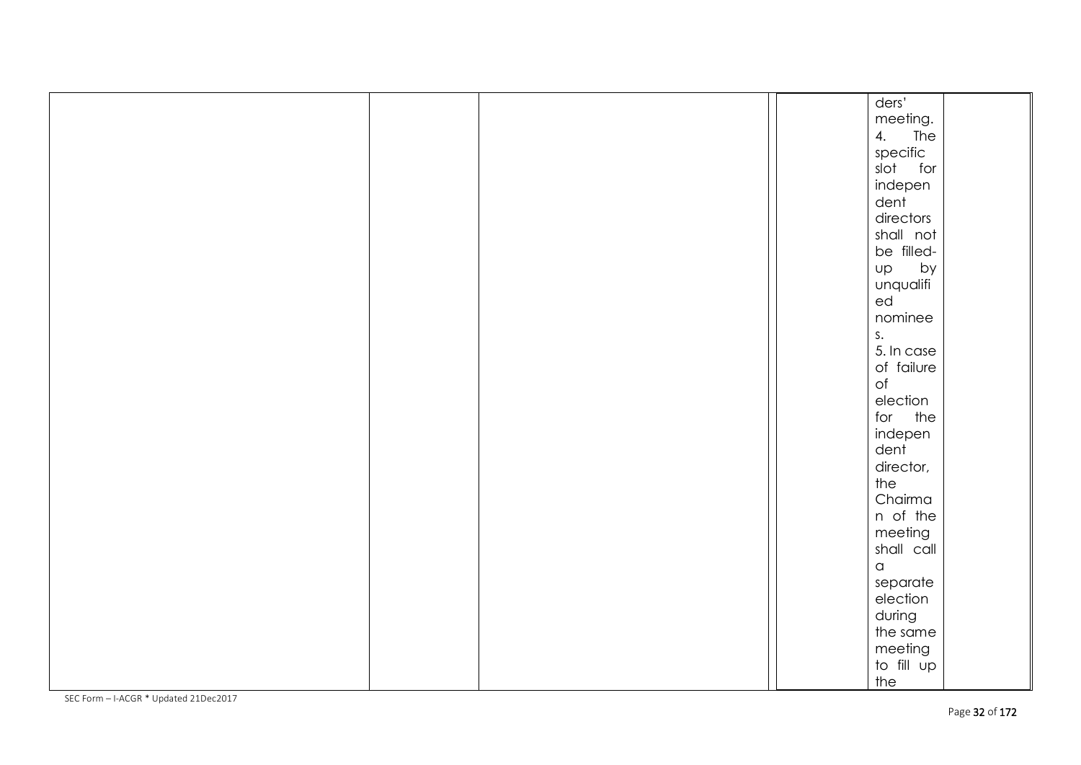|  |  | ders'                |  |
|--|--|----------------------|--|
|  |  | meeting.             |  |
|  |  | 4. The               |  |
|  |  |                      |  |
|  |  | specific<br>slot for |  |
|  |  | indepen              |  |
|  |  | dent                 |  |
|  |  | directors            |  |
|  |  | shall not            |  |
|  |  | be filled-           |  |
|  |  | Up<br>by             |  |
|  |  | unqualifi            |  |
|  |  | ed                   |  |
|  |  | nominee              |  |
|  |  | S <sub>1</sub>       |  |
|  |  | 5. In case           |  |
|  |  | of failure           |  |
|  |  | $\circ f$            |  |
|  |  | election             |  |
|  |  | for the              |  |
|  |  | indepen              |  |
|  |  | dent                 |  |
|  |  | director,            |  |
|  |  | the                  |  |
|  |  | Chairma              |  |
|  |  | n of the             |  |
|  |  | meeting              |  |
|  |  | shall call           |  |
|  |  | $\,$ $\,$ $\,$       |  |
|  |  | separate             |  |
|  |  | election             |  |
|  |  | during               |  |
|  |  | the same             |  |
|  |  | meeting              |  |
|  |  | to fill up           |  |
|  |  | the                  |  |
|  |  |                      |  |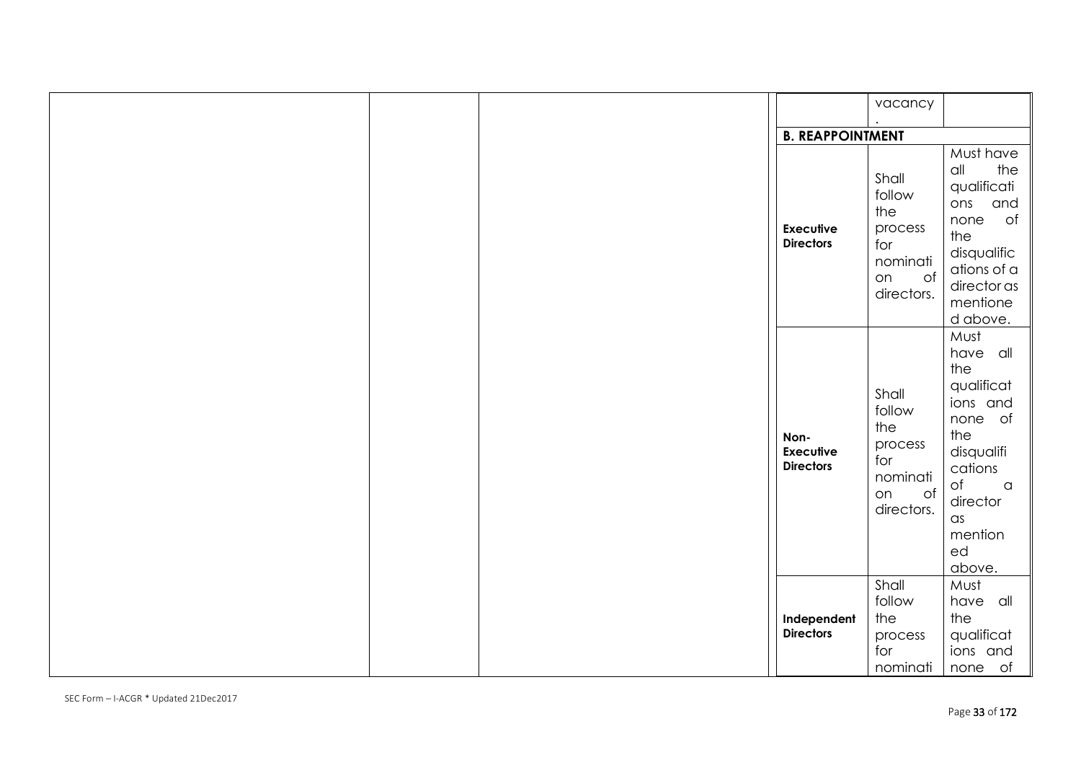|  |                                              | vacancy                                                                        |                                                                                                                                                                            |
|--|----------------------------------------------|--------------------------------------------------------------------------------|----------------------------------------------------------------------------------------------------------------------------------------------------------------------------|
|  |                                              |                                                                                |                                                                                                                                                                            |
|  | <b>B. REAPPOINTMENT</b>                      |                                                                                |                                                                                                                                                                            |
|  | <b>Executive</b><br><b>Directors</b>         | Shall<br>follow<br>the<br>process<br>for<br>nominati<br>of<br>on<br>directors. | Must have<br>the<br>$\alpha$ ll<br>qualificati<br>and<br>ons<br>none<br>of<br>the<br>disqualific<br>ations of a<br>director as<br>mentione<br>d above.                     |
|  | Non-<br><b>Executive</b><br><b>Directors</b> | Shall<br>follow<br>the<br>process<br>for<br>nominati<br>of<br>on<br>directors. | Must<br>have all<br>the<br>qualificat<br>ions and<br>none of<br>the<br>disqualifi<br>cations<br>$\circ$ f<br>$\alpha$<br>director<br>$\alpha$ s<br>mention<br>ed<br>above. |
|  | Independent<br><b>Directors</b>              | Shall<br>follow<br>the<br>process<br>for<br>nominati                           | Must<br>have all<br>the<br>qualificat<br>ions and<br>none of                                                                                                               |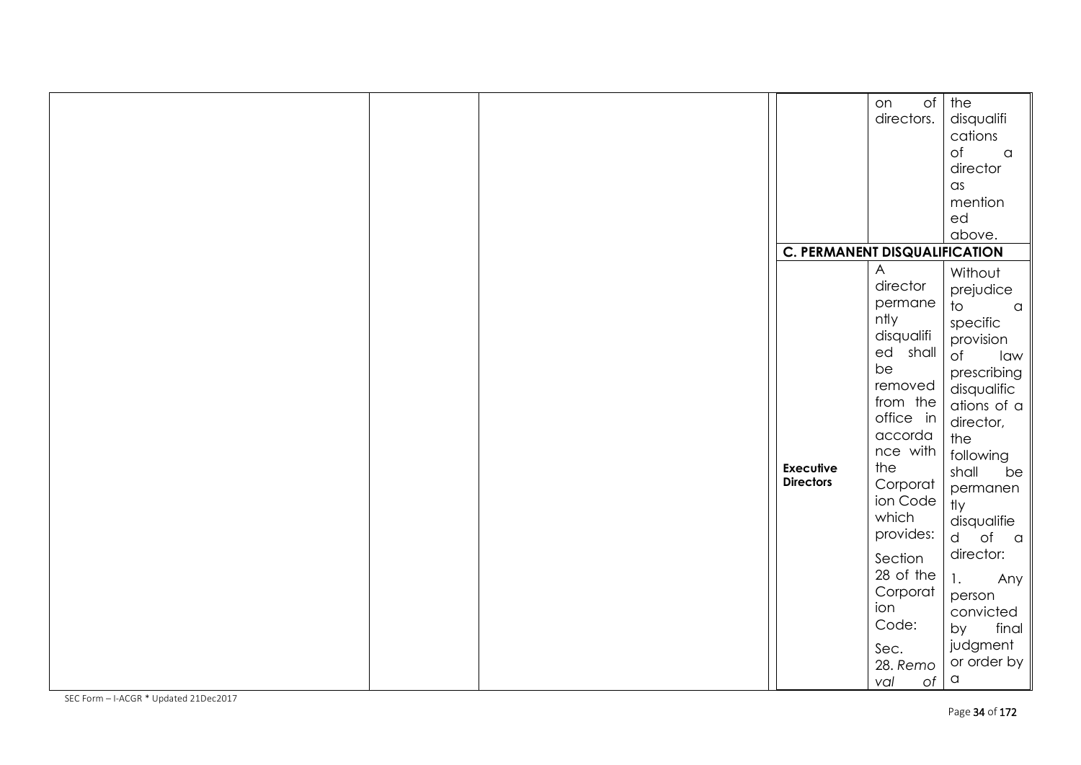|  |                                      | $\circ$ f<br>on | the                            |
|--|--------------------------------------|-----------------|--------------------------------|
|  |                                      | directors.      | disqualifi                     |
|  |                                      |                 | cations                        |
|  |                                      |                 | $\circ$ f<br>$\alpha$          |
|  |                                      |                 | director                       |
|  |                                      |                 | $\alpha$ s                     |
|  |                                      |                 | mention                        |
|  |                                      |                 | ed                             |
|  |                                      |                 |                                |
|  |                                      |                 | above.                         |
|  | <b>C. PERMANENT DISQUALIFICATION</b> |                 |                                |
|  |                                      | A               | Without                        |
|  |                                      | director        | prejudice                      |
|  |                                      | permane         | $\overline{\circ}$<br>$\alpha$ |
|  |                                      | ntly            | specific                       |
|  |                                      | disqualifi      | provision                      |
|  |                                      | ed shall        | $\circ$ f<br>law               |
|  |                                      | be              | prescribing                    |
|  |                                      | removed         | disqualific                    |
|  |                                      | from the        | ations of a                    |
|  |                                      | office in       | director,                      |
|  |                                      | accorda         | the                            |
|  |                                      | nce with        | following                      |
|  | <b>Executive</b>                     | the             | shall<br>be                    |
|  | <b>Directors</b>                     | Corporat        |                                |
|  |                                      | ion Code        | permanen<br>tly                |
|  |                                      | which           |                                |
|  |                                      | provides:       | disqualifie                    |
|  |                                      |                 | d of a                         |
|  |                                      | Section         | director:                      |
|  |                                      | 28 of the       | 1.<br>Any                      |
|  |                                      | Corporat        | person                         |
|  |                                      | ion             | convicted                      |
|  |                                      | Code:           | final<br>by                    |
|  |                                      |                 | judgment                       |
|  |                                      | Sec.            |                                |
|  |                                      | 28. Remo        | or order by                    |
|  |                                      | of<br>val       | $\hbox{\tt C}$                 |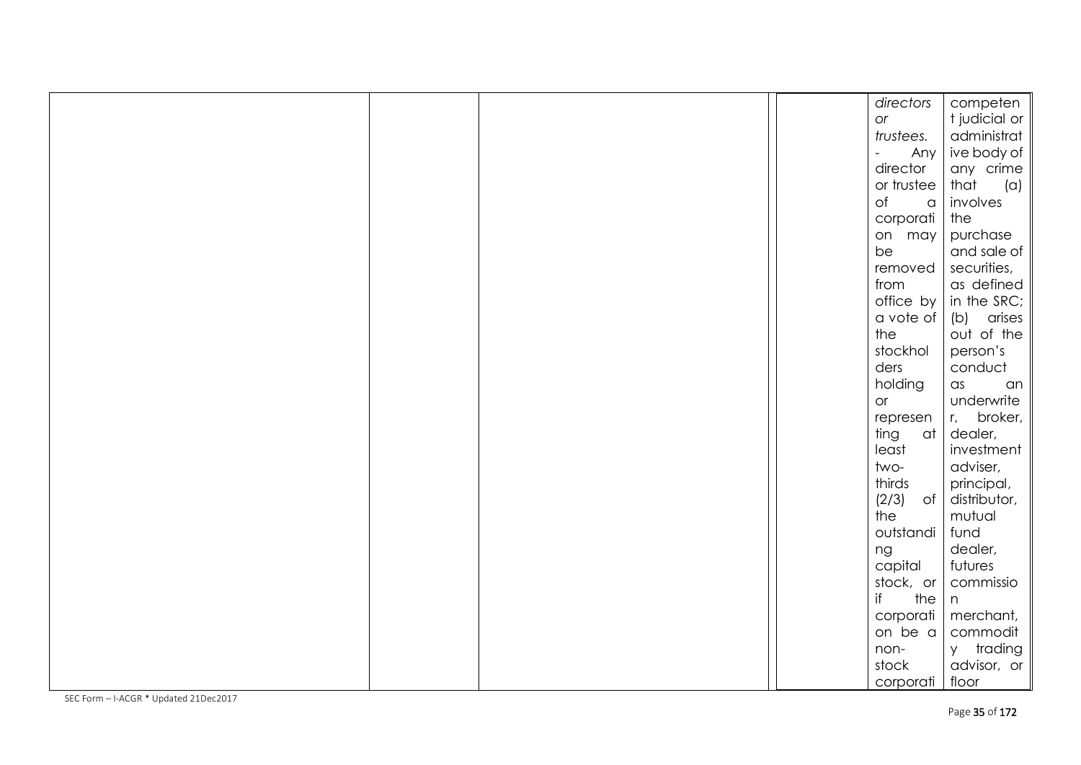|  |  | directors             | competen                  |
|--|--|-----------------------|---------------------------|
|  |  | or                    | t judicial or             |
|  |  | trustees.             | administrat               |
|  |  | $\overline{a}$<br>Any | ive body of               |
|  |  | director              | any crime                 |
|  |  | or trustee            | that<br>(a)               |
|  |  | $\circ$ f<br>$\alpha$ | involves                  |
|  |  | corporati             | the                       |
|  |  | on may                | purchase                  |
|  |  | be                    | and sale of               |
|  |  | removed               | securities,               |
|  |  | from                  | as defined                |
|  |  | office by             | in the SRC;               |
|  |  | a vote of             | arises<br>(b)             |
|  |  | the                   | out of the                |
|  |  | stockhol              | person's                  |
|  |  | ders                  | conduct                   |
|  |  | holding               | $\alpha$ s<br>an          |
|  |  | or                    | underwrite                |
|  |  | represen              | broker,<br>r <sub>1</sub> |
|  |  | ting<br>at            | dealer,                   |
|  |  | least                 | investment                |
|  |  | two-                  | adviser,                  |
|  |  | thirds                | principal,                |
|  |  | $(2/3)$ of            | distributor,              |
|  |  | the                   | mutual                    |
|  |  | outstandi             | fund                      |
|  |  | ng                    | dealer,                   |
|  |  | capital               | futures                   |
|  |  | stock, or             | commissio                 |
|  |  | if<br>the             | n                         |
|  |  | corporati             | merchant,                 |
|  |  | on be a               | commodit                  |
|  |  | non-                  | y trading                 |
|  |  | stock                 | advisor, or               |
|  |  | corporati             | floor                     |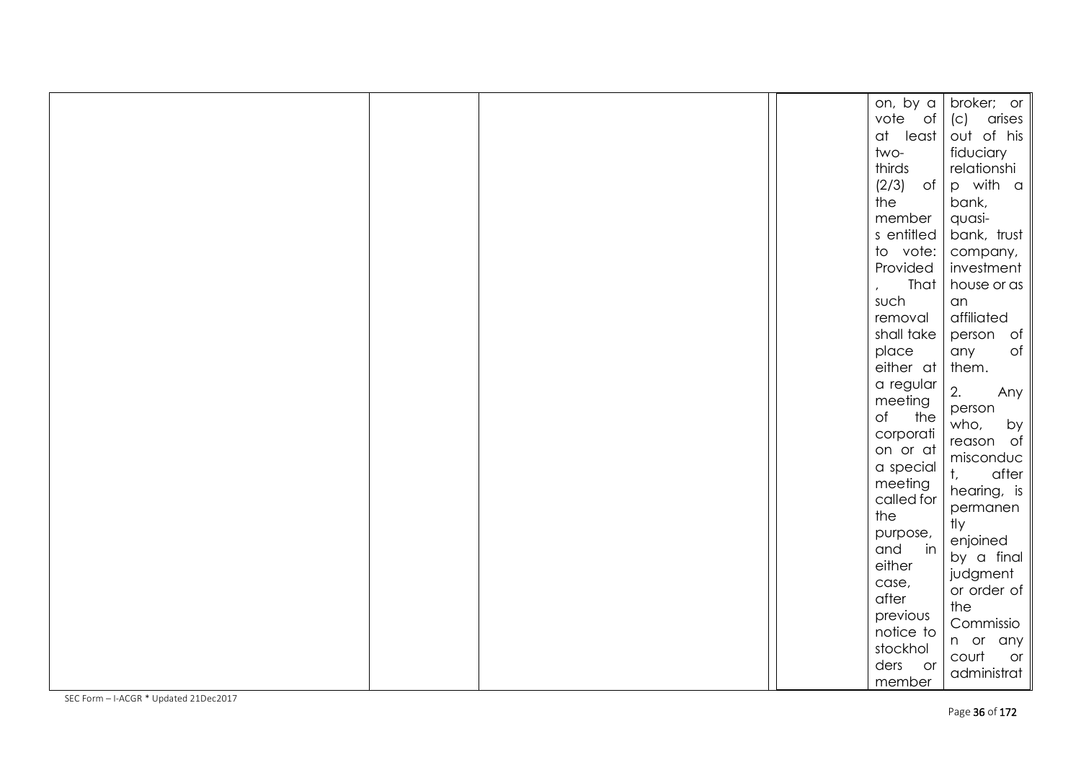|  |  | on, by a             | broker; or             |
|--|--|----------------------|------------------------|
|  |  | vote of              | arises<br>(C)          |
|  |  | at least             | out of his             |
|  |  | two-                 | fiduciary              |
|  |  | thirds               | relationshi            |
|  |  | $(2/3)$ of           | p with a               |
|  |  | the                  | bank,                  |
|  |  | member               | quasi-                 |
|  |  | s entitled           | bank, trust            |
|  |  | to vote:             | company,               |
|  |  | Provided             | investment             |
|  |  | That<br>$\mathbf{r}$ | house or as            |
|  |  | such                 | an                     |
|  |  | removal              | affiliated             |
|  |  | shall take           | person of              |
|  |  | place                | $\circ f$<br>any       |
|  |  | either at            | them.                  |
|  |  | a regular            |                        |
|  |  | meeting              | 2.<br>Any              |
|  |  | $\circ$ f<br>the     | person                 |
|  |  | corporati            | who,<br>by             |
|  |  | on or at             | reason of<br>misconduc |
|  |  | a special            | $t_{\rm c}$<br>after   |
|  |  | meeting              | hearing, is            |
|  |  | called for           | permanen               |
|  |  | the                  | tly                    |
|  |  | purpose,             | enjoined               |
|  |  | in<br>and            | by a final             |
|  |  | either               | judgment               |
|  |  | case,                | or order of            |
|  |  | after                | the                    |
|  |  | previous             | Commissio              |
|  |  | notice to            | n or any               |
|  |  | stockhol             | court<br>or            |
|  |  | ders or              | administrat            |
|  |  | member               |                        |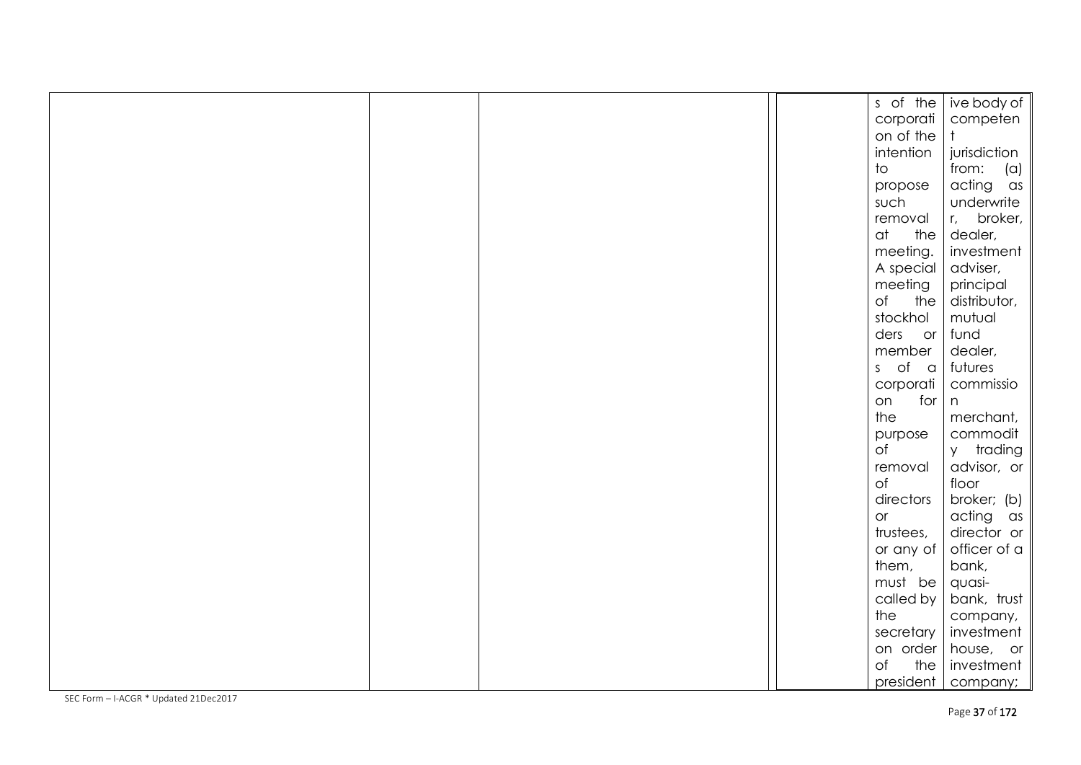|  |  | s of the                | ive body of            |
|--|--|-------------------------|------------------------|
|  |  | corporati               | competen               |
|  |  | on of the               |                        |
|  |  | intention               | jurisdiction           |
|  |  | $\overline{\mathrm{t}}$ | from: $(a)$            |
|  |  | propose                 | acting as              |
|  |  | such                    | underwrite             |
|  |  | removal                 | broker,<br>$r_{\rm c}$ |
|  |  | at<br>the               | dealer,                |
|  |  | meeting.                | investment             |
|  |  | A special               | adviser,               |
|  |  | meeting                 | principal              |
|  |  | of<br>the               | distributor,           |
|  |  | stockhol                | mutual                 |
|  |  | ders or                 | fund                   |
|  |  | member                  | dealer,                |
|  |  | s of a                  | futures                |
|  |  | corporati               | commissio              |
|  |  | for<br>on               | n                      |
|  |  | the                     | merchant,              |
|  |  | purpose                 | commodit               |
|  |  | $\circ$ f               | y trading              |
|  |  | removal                 | advisor, or            |
|  |  | $\circ$ f               | floor                  |
|  |  | directors               | broker; (b)            |
|  |  | or                      | acting as              |
|  |  | trustees,               | director or            |
|  |  | or any of               | officer of a           |
|  |  | them,                   | bank,                  |
|  |  | must be                 | quasi-                 |
|  |  | called by               | bank, trust            |
|  |  | the                     | company,               |
|  |  | secretary               | investment             |
|  |  | on order                | house, or              |
|  |  | $\circ$ f<br>the        | investment             |
|  |  | president               | company;               |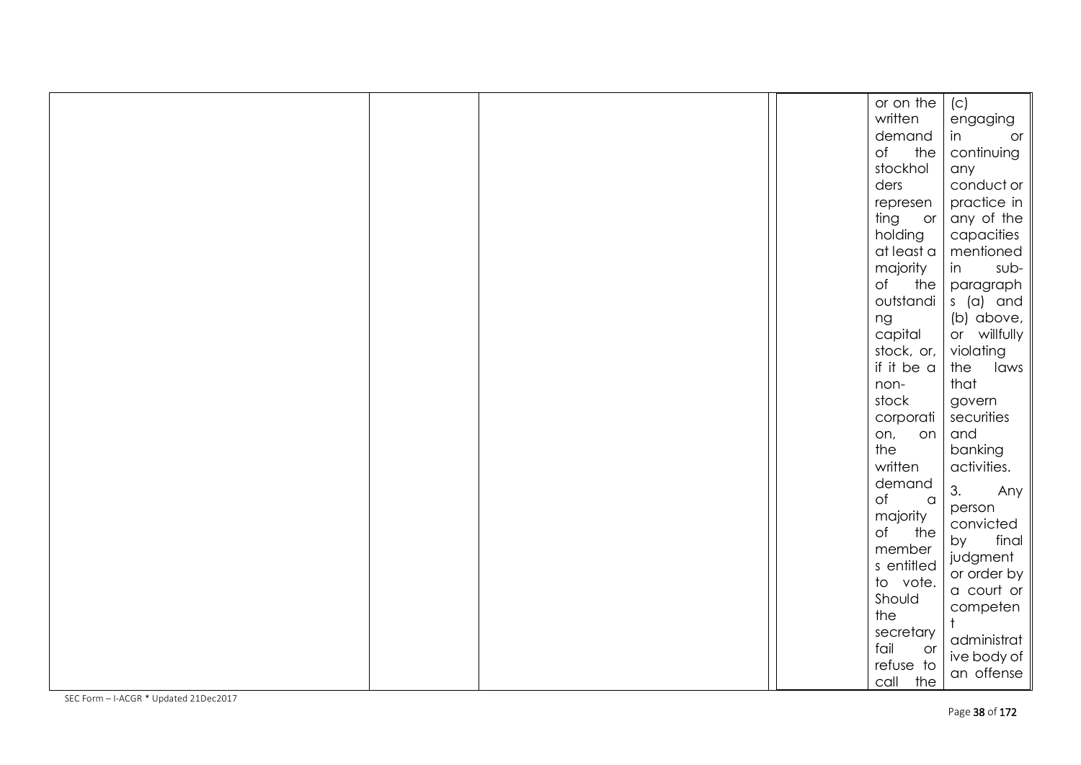|  |  | or on the                   | (C)          |
|--|--|-----------------------------|--------------|
|  |  | written                     | engaging     |
|  |  | demand                      | in<br>or     |
|  |  | the<br>of                   | continuing   |
|  |  | stockhol                    | any          |
|  |  | ders                        | conduct or   |
|  |  | represen                    | practice in  |
|  |  | ting or                     | any of the   |
|  |  | holding                     | capacities   |
|  |  | at least a                  | mentioned    |
|  |  | majority                    | in<br>sub-   |
|  |  | $\circ$ f<br>the            | paragraph    |
|  |  | outstandi                   | s (a) and    |
|  |  | ng                          | (b) above,   |
|  |  | capital                     | or willfully |
|  |  | stock, or,                  | violating    |
|  |  | if it be a                  | the<br>laws  |
|  |  | non-                        | that         |
|  |  | stock                       | govern       |
|  |  | corporati                   | securities   |
|  |  | on, on                      | and          |
|  |  | the                         | banking      |
|  |  | written                     | activities.  |
|  |  | demand                      | 3.<br>Any    |
|  |  | $\circ$ f<br>$\,$ $\,$ $\,$ | person       |
|  |  | majority<br>the<br>of       | convicted    |
|  |  | member                      | final<br>by  |
|  |  | s entitled                  | judgment     |
|  |  | to vote.                    | or order by  |
|  |  | Should                      | a court or   |
|  |  | the                         | competen     |
|  |  | secretary                   |              |
|  |  | fail<br>or                  | administrat  |
|  |  | refuse to                   | ive body of  |
|  |  | call the                    | an offense   |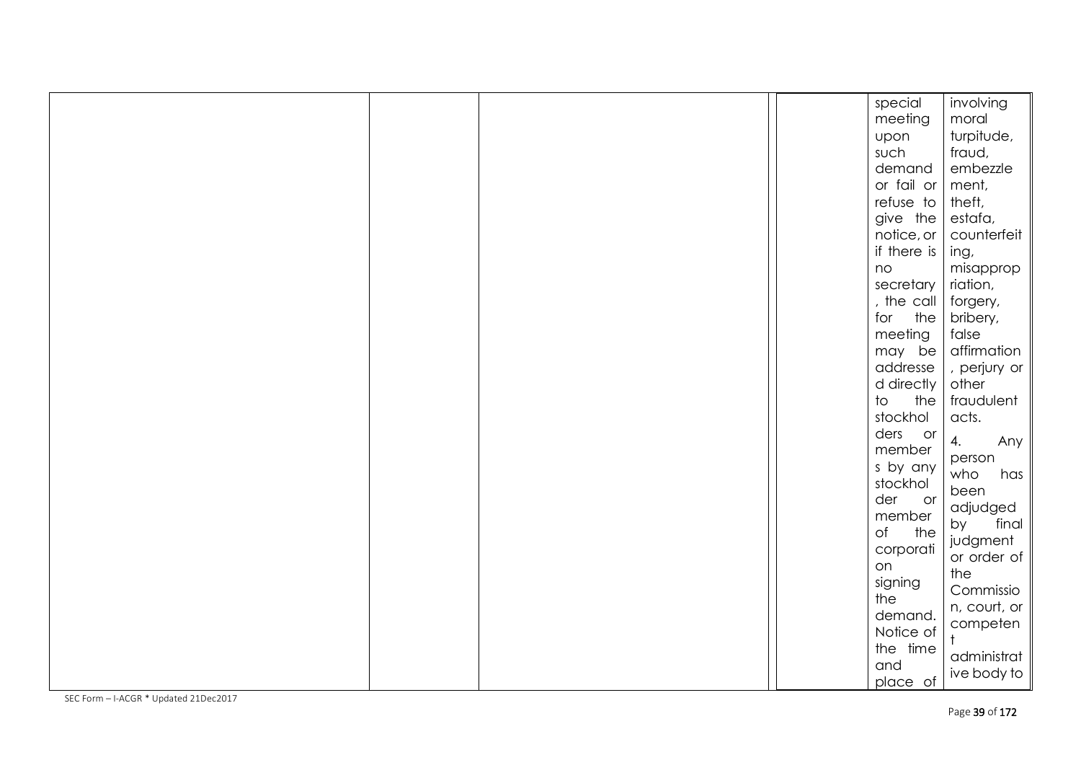|  |  | special                         | involving    |
|--|--|---------------------------------|--------------|
|  |  | meeting                         | moral        |
|  |  | upon                            | turpitude,   |
|  |  | such                            | fraud,       |
|  |  | demand                          | embezzle     |
|  |  | or fail or                      | ment,        |
|  |  | refuse to                       | theft,       |
|  |  | give the                        | estafa,      |
|  |  | notice, or                      | counterfeit  |
|  |  | if there is                     | ing,         |
|  |  | no                              | misapprop    |
|  |  | secretary                       | riation,     |
|  |  | , the call                      | forgery,     |
|  |  | for<br>the                      | bribery,     |
|  |  | meeting                         | false        |
|  |  | may be                          | affirmation  |
|  |  | addresse                        | , perjury or |
|  |  | d directly                      | other        |
|  |  | $\overline{\mathrm{d}}$<br>the  | fraudulent   |
|  |  | stockhol                        | acts.        |
|  |  | ders or                         | 4.<br>Any    |
|  |  | member                          | person       |
|  |  | s by any                        | who<br>has   |
|  |  | stockhol                        | been         |
|  |  | der<br>$\overline{\mathsf{or}}$ | adjudged     |
|  |  | member                          | final<br>by  |
|  |  | $\circ$ f<br>the                | judgment     |
|  |  | corporati                       | or order of  |
|  |  | on                              | the          |
|  |  | signing                         | Commissio    |
|  |  | the                             | n, court, or |
|  |  | demand.                         | competen     |
|  |  | Notice of                       |              |
|  |  | the time                        | administrat  |
|  |  | and                             | ive body to  |
|  |  | place of                        |              |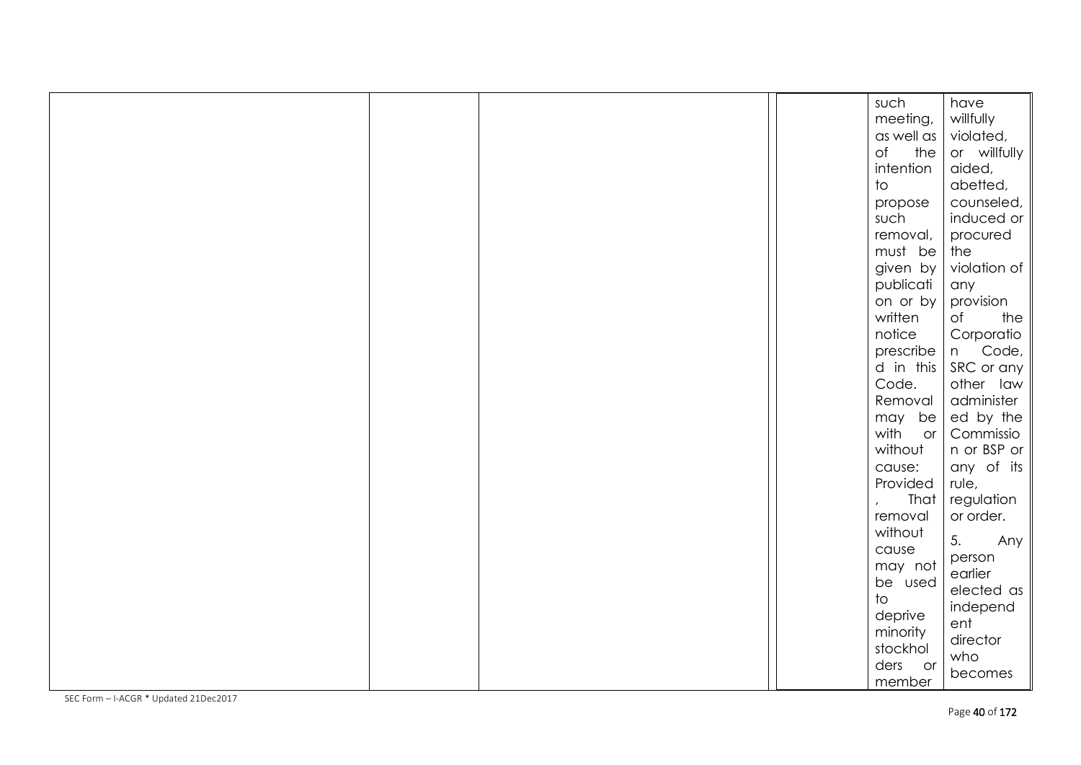|  |  | such                       | have                |
|--|--|----------------------------|---------------------|
|  |  | meeting,                   | willfully           |
|  |  | $\alpha s$ well $\alpha s$ | violated,           |
|  |  | of the                     | or willfully        |
|  |  | intention                  | aided,              |
|  |  | $\overline{\mathrm{10}}$   | abetted,            |
|  |  | propose                    | counseled,          |
|  |  | such                       | induced or          |
|  |  | removal,                   | procured            |
|  |  | must be                    | the                 |
|  |  | given by                   | violation of        |
|  |  | publicati                  | any                 |
|  |  | on or by                   | provision           |
|  |  | written                    | of<br>the           |
|  |  | notice                     | Corporatio          |
|  |  |                            | prescribe   n Code, |
|  |  | $d$ in this                | SRC or any          |
|  |  | Code.                      | other law           |
|  |  | Removal                    | administer          |
|  |  | $may$ be                   | ed by the           |
|  |  | with<br>$\circ$ or $\vert$ | Commissio           |
|  |  | without                    | n or BSP or         |
|  |  | cause:                     | any of its          |
|  |  | Provided                   | rule,               |
|  |  | That                       | regulation          |
|  |  | removal                    | or order.           |
|  |  | without                    | 5.<br>Any           |
|  |  | cause                      | person              |
|  |  | may not                    | earlier             |
|  |  | be used                    | elected as          |
|  |  | $\mathsf{to}$              | independ            |
|  |  | deprive                    | ent                 |
|  |  | minority                   | director            |
|  |  | stockhol                   | who                 |
|  |  | ders or                    | becomes             |
|  |  | member                     |                     |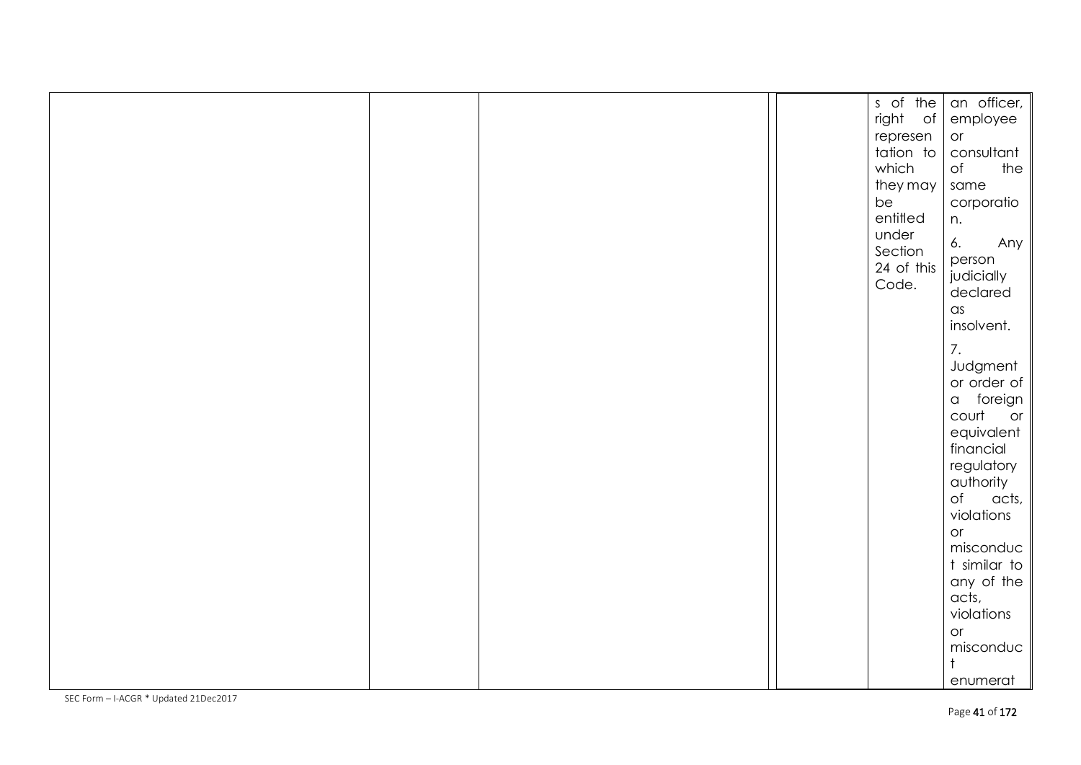|  |  | s of the   | an officer,        |
|--|--|------------|--------------------|
|  |  | right of   | employee           |
|  |  | represen   | or                 |
|  |  | tation to  |                    |
|  |  |            | consultant         |
|  |  | which      | the<br>of          |
|  |  | they may   | same               |
|  |  | be         | corporatio         |
|  |  | entitled   | n.                 |
|  |  | under      |                    |
|  |  | Section    | 6.<br>Any          |
|  |  | 24 of this | person             |
|  |  | Code.      | judicially         |
|  |  |            | declared           |
|  |  |            | $\alpha$ s         |
|  |  |            | insolvent.         |
|  |  |            |                    |
|  |  |            | 7.                 |
|  |  |            | Judgment           |
|  |  |            | or order of        |
|  |  |            | a foreign          |
|  |  |            | court or           |
|  |  |            | equivalent         |
|  |  |            |                    |
|  |  |            | financial          |
|  |  |            | regulatory         |
|  |  |            | authority          |
|  |  |            | $\circ$ f<br>acts, |
|  |  |            | violations         |
|  |  |            | or                 |
|  |  |            | misconduc          |
|  |  |            | t similar to       |
|  |  |            | any of the         |
|  |  |            | acts,              |
|  |  |            |                    |
|  |  |            | violations         |
|  |  |            | or                 |
|  |  |            | misconduc          |
|  |  |            | $\ddagger$         |
|  |  |            | enumerat           |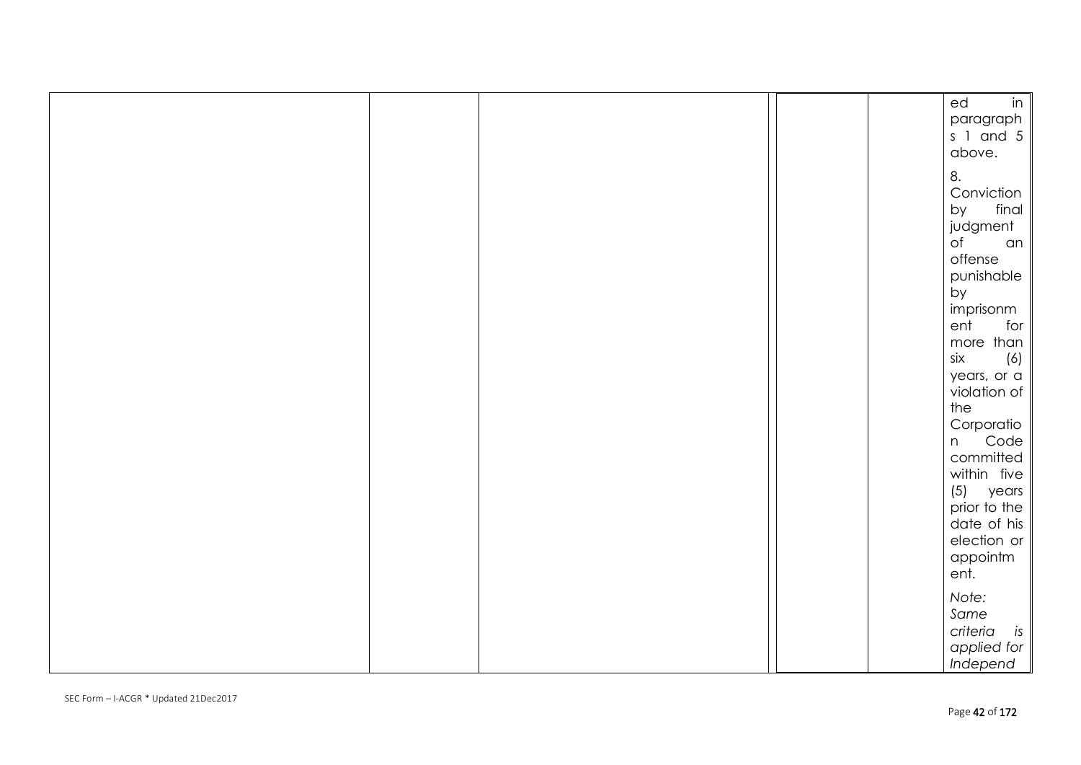|  |  | in<br>ed                |
|--|--|-------------------------|
|  |  | paragraph               |
|  |  | $s$ 1 and 5             |
|  |  | above.                  |
|  |  | 8.                      |
|  |  | Conviction              |
|  |  | final<br>by             |
|  |  | judgment                |
|  |  | $\circ$ f<br>an         |
|  |  | offense                 |
|  |  | punishable              |
|  |  | by                      |
|  |  | imprisonm               |
|  |  | ent<br>for              |
|  |  | more than               |
|  |  | six<br>(6)              |
|  |  | years, or a             |
|  |  | violation of            |
|  |  | the                     |
|  |  | Corporatio              |
|  |  | Code<br>n               |
|  |  | committed               |
|  |  | within five             |
|  |  | $(5)$ years             |
|  |  | prior to the            |
|  |  | date of his             |
|  |  | election or<br>appointm |
|  |  | ent.                    |
|  |  |                         |
|  |  | Note:                   |
|  |  | Same                    |
|  |  | criteria is             |
|  |  | applied for             |
|  |  | Independ                |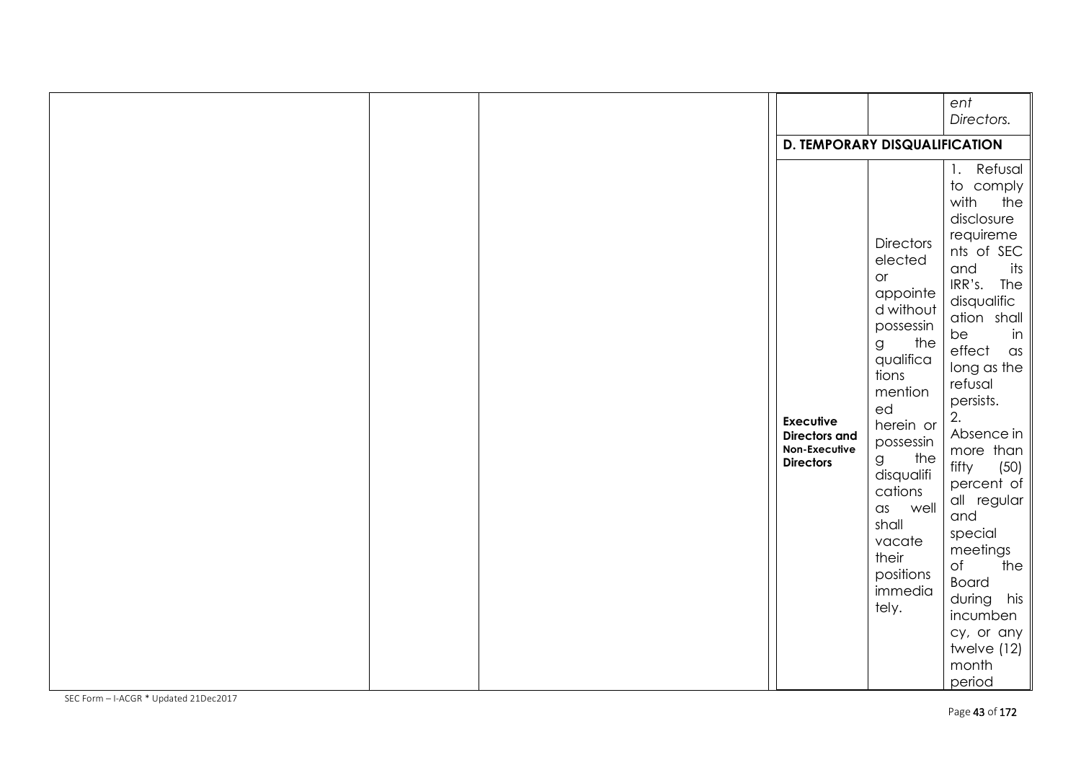|  |                                                                               |                                                                                                                                                                                                                                                                              | ent<br>Directors.                                                                                                                                                                                                                                                                                                                                                                                                                           |
|--|-------------------------------------------------------------------------------|------------------------------------------------------------------------------------------------------------------------------------------------------------------------------------------------------------------------------------------------------------------------------|---------------------------------------------------------------------------------------------------------------------------------------------------------------------------------------------------------------------------------------------------------------------------------------------------------------------------------------------------------------------------------------------------------------------------------------------|
|  | <b>D. TEMPORARY DISQUALIFICATION</b>                                          |                                                                                                                                                                                                                                                                              |                                                                                                                                                                                                                                                                                                                                                                                                                                             |
|  | <b>Executive</b><br><b>Directors and</b><br>Non-Executive<br><b>Directors</b> | <b>Directors</b><br>elected<br>or<br>appointe<br>d without<br>possessin<br>the<br>g<br>qualifica<br>tions<br>mention<br>ed<br>herein or<br>possessin<br>the<br>g<br>disqualifi<br>cations<br>well<br>$\alpha$ s<br>shall<br>vacate<br>their<br>positions<br>immedia<br>tely. | 1. Refusal<br>to comply<br>with<br>the<br>disclosure<br>requireme<br>nts of SEC<br>and<br>its<br>IRR's. The<br>disqualific<br>ation shall<br>in<br>be<br>effect<br>$\alpha$ s<br>long as the<br>refusal<br>persists.<br>2.<br>Absence in<br>more than<br>(50)<br>fifty<br>percent of<br>all regular<br>and<br>special<br>meetings<br>of<br>the<br><b>Board</b><br>during<br>his<br>incumben<br>cy, or any<br>twelve (12)<br>month<br>period |
|  |                                                                               |                                                                                                                                                                                                                                                                              |                                                                                                                                                                                                                                                                                                                                                                                                                                             |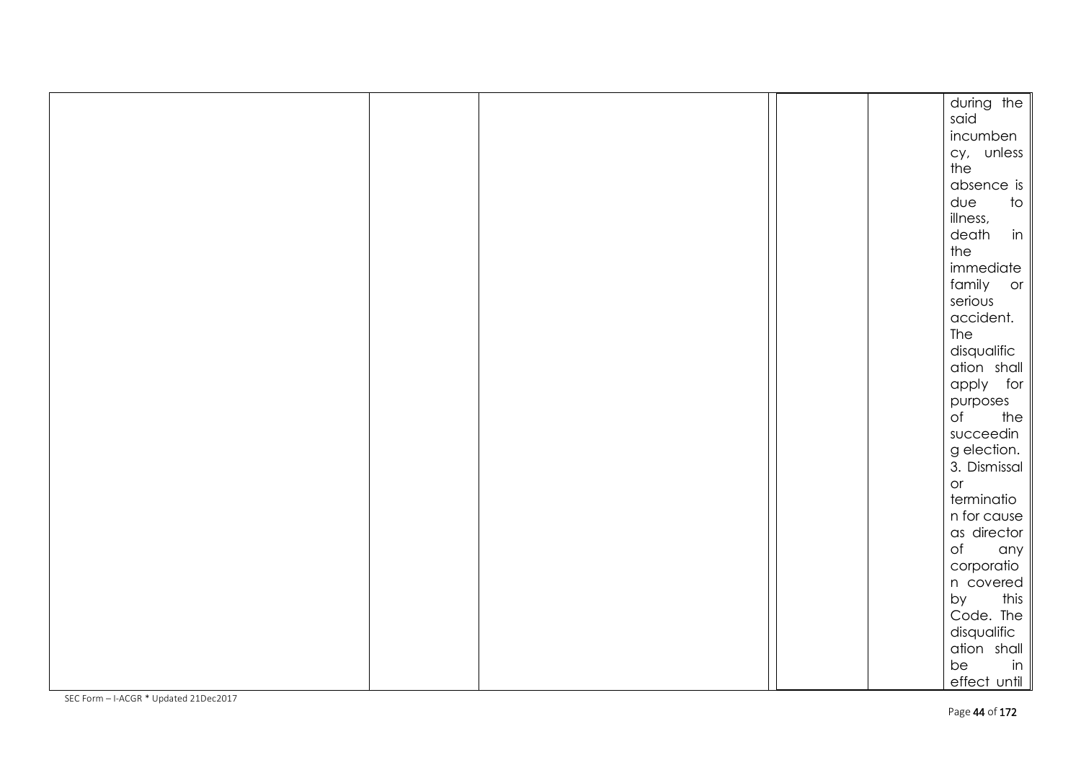|  |  | during the                      |
|--|--|---------------------------------|
|  |  | said                            |
|  |  | incumben                        |
|  |  | cy, unless                      |
|  |  | the                             |
|  |  | absence is                      |
|  |  | due<br>$\overline{\mathrm{10}}$ |
|  |  | illness,                        |
|  |  | in<br>death                     |
|  |  | the                             |
|  |  | immediate                       |
|  |  | family or                       |
|  |  | serious                         |
|  |  | accident.                       |
|  |  | The                             |
|  |  | disqualific                     |
|  |  | ation shall                     |
|  |  | apply for                       |
|  |  | purposes                        |
|  |  | $\circ$ f<br>the                |
|  |  | succeedin                       |
|  |  | g election.                     |
|  |  | 3. Dismissal                    |
|  |  | O <sub>r</sub>                  |
|  |  | terminatio                      |
|  |  | n for cause                     |
|  |  | as director                     |
|  |  | of<br>any                       |
|  |  | corporatio                      |
|  |  | n covered                       |
|  |  | by<br>this                      |
|  |  | Code. The                       |
|  |  | disqualific                     |
|  |  | ation shall                     |
|  |  | be<br>in                        |
|  |  | effect until                    |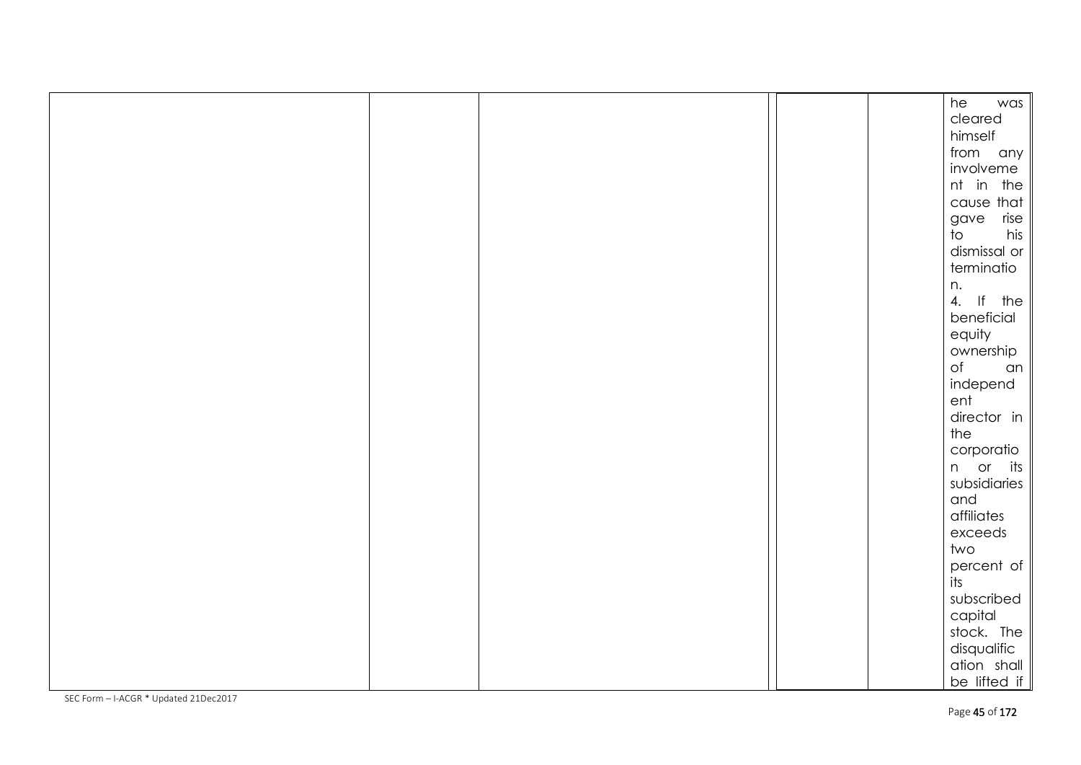| he<br>was<br>cleared<br>himself<br>from any<br>involveme<br>nt in the<br>cause that<br>gave rise<br>$\overline{t}$<br>his<br>dismissal or<br>terminatio<br>n.<br>4. If the<br>beneficial<br>equity<br>ownership<br>of an<br>independ<br>ent<br>director in<br>the<br>corporatio<br>n or its<br>subsidiaries<br>and<br>affiliates<br>exceeds<br>two<br>$\frac{1}{1}$ percent of $\parallel$<br>subscribed<br>capital<br>stock. The<br>disqualific<br>ation shall<br>be lifted if |  |  |  |
|---------------------------------------------------------------------------------------------------------------------------------------------------------------------------------------------------------------------------------------------------------------------------------------------------------------------------------------------------------------------------------------------------------------------------------------------------------------------------------|--|--|--|
|                                                                                                                                                                                                                                                                                                                                                                                                                                                                                 |  |  |  |
|                                                                                                                                                                                                                                                                                                                                                                                                                                                                                 |  |  |  |
|                                                                                                                                                                                                                                                                                                                                                                                                                                                                                 |  |  |  |
|                                                                                                                                                                                                                                                                                                                                                                                                                                                                                 |  |  |  |
|                                                                                                                                                                                                                                                                                                                                                                                                                                                                                 |  |  |  |
|                                                                                                                                                                                                                                                                                                                                                                                                                                                                                 |  |  |  |
|                                                                                                                                                                                                                                                                                                                                                                                                                                                                                 |  |  |  |
|                                                                                                                                                                                                                                                                                                                                                                                                                                                                                 |  |  |  |
|                                                                                                                                                                                                                                                                                                                                                                                                                                                                                 |  |  |  |
|                                                                                                                                                                                                                                                                                                                                                                                                                                                                                 |  |  |  |
|                                                                                                                                                                                                                                                                                                                                                                                                                                                                                 |  |  |  |
|                                                                                                                                                                                                                                                                                                                                                                                                                                                                                 |  |  |  |
|                                                                                                                                                                                                                                                                                                                                                                                                                                                                                 |  |  |  |
|                                                                                                                                                                                                                                                                                                                                                                                                                                                                                 |  |  |  |
|                                                                                                                                                                                                                                                                                                                                                                                                                                                                                 |  |  |  |
|                                                                                                                                                                                                                                                                                                                                                                                                                                                                                 |  |  |  |
|                                                                                                                                                                                                                                                                                                                                                                                                                                                                                 |  |  |  |
|                                                                                                                                                                                                                                                                                                                                                                                                                                                                                 |  |  |  |
|                                                                                                                                                                                                                                                                                                                                                                                                                                                                                 |  |  |  |
|                                                                                                                                                                                                                                                                                                                                                                                                                                                                                 |  |  |  |
|                                                                                                                                                                                                                                                                                                                                                                                                                                                                                 |  |  |  |
|                                                                                                                                                                                                                                                                                                                                                                                                                                                                                 |  |  |  |
|                                                                                                                                                                                                                                                                                                                                                                                                                                                                                 |  |  |  |
|                                                                                                                                                                                                                                                                                                                                                                                                                                                                                 |  |  |  |
|                                                                                                                                                                                                                                                                                                                                                                                                                                                                                 |  |  |  |
|                                                                                                                                                                                                                                                                                                                                                                                                                                                                                 |  |  |  |
|                                                                                                                                                                                                                                                                                                                                                                                                                                                                                 |  |  |  |
|                                                                                                                                                                                                                                                                                                                                                                                                                                                                                 |  |  |  |
|                                                                                                                                                                                                                                                                                                                                                                                                                                                                                 |  |  |  |
|                                                                                                                                                                                                                                                                                                                                                                                                                                                                                 |  |  |  |
|                                                                                                                                                                                                                                                                                                                                                                                                                                                                                 |  |  |  |
|                                                                                                                                                                                                                                                                                                                                                                                                                                                                                 |  |  |  |
|                                                                                                                                                                                                                                                                                                                                                                                                                                                                                 |  |  |  |
|                                                                                                                                                                                                                                                                                                                                                                                                                                                                                 |  |  |  |
|                                                                                                                                                                                                                                                                                                                                                                                                                                                                                 |  |  |  |
|                                                                                                                                                                                                                                                                                                                                                                                                                                                                                 |  |  |  |
|                                                                                                                                                                                                                                                                                                                                                                                                                                                                                 |  |  |  |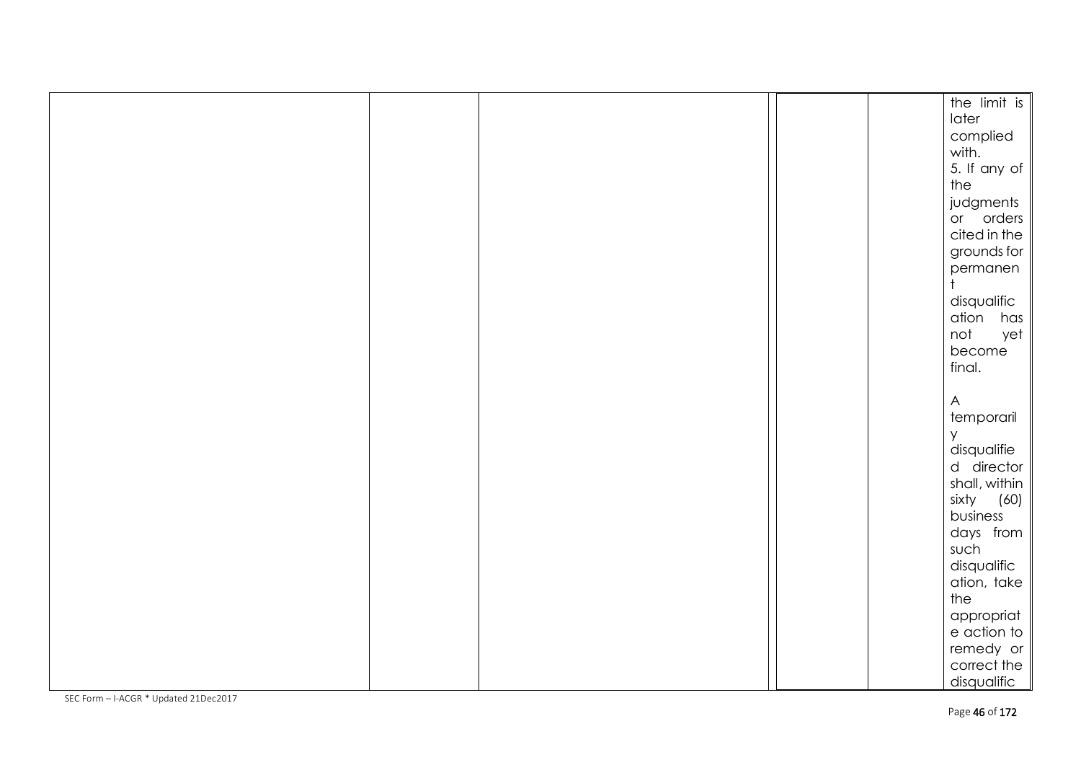|  |  | the limit is     |      |
|--|--|------------------|------|
|  |  | later            |      |
|  |  | complied         |      |
|  |  | with.            |      |
|  |  | 5. If any of     |      |
|  |  | the              |      |
|  |  | judgments        |      |
|  |  | or orders        |      |
|  |  | cited in the     |      |
|  |  | grounds for      |      |
|  |  | permanen         |      |
|  |  |                  |      |
|  |  | disqualific      |      |
|  |  | ation has        |      |
|  |  | not              | yet  |
|  |  | become           |      |
|  |  | final.           |      |
|  |  |                  |      |
|  |  | $\mathsf{A}$     |      |
|  |  | temporaril       |      |
|  |  | У<br>disqualifie |      |
|  |  | d director       |      |
|  |  | shall, within    |      |
|  |  | sixty            | (60) |
|  |  | business         |      |
|  |  | days from        |      |
|  |  | such             |      |
|  |  | disqualific      |      |
|  |  | ation, take      |      |
|  |  | the              |      |
|  |  | appropriat       |      |
|  |  | e action to      |      |
|  |  | remedy or        |      |
|  |  | correct the      |      |
|  |  | disqualific      |      |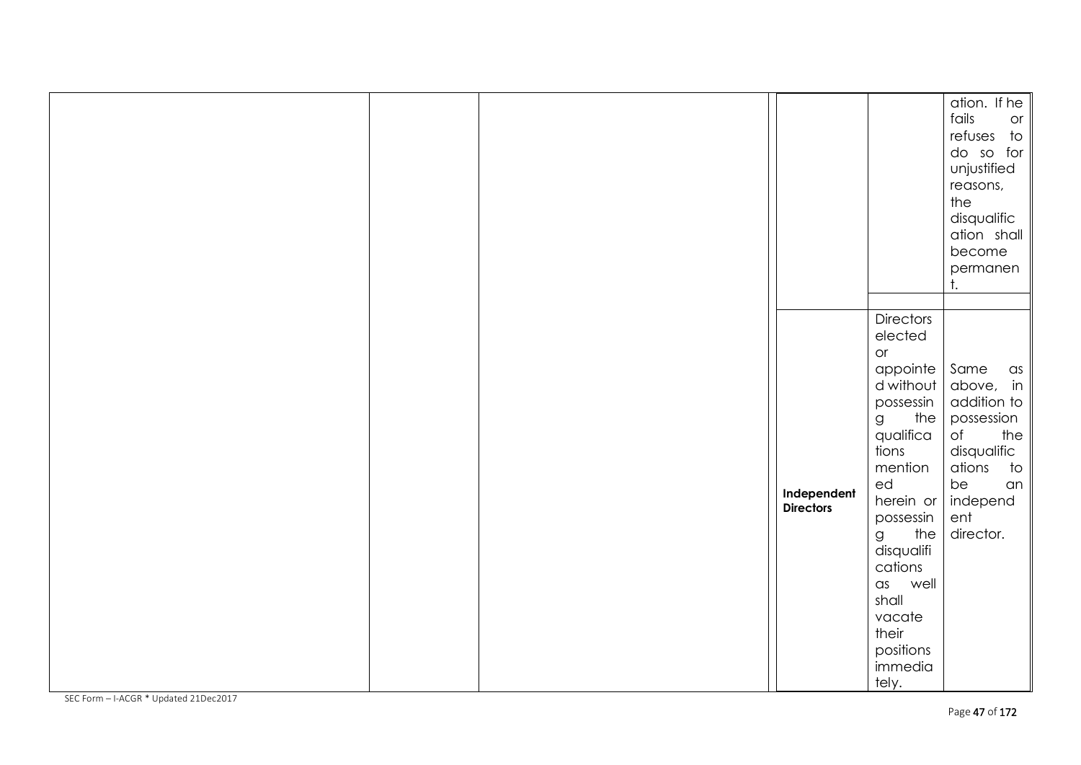|  |                                 |                                                                                                                                                                                                                                                                                           | ation. If he<br>fails<br>or<br>refuses to<br>do so for<br>unjustified<br>reasons,<br>the<br>disqualific<br>ation shall<br>become<br>permanen<br>t.            |
|--|---------------------------------|-------------------------------------------------------------------------------------------------------------------------------------------------------------------------------------------------------------------------------------------------------------------------------------------|---------------------------------------------------------------------------------------------------------------------------------------------------------------|
|  | Independent<br><b>Directors</b> | <b>Directors</b><br>elected<br>or<br>appointe<br>d without<br>possessin<br>the $ $<br>$\mathsf g$<br>qualifica<br>tions<br>mention<br>ed<br>herein or<br>possessin<br>the<br>$\mathsf g$<br>disqualifi<br>cations<br>as well<br>shall<br>vacate<br>their<br>positions<br>immedia<br>tely. | Same<br>$\alpha s$<br>above, in<br>addition to<br>possession<br>of<br>the<br>disqualific<br>ations<br>$\dagger$ o<br>be<br>an<br>independ<br>ent<br>director. |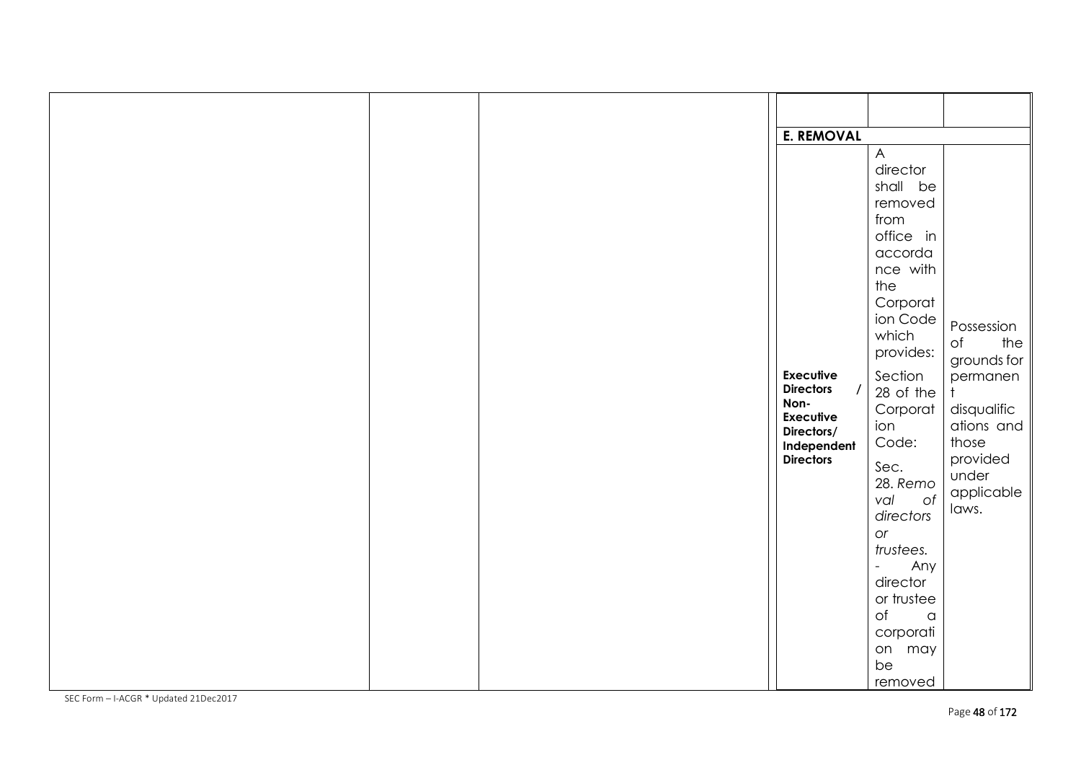|  | <b>E. REMOVAL</b>        |                                           |                              |
|--|--------------------------|-------------------------------------------|------------------------------|
|  |                          | $\overline{A}$                            |                              |
|  |                          | director                                  |                              |
|  |                          | shall be                                  |                              |
|  |                          | removed<br>from                           |                              |
|  |                          | office in                                 |                              |
|  |                          | accorda                                   |                              |
|  |                          | nce with                                  |                              |
|  |                          | the                                       |                              |
|  |                          | Corporat                                  |                              |
|  |                          | ion Code                                  | Possession                   |
|  |                          | which                                     | $\circ$ f<br>the $\parallel$ |
|  |                          | provides:                                 | grounds for $\parallel$      |
|  | <b>Executive</b>         | Section                                   | permanen                     |
|  | <b>Directors</b>         | 28 of the                                 | $\ddagger$                   |
|  | Non-<br><b>Executive</b> | Corporat                                  | disqualific                  |
|  | Directors/               | ion                                       | ations and $\parallel$       |
|  | Independent              | Code:                                     | those                        |
|  | <b>Directors</b>         | Sec.                                      | provided                     |
|  |                          | 28. Remo                                  | under                        |
|  |                          | of<br>val                                 | applicable                   |
|  |                          | directors                                 | laws.                        |
|  |                          | or                                        |                              |
|  |                          | trustees.                                 |                              |
|  |                          | Any<br>$\mathbb{L}^{\mathbb{N}}$          |                              |
|  |                          | director                                  |                              |
|  |                          | or trustee<br>$\circ$ f<br>$\,$ $\,$ $\,$ |                              |
|  |                          | corporati                                 |                              |
|  |                          | on may                                    |                              |
|  |                          | be                                        |                              |
|  |                          | removed                                   |                              |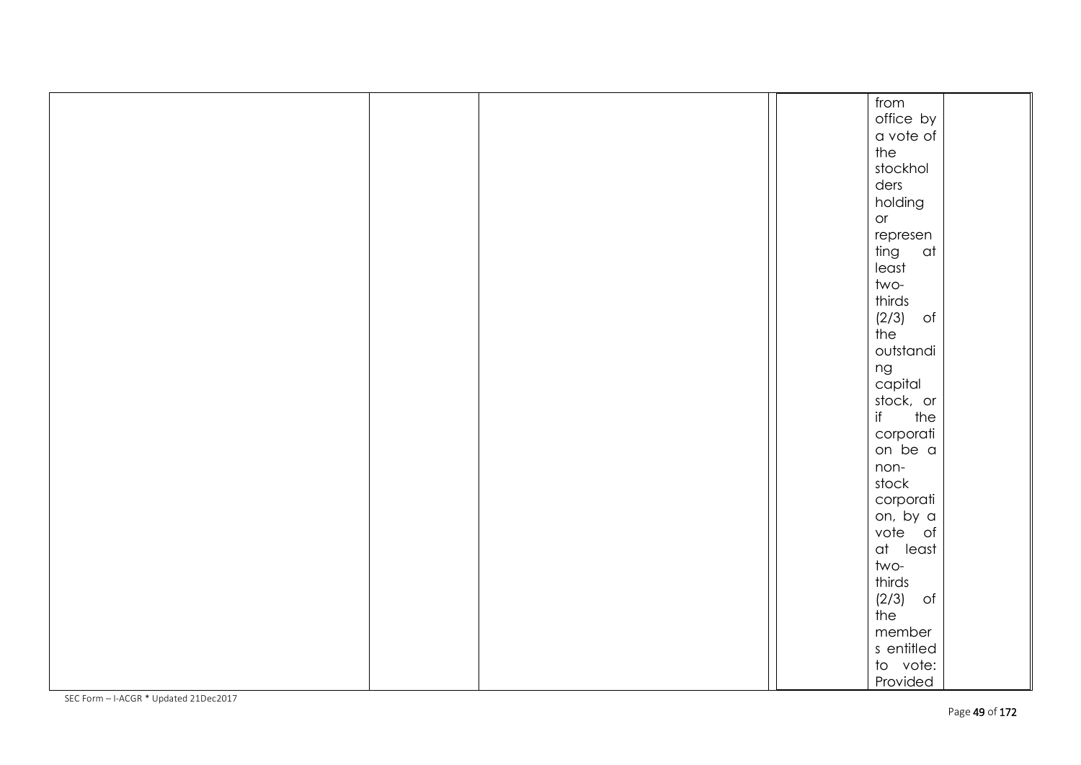|  |  | from        |
|--|--|-------------|
|  |  | office by   |
|  |  | a vote of   |
|  |  | the         |
|  |  | stockhol    |
|  |  | ders        |
|  |  | holding     |
|  |  | or          |
|  |  | represen    |
|  |  | ting<br>at  |
|  |  | least       |
|  |  | two-        |
|  |  | thirds      |
|  |  | (2/3)<br>of |
|  |  | the         |
|  |  | outstandi   |
|  |  | ng          |
|  |  | capital     |
|  |  | stock, or   |
|  |  | if<br>the   |
|  |  | corporati   |
|  |  | on be a     |
|  |  | non-        |
|  |  | stock       |
|  |  | corporati   |
|  |  | on, by a    |
|  |  | vote of     |
|  |  | at least    |
|  |  | two-        |
|  |  | thirds      |
|  |  | (2/3)<br>of |
|  |  | the         |
|  |  | member      |
|  |  | s entitled  |
|  |  | to vote:    |
|  |  | Provided    |
|  |  |             |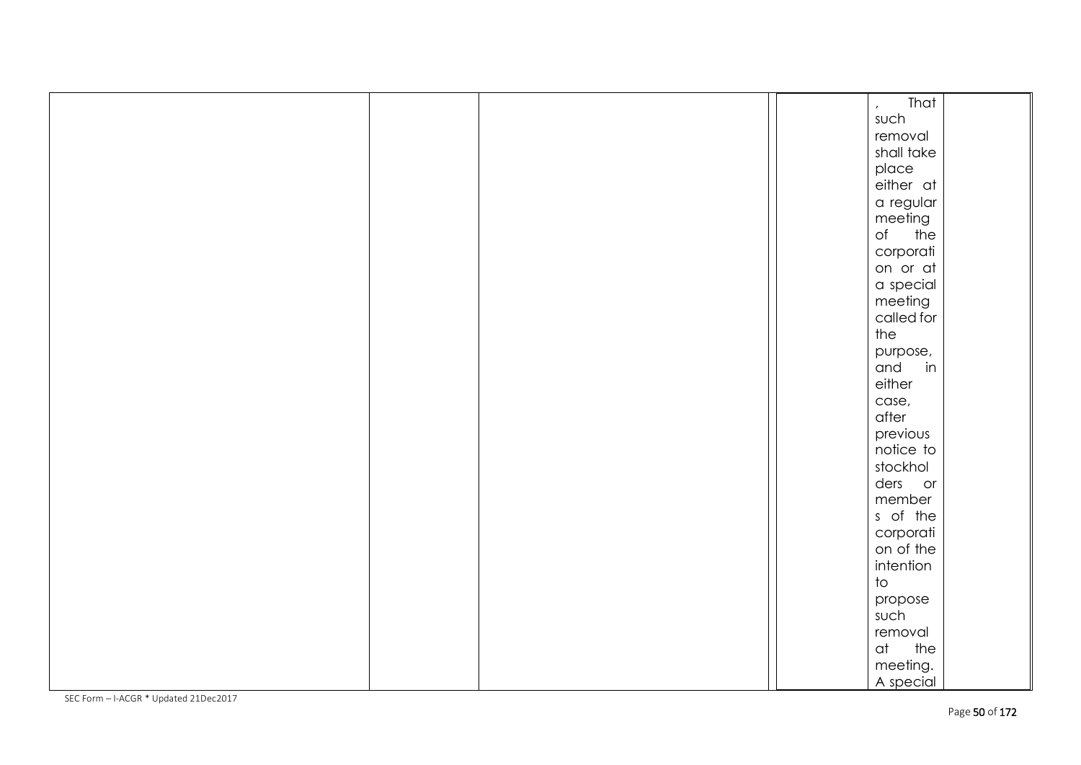|  |  | That<br>$\mathcal{L}^{\pm}$  |  |
|--|--|------------------------------|--|
|  |  | such                         |  |
|  |  | removal                      |  |
|  |  | shall take                   |  |
|  |  | place                        |  |
|  |  | either at                    |  |
|  |  | a regular                    |  |
|  |  | meeting                      |  |
|  |  | the<br>$\circ$ f             |  |
|  |  | corporati                    |  |
|  |  | on or at                     |  |
|  |  | a special                    |  |
|  |  | meeting                      |  |
|  |  | called for                   |  |
|  |  | the                          |  |
|  |  | purpose,                     |  |
|  |  | in<br>and                    |  |
|  |  | either                       |  |
|  |  | case,                        |  |
|  |  | after                        |  |
|  |  | previous                     |  |
|  |  | notice to                    |  |
|  |  | stockhol                     |  |
|  |  | ders or                      |  |
|  |  | member                       |  |
|  |  | s of the                     |  |
|  |  | corporati                    |  |
|  |  | on of the                    |  |
|  |  | intention                    |  |
|  |  | $\operatorname{\mathsf{to}}$ |  |
|  |  | propose                      |  |
|  |  | such                         |  |
|  |  | removal                      |  |
|  |  | the<br>at                    |  |
|  |  | meeting.                     |  |
|  |  | A special                    |  |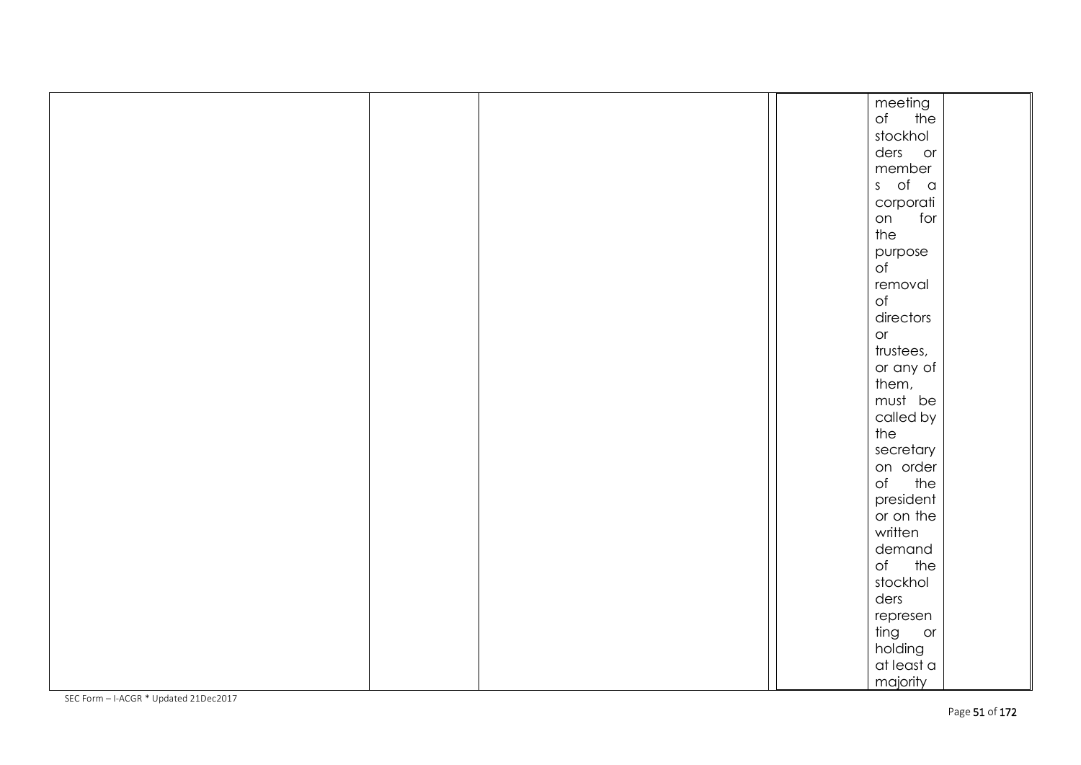|  |  | meeting                   |  |
|--|--|---------------------------|--|
|  |  | of the                    |  |
|  |  | stockhol                  |  |
|  |  | ders or                   |  |
|  |  | member                    |  |
|  |  | s of a                    |  |
|  |  | corporati                 |  |
|  |  | for<br>on                 |  |
|  |  | the                       |  |
|  |  | purpose                   |  |
|  |  | $\mathsf{of}$             |  |
|  |  | removal                   |  |
|  |  | $\circ$ f                 |  |
|  |  | directors                 |  |
|  |  | or                        |  |
|  |  | trustees,                 |  |
|  |  | or any of                 |  |
|  |  | them,                     |  |
|  |  | must be                   |  |
|  |  | called by                 |  |
|  |  | the                       |  |
|  |  | secretary                 |  |
|  |  | on order                  |  |
|  |  | of the                    |  |
|  |  | president                 |  |
|  |  | or on the                 |  |
|  |  | written                   |  |
|  |  | demand                    |  |
|  |  | of the                    |  |
|  |  | stockhol                  |  |
|  |  |                           |  |
|  |  | ders                      |  |
|  |  | represen                  |  |
|  |  | ting or                   |  |
|  |  | holding                   |  |
|  |  | $\alpha t$ least $\alpha$ |  |
|  |  | majority                  |  |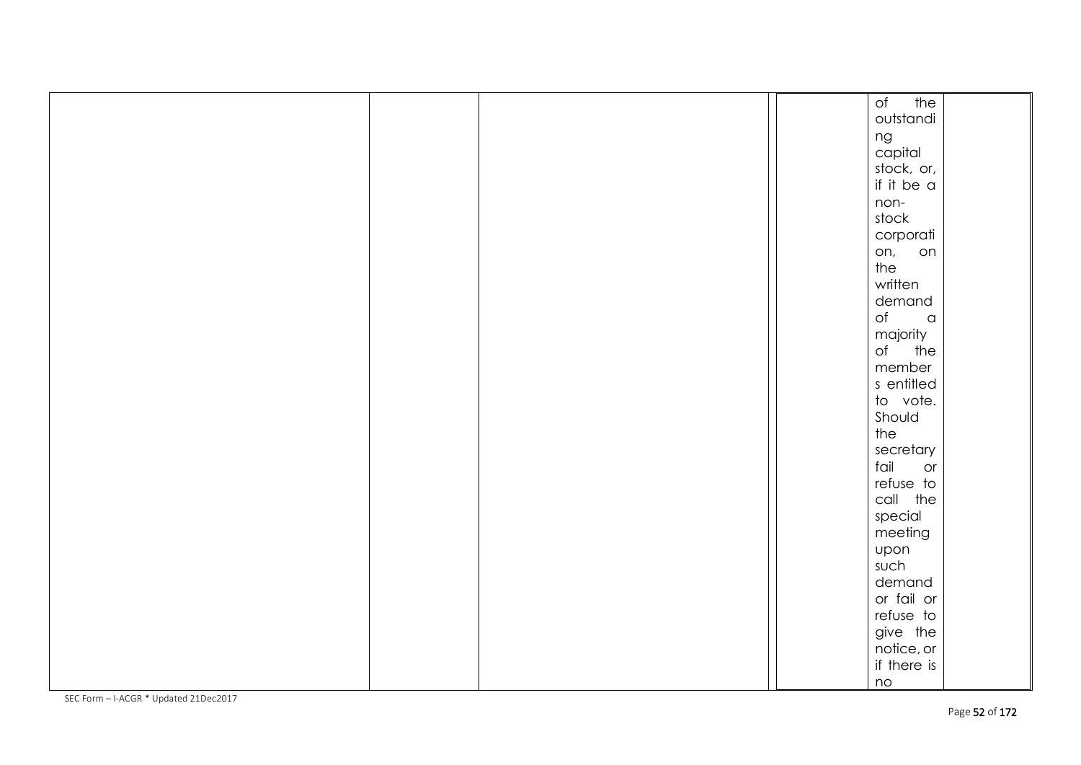|  |  | $\circ$ f<br>the          |  |
|--|--|---------------------------|--|
|  |  | outstandi                 |  |
|  |  | ng                        |  |
|  |  | capital                   |  |
|  |  | stock, or,                |  |
|  |  | if it be $\alpha$         |  |
|  |  | non-                      |  |
|  |  | stock                     |  |
|  |  | corporati                 |  |
|  |  | on,<br>on                 |  |
|  |  | the                       |  |
|  |  | written                   |  |
|  |  | demand                    |  |
|  |  | of<br>$\,$ $\,$ $\,$ $\,$ |  |
|  |  | majority                  |  |
|  |  | of<br>the                 |  |
|  |  | member                    |  |
|  |  | s entitled                |  |
|  |  | to vote.                  |  |
|  |  | Should                    |  |
|  |  | the                       |  |
|  |  | secretary                 |  |
|  |  | fail<br>or                |  |
|  |  | refuse to                 |  |
|  |  | call the                  |  |
|  |  | special                   |  |
|  |  | meeting                   |  |
|  |  | upon                      |  |
|  |  | such                      |  |
|  |  | demand                    |  |
|  |  | or fail or                |  |
|  |  | refuse to                 |  |
|  |  | give the                  |  |
|  |  | notice, or                |  |
|  |  | if there is               |  |
|  |  | no                        |  |
|  |  |                           |  |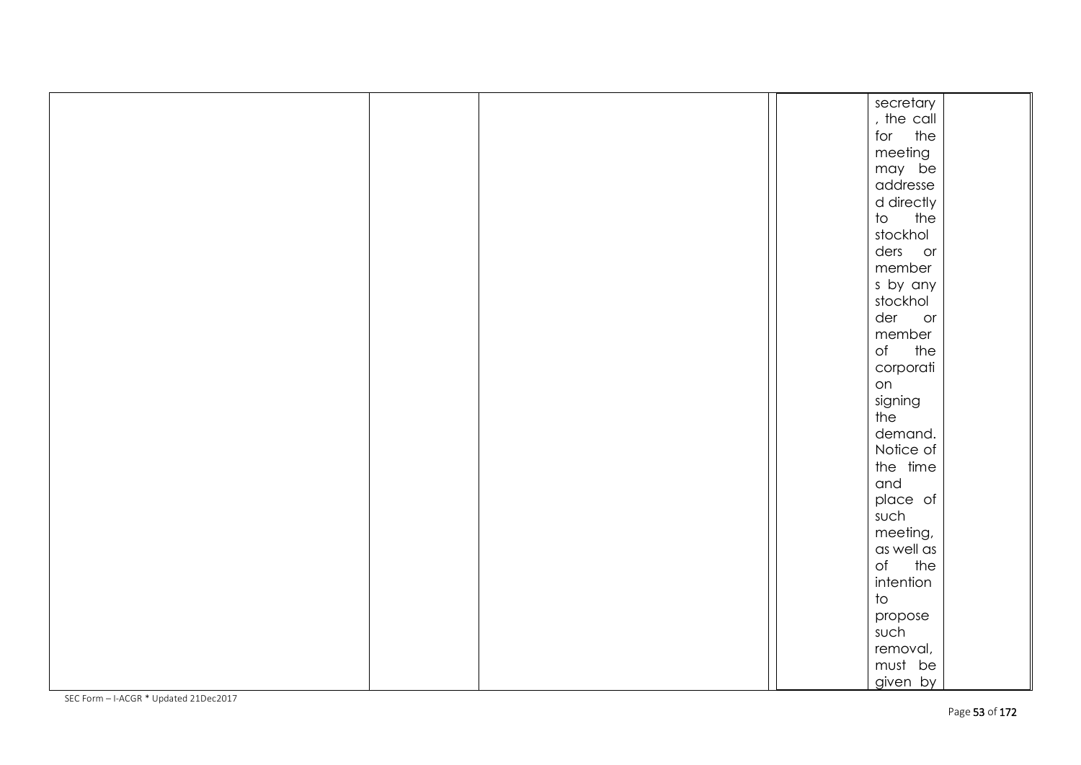|  |  | secretary               |  |
|--|--|-------------------------|--|
|  |  | , the call              |  |
|  |  | for the                 |  |
|  |  | meeting                 |  |
|  |  | may be                  |  |
|  |  | addresse                |  |
|  |  | d directly              |  |
|  |  | to the                  |  |
|  |  | stockhol                |  |
|  |  | ders or                 |  |
|  |  | member                  |  |
|  |  | s by any                |  |
|  |  | stockhol                |  |
|  |  | der<br>or               |  |
|  |  | member                  |  |
|  |  | $\circ$ f<br>the        |  |
|  |  | corporati               |  |
|  |  | on                      |  |
|  |  | signing                 |  |
|  |  | the                     |  |
|  |  | demand.                 |  |
|  |  | Notice of               |  |
|  |  | the time                |  |
|  |  | and                     |  |
|  |  | place of                |  |
|  |  | such                    |  |
|  |  | meeting,                |  |
|  |  | as well as              |  |
|  |  | of the                  |  |
|  |  | intention               |  |
|  |  | $\overline{\mathrm{t}}$ |  |
|  |  | propose                 |  |
|  |  | such                    |  |
|  |  | removal,                |  |
|  |  | must be                 |  |
|  |  | given by                |  |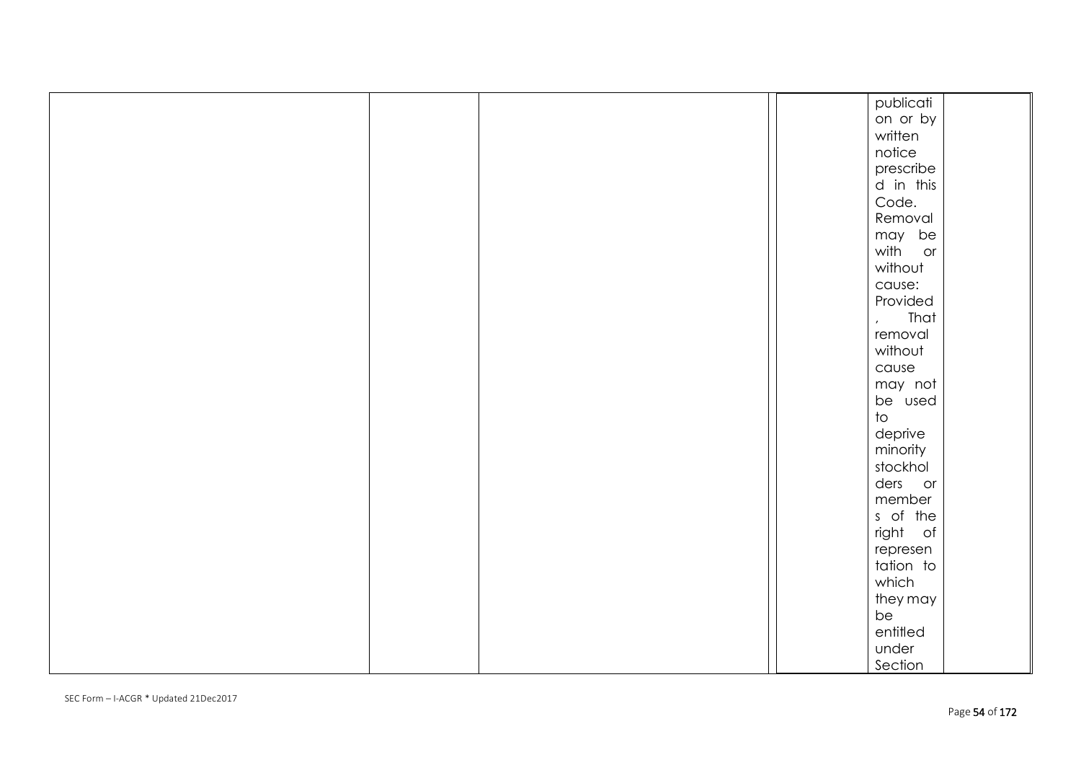|  |  | publicati                    |  |
|--|--|------------------------------|--|
|  |  | on or by                     |  |
|  |  | written                      |  |
|  |  | notice                       |  |
|  |  | prescribe                    |  |
|  |  | d in this                    |  |
|  |  | Code.                        |  |
|  |  | Removal                      |  |
|  |  | may be                       |  |
|  |  | with<br>or                   |  |
|  |  | without                      |  |
|  |  | cause:                       |  |
|  |  | Provided                     |  |
|  |  | That                         |  |
|  |  | $\mathbf{r}$<br>removal      |  |
|  |  | without                      |  |
|  |  | cause                        |  |
|  |  | may not                      |  |
|  |  | be used                      |  |
|  |  | $\operatorname{\mathsf{to}}$ |  |
|  |  |                              |  |
|  |  | deprive                      |  |
|  |  | minority                     |  |
|  |  | stockhol                     |  |
|  |  | ders or                      |  |
|  |  | member                       |  |
|  |  | s of the                     |  |
|  |  | right of                     |  |
|  |  | represen                     |  |
|  |  | tation to                    |  |
|  |  | which                        |  |
|  |  | they may                     |  |
|  |  | be                           |  |
|  |  | entitled                     |  |
|  |  | under                        |  |
|  |  | Section                      |  |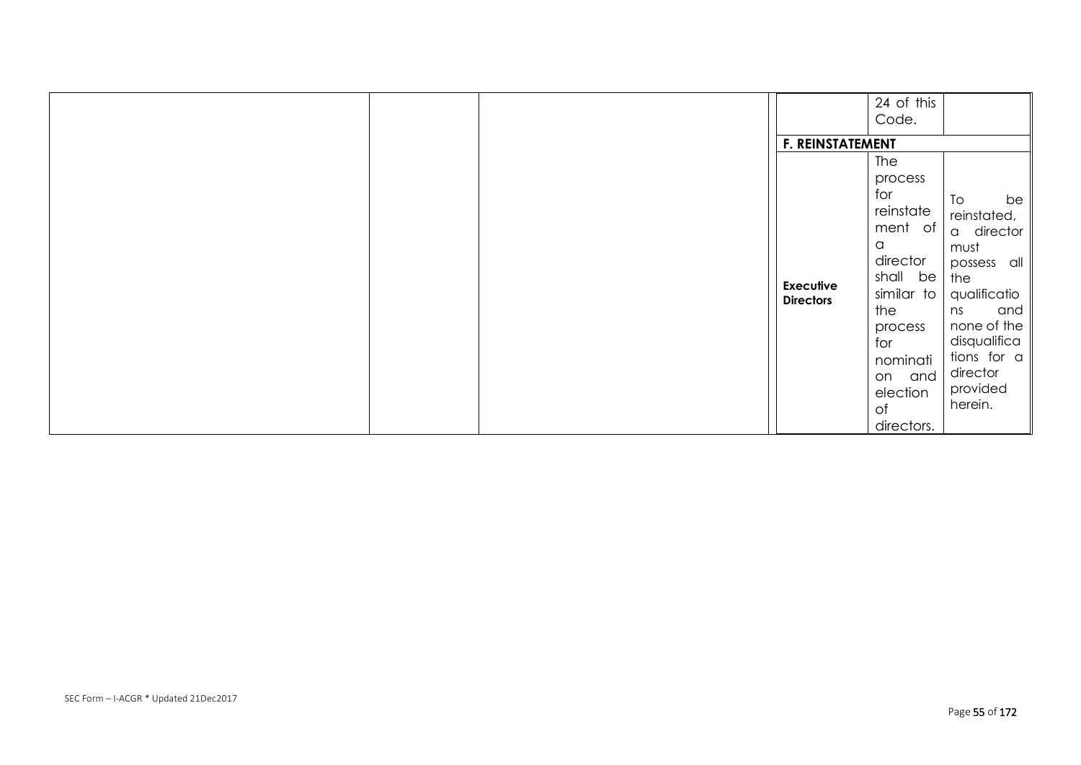|  | <b>F. REINSTATEMENT</b>              | 24 of this<br>Code.                                                                                                                                                     |                                                                                                                                                                                   |
|--|--------------------------------------|-------------------------------------------------------------------------------------------------------------------------------------------------------------------------|-----------------------------------------------------------------------------------------------------------------------------------------------------------------------------------|
|  | <b>Executive</b><br><b>Directors</b> | The<br>process<br>for<br>reinstate<br>ment of<br>a<br>director<br>shall be<br>similar to<br>the<br>process<br>for<br>nominati<br>on and<br>election<br>of<br>directors. | To<br>be<br>reinstated,<br>a director<br>must<br>possess all<br>the<br>qualificatio<br>and<br>ns<br>none of the<br>disqualifica<br>tions for a<br>director<br>provided<br>herein. |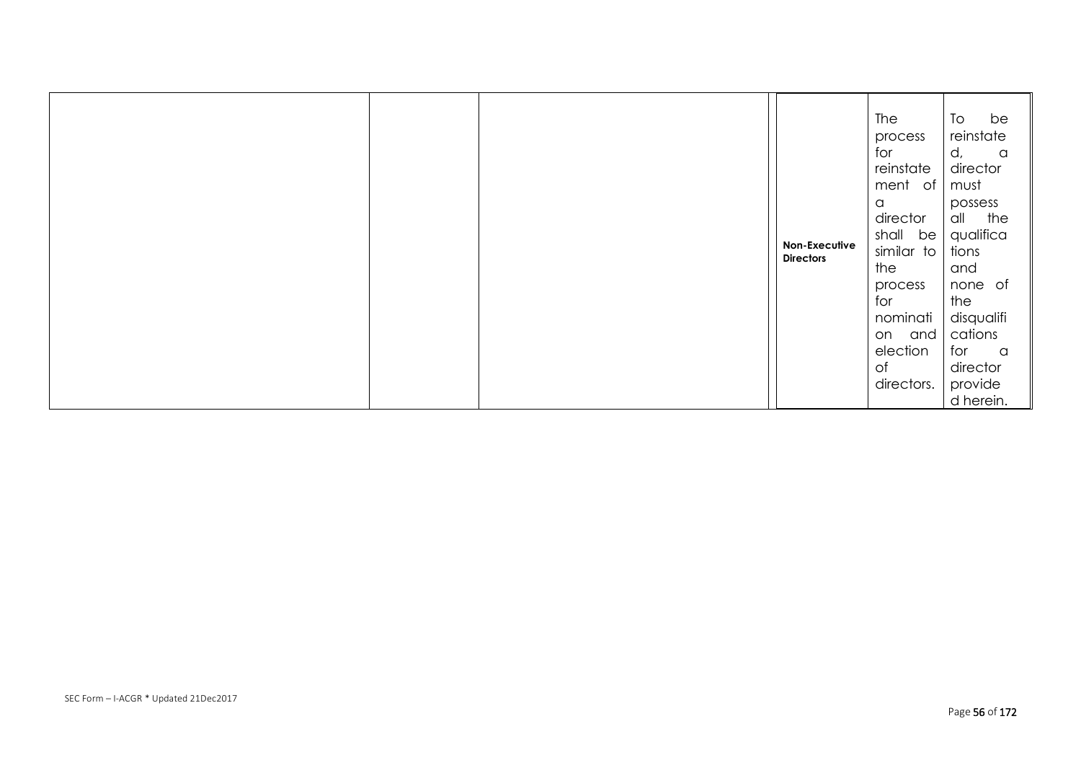|  |  |  | Non-Executive<br><b>Directors</b> | The<br>process<br>for<br>reinstate<br>ment of<br>$\alpha$<br>director<br>shall be<br>similar to<br>the<br>process<br>for<br>nominati<br>on and<br>election<br>of<br>directors. | be<br>To<br>reinstate<br>d,<br>$\alpha$<br>director<br>must<br>possess<br>all the<br>qualifica<br>tions<br>and<br>none of<br>the<br>disqualifi<br>cations<br>for<br>$\alpha$<br>director<br>provide<br>d herein. |
|--|--|--|-----------------------------------|--------------------------------------------------------------------------------------------------------------------------------------------------------------------------------|------------------------------------------------------------------------------------------------------------------------------------------------------------------------------------------------------------------|
|--|--|--|-----------------------------------|--------------------------------------------------------------------------------------------------------------------------------------------------------------------------------|------------------------------------------------------------------------------------------------------------------------------------------------------------------------------------------------------------------|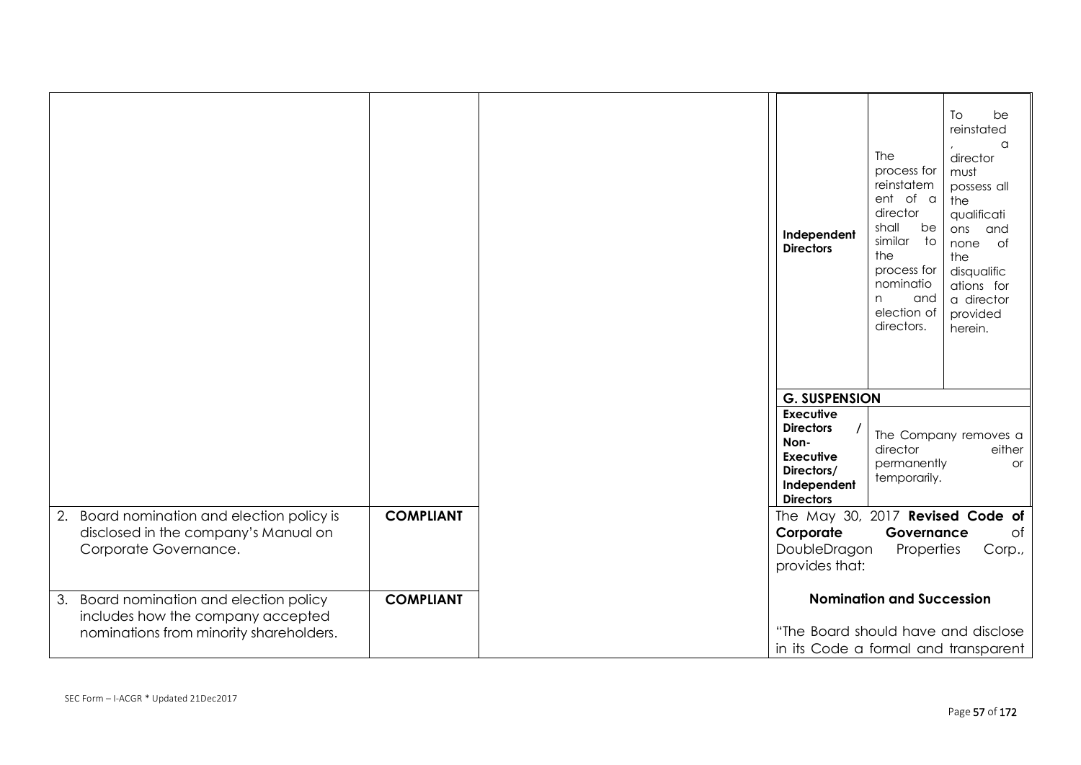|                                                                              |                  | Independent<br><b>Directors</b>                                                               | The<br>process for<br>reinstatem<br>ent of a<br>director<br>shall<br>be<br>similar<br>$\overline{\phantom{a}}$ to<br>the<br>process for<br>nominatio<br>and<br>n<br>election of<br>directors. | To<br>be<br>reinstated<br>a<br>director<br>must<br>possess all<br>the<br>qualificati<br>ons<br>and<br>none of<br>the<br>disqualific<br>ations for<br>a director<br>provided<br>herein. |
|------------------------------------------------------------------------------|------------------|-----------------------------------------------------------------------------------------------|-----------------------------------------------------------------------------------------------------------------------------------------------------------------------------------------------|----------------------------------------------------------------------------------------------------------------------------------------------------------------------------------------|
|                                                                              |                  |                                                                                               |                                                                                                                                                                                               |                                                                                                                                                                                        |
|                                                                              |                  | <b>G. SUSPENSION</b><br><b>Executive</b>                                                      |                                                                                                                                                                                               |                                                                                                                                                                                        |
|                                                                              |                  | <b>Directors</b><br>Non-<br><b>Executive</b><br>Directors/<br>Independent<br><b>Directors</b> | director<br>permanently<br>temporarily.                                                                                                                                                       | The Company removes a<br>either<br>or                                                                                                                                                  |
| 2. Board nomination and election policy is                                   | <b>COMPLIANT</b> | The May 30, 2017 Revised Code of                                                              |                                                                                                                                                                                               |                                                                                                                                                                                        |
| disclosed in the company's Manual on                                         |                  | Corporate                                                                                     | Governance                                                                                                                                                                                    | of                                                                                                                                                                                     |
| Corporate Governance.                                                        |                  | DoubleDragon                                                                                  | Properties                                                                                                                                                                                    | Corp.,                                                                                                                                                                                 |
|                                                                              |                  | provides that:                                                                                |                                                                                                                                                                                               |                                                                                                                                                                                        |
| 3. Board nomination and election policy<br>includes how the company accepted | <b>COMPLIANT</b> |                                                                                               | <b>Nomination and Succession</b>                                                                                                                                                              |                                                                                                                                                                                        |
| nominations from minority shareholders.                                      |                  | "The Board should have and disclose                                                           |                                                                                                                                                                                               |                                                                                                                                                                                        |
|                                                                              |                  | in its Code a formal and transparent                                                          |                                                                                                                                                                                               |                                                                                                                                                                                        |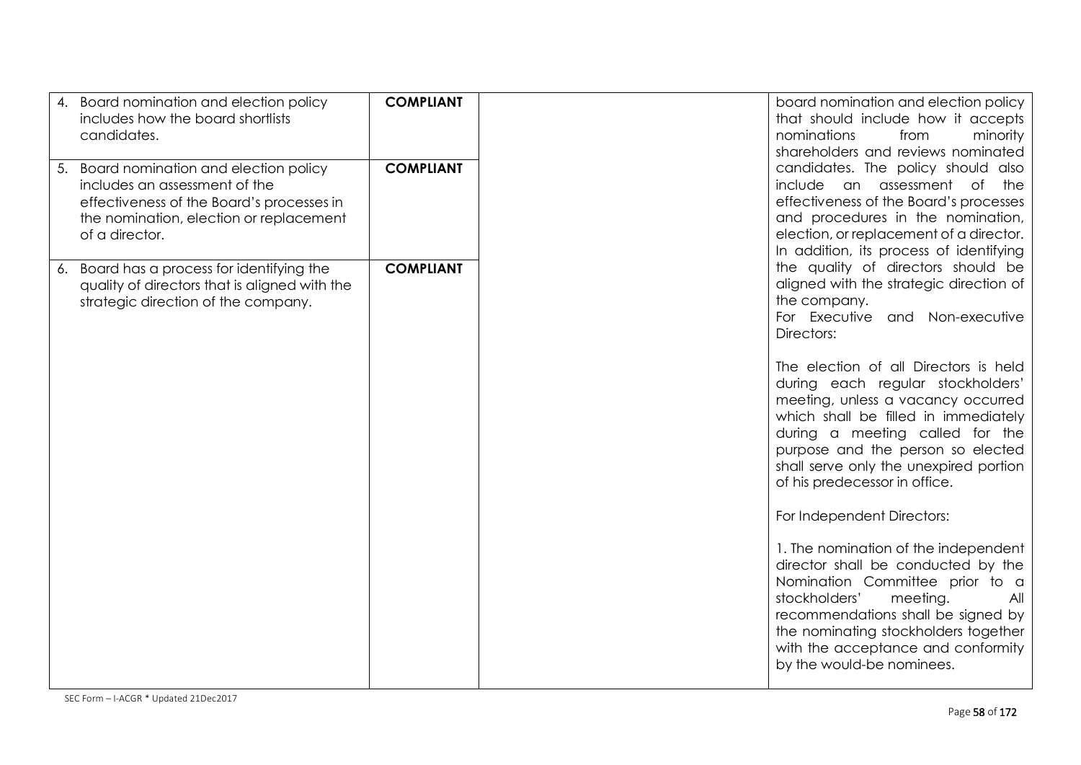| Board nomination and election policy<br>4.<br>includes how the board shortlists<br>candidates.                                                                                        | <b>COMPLIANT</b> | board nomination and election policy<br>that should include how it accepts<br>nominations<br>minority<br>from<br>shareholders and reviews nominated                                                                                                                                                         |
|---------------------------------------------------------------------------------------------------------------------------------------------------------------------------------------|------------------|-------------------------------------------------------------------------------------------------------------------------------------------------------------------------------------------------------------------------------------------------------------------------------------------------------------|
| Board nomination and election policy<br>5.<br>includes an assessment of the<br>effectiveness of the Board's processes in<br>the nomination, election or replacement<br>of a director. | <b>COMPLIANT</b> | candidates. The policy should also<br>include an assessment of the<br>effectiveness of the Board's processes<br>and procedures in the nomination,<br>election, or replacement of a director.<br>In addition, its process of identifying                                                                     |
| Board has a process for identifying the<br>6.<br>quality of directors that is aligned with the<br>strategic direction of the company.                                                 | <b>COMPLIANT</b> | the quality of directors should be<br>aligned with the strategic direction of<br>the company.<br>For Executive and Non-executive<br>Directors:                                                                                                                                                              |
|                                                                                                                                                                                       |                  | The election of all Directors is held<br>during each regular stockholders'<br>meeting, unless a vacancy occurred<br>which shall be filled in immediately<br>during a meeting called for the<br>purpose and the person so elected<br>shall serve only the unexpired portion<br>of his predecessor in office. |
|                                                                                                                                                                                       |                  | For Independent Directors:<br>1. The nomination of the independent<br>director shall be conducted by the<br>Nomination Committee prior to a<br>stockholders'<br>meeting.<br>All<br>recommendations shall be signed by<br>the nominating stockholders together                                               |
|                                                                                                                                                                                       |                  | with the acceptance and conformity<br>by the would-be nominees.                                                                                                                                                                                                                                             |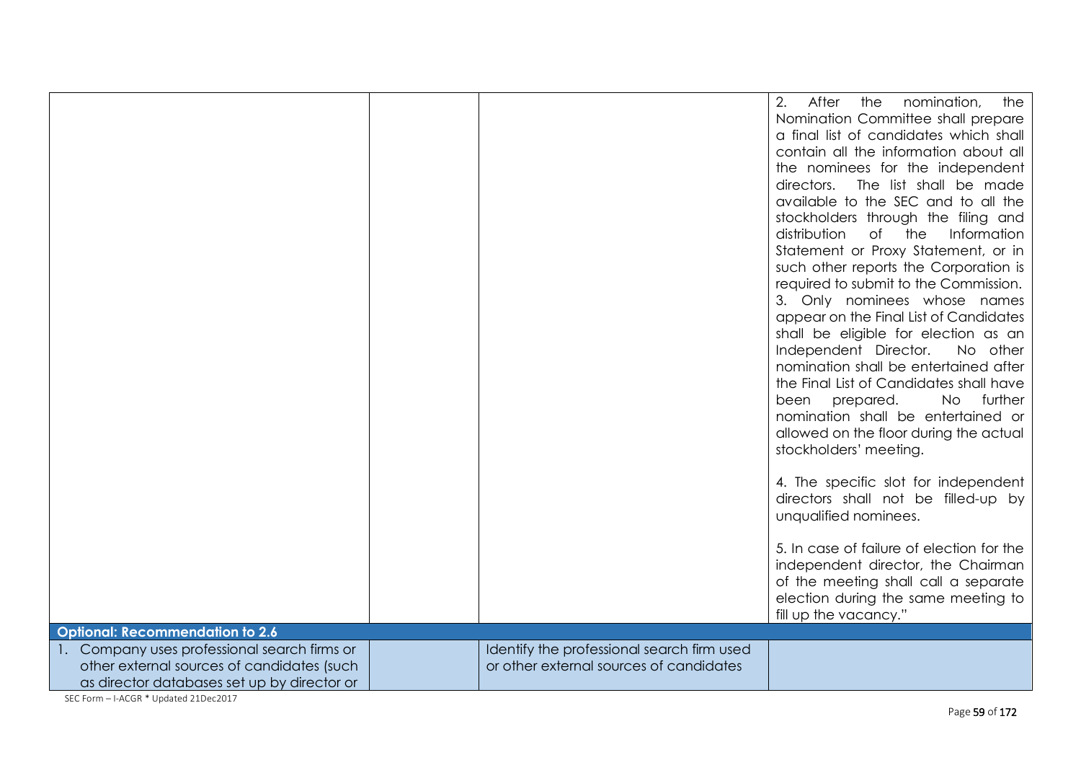|                                              |                                            | 2.<br>After<br>nomination,<br>the<br>the<br>Nomination Committee shall prepare<br>a final list of candidates which shall<br>contain all the information about all<br>the nominees for the independent<br>directors.<br>The list shall be made<br>available to the SEC and to all the<br>stockholders through the filing and<br>of the<br>distribution<br>Information<br>Statement or Proxy Statement, or in<br>such other reports the Corporation is<br>required to submit to the Commission.<br>3. Only nominees whose names<br>appear on the Final List of Candidates<br>shall be eligible for election as an<br>Independent Director.<br>No other<br>nomination shall be entertained after<br>the Final List of Candidates shall have<br>prepared.<br><b>No</b><br>further<br>been<br>nomination shall be entertained or<br>allowed on the floor during the actual<br>stockholders' meeting.<br>4. The specific slot for independent<br>directors shall not be filled-up by<br>unqualified nominees.<br>5. In case of failure of election for the |
|----------------------------------------------|--------------------------------------------|------------------------------------------------------------------------------------------------------------------------------------------------------------------------------------------------------------------------------------------------------------------------------------------------------------------------------------------------------------------------------------------------------------------------------------------------------------------------------------------------------------------------------------------------------------------------------------------------------------------------------------------------------------------------------------------------------------------------------------------------------------------------------------------------------------------------------------------------------------------------------------------------------------------------------------------------------------------------------------------------------------------------------------------------------|
|                                              |                                            | independent director, the Chairman<br>of the meeting shall call a separate<br>election during the same meeting to<br>fill up the vacancy."                                                                                                                                                                                                                                                                                                                                                                                                                                                                                                                                                                                                                                                                                                                                                                                                                                                                                                           |
| <b>Optional: Recommendation to 2.6</b>       |                                            |                                                                                                                                                                                                                                                                                                                                                                                                                                                                                                                                                                                                                                                                                                                                                                                                                                                                                                                                                                                                                                                      |
| 1. Company uses professional search firms or | Identify the professional search firm used |                                                                                                                                                                                                                                                                                                                                                                                                                                                                                                                                                                                                                                                                                                                                                                                                                                                                                                                                                                                                                                                      |
| other external sources of candidates (such   | or other external sources of candidates    |                                                                                                                                                                                                                                                                                                                                                                                                                                                                                                                                                                                                                                                                                                                                                                                                                                                                                                                                                                                                                                                      |
| as director databases set up by director or  |                                            |                                                                                                                                                                                                                                                                                                                                                                                                                                                                                                                                                                                                                                                                                                                                                                                                                                                                                                                                                                                                                                                      |

SEC Form – I-ACGR \* Updated 21Dec2017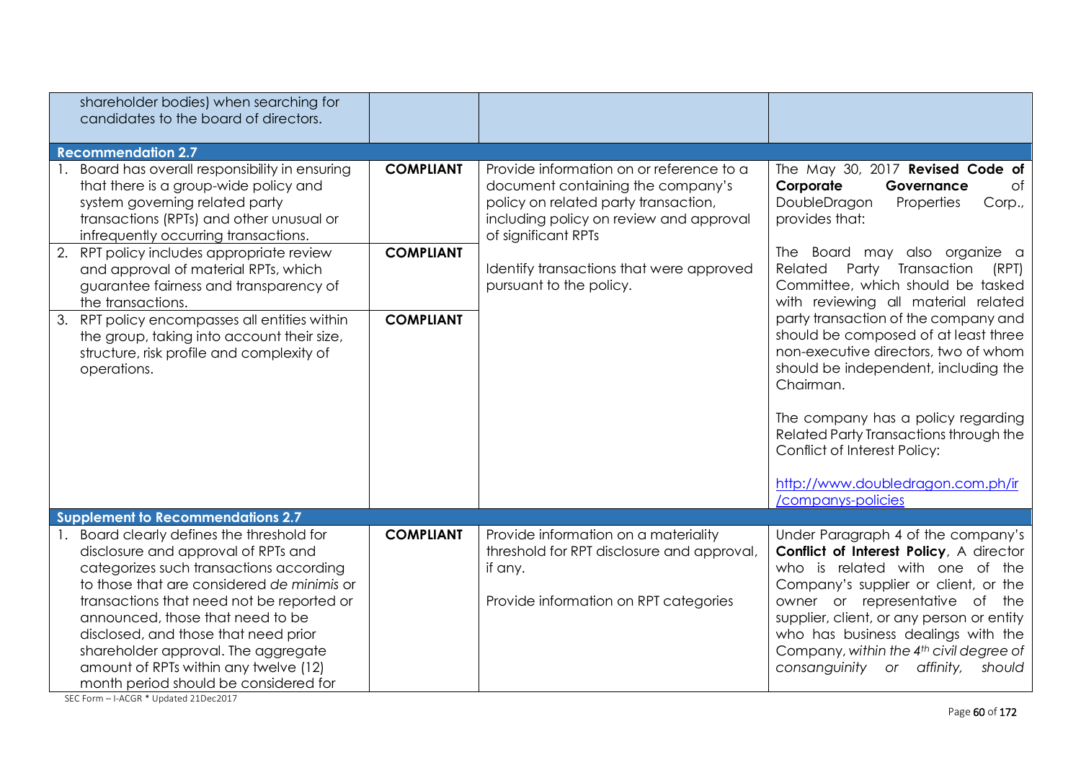| shareholder bodies) when searching for<br>candidates to the board of directors.                                                                                                                                                                                                                                                                                                                                           |                  |                                                                                                                                                                                         |                                                                                                                                                                                                                                                                                                                                                                             |
|---------------------------------------------------------------------------------------------------------------------------------------------------------------------------------------------------------------------------------------------------------------------------------------------------------------------------------------------------------------------------------------------------------------------------|------------------|-----------------------------------------------------------------------------------------------------------------------------------------------------------------------------------------|-----------------------------------------------------------------------------------------------------------------------------------------------------------------------------------------------------------------------------------------------------------------------------------------------------------------------------------------------------------------------------|
| <b>Recommendation 2.7</b>                                                                                                                                                                                                                                                                                                                                                                                                 |                  |                                                                                                                                                                                         |                                                                                                                                                                                                                                                                                                                                                                             |
| 1. Board has overall responsibility in ensuring<br>that there is a group-wide policy and<br>system governing related party<br>transactions (RPTs) and other unusual or<br>infrequently occurring transactions.                                                                                                                                                                                                            | <b>COMPLIANT</b> | Provide information on or reference to a<br>document containing the company's<br>policy on related party transaction,<br>including policy on review and approval<br>of significant RPTs | The May 30, 2017 Revised Code of<br>Corporate<br>of<br>Governance<br>DoubleDragon<br>Properties<br>Corp.,<br>provides that:                                                                                                                                                                                                                                                 |
| 2. RPT policy includes appropriate review<br>and approval of material RPTs, which<br>guarantee fairness and transparency of<br>the transactions.                                                                                                                                                                                                                                                                          | <b>COMPLIANT</b> | Identify transactions that were approved<br>pursuant to the policy.                                                                                                                     | The Board may also organize a<br>Party Transaction<br>Related<br>(RPT)<br>Committee, which should be tasked<br>with reviewing all material related                                                                                                                                                                                                                          |
| 3. RPT policy encompasses all entities within<br>the group, taking into account their size,<br>structure, risk profile and complexity of<br>operations.                                                                                                                                                                                                                                                                   | <b>COMPLIANT</b> |                                                                                                                                                                                         | party transaction of the company and<br>should be composed of at least three<br>non-executive directors, two of whom<br>should be independent, including the<br>Chairman.<br>The company has a policy regarding<br>Related Party Transactions through the<br>Conflict of Interest Policy:<br>http://www.doubledragon.com.ph/ir                                              |
|                                                                                                                                                                                                                                                                                                                                                                                                                           |                  |                                                                                                                                                                                         | /companys-policies                                                                                                                                                                                                                                                                                                                                                          |
| <b>Supplement to Recommendations 2.7</b>                                                                                                                                                                                                                                                                                                                                                                                  |                  |                                                                                                                                                                                         |                                                                                                                                                                                                                                                                                                                                                                             |
| Board clearly defines the threshold for<br>disclosure and approval of RPTs and<br>categorizes such transactions according<br>to those that are considered de minimis or<br>transactions that need not be reported or<br>announced, those that need to be<br>disclosed, and those that need prior<br>shareholder approval. The aggregate<br>amount of RPTs within any twelve (12)<br>month period should be considered for | <b>COMPLIANT</b> | Provide information on a materiality<br>threshold for RPT disclosure and approval,<br>if any.<br>Provide information on RPT categories                                                  | Under Paragraph 4 of the company's<br>Conflict of Interest Policy, A director<br>who is related with one of the<br>Company's supplier or client, or the<br>owner or representative of the<br>supplier, client, or any person or entity<br>who has business dealings with the<br>Company, within the 4 <sup>th</sup> civil degree of<br>consanguinity or affinity,<br>should |

SEC Form – I-ACGR \* Updated 21Dec2017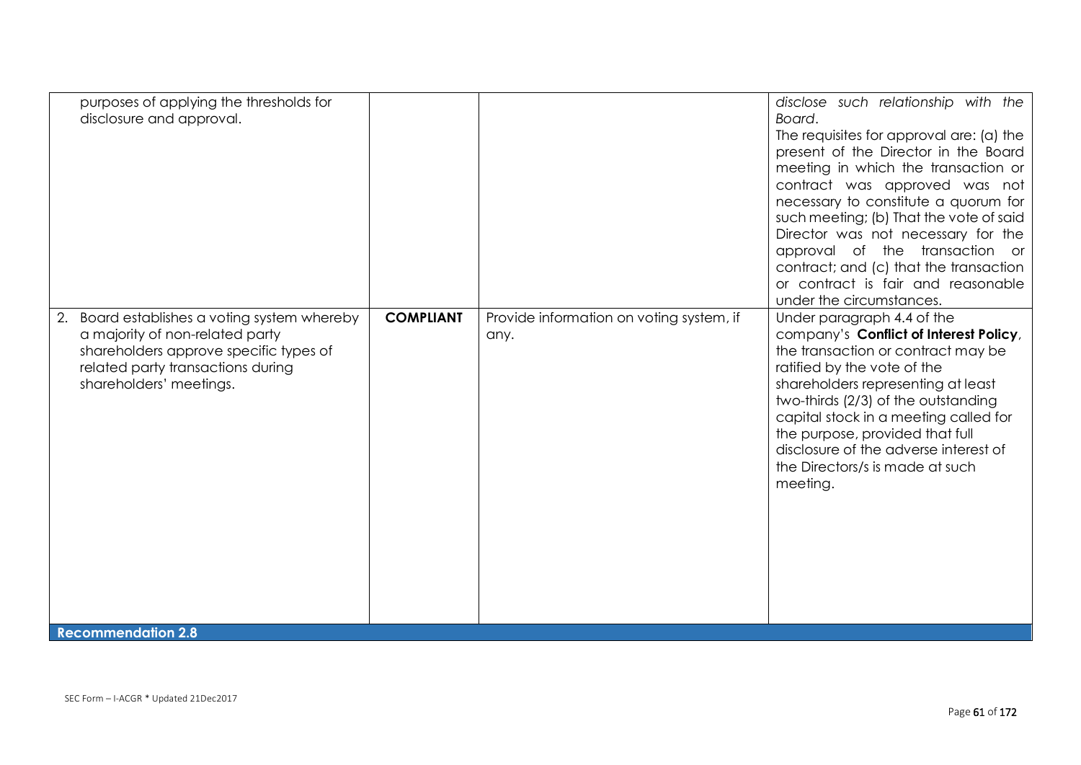| purposes of applying the thresholds for<br>disclosure and approval.                                                                                                                       |                  |                                                  | disclose such relationship with the<br>Board.<br>The requisites for approval are: (a) the<br>present of the Director in the Board<br>meeting in which the transaction or<br>contract was approved was not<br>necessary to constitute a quorum for<br>such meeting; (b) That the vote of said<br>Director was not necessary for the<br>approval of the transaction or<br>contract; and (c) that the transaction<br>or contract is fair and reasonable<br>under the circumstances. |
|-------------------------------------------------------------------------------------------------------------------------------------------------------------------------------------------|------------------|--------------------------------------------------|----------------------------------------------------------------------------------------------------------------------------------------------------------------------------------------------------------------------------------------------------------------------------------------------------------------------------------------------------------------------------------------------------------------------------------------------------------------------------------|
| 2. Board establishes a voting system whereby<br>a majority of non-related party<br>shareholders approve specific types of<br>related party transactions during<br>shareholders' meetings. | <b>COMPLIANT</b> | Provide information on voting system, if<br>any. | Under paragraph 4.4 of the<br>company's Conflict of Interest Policy,<br>the transaction or contract may be<br>ratified by the vote of the<br>shareholders representing at least<br>two-thirds (2/3) of the outstanding<br>capital stock in a meeting called for<br>the purpose, provided that full<br>disclosure of the adverse interest of<br>the Directors/s is made at such<br>meeting.                                                                                       |
| <b>Recommendation 2.8</b>                                                                                                                                                                 |                  |                                                  |                                                                                                                                                                                                                                                                                                                                                                                                                                                                                  |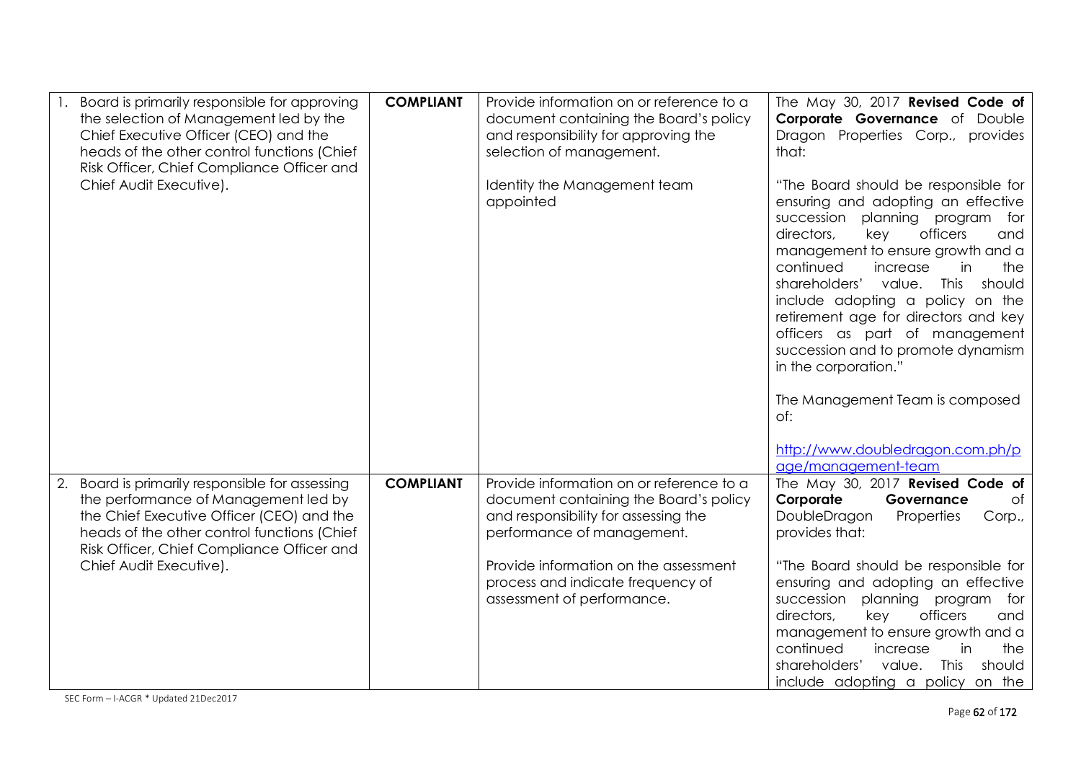| Board is primarily responsible for approving<br>the selection of Management led by the<br>Chief Executive Officer (CEO) and the<br>heads of the other control functions (Chief<br>Risk Officer, Chief Compliance Officer and<br>Chief Audit Executive).         | <b>COMPLIANT</b> | Provide information on or reference to a<br>document containing the Board's policy<br>and responsibility for approving the<br>selection of management.<br>Identity the Management team<br>appointed                                                                  | The May 30, 2017 Revised Code of<br>Corporate Governance of Double<br>Dragon Properties Corp., provides<br>that:<br>"The Board should be responsible for<br>ensuring and adopting an effective<br>succession planning program for<br>directors,<br>officers<br>key<br>and<br>management to ensure growth and a<br>continued<br>increase<br>the<br>in<br>shareholders'<br>value.<br>This<br>should<br>include adopting a policy on the<br>retirement age for directors and key<br>officers as part of management<br>succession and to promote dynamism<br>in the corporation."<br>The Management Team is composed |
|-----------------------------------------------------------------------------------------------------------------------------------------------------------------------------------------------------------------------------------------------------------------|------------------|----------------------------------------------------------------------------------------------------------------------------------------------------------------------------------------------------------------------------------------------------------------------|------------------------------------------------------------------------------------------------------------------------------------------------------------------------------------------------------------------------------------------------------------------------------------------------------------------------------------------------------------------------------------------------------------------------------------------------------------------------------------------------------------------------------------------------------------------------------------------------------------------|
| Board is primarily responsible for assessing<br>2.<br>the performance of Management led by<br>the Chief Executive Officer (CEO) and the<br>heads of the other control functions (Chief<br>Risk Officer, Chief Compliance Officer and<br>Chief Audit Executive). | <b>COMPLIANT</b> | Provide information on or reference to a<br>document containing the Board's policy<br>and responsibility for assessing the<br>performance of management.<br>Provide information on the assessment<br>process and indicate frequency of<br>assessment of performance. | of:<br>http://www.doubledragon.com.ph/p<br>age/management-team<br>The May 30, 2017 Revised Code of<br>Corporate<br>Governance<br>0f<br>DoubleDragon<br>Properties<br>Corp.,<br>provides that:<br>"The Board should be responsible for<br>ensuring and adopting an effective<br>planning program<br>succession<br>for<br>directors,<br>officers<br>key<br>and                                                                                                                                                                                                                                                     |
|                                                                                                                                                                                                                                                                 |                  |                                                                                                                                                                                                                                                                      | management to ensure growth and a<br>continued<br>increase<br>in<br>the<br>shareholders'<br>value.<br>This<br>should<br>include adopting a policy on the                                                                                                                                                                                                                                                                                                                                                                                                                                                         |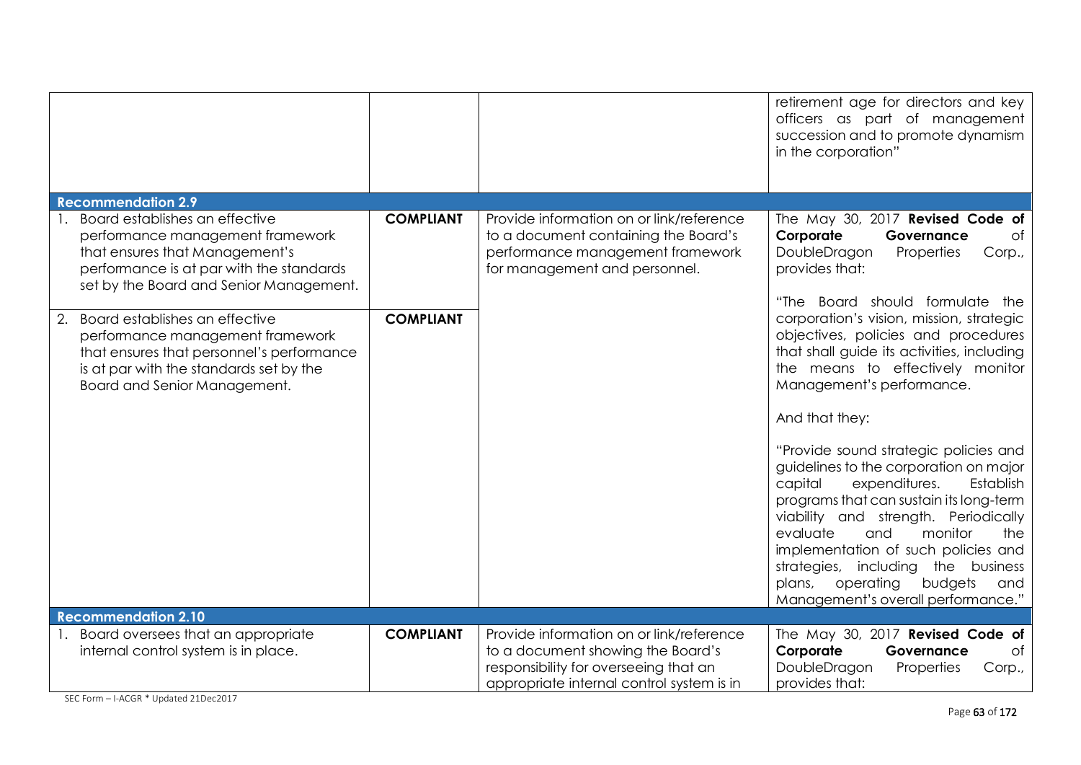|                                                                                                                                                                                                                                                                                                                                                                                                 |                                      |                                                                                                                                                                     | retirement age for directors and key<br>officers as part of management<br>succession and to promote dynamism<br>in the corporation"                                                                                                                                                                                                                                                                                                                                                                                                                                                                                                                                                                                                                             |
|-------------------------------------------------------------------------------------------------------------------------------------------------------------------------------------------------------------------------------------------------------------------------------------------------------------------------------------------------------------------------------------------------|--------------------------------------|---------------------------------------------------------------------------------------------------------------------------------------------------------------------|-----------------------------------------------------------------------------------------------------------------------------------------------------------------------------------------------------------------------------------------------------------------------------------------------------------------------------------------------------------------------------------------------------------------------------------------------------------------------------------------------------------------------------------------------------------------------------------------------------------------------------------------------------------------------------------------------------------------------------------------------------------------|
| <b>Recommendation 2.9</b>                                                                                                                                                                                                                                                                                                                                                                       |                                      |                                                                                                                                                                     |                                                                                                                                                                                                                                                                                                                                                                                                                                                                                                                                                                                                                                                                                                                                                                 |
| Board establishes an effective<br>performance management framework<br>that ensures that Management's<br>performance is at par with the standards<br>set by the Board and Senior Management.<br>Board establishes an effective<br>2.<br>performance management framework<br>that ensures that personnel's performance<br>is at par with the standards set by the<br>Board and Senior Management. | <b>COMPLIANT</b><br><b>COMPLIANT</b> | Provide information on or link/reference<br>to a document containing the Board's<br>performance management framework<br>for management and personnel.               | The May 30, 2017 Revised Code of<br>Corporate<br>of<br>Governance<br>DoubleDragon<br>Properties<br>Corp.,<br>provides that:<br>"The Board should formulate<br>the<br>corporation's vision, mission, strategic<br>objectives, policies and procedures<br>that shall guide its activities, including<br>the means to effectively monitor<br>Management's performance.<br>And that they:<br>"Provide sound strategic policies and<br>guidelines to the corporation on major<br>expenditures.<br>capital<br>Establish<br>programs that can sustain its long-term<br>viability and strength. Periodically<br>evaluate<br>monitor<br>and<br>the<br>implementation of such policies and<br>strategies, including the business<br>operating<br>budgets<br>plans,<br>and |
| <b>Recommendation 2.10</b>                                                                                                                                                                                                                                                                                                                                                                      |                                      |                                                                                                                                                                     | Management's overall performance."                                                                                                                                                                                                                                                                                                                                                                                                                                                                                                                                                                                                                                                                                                                              |
| 1. Board oversees that an appropriate<br>internal control system is in place.                                                                                                                                                                                                                                                                                                                   | <b>COMPLIANT</b>                     | Provide information on or link/reference<br>to a document showing the Board's<br>responsibility for overseeing that an<br>appropriate internal control system is in | The May 30, 2017 Revised Code of<br>Corporate<br>$\circ$ f<br>Governance<br>DoubleDragon<br>Properties<br>Corp.,<br>provides that:                                                                                                                                                                                                                                                                                                                                                                                                                                                                                                                                                                                                                              |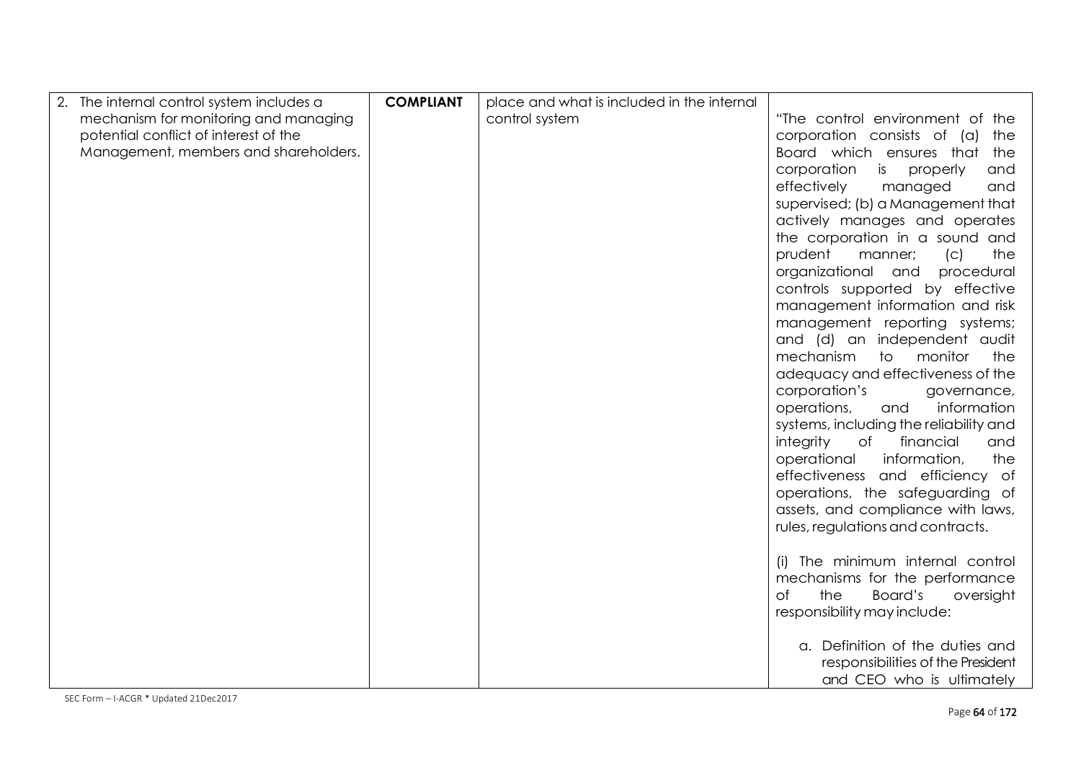| The internal control system includes a | <b>COMPLIANT</b> | place and what is included in the internal |                                                                      |
|----------------------------------------|------------------|--------------------------------------------|----------------------------------------------------------------------|
| mechanism for monitoring and managing  |                  | control system                             | "The control environment of the                                      |
| potential conflict of interest of the  |                  |                                            | corporation consists of (a) the                                      |
| Management, members and shareholders.  |                  |                                            | Board which ensures that the                                         |
|                                        |                  |                                            | corporation<br>is properly<br>and                                    |
|                                        |                  |                                            | effectively<br>managed<br>and                                        |
|                                        |                  |                                            | supervised; (b) a Management that                                    |
|                                        |                  |                                            | actively manages and operates                                        |
|                                        |                  |                                            | the corporation in a sound and                                       |
|                                        |                  |                                            | prudent<br>the<br>manner;<br>(C)                                     |
|                                        |                  |                                            | organizational and<br>procedural                                     |
|                                        |                  |                                            | controls supported by effective                                      |
|                                        |                  |                                            | management information and risk                                      |
|                                        |                  |                                            | management reporting systems;                                        |
|                                        |                  |                                            | and (d) an independent audit                                         |
|                                        |                  |                                            | mechanism<br>to monitor<br>the                                       |
|                                        |                  |                                            | adequacy and effectiveness of the                                    |
|                                        |                  |                                            | corporation's<br>governance,                                         |
|                                        |                  |                                            | information<br>operations,<br>and                                    |
|                                        |                  |                                            | systems, including the reliability and                               |
|                                        |                  |                                            | integrity<br>of<br>financial<br>and                                  |
|                                        |                  |                                            | operational<br>information,<br>the                                   |
|                                        |                  |                                            | effectiveness and efficiency of                                      |
|                                        |                  |                                            | operations, the safeguarding of<br>assets, and compliance with laws, |
|                                        |                  |                                            | rules, regulations and contracts.                                    |
|                                        |                  |                                            |                                                                      |
|                                        |                  |                                            | (i) The minimum internal control                                     |
|                                        |                  |                                            | mechanisms for the performance                                       |
|                                        |                  |                                            | <b>of</b><br>the<br>Board's<br>oversight                             |
|                                        |                  |                                            | responsibility may include:                                          |
|                                        |                  |                                            |                                                                      |
|                                        |                  |                                            | a. Definition of the duties and                                      |
|                                        |                  |                                            | responsibilities of the President                                    |
|                                        |                  |                                            | and CEO who is ultimately                                            |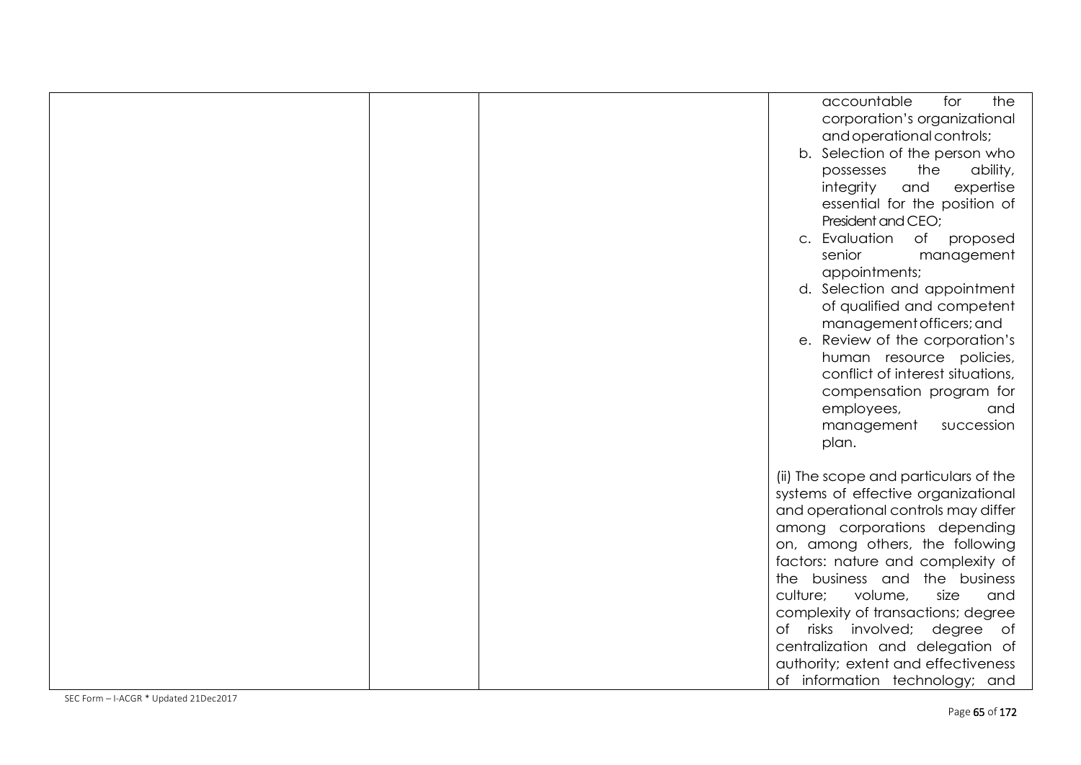|  | accountable<br>the<br>for<br>corporation's organizational<br>and operational controls;<br>b. Selection of the person who<br>ability,<br>the<br>possesses<br>integrity<br>and<br>expertise<br>essential for the position of<br>President and CEO;<br>c. Evaluation<br>of proposed<br>senior<br>management<br>appointments;<br>d. Selection and appointment<br>of qualified and competent<br>management officers; and<br>e. Review of the corporation's<br>human resource policies,<br>conflict of interest situations,<br>compensation program for<br>employees,<br>and<br>management<br>succession<br>plan. |
|--|-------------------------------------------------------------------------------------------------------------------------------------------------------------------------------------------------------------------------------------------------------------------------------------------------------------------------------------------------------------------------------------------------------------------------------------------------------------------------------------------------------------------------------------------------------------------------------------------------------------|
|  | (ii) The scope and particulars of the<br>systems of effective organizational<br>and operational controls may differ<br>among corporations depending<br>on, among others, the following<br>factors: nature and complexity of<br>the business and the business<br>volume,<br>culture;<br>size<br>and<br>complexity of transactions; degree<br>of risks involved; degree of<br>centralization and delegation of<br>authority; extent and effectiveness<br>of information technology; and                                                                                                                       |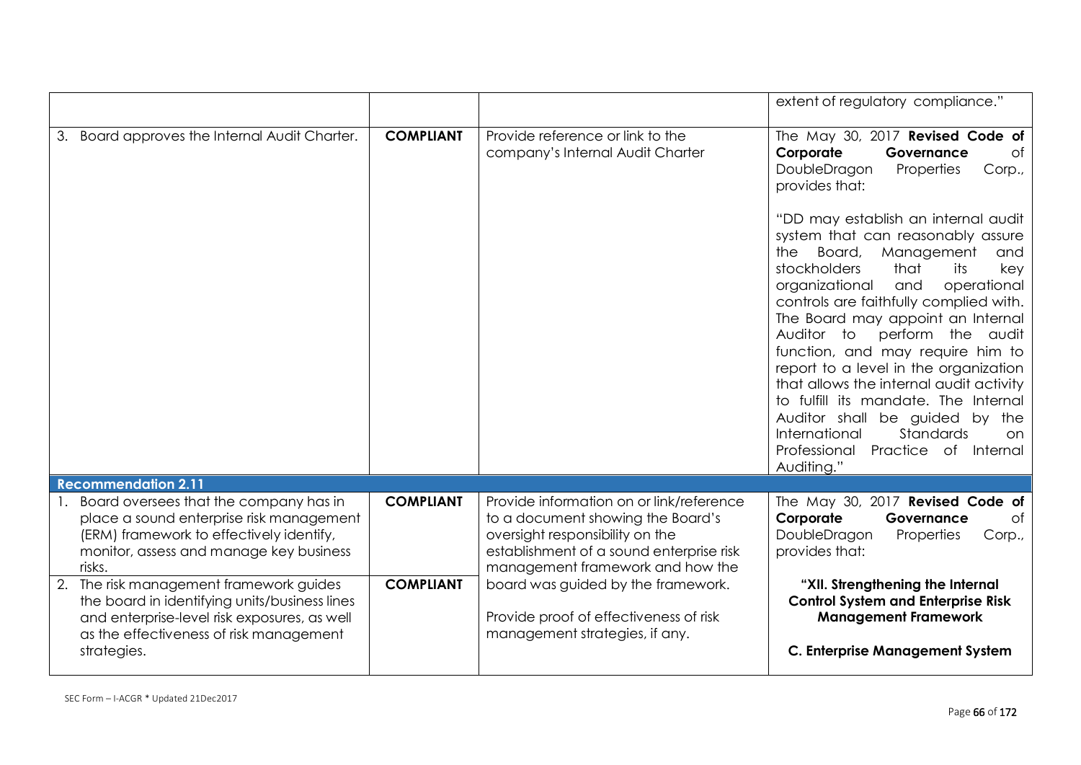|                                                                                                                                                                                                    |                  |                                                                                                                                                                                                  | extent of regulatory compliance."                                                                                                                                                                                                                                                                                                                                                                                                                                                                                                                                                                              |
|----------------------------------------------------------------------------------------------------------------------------------------------------------------------------------------------------|------------------|--------------------------------------------------------------------------------------------------------------------------------------------------------------------------------------------------|----------------------------------------------------------------------------------------------------------------------------------------------------------------------------------------------------------------------------------------------------------------------------------------------------------------------------------------------------------------------------------------------------------------------------------------------------------------------------------------------------------------------------------------------------------------------------------------------------------------|
| 3. Board approves the Internal Audit Charter.                                                                                                                                                      | <b>COMPLIANT</b> | Provide reference or link to the<br>company's Internal Audit Charter                                                                                                                             | The May 30, 2017 Revised Code of<br>of<br>Corporate<br>Governance<br>DoubleDragon<br>Properties<br>Corp.,<br>provides that:                                                                                                                                                                                                                                                                                                                                                                                                                                                                                    |
|                                                                                                                                                                                                    |                  |                                                                                                                                                                                                  | "DD may establish an internal audit<br>system that can reasonably assure<br>Board,<br>Management<br>the<br>and<br>stockholders<br>that<br>its<br>key<br>operational<br>organizational<br>and<br>controls are faithfully complied with.<br>The Board may appoint an Internal<br>Auditor to<br>perform the audit<br>function, and may require him to<br>report to a level in the organization<br>that allows the internal audit activity<br>to fulfill its mandate. The Internal<br>Auditor shall be guided by the<br>International<br>Standards<br>on.<br>Practice of<br>Professional<br>Internal<br>Auditing." |
| <b>Recommendation 2.11</b>                                                                                                                                                                         |                  |                                                                                                                                                                                                  |                                                                                                                                                                                                                                                                                                                                                                                                                                                                                                                                                                                                                |
| 1. Board oversees that the company has in<br>place a sound enterprise risk management<br>(ERM) framework to effectively identify,<br>monitor, assess and manage key business<br>risks.             | <b>COMPLIANT</b> | Provide information on or link/reference<br>to a document showing the Board's<br>oversight responsibility on the<br>establishment of a sound enterprise risk<br>management framework and how the | The May 30, 2017 Revised Code of<br>Corporate<br><b>of</b><br>Governance<br>DoubleDragon<br>Properties<br>Corp.,<br>provides that:                                                                                                                                                                                                                                                                                                                                                                                                                                                                             |
| 2. The risk management framework guides<br>the board in identifying units/business lines<br>and enterprise-level risk exposures, as well<br>as the effectiveness of risk management<br>strategies. | <b>COMPLIANT</b> | board was guided by the framework.<br>Provide proof of effectiveness of risk<br>management strategies, if any.                                                                                   | "XII. Strengthening the Internal<br><b>Control System and Enterprise Risk</b><br><b>Management Framework</b><br><b>C. Enterprise Management System</b>                                                                                                                                                                                                                                                                                                                                                                                                                                                         |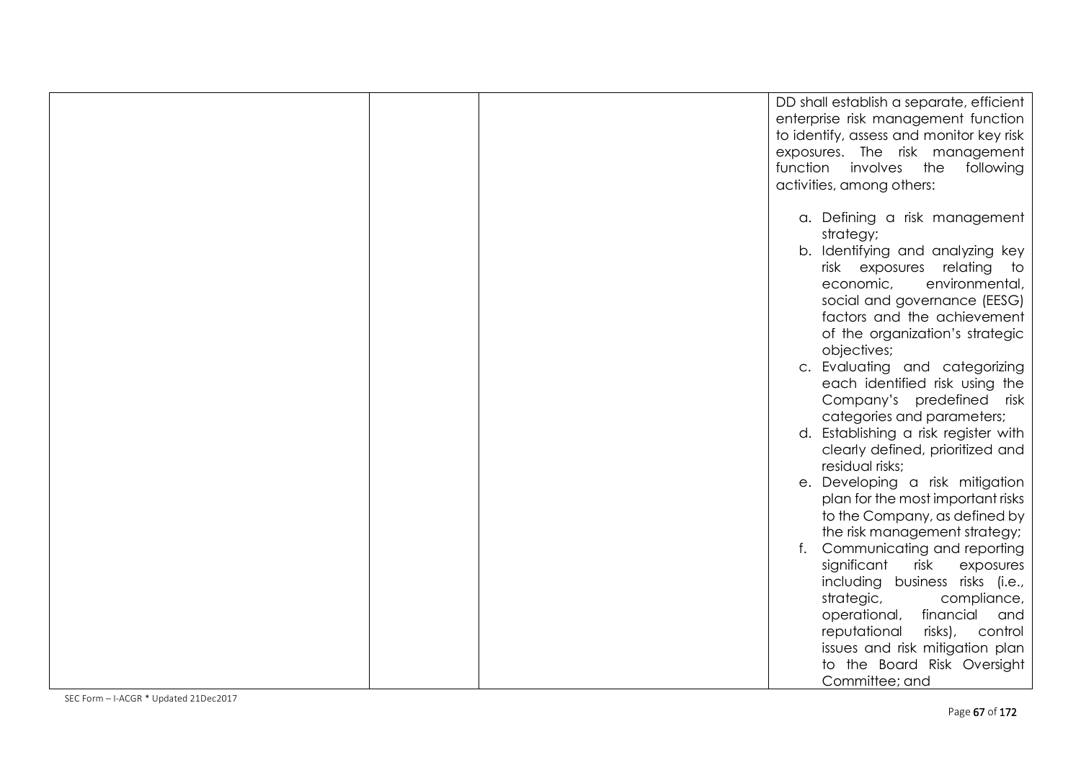|  | DD shall establish a separate, efficient<br>enterprise risk management function<br>to identify, assess and monitor key risk<br>exposures. The risk management<br>function<br>involves<br>the<br>following<br>activities, among others:                                                                                                                                                                                                                                                                                                                                                                                                                                          |
|--|---------------------------------------------------------------------------------------------------------------------------------------------------------------------------------------------------------------------------------------------------------------------------------------------------------------------------------------------------------------------------------------------------------------------------------------------------------------------------------------------------------------------------------------------------------------------------------------------------------------------------------------------------------------------------------|
|  | a. Defining a risk management<br>strategy;<br>Identifying and analyzing key<br>b.<br>risk exposures relating<br>to<br>environmental,<br>economic,<br>social and governance (EESG)<br>factors and the achievement<br>of the organization's strategic<br>objectives;<br>c. Evaluating and categorizing<br>each identified risk using the<br>Company's predefined risk<br>categories and parameters;<br>d. Establishing a risk register with<br>clearly defined, prioritized and<br>residual risks;<br>e. Developing a risk mitigation<br>plan for the most important risks<br>to the Company, as defined by<br>the risk management strategy;<br>Communicating and reporting<br>f. |
|  | significant<br>risk<br>exposures<br>including business risks (i.e.,<br>strategic,<br>compliance,<br>operational,<br>financial<br>and<br>risks),<br>reputational<br>control<br>issues and risk mitigation plan<br>to the Board Risk Oversight<br>Committee; and                                                                                                                                                                                                                                                                                                                                                                                                                  |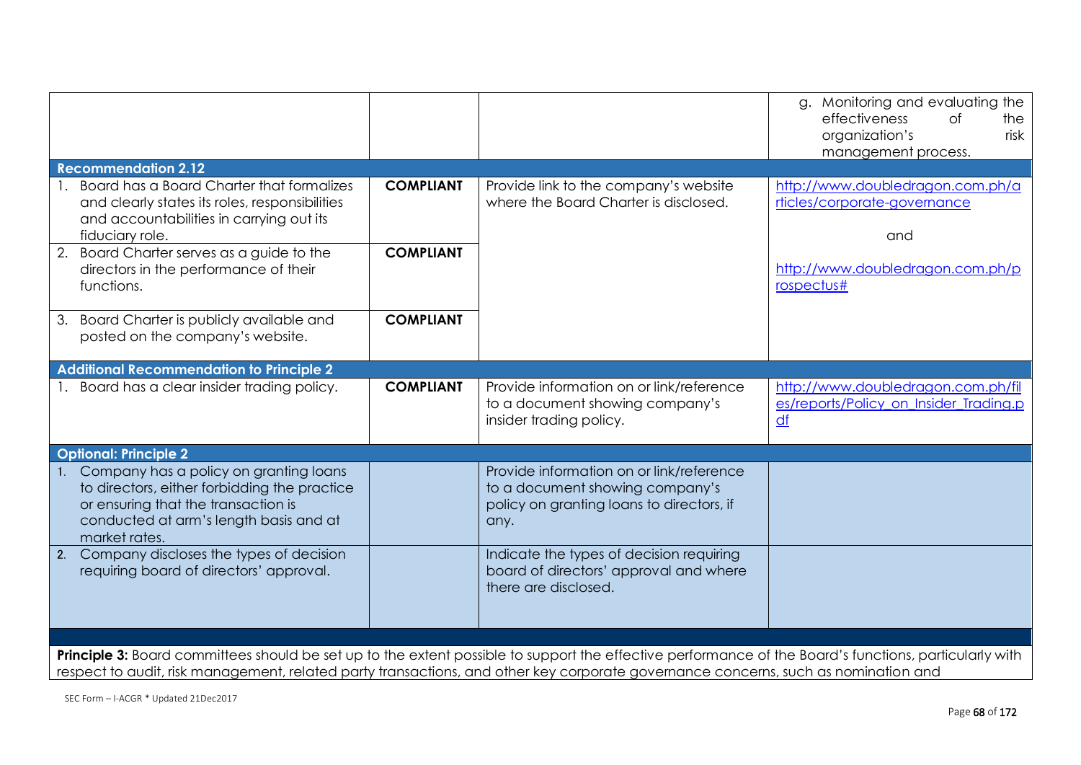|                                                                                                                                                                                                                                                                                              |                  |                                                                                                                                  | g. Monitoring and evaluating the<br>effectiveness<br><b>of</b><br>the<br>organization's<br>risk<br>management process. |
|----------------------------------------------------------------------------------------------------------------------------------------------------------------------------------------------------------------------------------------------------------------------------------------------|------------------|----------------------------------------------------------------------------------------------------------------------------------|------------------------------------------------------------------------------------------------------------------------|
| <b>Recommendation 2.12</b>                                                                                                                                                                                                                                                                   |                  |                                                                                                                                  |                                                                                                                        |
| Board has a Board Charter that formalizes<br>and clearly states its roles, responsibilities<br>and accountabilities in carrying out its<br>fiduciary role.                                                                                                                                   | <b>COMPLIANT</b> | Provide link to the company's website<br>where the Board Charter is disclosed.                                                   | http://www.doubledragon.com.ph/a<br>rticles/corporate-governance<br>and                                                |
| Board Charter serves as a guide to the<br>2.<br>directors in the performance of their<br>functions.                                                                                                                                                                                          | <b>COMPLIANT</b> |                                                                                                                                  | http://www.doubledragon.com.ph/p<br>rospectus#                                                                         |
| 3. Board Charter is publicly available and<br>posted on the company's website.                                                                                                                                                                                                               | <b>COMPLIANT</b> |                                                                                                                                  |                                                                                                                        |
| <b>Additional Recommendation to Principle 2</b>                                                                                                                                                                                                                                              |                  |                                                                                                                                  |                                                                                                                        |
| 1. Board has a clear insider trading policy.                                                                                                                                                                                                                                                 | <b>COMPLIANT</b> | Provide information on or link/reference<br>to a document showing company's<br>insider trading policy.                           | http://www.doubledragon.com.ph/fil<br>es/reports/Policy_on_Insider_Trading.p<br>$\underline{df}$                       |
| <b>Optional: Principle 2</b>                                                                                                                                                                                                                                                                 |                  |                                                                                                                                  |                                                                                                                        |
| 1. Company has a policy on granting loans<br>to directors, either forbidding the practice<br>or ensuring that the transaction is<br>conducted at arm's length basis and at<br>market rates.                                                                                                  |                  | Provide information on or link/reference<br>to a document showing company's<br>policy on granting loans to directors, if<br>any. |                                                                                                                        |
| 2. Company discloses the types of decision<br>requiring board of directors' approval.                                                                                                                                                                                                        |                  | Indicate the types of decision requiring<br>board of directors' approval and where<br>there are disclosed.                       |                                                                                                                        |
|                                                                                                                                                                                                                                                                                              |                  |                                                                                                                                  |                                                                                                                        |
| Principle 3: Board committees should be set up to the extent possible to support the effective performance of the Board's functions, particularly with<br>respect to audit, risk management, related party transactions, and other key corporate governance concerns, such as nomination and |                  |                                                                                                                                  |                                                                                                                        |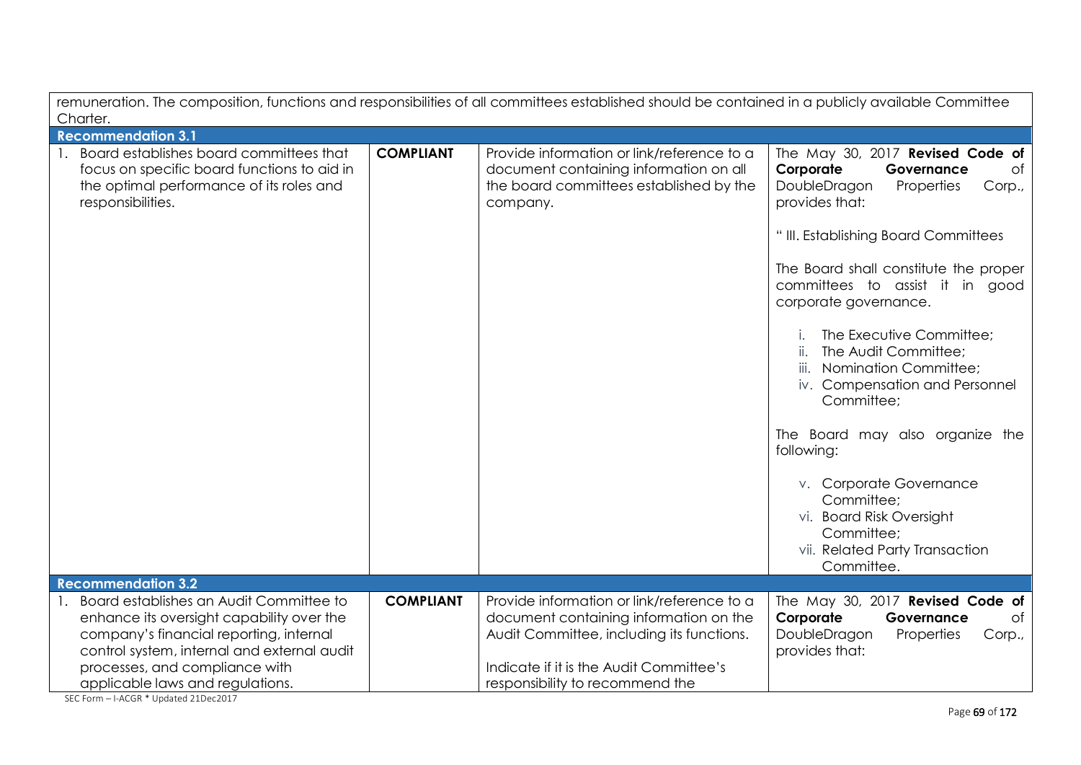| remuneration. The composition, functions and responsibilities of all committees established should be contained in a publicly available Committee<br>Charter. |                  |                                                                                                                                             |                                                                                                                                                                                                                                                                                                                                                                                                                                                                                                                                     |
|---------------------------------------------------------------------------------------------------------------------------------------------------------------|------------------|---------------------------------------------------------------------------------------------------------------------------------------------|-------------------------------------------------------------------------------------------------------------------------------------------------------------------------------------------------------------------------------------------------------------------------------------------------------------------------------------------------------------------------------------------------------------------------------------------------------------------------------------------------------------------------------------|
| <b>Recommendation 3.1</b>                                                                                                                                     |                  |                                                                                                                                             |                                                                                                                                                                                                                                                                                                                                                                                                                                                                                                                                     |
| Board establishes board committees that<br>focus on specific board functions to aid in<br>the optimal performance of its roles and<br>responsibilities.       | <b>COMPLIANT</b> | Provide information or link/reference to a<br>document containing information on all<br>the board committees established by the<br>company. | The May 30, 2017 Revised Code of<br>Corporate<br>Governance<br>of<br>DoubleDragon<br>Corp.,<br>Properties<br>provides that:<br>" III. Establishing Board Committees<br>The Board shall constitute the proper<br>committees to assist it in good<br>corporate governance.<br>The Executive Committee;<br>The Audit Committee;<br>Nomination Committee;<br>iii.<br>iv. Compensation and Personnel<br>Committee:<br>The Board may also organize the<br>following:<br>v. Corporate Governance<br>Committee;<br>vi. Board Risk Oversight |
|                                                                                                                                                               |                  |                                                                                                                                             | Committee;<br>vii. Related Party Transaction                                                                                                                                                                                                                                                                                                                                                                                                                                                                                        |
| <b>Recommendation 3.2</b>                                                                                                                                     |                  |                                                                                                                                             | Committee.                                                                                                                                                                                                                                                                                                                                                                                                                                                                                                                          |
| 1. Board establishes an Audit Committee to                                                                                                                    | <b>COMPLIANT</b> | Provide information or link/reference to a                                                                                                  | The May 30, 2017 Revised Code of                                                                                                                                                                                                                                                                                                                                                                                                                                                                                                    |
| enhance its oversight capability over the                                                                                                                     |                  | document containing information on the                                                                                                      | Corporate<br>Governance<br>of                                                                                                                                                                                                                                                                                                                                                                                                                                                                                                       |
| company's financial reporting, internal                                                                                                                       |                  | Audit Committee, including its functions.                                                                                                   | DoubleDragon<br>Properties<br>Corp.,                                                                                                                                                                                                                                                                                                                                                                                                                                                                                                |
| control system, internal and external audit                                                                                                                   |                  |                                                                                                                                             | provides that:                                                                                                                                                                                                                                                                                                                                                                                                                                                                                                                      |
| processes, and compliance with                                                                                                                                |                  | Indicate if it is the Audit Committee's                                                                                                     |                                                                                                                                                                                                                                                                                                                                                                                                                                                                                                                                     |
| applicable laws and regulations.                                                                                                                              |                  | responsibility to recommend the                                                                                                             |                                                                                                                                                                                                                                                                                                                                                                                                                                                                                                                                     |

SEC Form – I-ACGR \* Updated 21Dec2017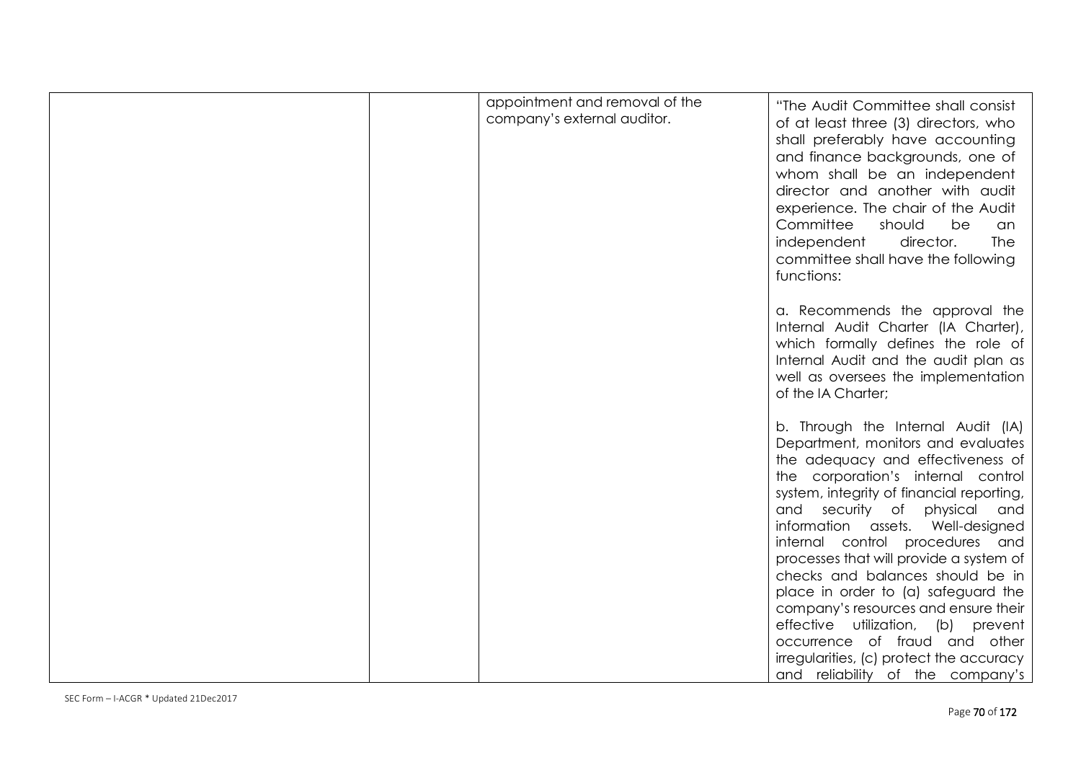| appointment and removal of the<br>company's external auditor. | "The Audit Committee shall consist<br>of at least three (3) directors, who<br>shall preferably have accounting<br>and finance backgrounds, one of<br>whom shall be an independent<br>director and another with audit<br>experience. The chair of the Audit<br>Committee<br>should<br>be<br>an<br>independent<br>director.<br><b>The</b><br>committee shall have the following<br>functions: |
|---------------------------------------------------------------|---------------------------------------------------------------------------------------------------------------------------------------------------------------------------------------------------------------------------------------------------------------------------------------------------------------------------------------------------------------------------------------------|
|                                                               | a. Recommends the approval the<br>Internal Audit Charter (IA Charter),<br>which formally defines the role of<br>Internal Audit and the audit plan as<br>well as oversees the implementation<br>of the IA Charter;                                                                                                                                                                           |
|                                                               | b. Through the Internal Audit (IA)<br>Department, monitors and evaluates<br>the adequacy and effectiveness of<br>the corporation's internal control<br>system, integrity of financial reporting,<br>and security of physical<br>and<br>information assets. Well-designed<br>internal control procedures and                                                                                 |
|                                                               | processes that will provide a system of<br>checks and balances should be in<br>place in order to (a) safeguard the<br>company's resources and ensure their<br>effective utilization, (b) prevent<br>occurrence of fraud and other<br>irregularities, (c) protect the accuracy<br>and reliability of the company's                                                                           |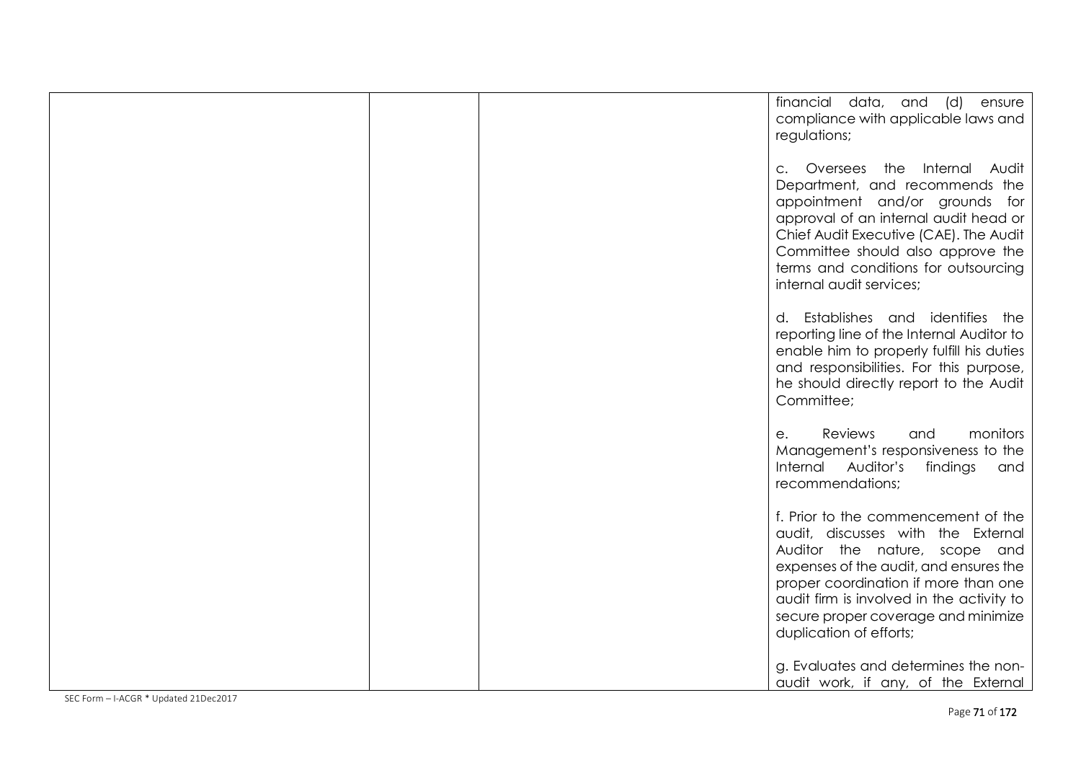|  | financial data, and (d) ensure            |
|--|-------------------------------------------|
|  | compliance with applicable laws and       |
|  | regulations;                              |
|  |                                           |
|  |                                           |
|  | c. Oversees the Internal Audit            |
|  | Department, and recommends the            |
|  | appointment and/or grounds for            |
|  |                                           |
|  | approval of an internal audit head or     |
|  | Chief Audit Executive (CAE). The Audit    |
|  | Committee should also approve the         |
|  | terms and conditions for outsourcing      |
|  | internal audit services;                  |
|  |                                           |
|  |                                           |
|  | d. Establishes and identifies the         |
|  | reporting line of the Internal Auditor to |
|  | enable him to properly fulfill his duties |
|  |                                           |
|  | and responsibilities. For this purpose,   |
|  | he should directly report to the Audit    |
|  | Committee;                                |
|  |                                           |
|  |                                           |
|  | Reviews<br>and<br>monitors<br>е.          |
|  | Management's responsiveness to the        |
|  | Internal Auditor's<br>findings<br>and     |
|  | recommendations;                          |
|  |                                           |
|  |                                           |
|  | f. Prior to the commencement of the       |
|  | audit, discusses with the External        |
|  | Auditor the nature, scope and             |
|  | expenses of the audit, and ensures the    |
|  | proper coordination if more than one      |
|  |                                           |
|  | audit firm is involved in the activity to |
|  | secure proper coverage and minimize       |
|  | duplication of efforts;                   |
|  |                                           |
|  |                                           |
|  | g. Evaluates and determines the non-      |
|  | audit work, if any, of the External       |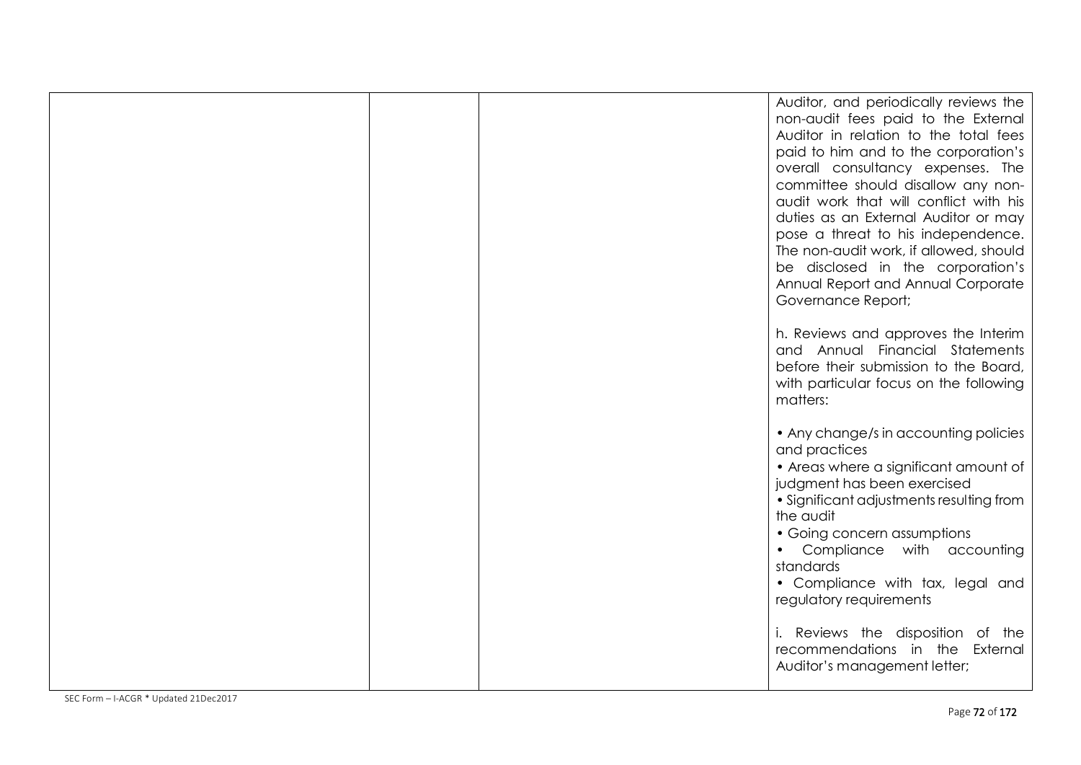|  | Auditor, and periodically reviews the<br>non-audit fees paid to the External<br>Auditor in relation to the total fees<br>paid to him and to the corporation's<br>overall consultancy expenses. The<br>committee should disallow any non-<br>audit work that will conflict with his<br>duties as an External Auditor or may<br>pose a threat to his independence.<br>The non-audit work, if allowed, should<br>be disclosed in the corporation's<br>Annual Report and Annual Corporate<br>Governance Report; |
|--|-------------------------------------------------------------------------------------------------------------------------------------------------------------------------------------------------------------------------------------------------------------------------------------------------------------------------------------------------------------------------------------------------------------------------------------------------------------------------------------------------------------|
|  | h. Reviews and approves the Interim<br>and Annual Financial Statements<br>before their submission to the Board,<br>with particular focus on the following<br>matters:                                                                                                                                                                                                                                                                                                                                       |
|  | • Any change/s in accounting policies<br>and practices<br>• Areas where a significant amount of<br>judgment has been exercised<br>• Significant adjustments resulting from<br>the audit<br>• Going concern assumptions<br>Compliance with accounting<br>standards<br>• Compliance with tax, legal and<br>regulatory requirements                                                                                                                                                                            |
|  | i. Reviews the disposition of the<br>recommendations in the External<br>Auditor's management letter;                                                                                                                                                                                                                                                                                                                                                                                                        |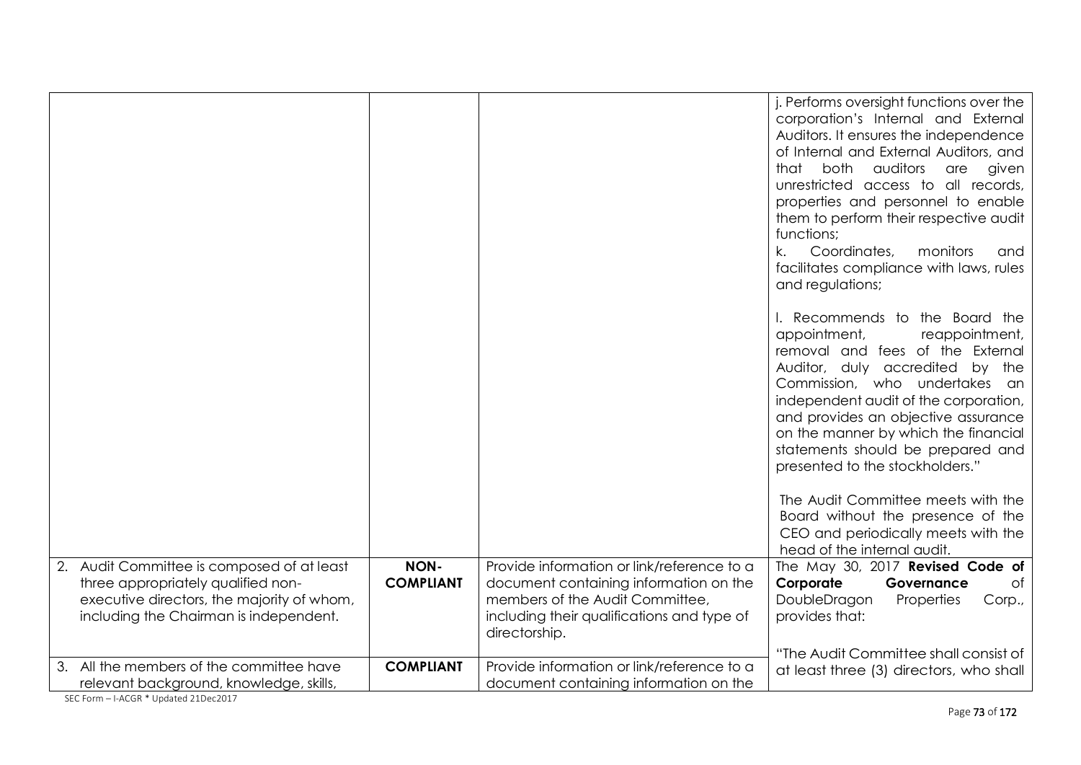|                                                                                                                                                                          |                                 |                                                                                                                                                                                        | j. Performs oversight functions over the<br>corporation's Internal and External<br>Auditors. It ensures the independence<br>of Internal and External Auditors, and<br>that both<br>auditors<br>given<br>are<br>unrestricted access to all records,<br>properties and personnel to enable<br>them to perform their respective audit<br>functions;<br>k.<br>Coordinates,<br>monitors<br>and<br>facilitates compliance with laws, rules<br>and regulations; |
|--------------------------------------------------------------------------------------------------------------------------------------------------------------------------|---------------------------------|----------------------------------------------------------------------------------------------------------------------------------------------------------------------------------------|----------------------------------------------------------------------------------------------------------------------------------------------------------------------------------------------------------------------------------------------------------------------------------------------------------------------------------------------------------------------------------------------------------------------------------------------------------|
|                                                                                                                                                                          |                                 |                                                                                                                                                                                        | I. Recommends to the Board the<br>appointment,<br>reappointment,<br>removal and fees of the External<br>Auditor, duly accredited<br>the<br>by<br>Commission, who undertakes<br>an<br>independent audit of the corporation,<br>and provides an objective assurance<br>on the manner by which the financial<br>statements should be prepared and<br>presented to the stockholders."                                                                        |
|                                                                                                                                                                          |                                 |                                                                                                                                                                                        | The Audit Committee meets with the<br>Board without the presence of the<br>CEO and periodically meets with the<br>head of the internal audit.                                                                                                                                                                                                                                                                                                            |
| 2. Audit Committee is composed of at least<br>three appropriately qualified non-<br>executive directors, the majority of whom,<br>including the Chairman is independent. | <b>NON-</b><br><b>COMPLIANT</b> | Provide information or link/reference to a<br>document containing information on the<br>members of the Audit Committee,<br>including their qualifications and type of<br>directorship. | The May 30, 2017 Revised Code of<br>Corporate<br>Governance<br>Оf<br>DoubleDragon<br>Properties<br>Corp.,<br>provides that:                                                                                                                                                                                                                                                                                                                              |
| 3. All the members of the committee have<br>relevant background, knowledge, skills,                                                                                      | <b>COMPLIANT</b>                | Provide information or link/reference to a<br>document containing information on the                                                                                                   | "The Audit Committee shall consist of<br>at least three (3) directors, who shall                                                                                                                                                                                                                                                                                                                                                                         |

SEC Form – I-ACGR \* Updated 21Dec2017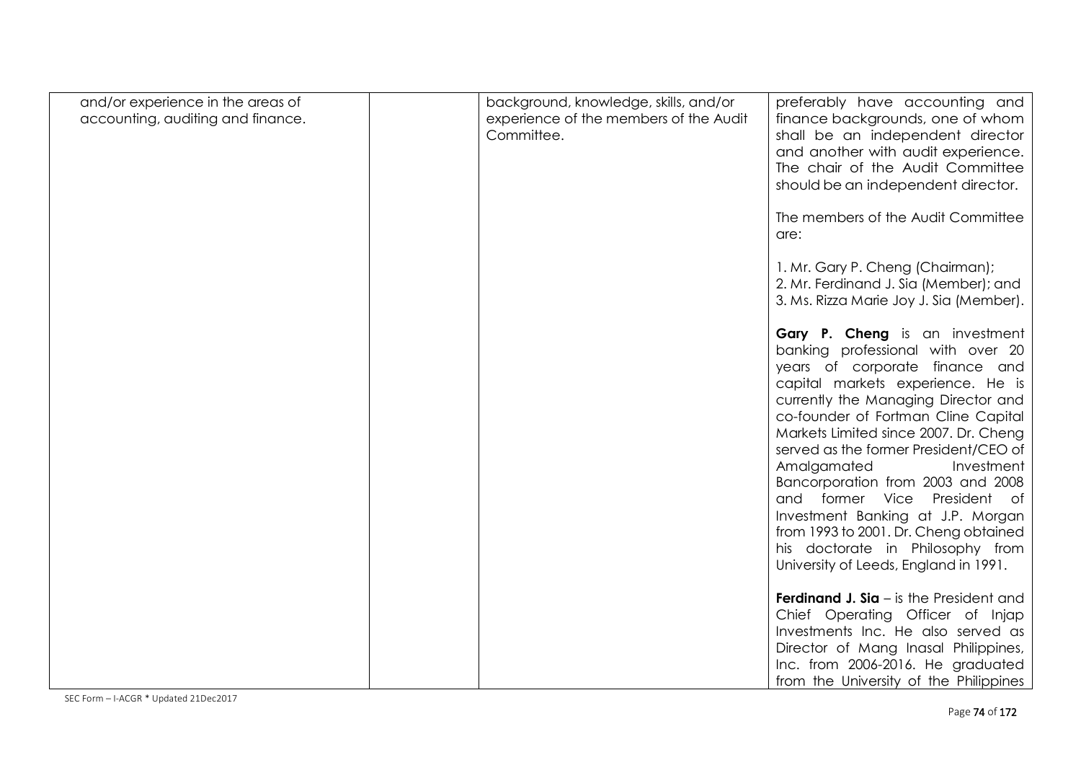| and/or experience in the areas of<br>accounting, auditing and finance. | background, knowledge, skills, and/or<br>experience of the members of the Audit<br>Committee. | preferably have accounting and<br>finance backgrounds, one of whom<br>shall be an independent director<br>and another with audit experience.<br>The chair of the Audit Committee<br>should be an independent director.                                                                                                                                                                                                                                                                                                                                                  |
|------------------------------------------------------------------------|-----------------------------------------------------------------------------------------------|-------------------------------------------------------------------------------------------------------------------------------------------------------------------------------------------------------------------------------------------------------------------------------------------------------------------------------------------------------------------------------------------------------------------------------------------------------------------------------------------------------------------------------------------------------------------------|
|                                                                        |                                                                                               | The members of the Audit Committee<br>are:                                                                                                                                                                                                                                                                                                                                                                                                                                                                                                                              |
|                                                                        |                                                                                               | 1. Mr. Gary P. Cheng (Chairman);<br>2. Mr. Ferdinand J. Sia (Member); and<br>3. Ms. Rizza Marie Joy J. Sia (Member).                                                                                                                                                                                                                                                                                                                                                                                                                                                    |
|                                                                        |                                                                                               | Gary P. Cheng is an investment<br>banking professional with over 20<br>years of corporate finance and<br>capital markets experience. He is<br>currently the Managing Director and<br>co-founder of Fortman Cline Capital<br>Markets Limited since 2007. Dr. Cheng<br>served as the former President/CEO of<br>Amalgamated<br>Investment<br>Bancorporation from 2003 and 2008<br>and former Vice President of<br>Investment Banking at J.P. Morgan<br>from 1993 to 2001. Dr. Cheng obtained<br>his doctorate in Philosophy from<br>University of Leeds, England in 1991. |
|                                                                        |                                                                                               | <b>Ferdinand J. Sia</b> – is the President and<br>Chief Operating Officer of Injap<br>Investments Inc. He also served as<br>Director of Mang Inasal Philippines,<br>Inc. from 2006-2016. He graduated<br>from the University of the Philippines                                                                                                                                                                                                                                                                                                                         |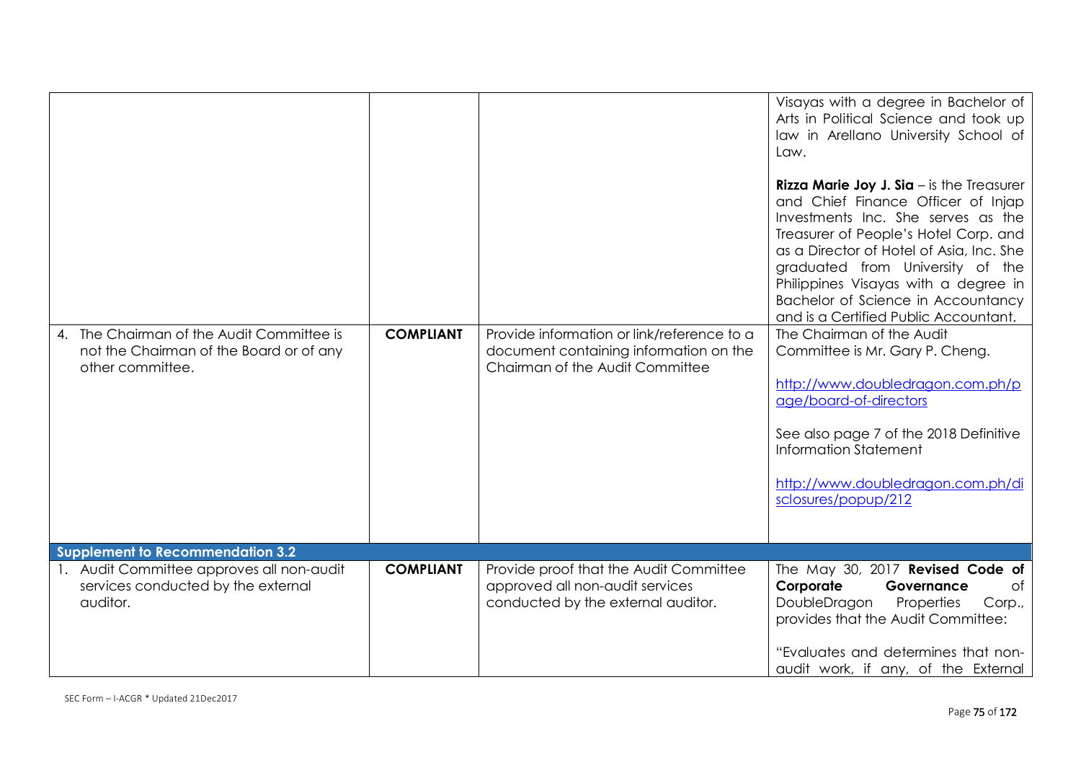| 4. The Chairman of the Audit Committee is<br>not the Chairman of the Board or of any<br>other committee. | <b>COMPLIANT</b> | Provide information or link/reference to a<br>document containing information on the<br>Chairman of the Audit Committee | Visayas with a degree in Bachelor of<br>Arts in Political Science and took up<br>law in Arellano University School of<br>Law.<br><b>Rizza Marie Joy J. Sia</b> $-$ is the Treasurer<br>and Chief Finance Officer of Injap<br>Investments Inc. She serves as the<br>Treasurer of People's Hotel Corp. and<br>as a Director of Hotel of Asia, Inc. She<br>graduated from University of the<br>Philippines Visayas with a degree in<br>Bachelor of Science in Accountancy<br>and is a Certified Public Accountant.<br>The Chairman of the Audit<br>Committee is Mr. Gary P. Cheng.<br>http://www.doubledragon.com.ph/p<br>age/board-of-directors<br>See also page 7 of the 2018 Definitive<br>Information Statement<br>http://www.doubledragon.com.ph/di<br>sclosures/popup/212 |
|----------------------------------------------------------------------------------------------------------|------------------|-------------------------------------------------------------------------------------------------------------------------|------------------------------------------------------------------------------------------------------------------------------------------------------------------------------------------------------------------------------------------------------------------------------------------------------------------------------------------------------------------------------------------------------------------------------------------------------------------------------------------------------------------------------------------------------------------------------------------------------------------------------------------------------------------------------------------------------------------------------------------------------------------------------|
| Supplement to Recommendation 3.2                                                                         |                  |                                                                                                                         |                                                                                                                                                                                                                                                                                                                                                                                                                                                                                                                                                                                                                                                                                                                                                                              |
| 1. Audit Committee approves all non-audit<br>services conducted by the external<br>auditor.              | <b>COMPLIANT</b> | Provide proof that the Audit Committee<br>approved all non-audit services<br>conducted by the external auditor.         | The May 30, 2017 Revised Code of<br>Corporate<br>Governance<br>Оf<br>DoubleDragon<br>Properties<br>Corp.,<br>provides that the Audit Committee:<br>"Evaluates and determines that non-<br>audit work, if any, of the External                                                                                                                                                                                                                                                                                                                                                                                                                                                                                                                                                |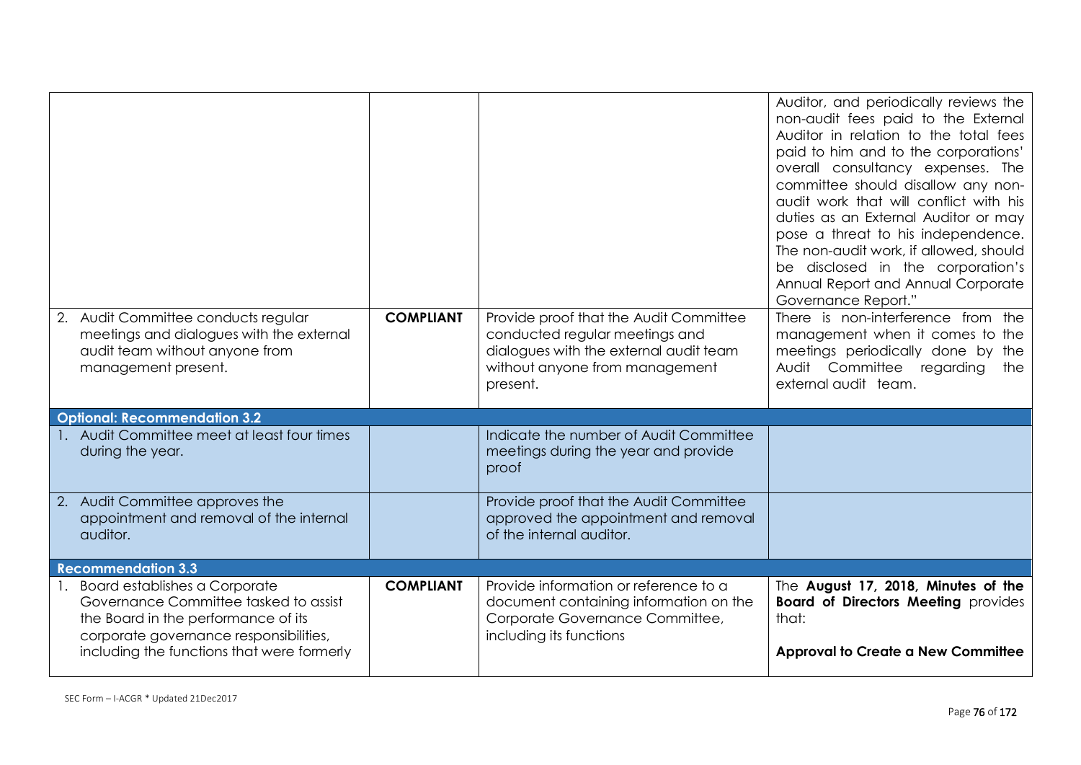| 2. Audit Committee conducts regular<br>meetings and dialogues with the external<br>audit team without anyone from<br>management present.                                                                 | <b>COMPLIANT</b> | Provide proof that the Audit Committee<br>conducted regular meetings and<br>dialogues with the external audit team<br>without anyone from management<br>present. | Auditor, and periodically reviews the<br>non-audit fees paid to the External<br>Auditor in relation to the total fees<br>paid to him and to the corporations'<br>overall consultancy expenses. The<br>committee should disallow any non-<br>audit work that will conflict with his<br>duties as an External Auditor or may<br>pose a threat to his independence.<br>The non-audit work, if allowed, should<br>be disclosed in the corporation's<br>Annual Report and Annual Corporate<br>Governance Report."<br>There is non-interference from the<br>management when it comes to the<br>meetings periodically done by the<br>Audit Committee regarding<br>the<br>external audit team. |
|----------------------------------------------------------------------------------------------------------------------------------------------------------------------------------------------------------|------------------|------------------------------------------------------------------------------------------------------------------------------------------------------------------|----------------------------------------------------------------------------------------------------------------------------------------------------------------------------------------------------------------------------------------------------------------------------------------------------------------------------------------------------------------------------------------------------------------------------------------------------------------------------------------------------------------------------------------------------------------------------------------------------------------------------------------------------------------------------------------|
| <b>Optional: Recommendation 3.2</b>                                                                                                                                                                      |                  |                                                                                                                                                                  |                                                                                                                                                                                                                                                                                                                                                                                                                                                                                                                                                                                                                                                                                        |
| 1. Audit Committee meet at least four times<br>during the year.                                                                                                                                          |                  | Indicate the number of Audit Committee<br>meetings during the year and provide<br>proof                                                                          |                                                                                                                                                                                                                                                                                                                                                                                                                                                                                                                                                                                                                                                                                        |
| 2. Audit Committee approves the<br>appointment and removal of the internal<br>auditor.                                                                                                                   |                  | Provide proof that the Audit Committee<br>approved the appointment and removal<br>of the internal auditor.                                                       |                                                                                                                                                                                                                                                                                                                                                                                                                                                                                                                                                                                                                                                                                        |
| <b>Recommendation 3.3</b>                                                                                                                                                                                |                  |                                                                                                                                                                  |                                                                                                                                                                                                                                                                                                                                                                                                                                                                                                                                                                                                                                                                                        |
| 1. Board establishes a Corporate<br>Governance Committee tasked to assist<br>the Board in the performance of its<br>corporate governance responsibilities,<br>including the functions that were formerly | <b>COMPLIANT</b> | Provide information or reference to a<br>document containing information on the<br>Corporate Governance Committee,<br>including its functions                    | The August 17, 2018, Minutes of the<br><b>Board of Directors Meeting provides</b><br>that:<br><b>Approval to Create a New Committee</b>                                                                                                                                                                                                                                                                                                                                                                                                                                                                                                                                                |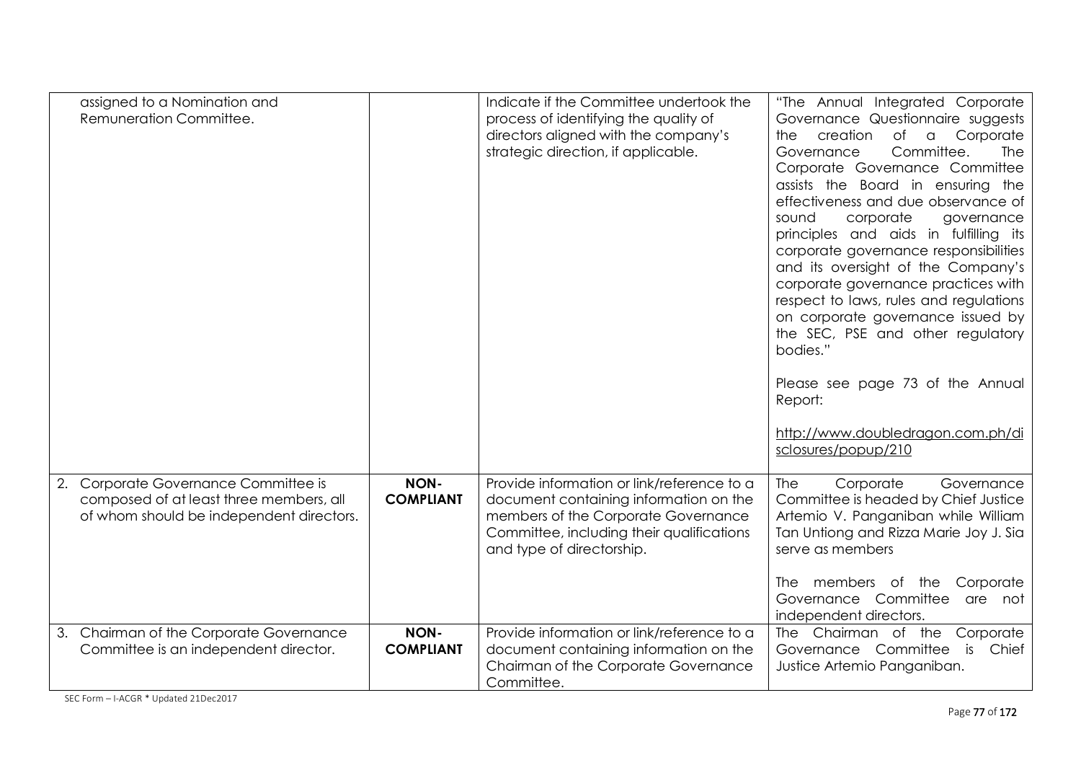| assigned to a Nomination and<br>Remuneration Committee.                                                                     |                          | Indicate if the Committee undertook the<br>process of identifying the quality of<br>directors aligned with the company's<br>strategic direction, if applicable.                                       | "The Annual Integrated Corporate<br>Governance Questionnaire suggests<br>creation<br>of<br>Corporate<br>$\alpha$<br>the.<br>Committee.<br>Governance<br><b>The</b><br>Corporate Governance Committee<br>assists the Board in ensuring the<br>effectiveness and due observance of<br>corporate<br>sound<br>governance<br>principles and aids in fulfilling its<br>corporate governance responsibilities<br>and its oversight of the Company's<br>corporate governance practices with<br>respect to laws, rules and regulations<br>on corporate governance issued by<br>the SEC, PSE and other regulatory<br>bodies."<br>Please see page 73 of the Annual<br>Report: |
|-----------------------------------------------------------------------------------------------------------------------------|--------------------------|-------------------------------------------------------------------------------------------------------------------------------------------------------------------------------------------------------|--------------------------------------------------------------------------------------------------------------------------------------------------------------------------------------------------------------------------------------------------------------------------------------------------------------------------------------------------------------------------------------------------------------------------------------------------------------------------------------------------------------------------------------------------------------------------------------------------------------------------------------------------------------------|
|                                                                                                                             |                          |                                                                                                                                                                                                       | http://www.doubledragon.com.ph/di<br>sclosures/popup/210                                                                                                                                                                                                                                                                                                                                                                                                                                                                                                                                                                                                           |
| 2. Corporate Governance Committee is<br>composed of at least three members, all<br>of whom should be independent directors. | NON-<br><b>COMPLIANT</b> | Provide information or link/reference to a<br>document containing information on the<br>members of the Corporate Governance<br>Committee, including their qualifications<br>and type of directorship. | Corporate<br>Governance<br>The<br>Committee is headed by Chief Justice<br>Artemio V. Panganiban while William<br>Tan Untiong and Rizza Marie Joy J. Sia<br>serve as members<br>Corporate<br>The members of the<br>Governance Committee<br>are not<br>independent directors.                                                                                                                                                                                                                                                                                                                                                                                        |
| 3. Chairman of the Corporate Governance<br>Committee is an independent director.                                            | NON-<br><b>COMPLIANT</b> | Provide information or link/reference to a<br>document containing information on the<br>Chairman of the Corporate Governance<br>Committee.                                                            | The Chairman of the Corporate<br>is<br>Chief<br>Governance Committee<br>Justice Artemio Panganiban.                                                                                                                                                                                                                                                                                                                                                                                                                                                                                                                                                                |

SEC Form – I-ACGR \* Updated 21Dec2017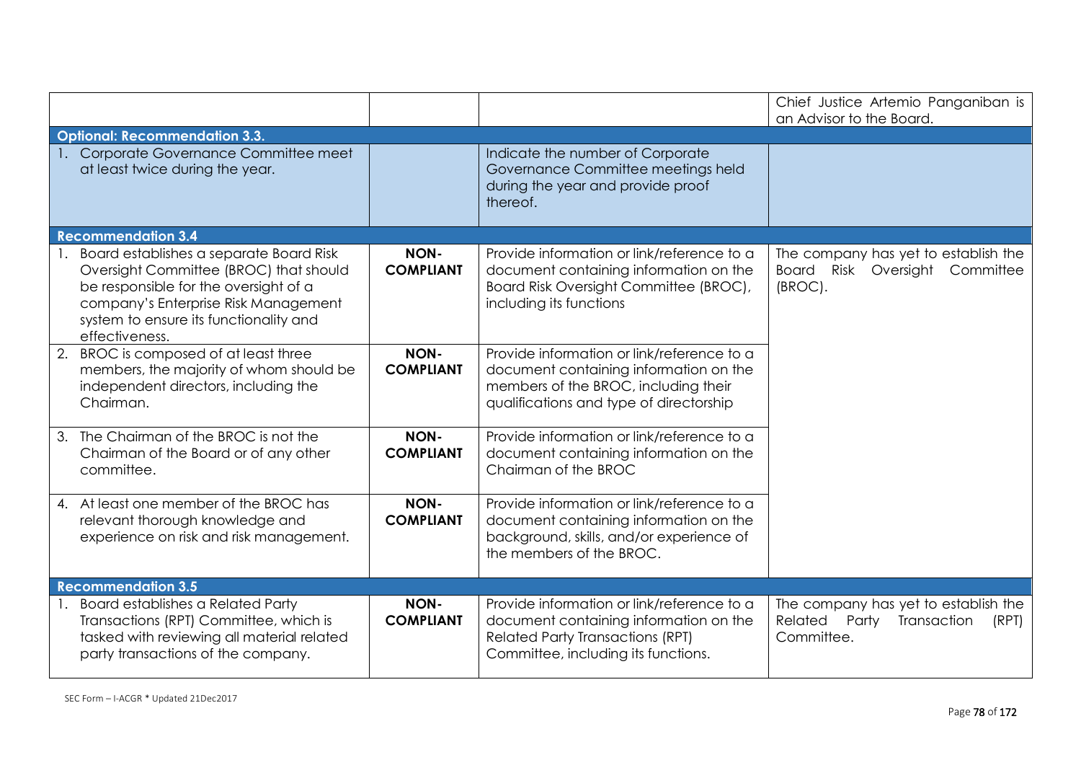|                                                                                                                                                                                                                                |                                 |                                                                                                                                                                         | Chief Justice Artemio Panganiban is<br>an Advisor to the Board.                             |
|--------------------------------------------------------------------------------------------------------------------------------------------------------------------------------------------------------------------------------|---------------------------------|-------------------------------------------------------------------------------------------------------------------------------------------------------------------------|---------------------------------------------------------------------------------------------|
| <b>Optional: Recommendation 3.3.</b>                                                                                                                                                                                           |                                 |                                                                                                                                                                         |                                                                                             |
| 1. Corporate Governance Committee meet<br>at least twice during the year.                                                                                                                                                      |                                 | Indicate the number of Corporate<br>Governance Committee meetings held<br>during the year and provide proof<br>thereof.                                                 |                                                                                             |
| <b>Recommendation 3.4</b>                                                                                                                                                                                                      |                                 |                                                                                                                                                                         |                                                                                             |
| Board establishes a separate Board Risk<br>Oversight Committee (BROC) that should<br>be responsible for the oversight of a<br>company's Enterprise Risk Management<br>system to ensure its functionality and<br>effectiveness. | <b>NON-</b><br><b>COMPLIANT</b> | Provide information or link/reference to a<br>document containing information on the<br>Board Risk Oversight Committee (BROC),<br>including its functions               | The company has yet to establish the<br>Board Risk Oversight<br>Committee<br>(BROC).        |
| 2. BROC is composed of at least three<br>members, the majority of whom should be<br>independent directors, including the<br>Chairman.                                                                                          | <b>NON-</b><br><b>COMPLIANT</b> | Provide information or link/reference to a<br>document containing information on the<br>members of the BROC, including their<br>qualifications and type of directorship |                                                                                             |
| 3. The Chairman of the BROC is not the<br>Chairman of the Board or of any other<br>committee.                                                                                                                                  | <b>NON-</b><br><b>COMPLIANT</b> | Provide information or link/reference to a<br>document containing information on the<br>Chairman of the BROC                                                            |                                                                                             |
| 4. At least one member of the BROC has<br>relevant thorough knowledge and<br>experience on risk and risk management.                                                                                                           | <b>NON-</b><br><b>COMPLIANT</b> | Provide information or link/reference to a<br>document containing information on the<br>background, skills, and/or experience of<br>the members of the BROC.            |                                                                                             |
| <b>Recommendation 3.5</b>                                                                                                                                                                                                      |                                 |                                                                                                                                                                         |                                                                                             |
| 1. Board establishes a Related Party<br>Transactions (RPT) Committee, which is<br>tasked with reviewing all material related<br>party transactions of the company.                                                             | NON-<br><b>COMPLIANT</b>        | Provide information or link/reference to a<br>document containing information on the<br><b>Related Party Transactions (RPT)</b><br>Committee, including its functions.  | The company has yet to establish the<br>Related Party<br>Transaction<br>(RPT)<br>Committee. |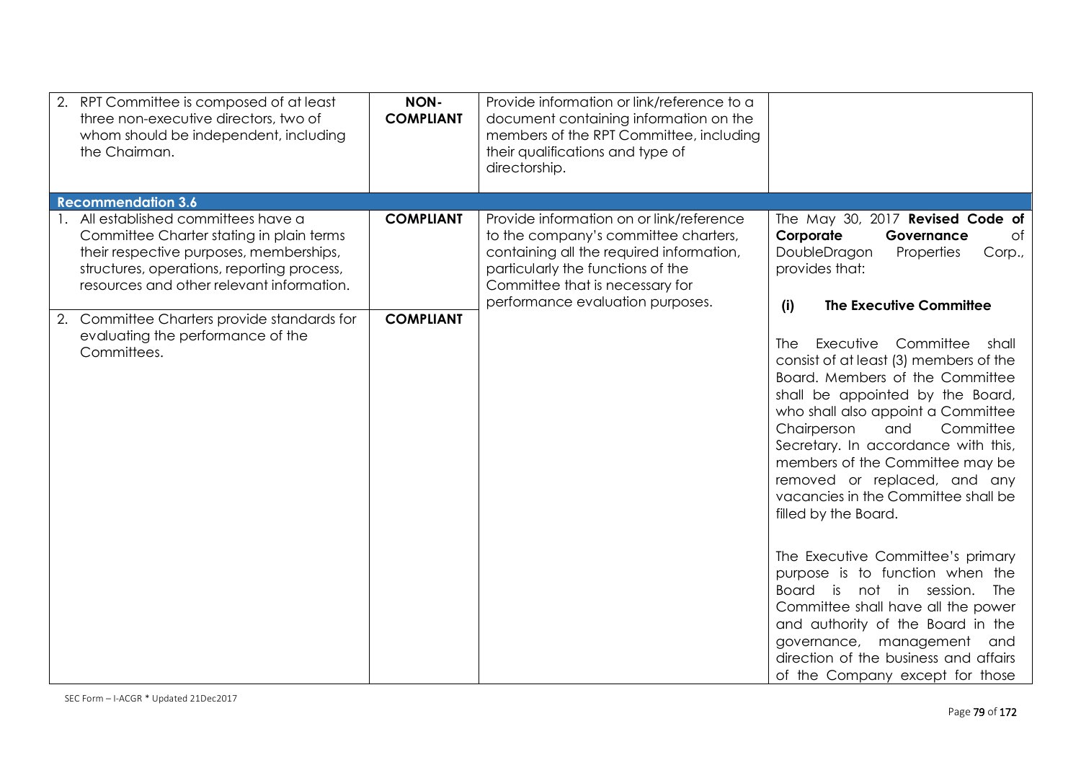|                  | document containing information on the<br>members of the RPT Committee, including<br>their qualifications and type of<br>directorship.                                                       |                                                                                                                                                                                                                                                                                                                                                                                                                                                                                                                                                                                                                                       |
|------------------|----------------------------------------------------------------------------------------------------------------------------------------------------------------------------------------------|---------------------------------------------------------------------------------------------------------------------------------------------------------------------------------------------------------------------------------------------------------------------------------------------------------------------------------------------------------------------------------------------------------------------------------------------------------------------------------------------------------------------------------------------------------------------------------------------------------------------------------------|
|                  |                                                                                                                                                                                              |                                                                                                                                                                                                                                                                                                                                                                                                                                                                                                                                                                                                                                       |
| <b>COMPLIANT</b> | to the company's committee charters,<br>containing all the required information,<br>particularly the functions of the<br>Committee that is necessary for<br>performance evaluation purposes. | The May 30, 2017 Revised Code of<br>Corporate<br>of<br>Governance<br>DoubleDragon<br>Properties<br>Corp.,<br>provides that:<br><b>The Executive Committee</b><br>(i)                                                                                                                                                                                                                                                                                                                                                                                                                                                                  |
| <b>COMPLIANT</b> |                                                                                                                                                                                              | Committee<br>Executive<br>shall<br>The I<br>consist of at least (3) members of the<br>Board. Members of the Committee<br>shall be appointed by the Board,<br>who shall also appoint a Committee<br>Committee<br>Chairperson<br>and<br>Secretary. In accordance with this,<br>members of the Committee may be<br>removed or replaced, and any<br>vacancies in the Committee shall be<br>filled by the Board.<br>The Executive Committee's primary<br>purpose is to function when the<br>Board is<br>not in session.<br>The<br>Committee shall have all the power<br>and authority of the Board in the<br>governance, management<br>and |
|                  |                                                                                                                                                                                              | Provide information on or link/reference                                                                                                                                                                                                                                                                                                                                                                                                                                                                                                                                                                                              |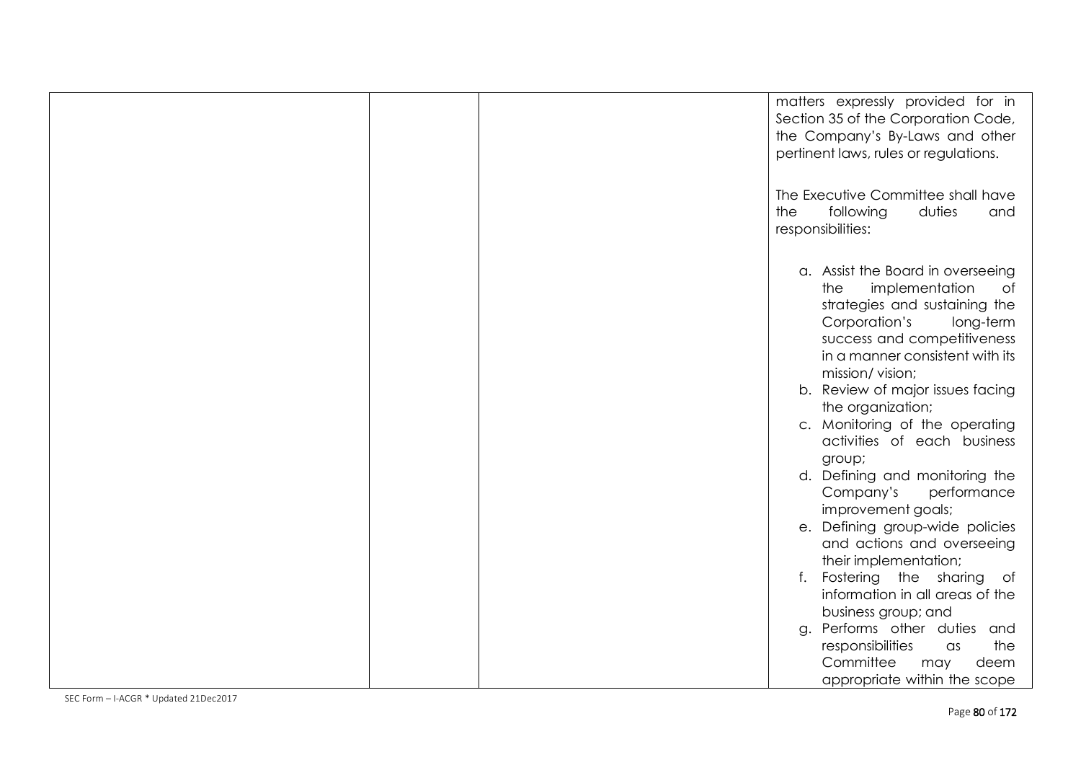|  | matters expressly provided for in<br>Section 35 of the Corporation Code,<br>the Company's By-Laws and other<br>pertinent laws, rules or regulations.                                                                 |
|--|----------------------------------------------------------------------------------------------------------------------------------------------------------------------------------------------------------------------|
|  | The Executive Committee shall have<br>the<br>following<br>duties<br>and<br>responsibilities:                                                                                                                         |
|  | a. Assist the Board in overseeing<br>implementation<br>the<br>of<br>strategies and sustaining the<br>Corporation's<br>long-term<br>success and competitiveness<br>in a manner consistent with its<br>mission/vision; |
|  | b. Review of major issues facing<br>the organization;<br>c. Monitoring of the operating<br>activities of each business                                                                                               |
|  | group;<br>d. Defining and monitoring the<br>Company's<br>performance<br>improvement goals;                                                                                                                           |
|  | e. Defining group-wide policies<br>and actions and overseeing<br>their implementation;                                                                                                                               |
|  | Fostering the sharing of<br>f.<br>information in all areas of the<br>business group; and                                                                                                                             |
|  | Performs other duties and<br>g.<br>responsibilities<br>the<br>$\alpha$ s<br>Committee<br>deem<br>may<br>appropriate within the scope                                                                                 |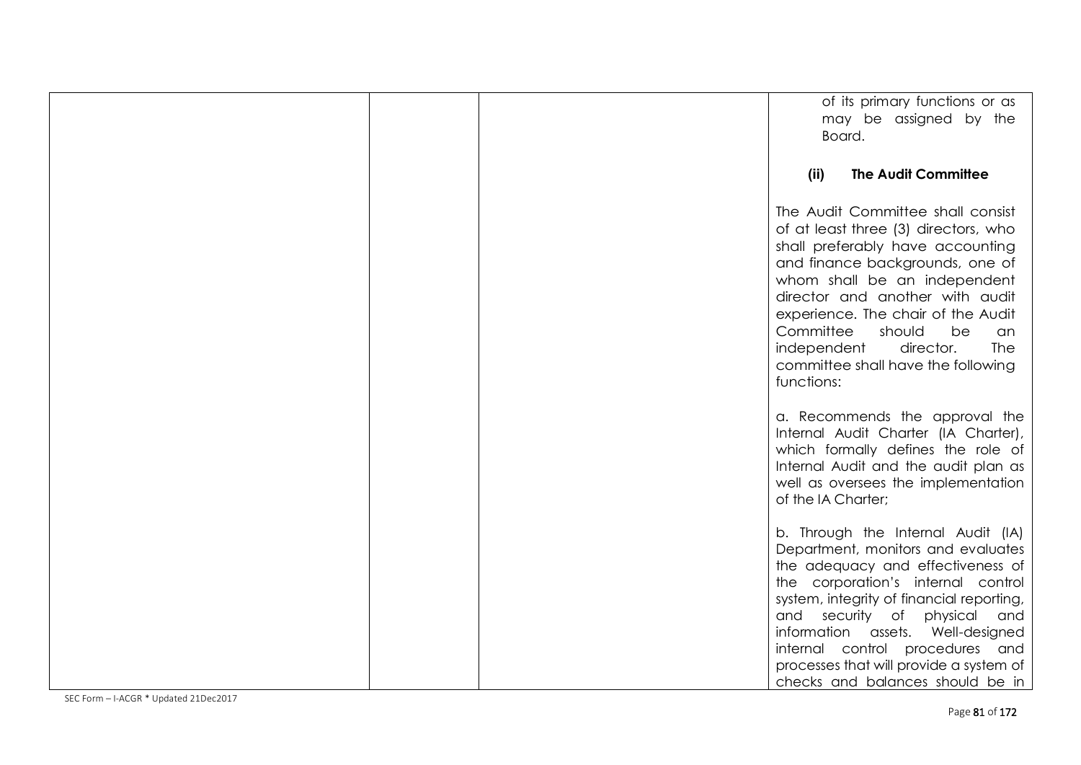|  | of its primary functions or as<br>may be assigned by the<br>Board.                                                                                                                                                                                                                                                                                                                         |
|--|--------------------------------------------------------------------------------------------------------------------------------------------------------------------------------------------------------------------------------------------------------------------------------------------------------------------------------------------------------------------------------------------|
|  | <b>The Audit Committee</b><br>(ii)                                                                                                                                                                                                                                                                                                                                                         |
|  | The Audit Committee shall consist<br>of at least three (3) directors, who<br>shall preferably have accounting<br>and finance backgrounds, one of<br>whom shall be an independent<br>director and another with audit<br>experience. The chair of the Audit<br>Committee<br>should<br>be<br>an<br><b>The</b><br>independent<br>director.<br>committee shall have the following<br>functions: |
|  | a. Recommends the approval the<br>Internal Audit Charter (IA Charter),<br>which formally defines the role of<br>Internal Audit and the audit plan as<br>well as oversees the implementation<br>of the IA Charter;                                                                                                                                                                          |
|  | b. Through the Internal Audit (IA)<br>Department, monitors and evaluates<br>the adequacy and effectiveness of<br>the corporation's internal control<br>system, integrity of financial reporting,<br>and security of physical and<br>information assets. Well-designed<br>internal control procedures and<br>processes that will provide a system of<br>checks and balances should be in    |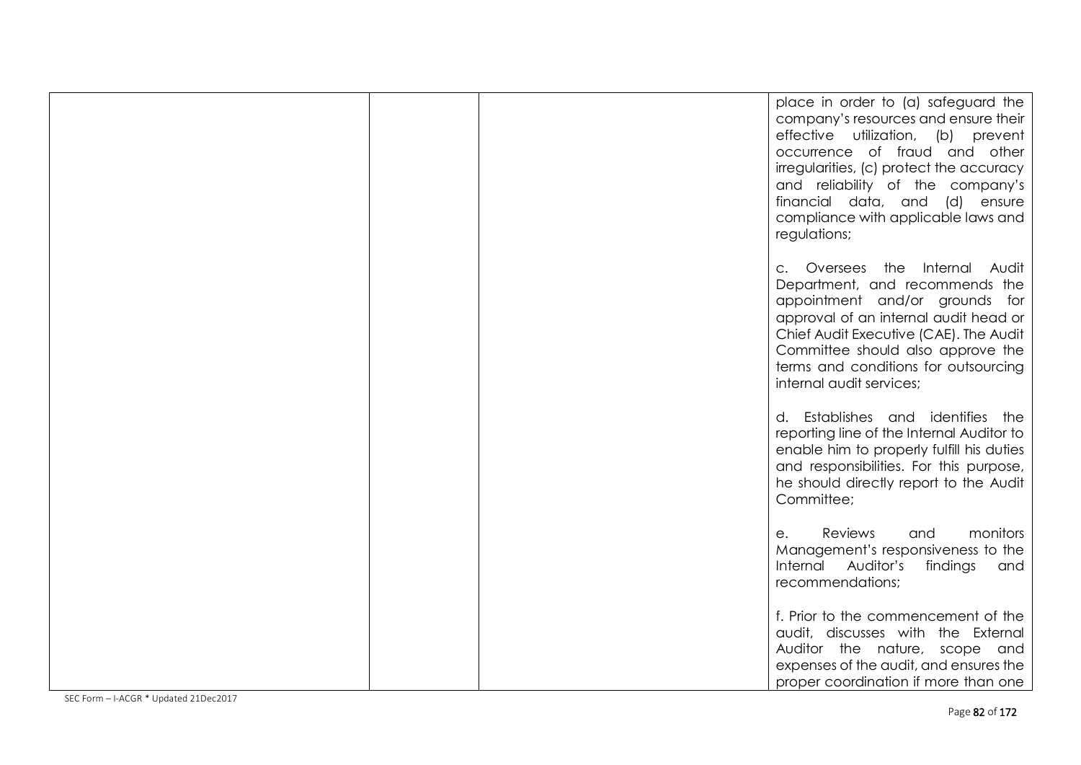|  | place in order to (a) safeguard the<br>company's resources and ensure their<br>effective utilization, (b) prevent<br>occurrence of fraud and other<br>irregularities, (c) protect the accuracy<br>and reliability of the company's<br>financial data, and (d) ensure<br>compliance with applicable laws and<br>regulations; |
|--|-----------------------------------------------------------------------------------------------------------------------------------------------------------------------------------------------------------------------------------------------------------------------------------------------------------------------------|
|  | c. Oversees the Internal Audit<br>Department, and recommends the<br>appointment and/or grounds for<br>approval of an internal audit head or<br>Chief Audit Executive (CAE). The Audit<br>Committee should also approve the<br>terms and conditions for outsourcing<br>internal audit services;                              |
|  | d. Establishes and identifies the<br>reporting line of the Internal Auditor to<br>enable him to properly fulfill his duties<br>and responsibilities. For this purpose,<br>he should directly report to the Audit<br>Committee;                                                                                              |
|  | monitors<br>Reviews<br>and<br>$e_{1}$<br>Management's responsiveness to the<br>Internal Auditor's<br>findings<br>and<br>recommendations;                                                                                                                                                                                    |
|  | f. Prior to the commencement of the<br>audit, discusses with the External<br>Auditor the nature, scope and<br>expenses of the audit, and ensures the<br>proper coordination if more than one                                                                                                                                |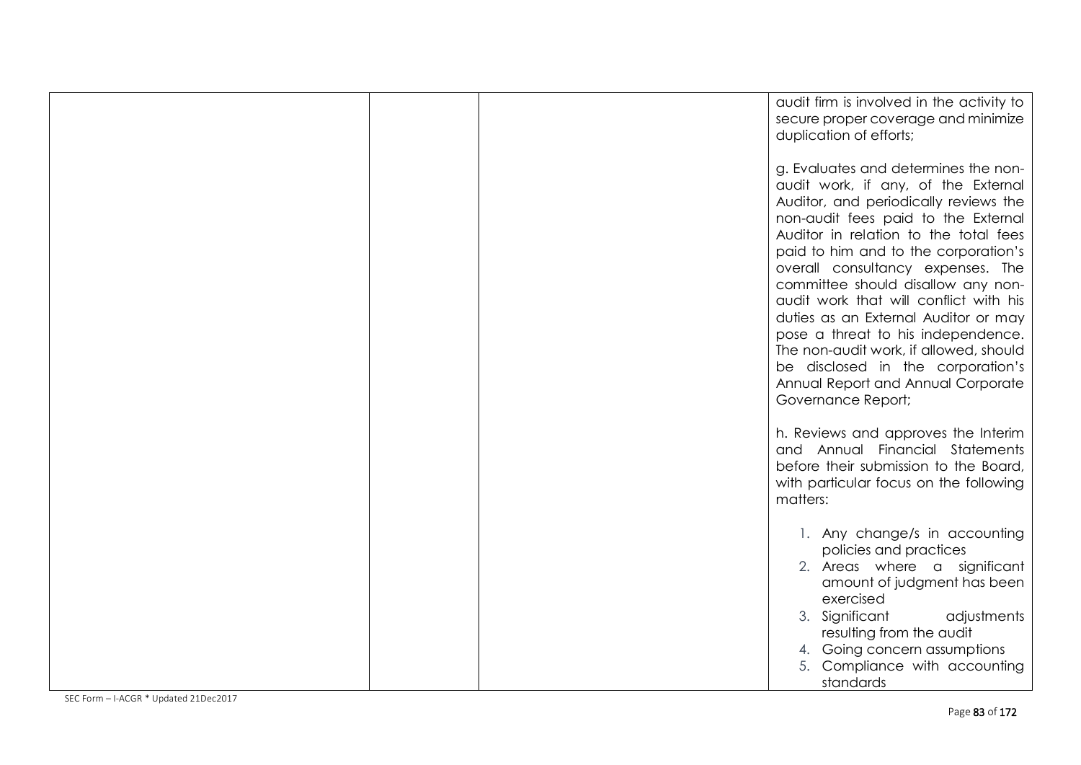|  | audit firm is involved in the activity to<br>secure proper coverage and minimize<br>duplication of efforts;                                                                                                                                                                                                                                                                                                                                                                                                                                                                                |
|--|--------------------------------------------------------------------------------------------------------------------------------------------------------------------------------------------------------------------------------------------------------------------------------------------------------------------------------------------------------------------------------------------------------------------------------------------------------------------------------------------------------------------------------------------------------------------------------------------|
|  | g. Evaluates and determines the non-<br>audit work, if any, of the External<br>Auditor, and periodically reviews the<br>non-audit fees paid to the External<br>Auditor in relation to the total fees<br>paid to him and to the corporation's<br>overall consultancy expenses. The<br>committee should disallow any non-<br>audit work that will conflict with his<br>duties as an External Auditor or may<br>pose a threat to his independence.<br>The non-audit work, if allowed, should<br>be disclosed in the corporation's<br>Annual Report and Annual Corporate<br>Governance Report; |
|  | h. Reviews and approves the Interim<br>and Annual Financial Statements<br>before their submission to the Board,<br>with particular focus on the following<br>matters:                                                                                                                                                                                                                                                                                                                                                                                                                      |
|  | 1. Any change/s in accounting<br>policies and practices<br>2. Areas where a significant<br>amount of judgment has been<br>exercised<br>3. Significant<br>adjustments<br>resulting from the audit<br>4. Going concern assumptions<br>5. Compliance with accounting<br>standards                                                                                                                                                                                                                                                                                                             |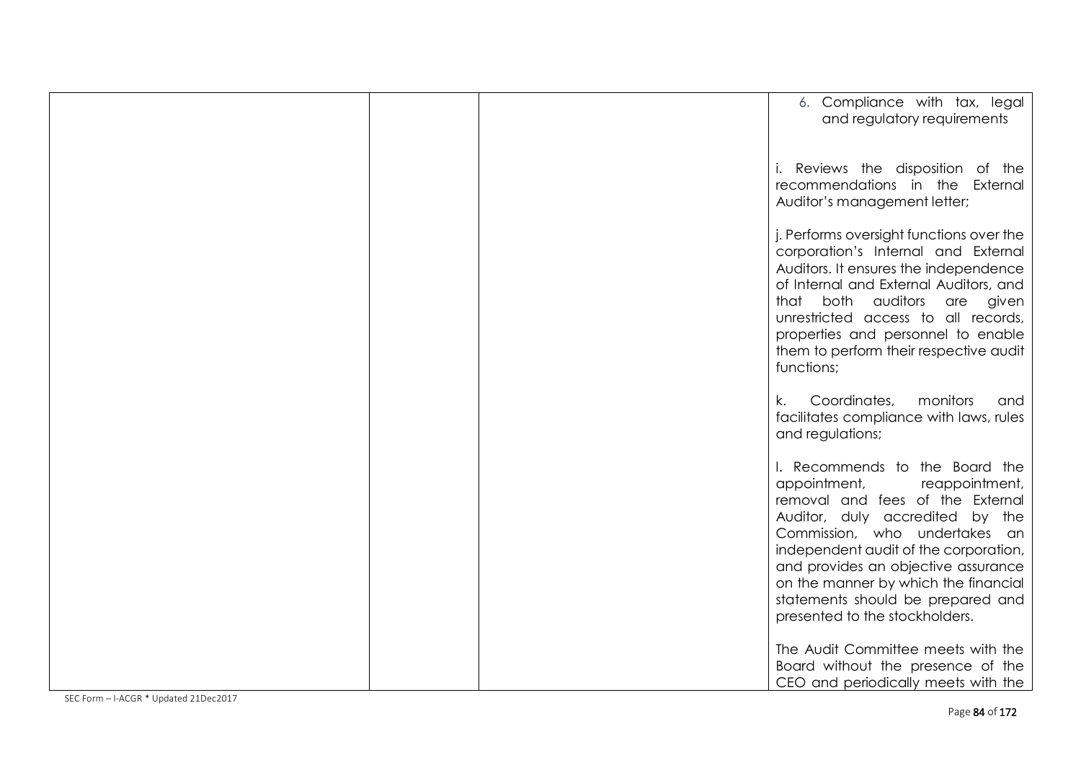|  | 6. Compliance with tax, legal<br>and regulatory requirements                                                                                                                                                                                                                                                                                                            |
|--|-------------------------------------------------------------------------------------------------------------------------------------------------------------------------------------------------------------------------------------------------------------------------------------------------------------------------------------------------------------------------|
|  | i. Reviews the disposition of the<br>recommendations in the External<br>Auditor's management letter;                                                                                                                                                                                                                                                                    |
|  | j. Performs oversight functions over the<br>corporation's Internal and External<br>Auditors. It ensures the independence<br>of Internal and External Auditors, and<br>that both auditors<br>are given<br>unrestricted access to all records,<br>properties and personnel to enable<br>them to perform their respective audit<br>functions;                              |
|  | Coordinates,<br>monitors<br>k.<br>and<br>facilitates compliance with laws, rules<br>and regulations;                                                                                                                                                                                                                                                                    |
|  | I. Recommends to the Board the<br>appointment,<br>reappointment,<br>removal and fees of the External<br>Auditor, duly accredited by the<br>Commission, who undertakes an<br>independent audit of the corporation,<br>and provides an objective assurance<br>on the manner by which the financial<br>statements should be prepared and<br>presented to the stockholders. |
|  | The Audit Committee meets with the<br>Board without the presence of the<br>CEO and periodically meets with the                                                                                                                                                                                                                                                          |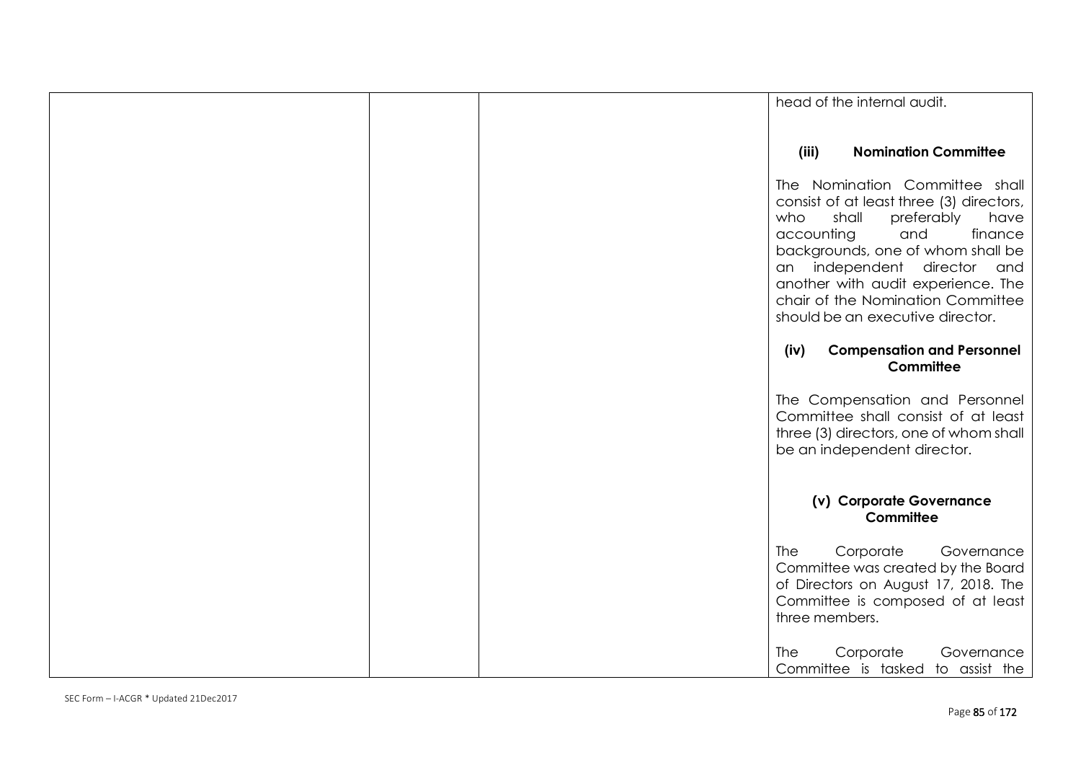|  | head of the internal audit.                                                                                                                                                                                                                                                                                                         |
|--|-------------------------------------------------------------------------------------------------------------------------------------------------------------------------------------------------------------------------------------------------------------------------------------------------------------------------------------|
|  |                                                                                                                                                                                                                                                                                                                                     |
|  | <b>Nomination Committee</b><br>(iii)                                                                                                                                                                                                                                                                                                |
|  | The Nomination Committee shall<br>consist of at least three (3) directors,<br>who<br>shall<br>preferably<br>have<br>finance<br>accounting<br>and<br>backgrounds, one of whom shall be<br>an independent director and<br>another with audit experience. The<br>chair of the Nomination Committee<br>should be an executive director. |
|  | <b>Compensation and Personnel</b><br>(iv)<br>Committee                                                                                                                                                                                                                                                                              |
|  | The Compensation and Personnel<br>Committee shall consist of at least<br>three (3) directors, one of whom shall<br>be an independent director.                                                                                                                                                                                      |
|  | (v) Corporate Governance<br>Committee                                                                                                                                                                                                                                                                                               |
|  | Corporate<br><b>The</b><br>Governance<br>Committee was created by the Board<br>of Directors on August 17, 2018. The<br>Committee is composed of at least<br>three members.                                                                                                                                                          |
|  | <b>The</b><br>Corporate<br>Governance<br>Committee is tasked to assist the                                                                                                                                                                                                                                                          |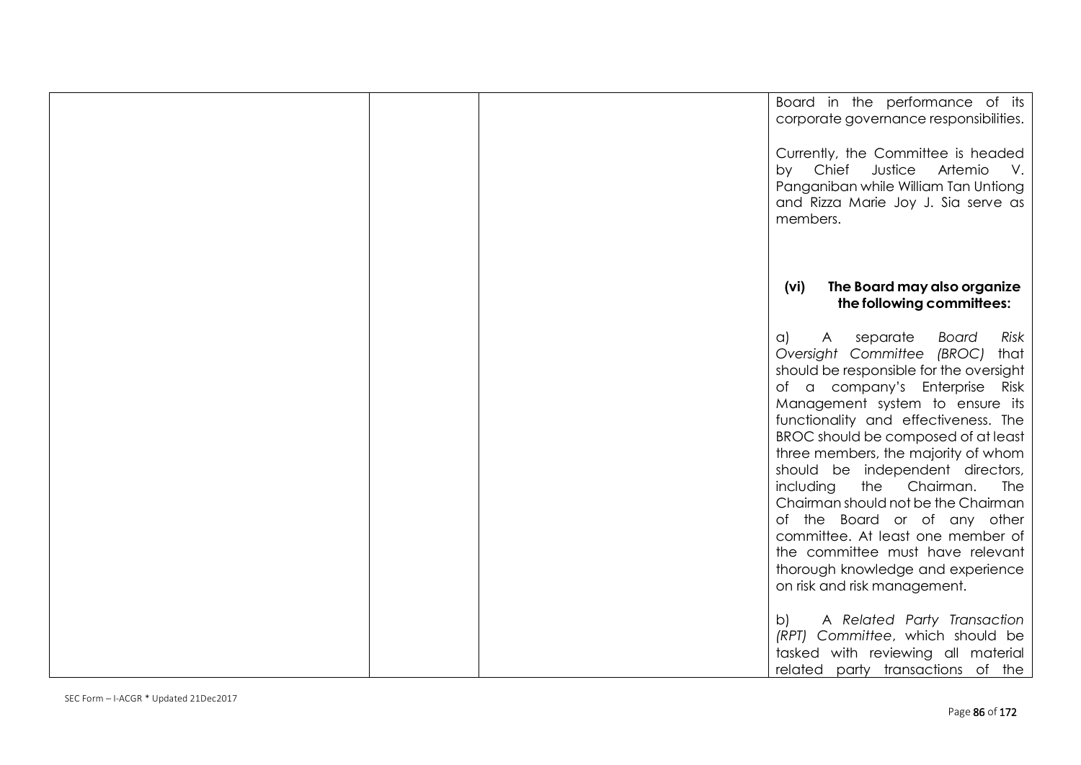| Board in the performance of its<br>corporate governance responsibilities.                                                                                                                                                                                                                                                                                                                                                                                                                                                                                                                                                   |
|-----------------------------------------------------------------------------------------------------------------------------------------------------------------------------------------------------------------------------------------------------------------------------------------------------------------------------------------------------------------------------------------------------------------------------------------------------------------------------------------------------------------------------------------------------------------------------------------------------------------------------|
| Currently, the Committee is headed<br>by Chief Justice<br>Artemio<br>$V_{\star}$<br>Panganiban while William Tan Untiong<br>and Rizza Marie Joy J. Sia serve as<br>members.                                                                                                                                                                                                                                                                                                                                                                                                                                                 |
| The Board may also organize<br>(vi)<br>the following committees:                                                                                                                                                                                                                                                                                                                                                                                                                                                                                                                                                            |
| separate<br><b>Board</b><br>Risk<br>$\alpha$<br>A<br>Oversight Committee (BROC)<br>that<br>should be responsible for the oversight<br>of a company's Enterprise Risk<br>Management system to ensure its<br>functionality and effectiveness. The<br>BROC should be composed of at least<br>three members, the majority of whom<br>should be independent directors,<br>including<br>the Chairman.<br>The<br>Chairman should not be the Chairman<br>of the Board or of any other<br>committee. At least one member of<br>the committee must have relevant<br>thorough knowledge and experience<br>on risk and risk management. |
| A Related Party Transaction<br>b)<br>(RPT) Committee, which should be<br>tasked with reviewing all material<br>related party transactions of the                                                                                                                                                                                                                                                                                                                                                                                                                                                                            |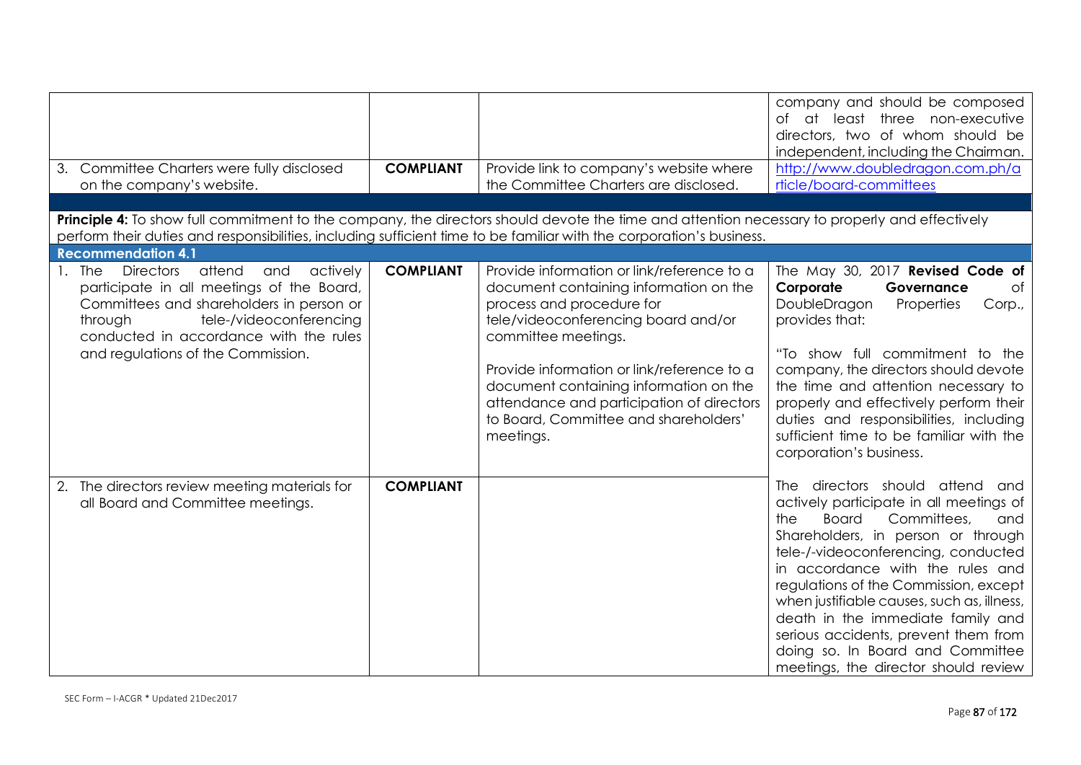| Committee Charters were fully disclosed<br>3.<br>on the company's website.                                                                                                                                                                                                   | <b>COMPLIANT</b> | Provide link to company's website where<br>the Committee Charters are disclosed.                                                                                                                                                                                                                                                                                           | company and should be composed<br>of at least three non-executive<br>directors, two of whom should be<br>independent, including the Chairman.<br>http://www.doubledragon.com.ph/a<br>rticle/board-committees                                                                                                                                                                                                                                                                                   |
|------------------------------------------------------------------------------------------------------------------------------------------------------------------------------------------------------------------------------------------------------------------------------|------------------|----------------------------------------------------------------------------------------------------------------------------------------------------------------------------------------------------------------------------------------------------------------------------------------------------------------------------------------------------------------------------|------------------------------------------------------------------------------------------------------------------------------------------------------------------------------------------------------------------------------------------------------------------------------------------------------------------------------------------------------------------------------------------------------------------------------------------------------------------------------------------------|
|                                                                                                                                                                                                                                                                              |                  |                                                                                                                                                                                                                                                                                                                                                                            |                                                                                                                                                                                                                                                                                                                                                                                                                                                                                                |
| <b>Principle 4:</b> To show full commitment to the company, the directors should devote the time and attention necessary to properly and effectively<br>perform their duties and responsibilities, including sufficient time to be familiar with the corporation's business. |                  |                                                                                                                                                                                                                                                                                                                                                                            |                                                                                                                                                                                                                                                                                                                                                                                                                                                                                                |
| <b>Recommendation 4.1</b>                                                                                                                                                                                                                                                    |                  |                                                                                                                                                                                                                                                                                                                                                                            |                                                                                                                                                                                                                                                                                                                                                                                                                                                                                                |
| attend<br><b>The</b><br><b>Directors</b><br>and<br>actively<br>participate in all meetings of the Board,<br>Committees and shareholders in person or<br>through<br>tele-/videoconferencing<br>conducted in accordance with the rules<br>and regulations of the Commission.   | <b>COMPLIANT</b> | Provide information or link/reference to a<br>document containing information on the<br>process and procedure for<br>tele/videoconferencing board and/or<br>committee meetings.<br>Provide information or link/reference to a<br>document containing information on the<br>attendance and participation of directors<br>to Board, Committee and shareholders'<br>meetings. | The May 30, 2017 Revised Code of<br>Corporate<br>Governance<br>of<br>DoubleDragon<br>Properties<br>Corp.,<br>provides that:<br>"To show full commitment to the<br>company, the directors should devote<br>the time and attention necessary to<br>properly and effectively perform their<br>duties and responsibilities, including<br>sufficient time to be familiar with the<br>corporation's business.                                                                                        |
| 2. The directors review meeting materials for<br>all Board and Committee meetings.                                                                                                                                                                                           | <b>COMPLIANT</b> |                                                                                                                                                                                                                                                                                                                                                                            | attend<br>The directors should<br>and<br>actively participate in all meetings of<br>Committees,<br>the<br><b>Board</b><br>and<br>Shareholders, in person or through<br>tele-/-videoconferencing, conducted<br>in accordance with the rules and<br>regulations of the Commission, except<br>when justifiable causes, such as, illness,<br>death in the immediate family and<br>serious accidents, prevent them from<br>doing so. In Board and Committee<br>meetings, the director should review |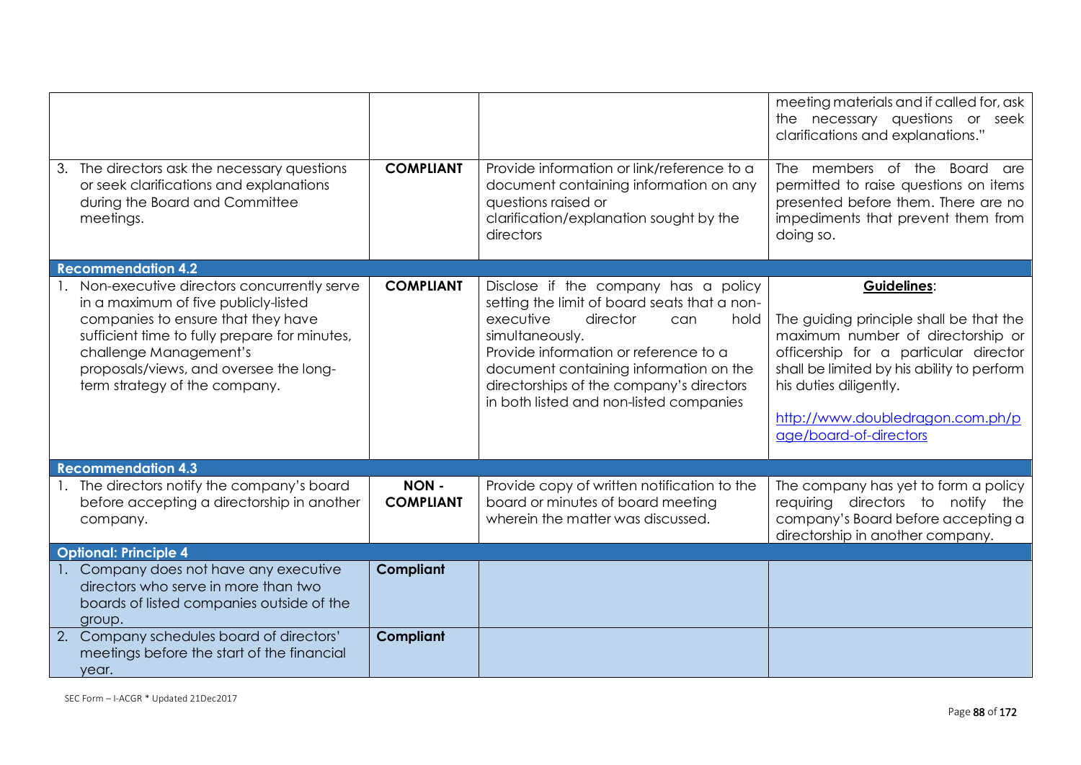|                                                                                                                                                                                                                                                                                   |                          |                                                                                                                                                                                                                                                                                                                           | meeting materials and if called for, ask<br>the necessary questions or seek<br>clarifications and explanations."                                                                                                                                                           |  |
|-----------------------------------------------------------------------------------------------------------------------------------------------------------------------------------------------------------------------------------------------------------------------------------|--------------------------|---------------------------------------------------------------------------------------------------------------------------------------------------------------------------------------------------------------------------------------------------------------------------------------------------------------------------|----------------------------------------------------------------------------------------------------------------------------------------------------------------------------------------------------------------------------------------------------------------------------|--|
| 3. The directors ask the necessary questions<br>or seek clarifications and explanations<br>during the Board and Committee<br>meetings.                                                                                                                                            | <b>COMPLIANT</b>         | Provide information or link/reference to a<br>document containing information on any<br>questions raised or<br>clarification/explanation sought by the<br>directors                                                                                                                                                       | The members of the Board are<br>permitted to raise questions on items<br>presented before them. There are no<br>impediments that prevent them from<br>doing so.                                                                                                            |  |
| <b>Recommendation 4.2</b>                                                                                                                                                                                                                                                         |                          |                                                                                                                                                                                                                                                                                                                           |                                                                                                                                                                                                                                                                            |  |
| 1. Non-executive directors concurrently serve<br>in a maximum of five publicly-listed<br>companies to ensure that they have<br>sufficient time to fully prepare for minutes,<br>challenge Management's<br>proposals/views, and oversee the long-<br>term strategy of the company. | <b>COMPLIANT</b>         | Disclose if the company has a policy<br>setting the limit of board seats that a non-<br>executive<br>director<br>hold<br>can<br>simultaneously.<br>Provide information or reference to a<br>document containing information on the<br>directorships of the company's directors<br>in both listed and non-listed companies | Guidelines:<br>The guiding principle shall be that the<br>maximum number of directorship or<br>officership for a particular director<br>shall be limited by his ability to perform<br>his duties diligently.<br>http://www.doubledragon.com.ph/p<br>age/board-of-directors |  |
| <b>Recommendation 4.3</b>                                                                                                                                                                                                                                                         |                          |                                                                                                                                                                                                                                                                                                                           |                                                                                                                                                                                                                                                                            |  |
| 1. The directors notify the company's board<br>before accepting a directorship in another<br>company.                                                                                                                                                                             | NON-<br><b>COMPLIANT</b> | Provide copy of written notification to the<br>board or minutes of board meeting<br>wherein the matter was discussed.                                                                                                                                                                                                     | The company has yet to form a policy<br>requiring directors to notify the<br>company's Board before accepting a<br>directorship in another company.                                                                                                                        |  |
| <b>Optional: Principle 4</b>                                                                                                                                                                                                                                                      |                          |                                                                                                                                                                                                                                                                                                                           |                                                                                                                                                                                                                                                                            |  |
| 1. Company does not have any executive<br>directors who serve in more than two<br>boards of listed companies outside of the<br>group.                                                                                                                                             | <b>Compliant</b>         |                                                                                                                                                                                                                                                                                                                           |                                                                                                                                                                                                                                                                            |  |
| 2. Company schedules board of directors'<br>meetings before the start of the financial<br>year.                                                                                                                                                                                   | <b>Compliant</b>         |                                                                                                                                                                                                                                                                                                                           |                                                                                                                                                                                                                                                                            |  |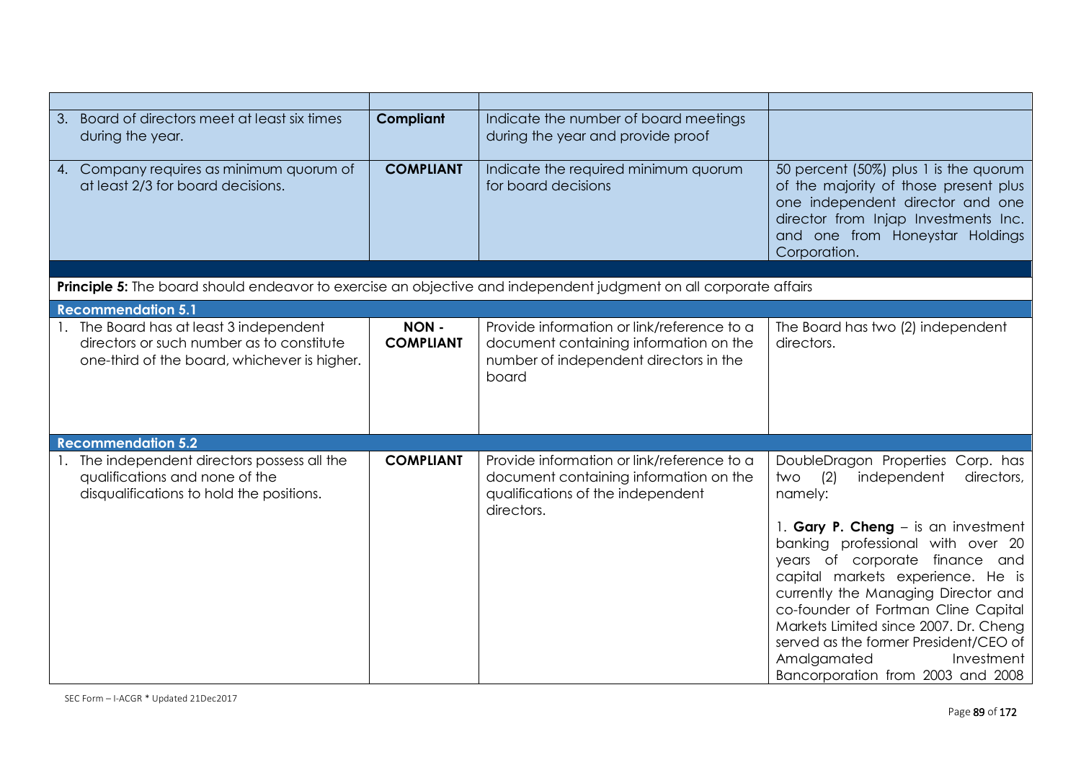| Board of directors meet at least six times<br>3.<br>during the year.                                                                 | <b>Compliant</b>         | Indicate the number of board meetings<br>during the year and provide proof                                                              |                                                                                                                                                                                                                                                                                                                                                                                   |
|--------------------------------------------------------------------------------------------------------------------------------------|--------------------------|-----------------------------------------------------------------------------------------------------------------------------------------|-----------------------------------------------------------------------------------------------------------------------------------------------------------------------------------------------------------------------------------------------------------------------------------------------------------------------------------------------------------------------------------|
| 4. Company requires as minimum quorum of<br>at least 2/3 for board decisions.                                                        | <b>COMPLIANT</b>         | Indicate the required minimum quorum<br>for board decisions                                                                             | 50 percent (50%) plus 1 is the quorum<br>of the majority of those present plus<br>one independent director and one<br>director from Injap Investments Inc.<br>and one from Honeystar Holdings<br>Corporation.                                                                                                                                                                     |
|                                                                                                                                      |                          |                                                                                                                                         |                                                                                                                                                                                                                                                                                                                                                                                   |
| Principle 5: The board should endeavor to exercise an objective and independent judgment on all corporate affairs                    |                          |                                                                                                                                         |                                                                                                                                                                                                                                                                                                                                                                                   |
| <b>Recommendation 5.1</b>                                                                                                            |                          |                                                                                                                                         |                                                                                                                                                                                                                                                                                                                                                                                   |
| 1. The Board has at least 3 independent<br>directors or such number as to constitute<br>one-third of the board, whichever is higher. | NON-<br><b>COMPLIANT</b> | Provide information or link/reference to a<br>document containing information on the<br>number of independent directors in the<br>board | The Board has two (2) independent<br>directors.                                                                                                                                                                                                                                                                                                                                   |
| <b>Recommendation 5.2</b>                                                                                                            |                          |                                                                                                                                         |                                                                                                                                                                                                                                                                                                                                                                                   |
| 1. The independent directors possess all the<br>qualifications and none of the<br>disqualifications to hold the positions.           | <b>COMPLIANT</b>         | Provide information or link/reference to a<br>document containing information on the<br>qualifications of the independent<br>directors. | DoubleDragon Properties Corp. has<br>(2)<br>independent<br>directors,<br>two<br>namely:                                                                                                                                                                                                                                                                                           |
|                                                                                                                                      |                          |                                                                                                                                         | 1. Gary P. Cheng - is an investment<br>banking professional with over 20<br>years of corporate finance and<br>capital markets experience. He is<br>currently the Managing Director and<br>co-founder of Fortman Cline Capital<br>Markets Limited since 2007. Dr. Cheng<br>served as the former President/CEO of<br>Amalgamated<br>Investment<br>Bancorporation from 2003 and 2008 |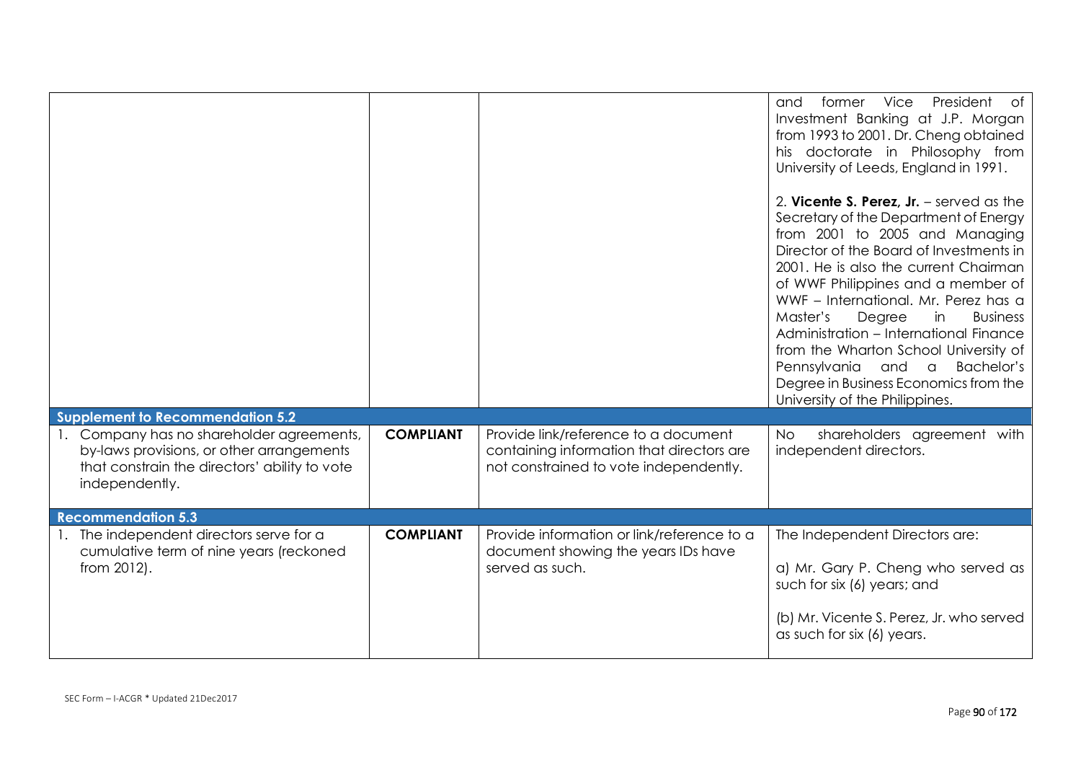|                                                                                                                                                                                                      |                  |                                                                                                                             | former Vice President<br>of<br>and<br>Investment Banking at J.P. Morgan<br>from 1993 to 2001. Dr. Cheng obtained<br>his doctorate in Philosophy from<br>University of Leeds, England in 1991.<br>2. Vicente S. Perez, $Jr.$ – served as the<br>Secretary of the Department of Energy<br>from 2001 to 2005 and Managing<br>Director of the Board of Investments in<br>2001. He is also the current Chairman<br>of WWF Philippines and a member of<br>WWF - International, Mr. Perez has a<br>Master's<br>Degree<br><b>Business</b><br>in<br>Administration - International Finance<br>from the Wharton School University of<br>Pennsylvania and a<br>Bachelor's<br>Degree in Business Economics from the |
|------------------------------------------------------------------------------------------------------------------------------------------------------------------------------------------------------|------------------|-----------------------------------------------------------------------------------------------------------------------------|---------------------------------------------------------------------------------------------------------------------------------------------------------------------------------------------------------------------------------------------------------------------------------------------------------------------------------------------------------------------------------------------------------------------------------------------------------------------------------------------------------------------------------------------------------------------------------------------------------------------------------------------------------------------------------------------------------|
|                                                                                                                                                                                                      |                  |                                                                                                                             | University of the Philippines.                                                                                                                                                                                                                                                                                                                                                                                                                                                                                                                                                                                                                                                                          |
| <b>Supplement to Recommendation 5.2</b><br>1. Company has no shareholder agreements,<br>by-laws provisions, or other arrangements<br>that constrain the directors' ability to vote<br>independently. | <b>COMPLIANT</b> | Provide link/reference to a document<br>containing information that directors are<br>not constrained to vote independently. | shareholders agreement with<br><b>No</b><br>independent directors.                                                                                                                                                                                                                                                                                                                                                                                                                                                                                                                                                                                                                                      |
| <b>Recommendation 5.3</b>                                                                                                                                                                            |                  |                                                                                                                             |                                                                                                                                                                                                                                                                                                                                                                                                                                                                                                                                                                                                                                                                                                         |
| 1. The independent directors serve for a<br>cumulative term of nine years (reckoned<br>from 2012).                                                                                                   | <b>COMPLIANT</b> | Provide information or link/reference to a<br>document showing the years IDs have<br>served as such.                        | The Independent Directors are:<br>a) Mr. Gary P. Cheng who served as<br>such for six (6) years; and<br>(b) Mr. Vicente S. Perez, Jr. who served<br>as such for six (6) years.                                                                                                                                                                                                                                                                                                                                                                                                                                                                                                                           |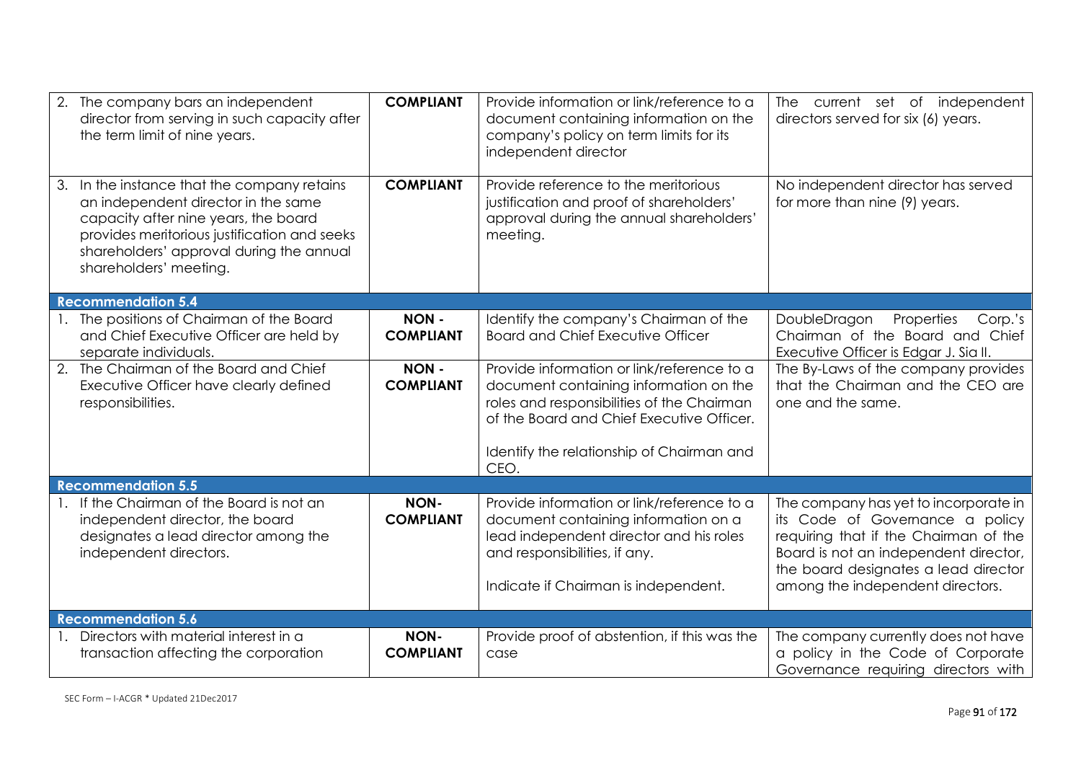| 2. | The company bars an independent<br>director from serving in such capacity after<br>the term limit of nine years.                                                                                                                                 | <b>COMPLIANT</b>                | Provide information or link/reference to a<br>document containing information on the<br>company's policy on term limits for its<br>independent director                                                                      | The current set of independent<br>directors served for six (6) years.                                                                                                                                                                  |
|----|--------------------------------------------------------------------------------------------------------------------------------------------------------------------------------------------------------------------------------------------------|---------------------------------|------------------------------------------------------------------------------------------------------------------------------------------------------------------------------------------------------------------------------|----------------------------------------------------------------------------------------------------------------------------------------------------------------------------------------------------------------------------------------|
|    | 3. In the instance that the company retains<br>an independent director in the same<br>capacity after nine years, the board<br>provides meritorious justification and seeks<br>shareholders' approval during the annual<br>shareholders' meeting. | <b>COMPLIANT</b>                | Provide reference to the meritorious<br>justification and proof of shareholders'<br>approval during the annual shareholders'<br>meeting.                                                                                     | No independent director has served<br>for more than nine (9) years.                                                                                                                                                                    |
|    | <b>Recommendation 5.4</b>                                                                                                                                                                                                                        |                                 |                                                                                                                                                                                                                              |                                                                                                                                                                                                                                        |
|    | 1. The positions of Chairman of the Board<br>and Chief Executive Officer are held by<br>separate individuals.                                                                                                                                    | NON-<br><b>COMPLIANT</b>        | Identify the company's Chairman of the<br><b>Board and Chief Executive Officer</b>                                                                                                                                           | Properties<br>DoubleDragon<br>Corp.'s<br>Chairman of the Board and Chief<br>Executive Officer is Edgar J. Sia II.                                                                                                                      |
|    | 2. The Chairman of the Board and Chief<br>Executive Officer have clearly defined<br>responsibilities.                                                                                                                                            | NON-<br><b>COMPLIANT</b>        | Provide information or link/reference to a<br>document containing information on the<br>roles and responsibilities of the Chairman<br>of the Board and Chief Executive Officer.<br>Identify the relationship of Chairman and | The By-Laws of the company provides<br>that the Chairman and the CEO are<br>one and the same.                                                                                                                                          |
|    | <b>Recommendation 5.5</b>                                                                                                                                                                                                                        |                                 | CEO.                                                                                                                                                                                                                         |                                                                                                                                                                                                                                        |
|    | 1. If the Chairman of the Board is not an<br>independent director, the board<br>designates a lead director among the<br>independent directors.                                                                                                   | NON-<br><b>COMPLIANT</b>        | Provide information or link/reference to a<br>document containing information on a<br>lead independent director and his roles<br>and responsibilities, if any.<br>Indicate if Chairman is independent.                       | The company has yet to incorporate in<br>its Code of Governance a policy<br>requiring that if the Chairman of the<br>Board is not an independent director,<br>the board designates a lead director<br>among the independent directors. |
|    | <b>Recommendation 5.6</b>                                                                                                                                                                                                                        |                                 |                                                                                                                                                                                                                              |                                                                                                                                                                                                                                        |
|    | Directors with material interest in a<br>transaction affecting the corporation                                                                                                                                                                   | <b>NON-</b><br><b>COMPLIANT</b> | Provide proof of abstention, if this was the<br>case                                                                                                                                                                         | The company currently does not have<br>a policy in the Code of Corporate<br>Governance requiring directors with                                                                                                                        |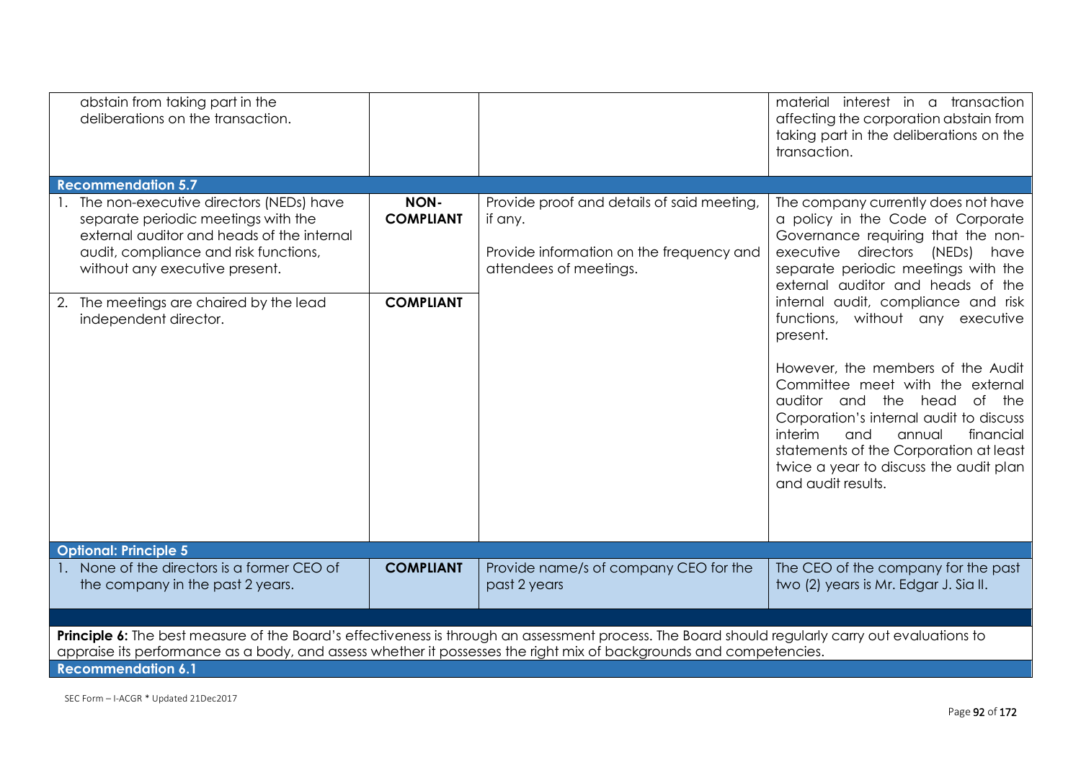| abstain from taking part in the<br>deliberations on the transaction.                                                                                                                                                                                                           |                                              |                                                                                                                            | material interest in a transaction<br>affecting the corporation abstain from<br>taking part in the deliberations on the<br>transaction.                                                                                                                                                                                                                                                                                                                                                                                                                                                                                       |  |  |
|--------------------------------------------------------------------------------------------------------------------------------------------------------------------------------------------------------------------------------------------------------------------------------|----------------------------------------------|----------------------------------------------------------------------------------------------------------------------------|-------------------------------------------------------------------------------------------------------------------------------------------------------------------------------------------------------------------------------------------------------------------------------------------------------------------------------------------------------------------------------------------------------------------------------------------------------------------------------------------------------------------------------------------------------------------------------------------------------------------------------|--|--|
| <b>Recommendation 5.7</b>                                                                                                                                                                                                                                                      |                                              |                                                                                                                            |                                                                                                                                                                                                                                                                                                                                                                                                                                                                                                                                                                                                                               |  |  |
| 1. The non-executive directors (NEDs) have<br>separate periodic meetings with the<br>external auditor and heads of the internal<br>audit, compliance and risk functions,<br>without any executive present.<br>2. The meetings are chaired by the lead<br>independent director. | NON-<br><b>COMPLIANT</b><br><b>COMPLIANT</b> | Provide proof and details of said meeting<br>if any.<br>Provide information on the frequency and<br>attendees of meetings. | The company currently does not have<br>a policy in the Code of Corporate<br>Governance requiring that the non-<br>executive directors (NEDs) have<br>separate periodic meetings with the<br>external auditor and heads of the<br>internal audit, compliance and risk<br>functions, without any executive<br>present.<br>However, the members of the Audit<br>Committee meet with the external<br>auditor and the head<br>of the<br>Corporation's internal audit to discuss<br>interim<br>and<br>annual<br>financial<br>statements of the Corporation at least<br>twice a year to discuss the audit plan<br>and audit results. |  |  |
| <b>Optional: Principle 5</b>                                                                                                                                                                                                                                                   |                                              |                                                                                                                            |                                                                                                                                                                                                                                                                                                                                                                                                                                                                                                                                                                                                                               |  |  |
| 1. None of the directors is a former CEO of<br>the company in the past 2 years.                                                                                                                                                                                                | <b>COMPLIANT</b>                             | Provide name/s of company CEO for the<br>past 2 years                                                                      | The CEO of the company for the past<br>two (2) years is Mr. Edgar J. Sia II.                                                                                                                                                                                                                                                                                                                                                                                                                                                                                                                                                  |  |  |
|                                                                                                                                                                                                                                                                                |                                              |                                                                                                                            |                                                                                                                                                                                                                                                                                                                                                                                                                                                                                                                                                                                                                               |  |  |
| Principle 6: The best measure of the Board's effectiveness is through an assessment process. The Board should regularly carry out evaluations to<br>appraise its performance as a body, and assess whether it possesses the right mix of backgrounds and competencies.         |                                              |                                                                                                                            |                                                                                                                                                                                                                                                                                                                                                                                                                                                                                                                                                                                                                               |  |  |
| <b>Recommendation 6.1</b>                                                                                                                                                                                                                                                      |                                              |                                                                                                                            |                                                                                                                                                                                                                                                                                                                                                                                                                                                                                                                                                                                                                               |  |  |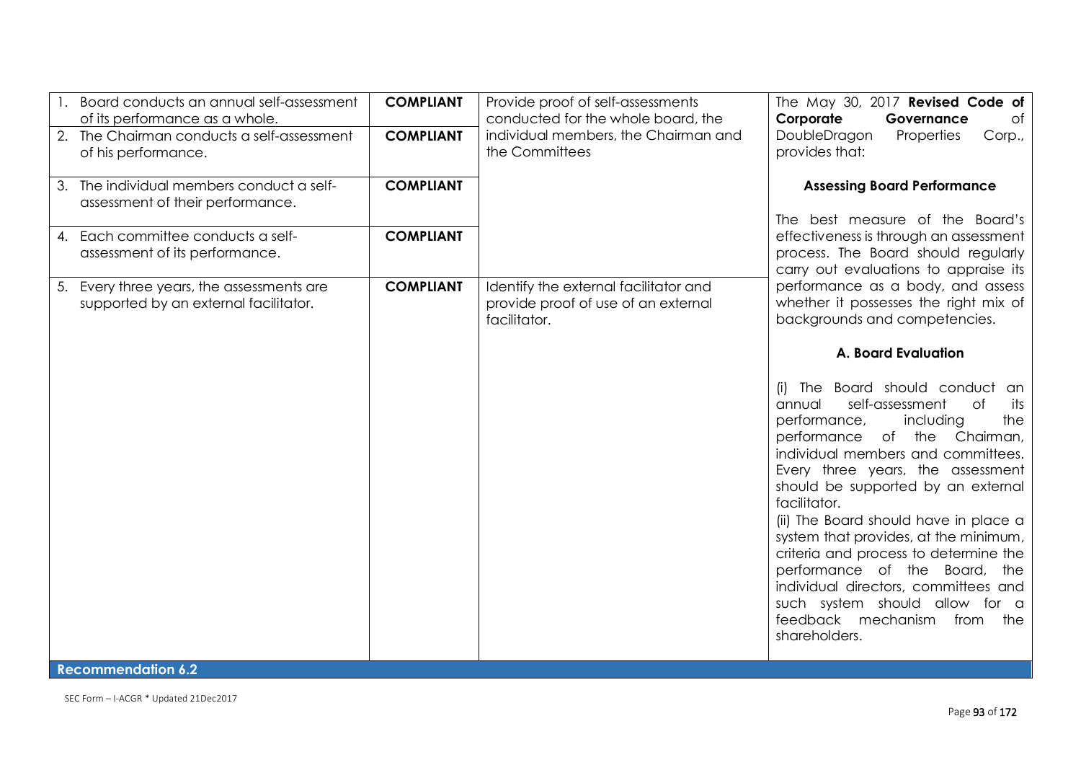|    | Board conducts an annual self-assessment<br>of its performance as a whole.         | <b>COMPLIANT</b> | Provide proof of self-assessments<br>conducted for the whole board, the                      | The May 30, 2017 Revised Code of<br>Corporate<br>Governance<br>of                                                                                                                                                                                                                                                                                                                                                                                                                                                                                                                       |
|----|------------------------------------------------------------------------------------|------------------|----------------------------------------------------------------------------------------------|-----------------------------------------------------------------------------------------------------------------------------------------------------------------------------------------------------------------------------------------------------------------------------------------------------------------------------------------------------------------------------------------------------------------------------------------------------------------------------------------------------------------------------------------------------------------------------------------|
|    | 2. The Chairman conducts a self-assessment<br>of his performance.                  | <b>COMPLIANT</b> | individual members, the Chairman and<br>the Committees                                       | DoubleDragon<br>Properties<br>Corp.,<br>provides that:                                                                                                                                                                                                                                                                                                                                                                                                                                                                                                                                  |
|    | 3. The individual members conduct a self-<br>assessment of their performance.      | <b>COMPLIANT</b> |                                                                                              | <b>Assessing Board Performance</b>                                                                                                                                                                                                                                                                                                                                                                                                                                                                                                                                                      |
| 4. | Each committee conducts a self-<br>assessment of its performance.                  | <b>COMPLIANT</b> |                                                                                              | The best measure of the Board's<br>effectiveness is through an assessment<br>process. The Board should regularly<br>carry out evaluations to appraise its                                                                                                                                                                                                                                                                                                                                                                                                                               |
|    | 5. Every three years, the assessments are<br>supported by an external facilitator. | <b>COMPLIANT</b> | Identify the external facilitator and<br>provide proof of use of an external<br>facilitator. | performance as a body, and assess<br>whether it possesses the right mix of<br>backgrounds and competencies.                                                                                                                                                                                                                                                                                                                                                                                                                                                                             |
|    |                                                                                    |                  |                                                                                              | <b>A. Board Evaluation</b>                                                                                                                                                                                                                                                                                                                                                                                                                                                                                                                                                              |
|    |                                                                                    |                  |                                                                                              | The Board should conduct an<br>(i)<br>self-assessment<br><b>of</b><br>annual<br>its<br>the<br>including<br>performance,<br>of the Chairman,<br>performance<br>individual members and committees.<br>Every three years, the assessment<br>should be supported by an external<br>facilitator.<br>(ii) The Board should have in place a<br>system that provides, at the minimum,<br>criteria and process to determine the<br>performance of the Board, the<br>individual directors, committees and<br>such system should allow for a<br>feedback mechanism<br>from<br>the<br>shareholders. |

## **Recommendation 6.2**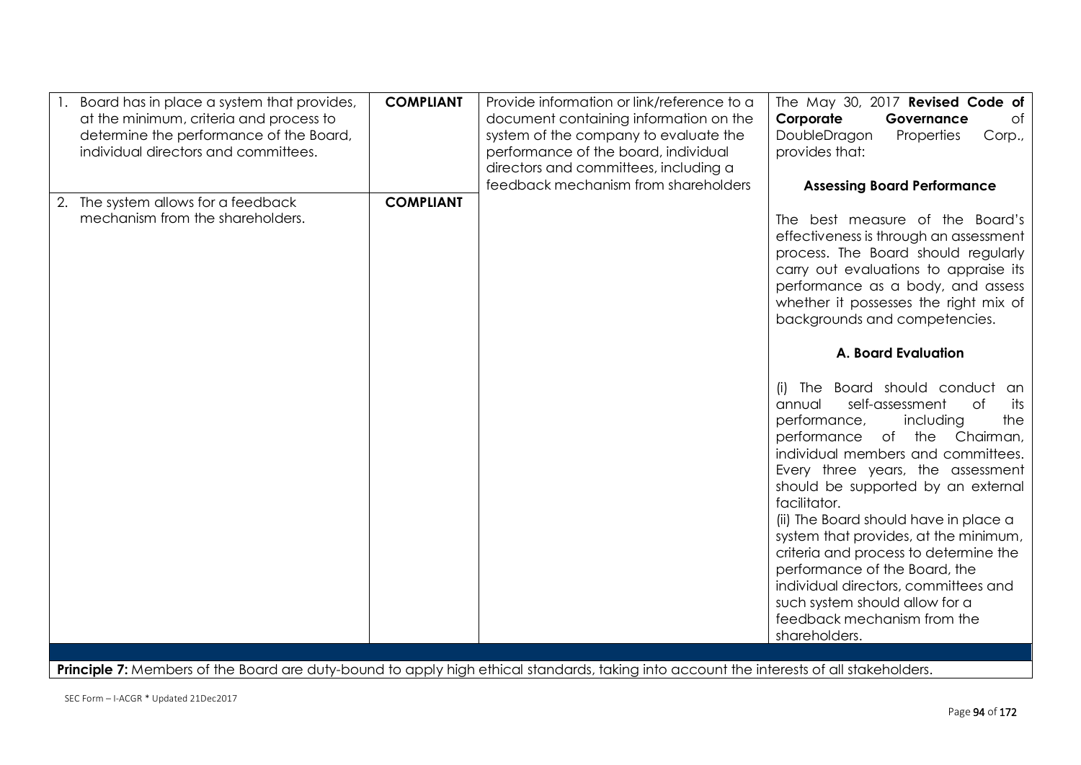| Board has in place a system that provides,<br>at the minimum, criteria and process to<br>determine the performance of the Board,<br>individual directors and committees. | <b>COMPLIANT</b> | Provide information or link/reference to a<br>document containing information on the<br>system of the company to evaluate the<br>performance of the board, individual<br>directors and committees, including a<br>feedback mechanism from shareholders | The May 30, 2017 Revised Code of<br>Corporate<br>Governance<br>of<br>DoubleDragon<br>Properties<br>Corp.,<br>provides that:<br><b>Assessing Board Performance</b>                                                                                                                                                                                                                                                                                                                                                                                                                                                                                                                                                                                                                                                                                                                    |
|--------------------------------------------------------------------------------------------------------------------------------------------------------------------------|------------------|--------------------------------------------------------------------------------------------------------------------------------------------------------------------------------------------------------------------------------------------------------|--------------------------------------------------------------------------------------------------------------------------------------------------------------------------------------------------------------------------------------------------------------------------------------------------------------------------------------------------------------------------------------------------------------------------------------------------------------------------------------------------------------------------------------------------------------------------------------------------------------------------------------------------------------------------------------------------------------------------------------------------------------------------------------------------------------------------------------------------------------------------------------|
| 2. The system allows for a feedback<br>mechanism from the shareholders.                                                                                                  | <b>COMPLIANT</b> |                                                                                                                                                                                                                                                        | The best measure of the Board's<br>effectiveness is through an assessment<br>process. The Board should regularly<br>carry out evaluations to appraise its<br>performance as a body, and assess<br>whether it possesses the right mix of<br>backgrounds and competencies.<br><b>A. Board Evaluation</b><br>The Board should conduct an<br>(i)<br>self-assessment<br>of<br>annual<br>its<br>the<br>performance,<br>including<br>performance of the<br>Chairman,<br>individual members and committees.<br>Every three years, the assessment<br>should be supported by an external<br>facilitator.<br>(ii) The Board should have in place a<br>system that provides, at the minimum,<br>criteria and process to determine the<br>performance of the Board, the<br>individual directors, committees and<br>such system should allow for a<br>feedback mechanism from the<br>shareholders. |

Principle 7: Members of the Board are duty-bound to apply high ethical standards, taking into account the interests of all stakeholders.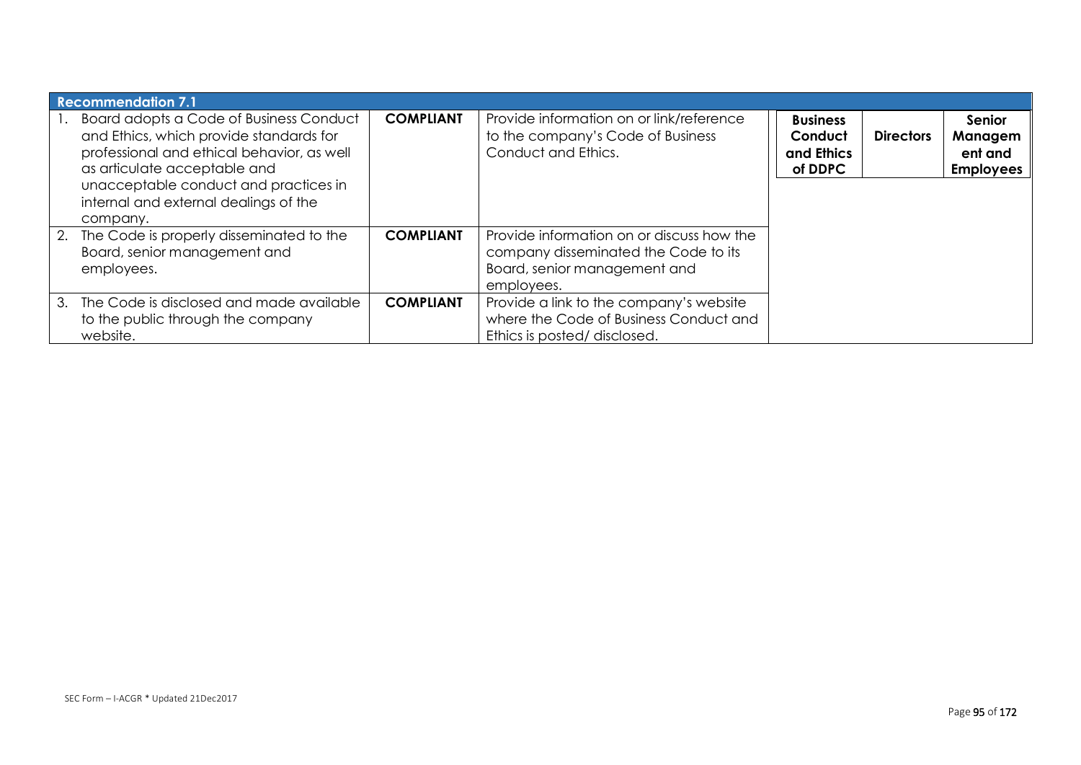| <b>Recommendation 7.1</b>                                                                                                                                                                                                                                      |                  |                                                                                                                                 |                                                     |                  |                                                  |
|----------------------------------------------------------------------------------------------------------------------------------------------------------------------------------------------------------------------------------------------------------------|------------------|---------------------------------------------------------------------------------------------------------------------------------|-----------------------------------------------------|------------------|--------------------------------------------------|
| Board adopts a Code of Business Conduct<br>and Ethics, which provide standards for<br>professional and ethical behavior, as well<br>as articulate acceptable and<br>unacceptable conduct and practices in<br>internal and external dealings of the<br>company. | <b>COMPLIANT</b> | Provide information on or link/reference<br>to the company's Code of Business<br>Conduct and Ethics.                            | <b>Business</b><br>Conduct<br>and Ethics<br>of DDPC | <b>Directors</b> | Senior<br>Managem<br>ent and<br><b>Employees</b> |
| 2. The Code is properly disseminated to the<br>Board, senior management and<br>employees.                                                                                                                                                                      | <b>COMPLIANT</b> | Provide information on or discuss how the<br>company disseminated the Code to its<br>Board, senior management and<br>employees. |                                                     |                  |                                                  |
| 3. The Code is disclosed and made available<br>to the public through the company<br>website.                                                                                                                                                                   | <b>COMPLIANT</b> | Provide a link to the company's website<br>where the Code of Business Conduct and<br>Ethics is posted/disclosed.                |                                                     |                  |                                                  |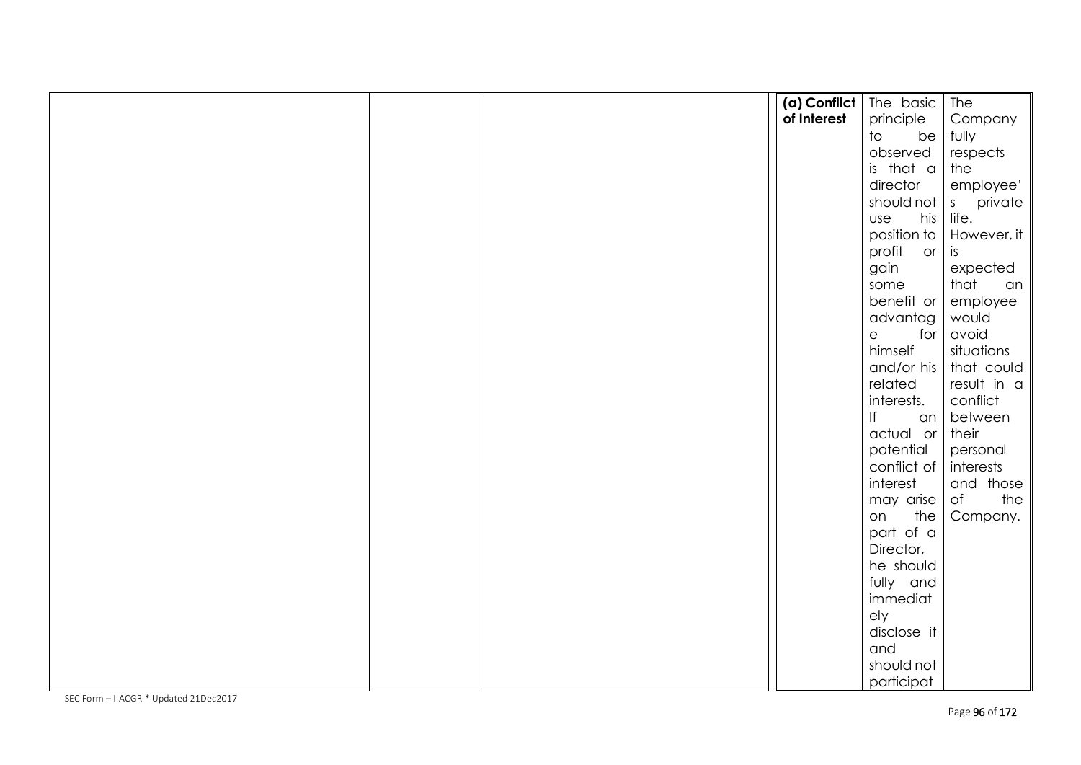|  | (a) Conflict   The basic |              | The                |
|--|--------------------------|--------------|--------------------|
|  | of Interest              | principle    | Company            |
|  |                          | be<br>to     | fully              |
|  |                          | observed     | respects           |
|  |                          | is that a    | the                |
|  |                          | director     | employee'          |
|  |                          | should not   | s private<br>life. |
|  |                          | his  <br>use |                    |
|  |                          | position to  | However, it        |
|  |                          | profit or    | is                 |
|  |                          | gain         | expected           |
|  |                          | some         | that<br>an         |
|  |                          | benefit or   | employee           |
|  |                          | advantag     | would              |
|  |                          | e<br>for     | avoid              |
|  |                          | himself      | situations         |
|  |                          | and/or his   | that could         |
|  |                          | related      | result in a        |
|  |                          | interests.   | conflict           |
|  |                          | f <br>an     | between            |
|  |                          | actual or    | their              |
|  |                          | potential    | personal           |
|  |                          | conflict of  | interests          |
|  |                          | interest     | and those          |
|  |                          | may arise    | the<br>of          |
|  |                          | the<br>on    | Company.           |
|  |                          | part of a    |                    |
|  |                          | Director,    |                    |
|  |                          | he should    |                    |
|  |                          | fully and    |                    |
|  |                          | immediat     |                    |
|  |                          | ely          |                    |
|  |                          | disclose it  |                    |
|  |                          | and          |                    |
|  |                          | should not   |                    |
|  |                          | participat   |                    |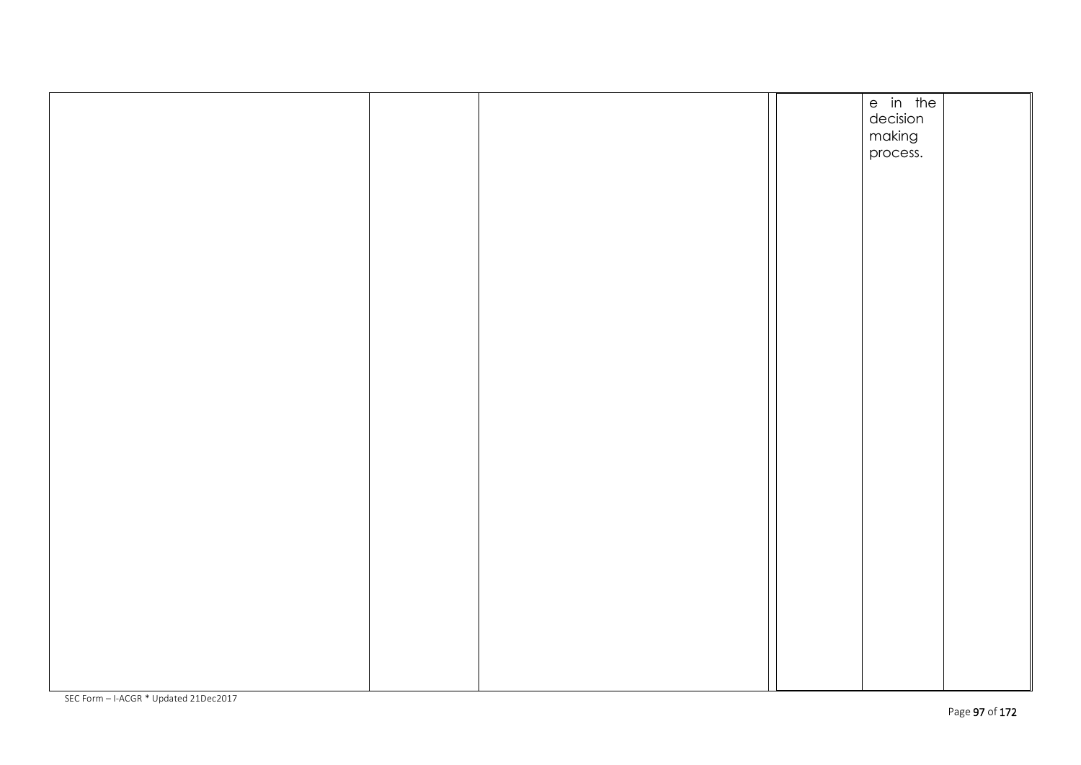|  |  | e in the |  |
|--|--|----------|--|
|  |  |          |  |
|  |  | decision |  |
|  |  | making   |  |
|  |  |          |  |
|  |  | process. |  |
|  |  |          |  |
|  |  |          |  |
|  |  |          |  |
|  |  |          |  |
|  |  |          |  |
|  |  |          |  |
|  |  |          |  |
|  |  |          |  |
|  |  |          |  |
|  |  |          |  |
|  |  |          |  |
|  |  |          |  |
|  |  |          |  |
|  |  |          |  |
|  |  |          |  |
|  |  |          |  |
|  |  |          |  |
|  |  |          |  |
|  |  |          |  |
|  |  |          |  |
|  |  |          |  |
|  |  |          |  |
|  |  |          |  |
|  |  |          |  |
|  |  |          |  |
|  |  |          |  |
|  |  |          |  |
|  |  |          |  |
|  |  |          |  |
|  |  |          |  |
|  |  |          |  |
|  |  |          |  |
|  |  |          |  |
|  |  |          |  |
|  |  |          |  |
|  |  |          |  |
|  |  |          |  |
|  |  |          |  |
|  |  |          |  |
|  |  |          |  |
|  |  |          |  |
|  |  |          |  |
|  |  |          |  |
|  |  |          |  |
|  |  |          |  |
|  |  |          |  |
|  |  |          |  |
|  |  |          |  |
|  |  |          |  |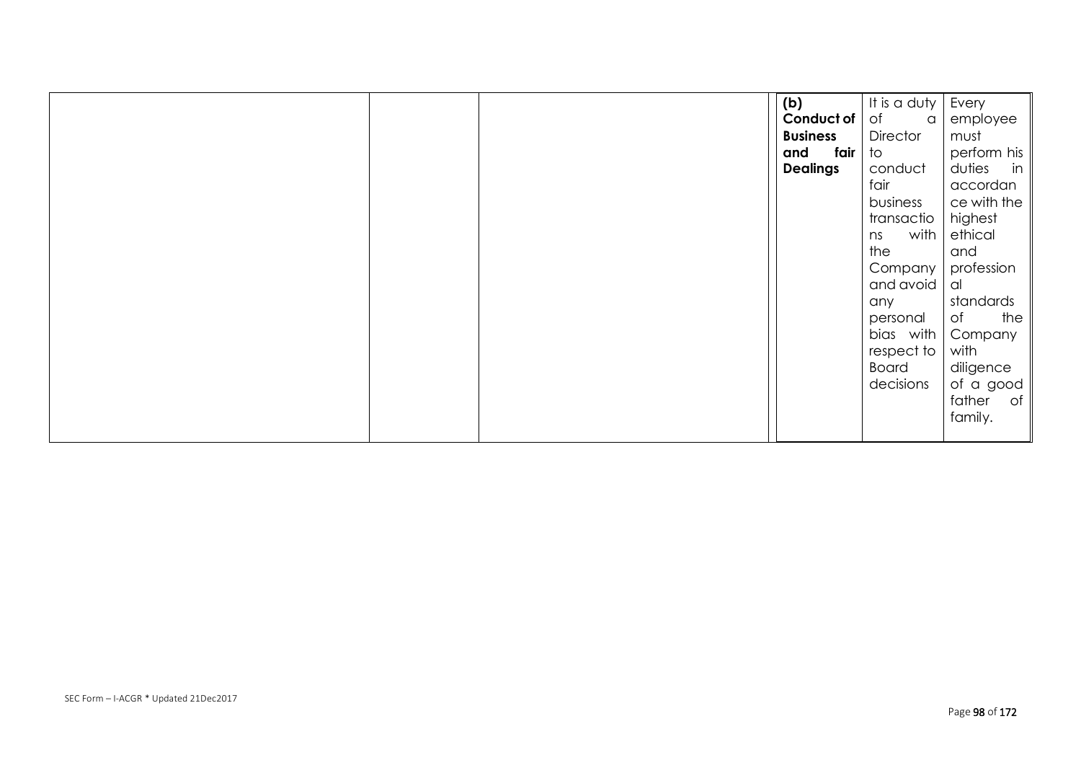|  | (b)             | It is a duty    | Every        |
|--|-----------------|-----------------|--------------|
|  | Conduct of      | of<br>$\alpha$  | employee     |
|  | <b>Business</b> | <b>Director</b> | must         |
|  | fair<br>and     | to              | perform his  |
|  | <b>Dealings</b> | conduct         | duties<br>in |
|  |                 | fair            | accordan     |
|  |                 | business        | ce with the  |
|  |                 | transactio      | highest      |
|  |                 | with<br>ns      | ethical      |
|  |                 | the             | and          |
|  |                 | Company         | profession   |
|  |                 | and avoid       | al           |
|  |                 | any             | standards    |
|  |                 | personal        | the<br>of    |
|  |                 | bias with       | Company      |
|  |                 | respect to      | with         |
|  |                 | <b>Board</b>    | diligence    |
|  |                 | decisions       | of a good    |
|  |                 |                 | father of    |
|  |                 |                 | family.      |
|  |                 |                 |              |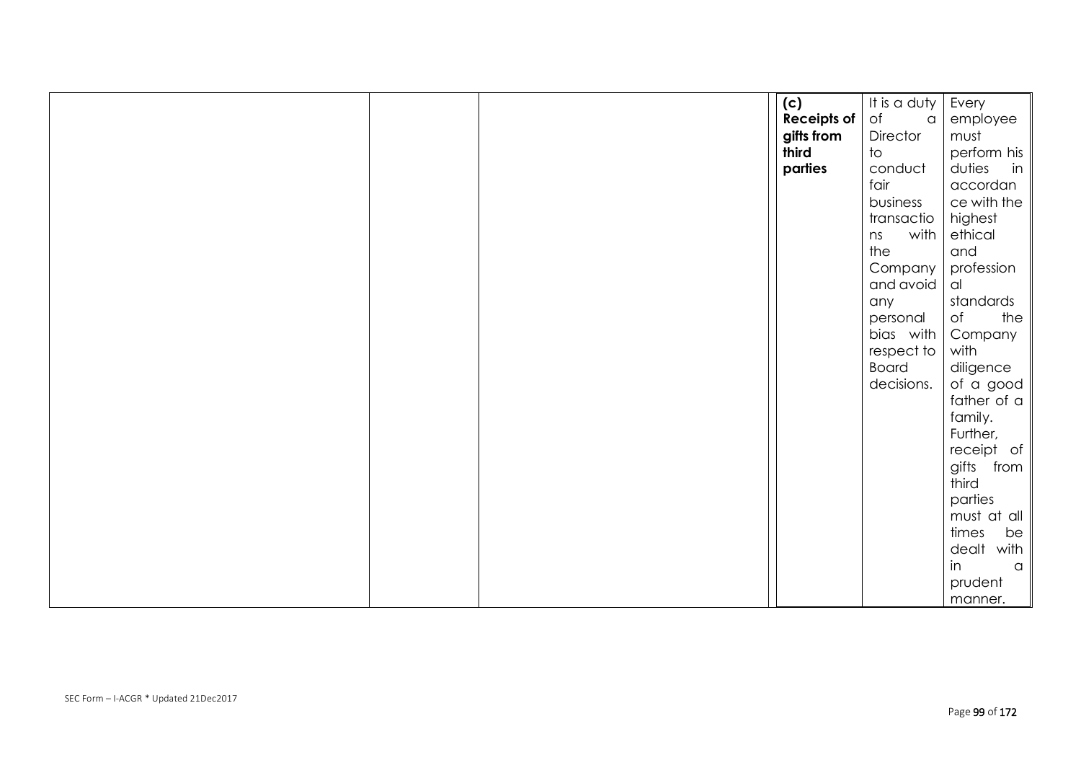|  | (c)                        | It is a duty | Every                    |
|--|----------------------------|--------------|--------------------------|
|  | <b>Receipts of</b> $\circ$ | $\alpha$     | employee                 |
|  | gifts from                 | Director     | must                     |
|  | third                      | to           | perform his              |
|  | parties                    | conduct      | duties<br>in             |
|  |                            | fair         | accordan                 |
|  |                            | business     | $ce$ with the            |
|  |                            | transactio   | highest                  |
|  |                            | with<br>ns   | ethical                  |
|  |                            | the          | and                      |
|  |                            | Company      | profession               |
|  |                            | and avoid    | al                       |
|  |                            | any          | standards                |
|  |                            | personal     | the<br>of                |
|  |                            | bias with    | Company                  |
|  |                            | respect to   | with                     |
|  |                            | <b>Board</b> | diligence                |
|  |                            | decisions.   | of a good                |
|  |                            |              | father of $\alpha$       |
|  |                            |              | family.                  |
|  |                            |              | Further,                 |
|  |                            |              | receipt of<br>gifts from |
|  |                            |              | third                    |
|  |                            |              | parties                  |
|  |                            |              | must at all $\parallel$  |
|  |                            |              | times<br>be              |
|  |                            |              | dealt with               |
|  |                            |              | in<br>$\alpha$           |
|  |                            |              | prudent                  |
|  |                            |              | manner.                  |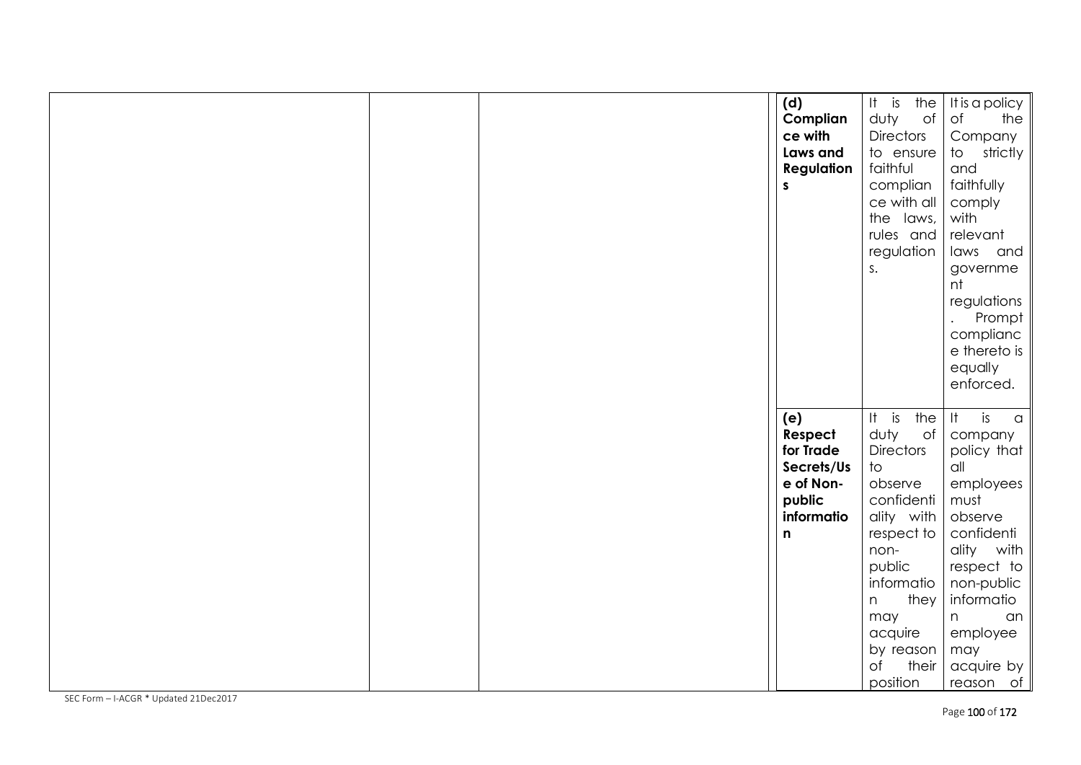|  | (d)               | $It$ is<br>the   | It is a policy            |
|--|-------------------|------------------|---------------------------|
|  | Complian          | duty<br>of       | $\circ$ f<br>the          |
|  | ce with           | <b>Directors</b> | Company                   |
|  | Laws and          | to ensure        | strictly<br>to            |
|  | <b>Regulation</b> | faithful         | and                       |
|  | S                 | complian         | faithfully                |
|  |                   | ce with all      | comply                    |
|  |                   | the laws,        | with                      |
|  |                   |                  |                           |
|  |                   | rules and        | relevant                  |
|  |                   | regulation       | laws and                  |
|  |                   | S.               | governme                  |
|  |                   |                  | nt                        |
|  |                   |                  | regulations               |
|  |                   |                  | Prompt                    |
|  |                   |                  | complianc                 |
|  |                   |                  | e thereto is              |
|  |                   |                  | equally                   |
|  |                   |                  | enforced.                 |
|  |                   |                  |                           |
|  | (e)               | is<br>H<br>the   | <br>is<br>$\alpha$        |
|  | Respect           | duty<br>of       | company                   |
|  | for Trade         | <b>Directors</b> | policy that               |
|  | Secrets/Us        | to               | all                       |
|  | e of Non-         | observe          | employees                 |
|  | public            | confidenti       | must                      |
|  | informatio        | ality with       | observe                   |
|  | n                 | respect to       | confidenti                |
|  |                   | non-             | ality with                |
|  |                   | public           | respect to                |
|  |                   | informatio       | non-public                |
|  |                   | they<br>n        | informatio                |
|  |                   | may              | n<br>an                   |
|  |                   | acquire          | employee                  |
|  |                   | by reason        | may                       |
|  |                   | of<br>their      |                           |
|  |                   | position         | acquire by<br>$recson$ of |
|  |                   |                  |                           |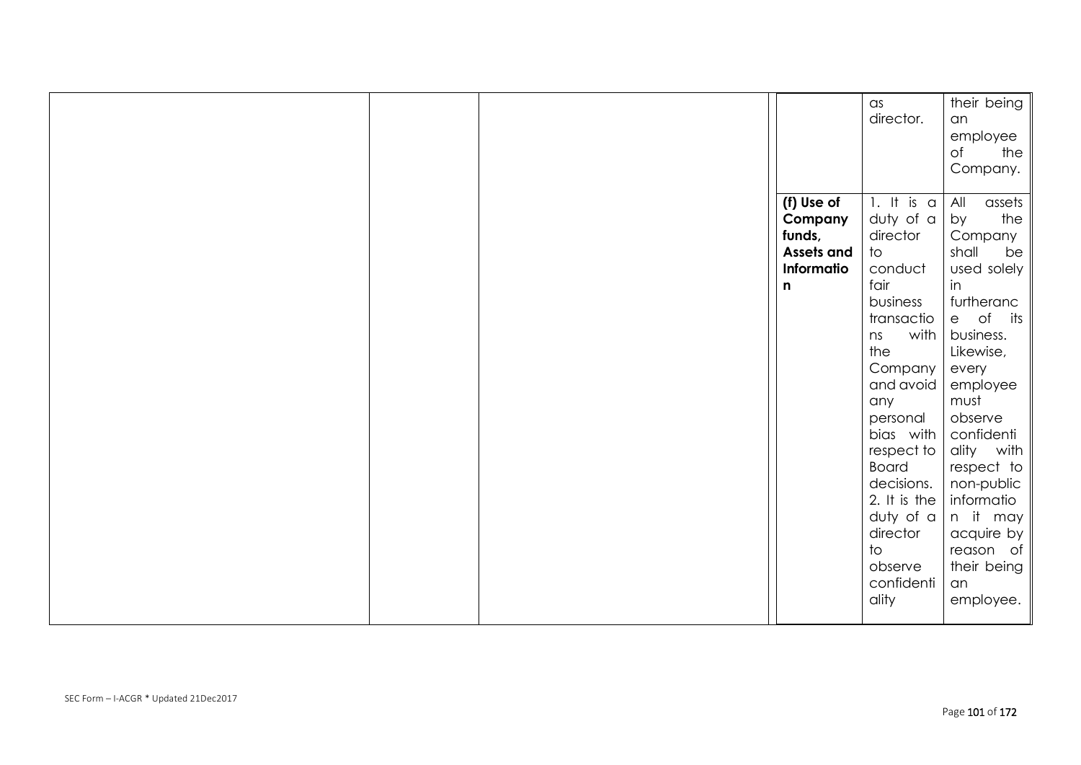|  | (f) Use of<br>Company<br>funds, | $\alpha$ s<br>director.<br>1. It is $\alpha$<br>duty of a<br>director                                                                                                                                                              | Their being $\parallel$<br>an<br>employee<br>the $ $<br>of<br>Company.   <br>All<br>assets<br>the<br>by<br>Company                                                                                                           |
|--|---------------------------------|------------------------------------------------------------------------------------------------------------------------------------------------------------------------------------------------------------------------------------|------------------------------------------------------------------------------------------------------------------------------------------------------------------------------------------------------------------------------|
|  | Informatio<br>n                 | conduct<br>fair                                                                                                                                                                                                                    | used solely<br>in                                                                                                                                                                                                            |
|  |                                 | business<br>transactio<br>with<br>ns<br>the<br>Company<br>and avoid<br>any<br>personal<br>bias with<br>respect to<br><b>Board</b><br>decisions.<br>2. It is the<br>$duty$ of a<br>director<br>to<br>observe<br>confidenti<br>ality | furtheranc<br>$e$ of its<br>business.<br>Likewise,<br>every<br>employee<br>must<br>observe<br>confidenti<br>ality with<br>$respect to \vert\vertnon-public   information it mayacquire byreason oftheir being   anemployee.$ |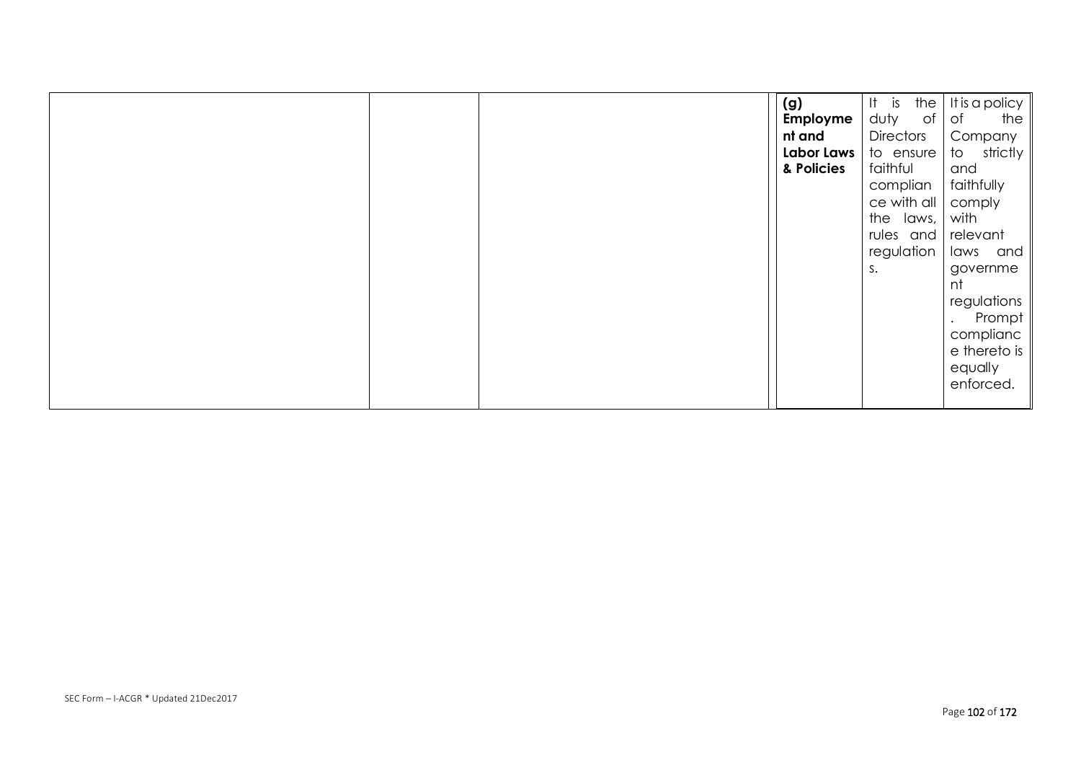|  | (g)        | $It$ is<br>the   | It is a policy      |
|--|------------|------------------|---------------------|
|  | Employme   | duty<br>of .     | Оf<br>the           |
|  | nt and     | <b>Directors</b> | Company             |
|  | Labor Laws | to ensure        | strictly<br>to      |
|  | & Policies | faithful         | and                 |
|  |            | complian         | faithfully          |
|  |            | ce with all      | comply              |
|  |            | the laws,        | with                |
|  |            | rules and        | relevant            |
|  |            | regulation       | and<br>laws         |
|  |            | s.               | governme            |
|  |            |                  | nt                  |
|  |            |                  | regulations         |
|  |            |                  | Prompt<br>$\bullet$ |
|  |            |                  | complianc           |
|  |            |                  | e thereto is        |
|  |            |                  | equally             |
|  |            |                  | enforced.           |
|  |            |                  |                     |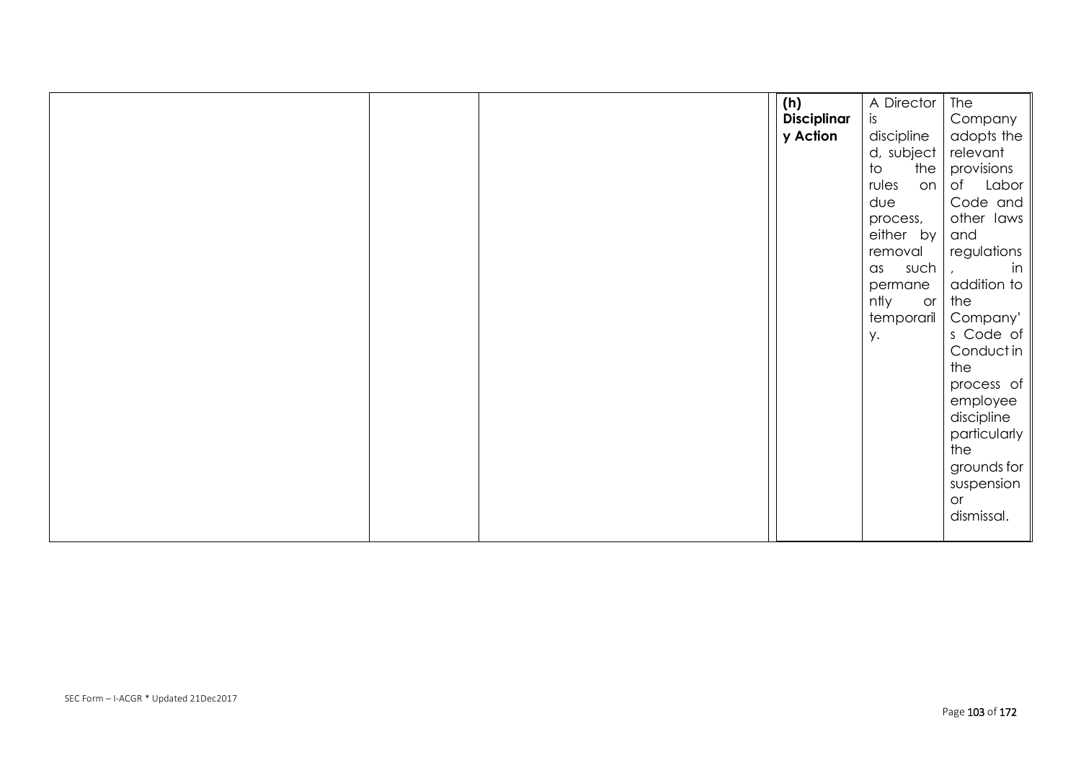|  | (h)                | A Director                          | The                     |
|--|--------------------|-------------------------------------|-------------------------|
|  | <b>Disciplinar</b> | is.                                 | Company                 |
|  | y Action           | discipline                          | adopts the              |
|  |                    | d, subject                          | relevant                |
|  |                    | the $ $<br>$\overline{\mathrm{10}}$ | provisions              |
|  |                    | rules<br>on                         | Labor<br>of             |
|  |                    | due                                 | Code and $\vert$        |
|  |                    | process,                            | other laws              |
|  |                    | either by                           | and                     |
|  |                    | removal                             | regulations             |
|  |                    | such<br>$\alpha$ s                  | $\mathsf{in}$           |
|  |                    | permane                             | addition to $\parallel$ |
|  |                    | ntly<br>or                          | the                     |
|  |                    | temporaril                          | Company'                |
|  |                    | y.                                  | s Code of               |
|  |                    |                                     | Conductin $\ $          |
|  |                    |                                     | the                     |
|  |                    |                                     | process of              |
|  |                    |                                     | employee                |
|  |                    |                                     | $discipher$             |
|  |                    |                                     | particularly            |
|  |                    |                                     | the                     |
|  |                    |                                     | grounds for             |
|  |                    |                                     | suspension              |
|  |                    |                                     | or                      |
|  |                    |                                     | dismissal.              |
|  |                    |                                     |                         |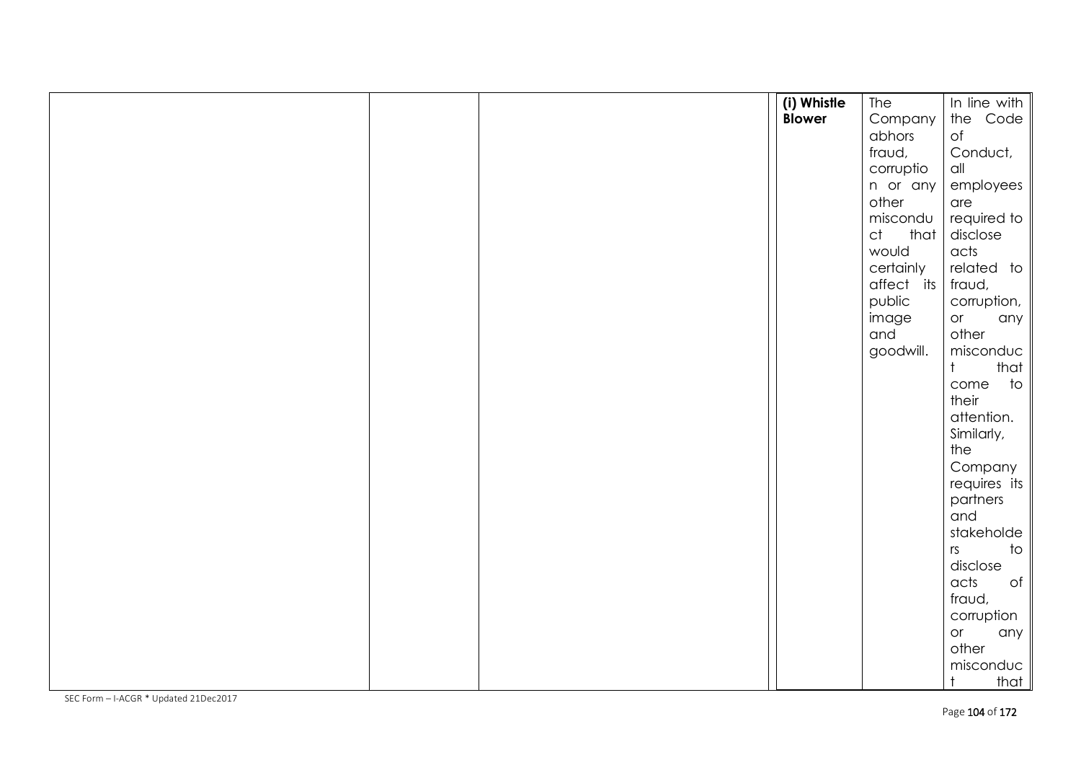|  | (i) Whistle   | The        | In line with                   |
|--|---------------|------------|--------------------------------|
|  | <b>Blower</b> | Company    | the Code                       |
|  |               | abhors     | of                             |
|  |               | fraud,     | Conduct,                       |
|  |               | corruptio  | $\alpha$ ll                    |
|  |               | n or any   | employees                      |
|  |               | other      | are                            |
|  |               | miscondu   | required to                    |
|  |               | ct<br>that | disclose                       |
|  |               | would      | acts                           |
|  |               | certainly  | related to                     |
|  |               | affect its | fraud,                         |
|  |               | public     | corruption,                    |
|  |               | image      | or<br>any                      |
|  |               | and        | other                          |
|  |               | goodwill.  | misconduc                      |
|  |               |            | that<br>$\dagger$              |
|  |               |            | come to<br>their               |
|  |               |            |                                |
|  |               |            | attention.                     |
|  |               |            | Similarly,<br>the              |
|  |               |            | Company                        |
|  |               |            | requires its                   |
|  |               |            | partners                       |
|  |               |            | and                            |
|  |               |            | stakeholde                     |
|  |               |            | $\overline{\phantom{a}}$<br>rs |
|  |               |            | disclose                       |
|  |               |            | $\circ$ f<br>acts              |
|  |               |            | fraud,                         |
|  |               |            | corruption                     |
|  |               |            | or<br>any                      |
|  |               |            | other                          |
|  |               |            | misconduc                      |
|  |               |            | $\ddagger$<br>that             |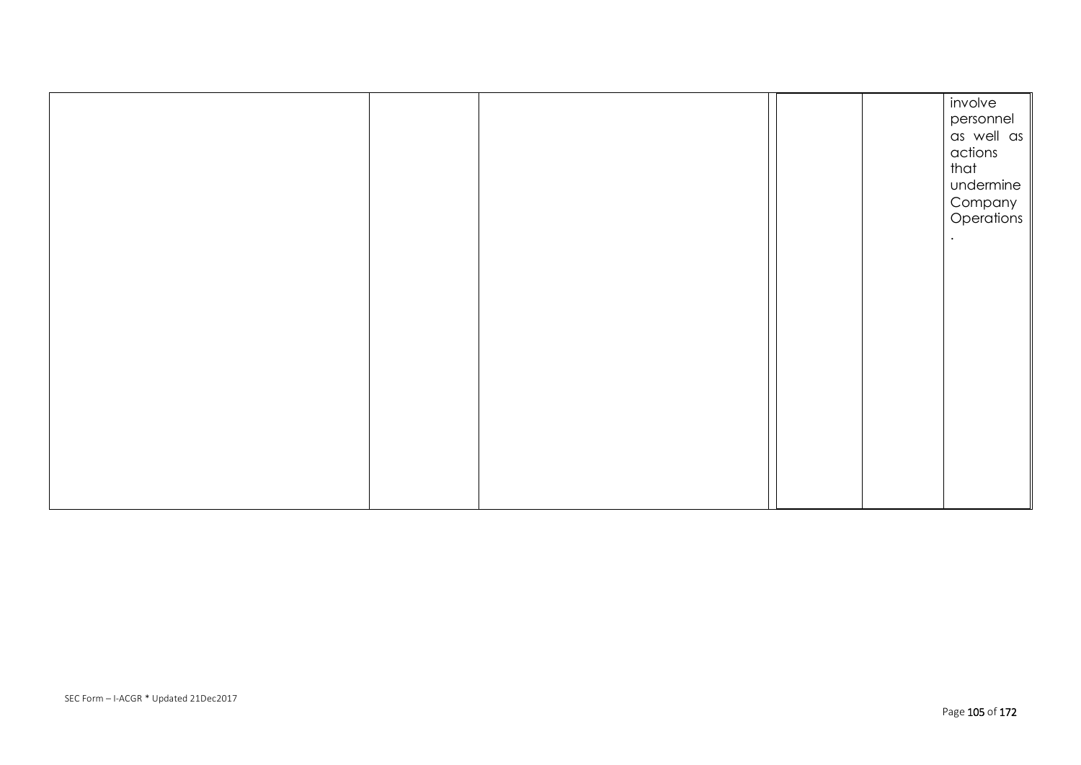|  |  | involve<br>personnel  |
|--|--|-----------------------|
|  |  | as well as<br>actions |
|  |  | that                  |
|  |  | undermine             |
|  |  | Company<br>Operations |
|  |  |                       |
|  |  |                       |
|  |  |                       |
|  |  |                       |
|  |  |                       |
|  |  |                       |
|  |  |                       |
|  |  |                       |
|  |  |                       |
|  |  |                       |
|  |  |                       |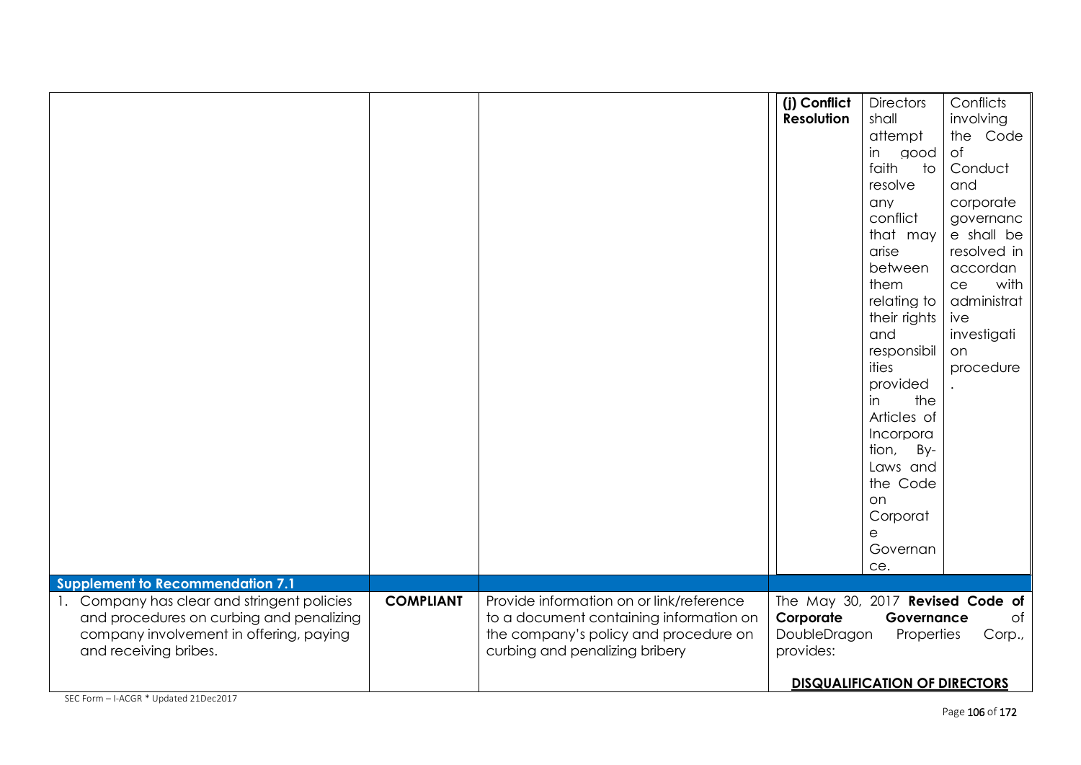|                                                                                                                                                                                                        |                  |                                                                                                                                                                | (j) Conflict<br>Resolution                                                 | <b>Directors</b><br>shall<br>attempt<br>in<br>good<br>faith<br>to<br>resolve<br>any<br>conflict<br>that may<br>arise<br>between<br>them<br>relating to<br>their rights<br>and<br>responsibil<br>ities<br>provided<br>in<br>the<br>Articles of<br>Incorpora<br>tion,<br>By-<br>Laws and | Conflicts<br>involving<br>the Code<br>$\circ$ f<br>Conduct<br>and<br>corporate<br>governanc<br>e shall be<br>resolved in<br>accordan<br>with<br>ce<br>administrat<br>ive<br>investigati<br>on<br>procedure |
|--------------------------------------------------------------------------------------------------------------------------------------------------------------------------------------------------------|------------------|----------------------------------------------------------------------------------------------------------------------------------------------------------------|----------------------------------------------------------------------------|----------------------------------------------------------------------------------------------------------------------------------------------------------------------------------------------------------------------------------------------------------------------------------------|------------------------------------------------------------------------------------------------------------------------------------------------------------------------------------------------------------|
| <b>Supplement to Recommendation 7.1</b><br>1. Company has clear and stringent policies<br>and procedures on curbing and penalizing<br>company involvement in offering, paying<br>and receiving bribes. | <b>COMPLIANT</b> | Provide information on or link/reference<br>to a document containing information on<br>the company's policy and procedure on<br>curbing and penalizing bribery | The May 30, 2017 Revised Code of<br>Corporate<br>DoubleDragon<br>provides: | the Code<br>on<br>Corporat<br>е<br>Governan<br>ce.<br>Governance<br>Properties<br><b>DISQUALIFICATION OF DIRECTORS</b>                                                                                                                                                                 | of<br>Corp.,                                                                                                                                                                                               |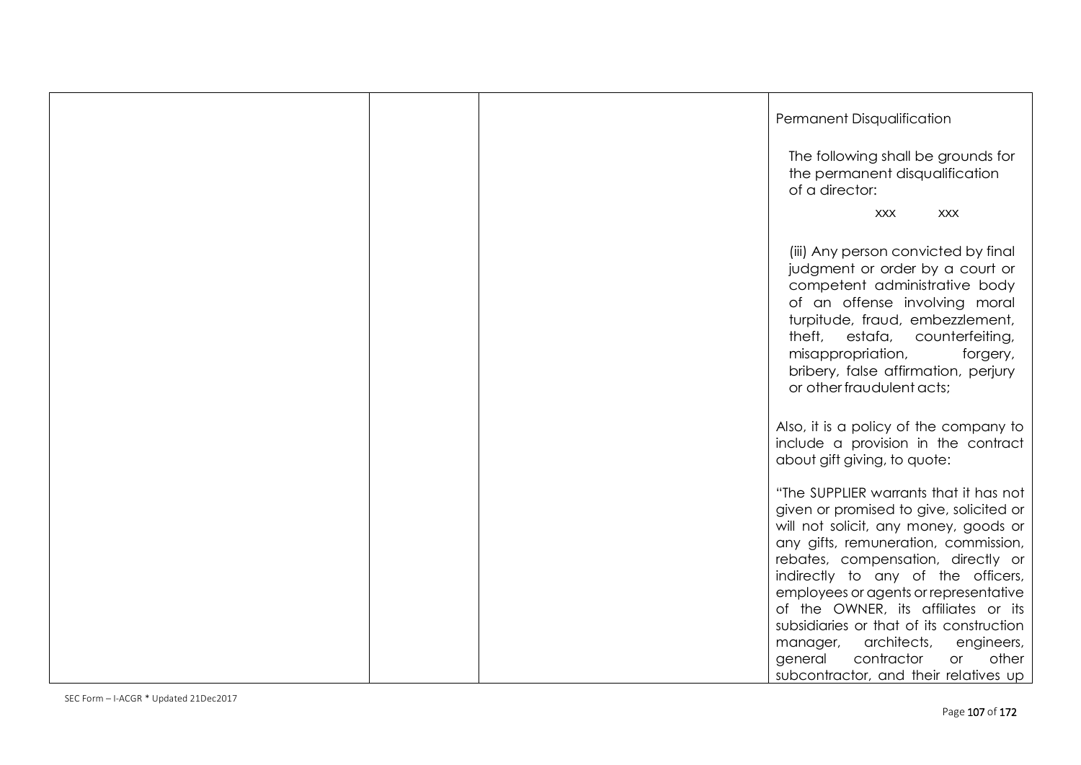|  | Permanent Disqualification                                                                                                                                                                                                                                                                                                                                                                                                                                                                        |
|--|---------------------------------------------------------------------------------------------------------------------------------------------------------------------------------------------------------------------------------------------------------------------------------------------------------------------------------------------------------------------------------------------------------------------------------------------------------------------------------------------------|
|  | The following shall be grounds for<br>the permanent disqualification<br>of a director:                                                                                                                                                                                                                                                                                                                                                                                                            |
|  | <b>XXX</b><br><b>XXX</b>                                                                                                                                                                                                                                                                                                                                                                                                                                                                          |
|  | (iii) Any person convicted by final<br>judgment or order by a court or<br>competent administrative body<br>of an offense involving moral<br>turpitude, fraud, embezzlement,<br>theft, estafa, counterfeiting,<br>misappropriation,<br>forgery,<br>bribery, false affirmation, perjury<br>or other fraudulent acts;                                                                                                                                                                                |
|  | Also, it is a policy of the company to<br>include a provision in the contract<br>about gift giving, to quote:                                                                                                                                                                                                                                                                                                                                                                                     |
|  | "The SUPPLIER warrants that it has not<br>given or promised to give, solicited or<br>will not solicit, any money, goods or<br>any gifts, remuneration, commission,<br>rebates, compensation, directly or<br>indirectly to any of the officers,<br>employees or agents or representative<br>of the OWNER, its affiliates or its<br>subsidiaries or that of its construction<br>manager, architects,<br>engineers,<br>contractor<br>other<br>general<br>or<br>subcontractor, and their relatives up |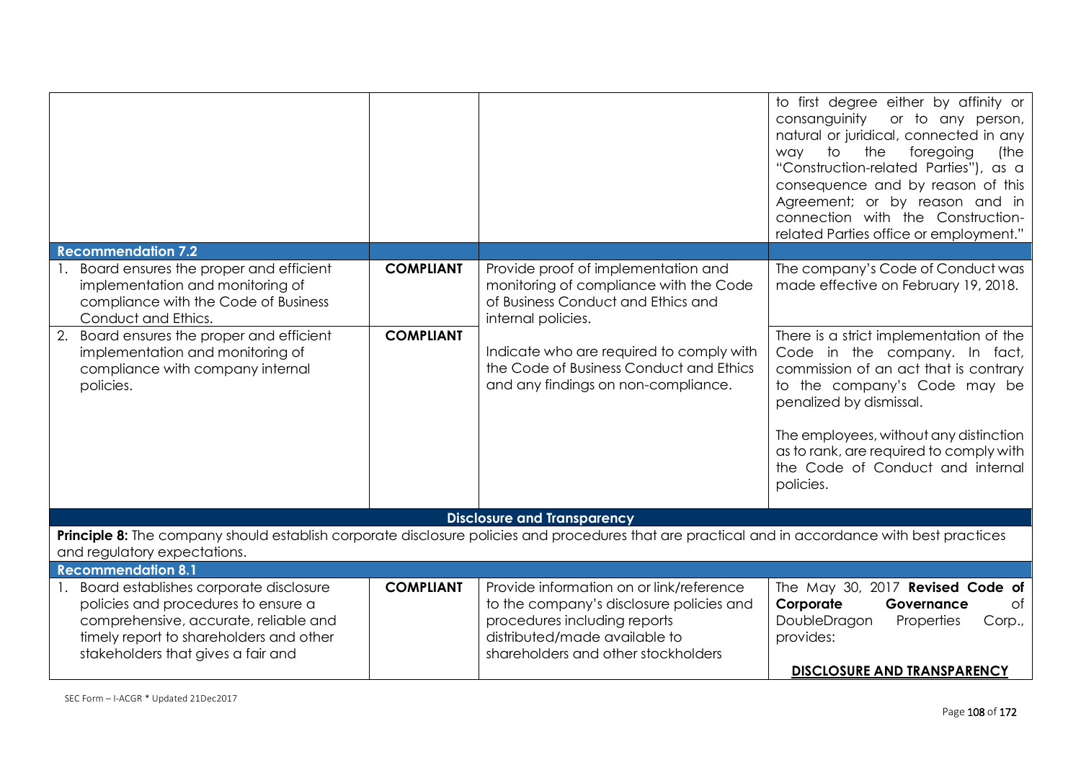|                                                                                                                                                                                                            |                  |                                                                                                                                                                                              | to first degree either by affinity or<br>consanguinity<br>or to any person,<br>natural or juridical, connected in any<br>foregoing<br>to<br>the<br>way<br>(the<br>"Construction-related Parties"), as a<br>consequence and by reason of this<br>Agreement; or by reason and in<br>connection with the Construction-<br>related Parties office or employment." |
|------------------------------------------------------------------------------------------------------------------------------------------------------------------------------------------------------------|------------------|----------------------------------------------------------------------------------------------------------------------------------------------------------------------------------------------|---------------------------------------------------------------------------------------------------------------------------------------------------------------------------------------------------------------------------------------------------------------------------------------------------------------------------------------------------------------|
| <b>Recommendation 7.2</b>                                                                                                                                                                                  |                  |                                                                                                                                                                                              |                                                                                                                                                                                                                                                                                                                                                               |
| Board ensures the proper and efficient<br>implementation and monitoring of<br>compliance with the Code of Business<br>Conduct and Ethics.                                                                  | <b>COMPLIANT</b> | Provide proof of implementation and<br>monitoring of compliance with the Code<br>of Business Conduct and Ethics and<br>internal policies.                                                    | The company's Code of Conduct was<br>made effective on February 19, 2018.                                                                                                                                                                                                                                                                                     |
| 2. Board ensures the proper and efficient<br>implementation and monitoring of<br>compliance with company internal<br>policies.                                                                             | <b>COMPLIANT</b> | Indicate who are required to comply with<br>the Code of Business Conduct and Ethics<br>and any findings on non-compliance.                                                                   | There is a strict implementation of the<br>Code in the company. In fact,<br>commission of an act that is contrary<br>to the company's Code may be<br>penalized by dismissal.<br>The employees, without any distinction<br>as to rank, are required to comply with<br>the Code of Conduct and internal<br>policies.                                            |
|                                                                                                                                                                                                            |                  | <b>Disclosure and Transparency</b>                                                                                                                                                           |                                                                                                                                                                                                                                                                                                                                                               |
| Principle 8: The company should establish corporate disclosure policies and procedures that are practical and in accordance with best practices<br>and regulatory expectations.                            |                  |                                                                                                                                                                                              |                                                                                                                                                                                                                                                                                                                                                               |
| <b>Recommendation 8.1</b>                                                                                                                                                                                  |                  |                                                                                                                                                                                              |                                                                                                                                                                                                                                                                                                                                                               |
| 1. Board establishes corporate disclosure<br>policies and procedures to ensure a<br>comprehensive, accurate, reliable and<br>timely report to shareholders and other<br>stakeholders that gives a fair and | <b>COMPLIANT</b> | Provide information on or link/reference<br>to the company's disclosure policies and<br>procedures including reports<br>distributed/made available to<br>shareholders and other stockholders | The May 30, 2017 Revised Code of<br>Corporate<br>of<br>Governance<br>DoubleDragon<br>Properties<br>Corp.,<br>provides:<br><b>DISCLOSURE AND TRANSPARENCY</b>                                                                                                                                                                                                  |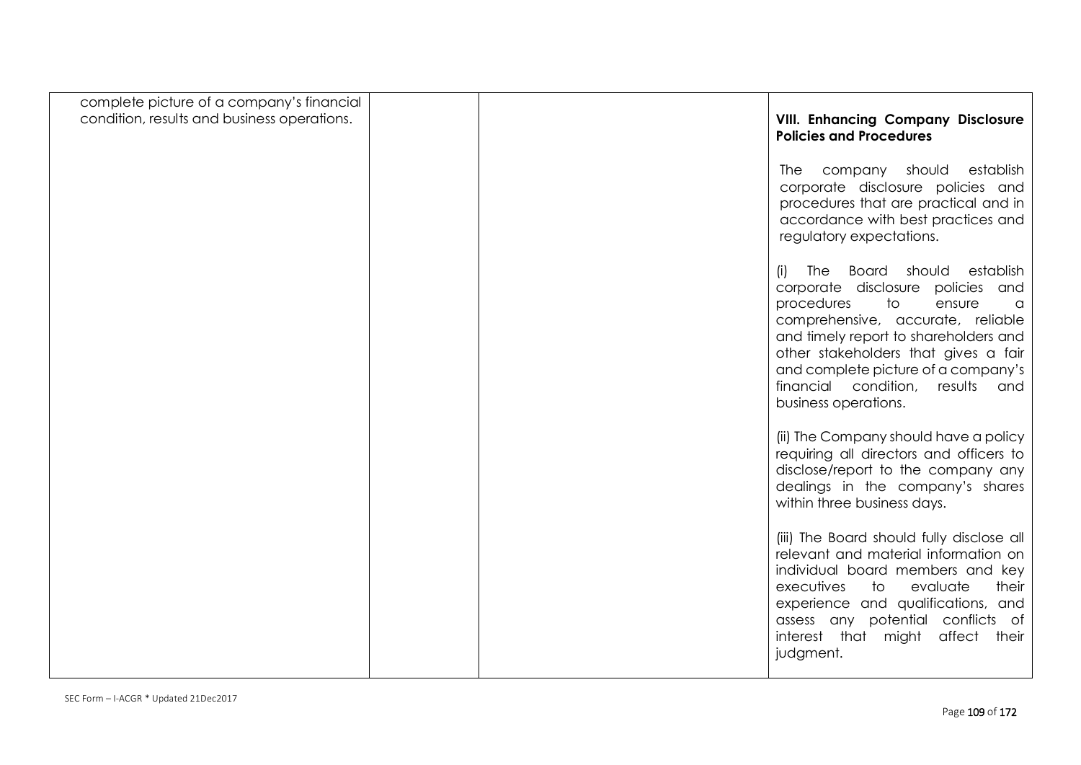| complete picture of a company's financial<br>condition, results and business operations. | <b>VIII. Enhancing Company Disclosure</b><br><b>Policies and Procedures</b>                                                                                                                                                                                                                                                                 |
|------------------------------------------------------------------------------------------|---------------------------------------------------------------------------------------------------------------------------------------------------------------------------------------------------------------------------------------------------------------------------------------------------------------------------------------------|
|                                                                                          | company should<br>establish<br>The<br>corporate disclosure policies and<br>procedures that are practical and in<br>accordance with best practices and<br>regulatory expectations.                                                                                                                                                           |
|                                                                                          | The Board should establish<br>(i)<br>corporate disclosure<br>policies and<br>procedures<br>to<br>ensure<br>a<br>comprehensive, accurate, reliable<br>and timely report to shareholders and<br>other stakeholders that gives a fair<br>and complete picture of a company's<br>financial condition,<br>results<br>and<br>business operations. |
|                                                                                          | (ii) The Company should have a policy<br>requiring all directors and officers to<br>disclose/report to the company any<br>dealings in the company's shares<br>within three business days.                                                                                                                                                   |
|                                                                                          | (iii) The Board should fully disclose all<br>relevant and material information on<br>individual board members and key<br>executives<br>to<br>evaluate<br>their<br>experience and qualifications, and<br>assess any potential conflicts of<br>affect<br>interest that might<br>their<br>judgment.                                            |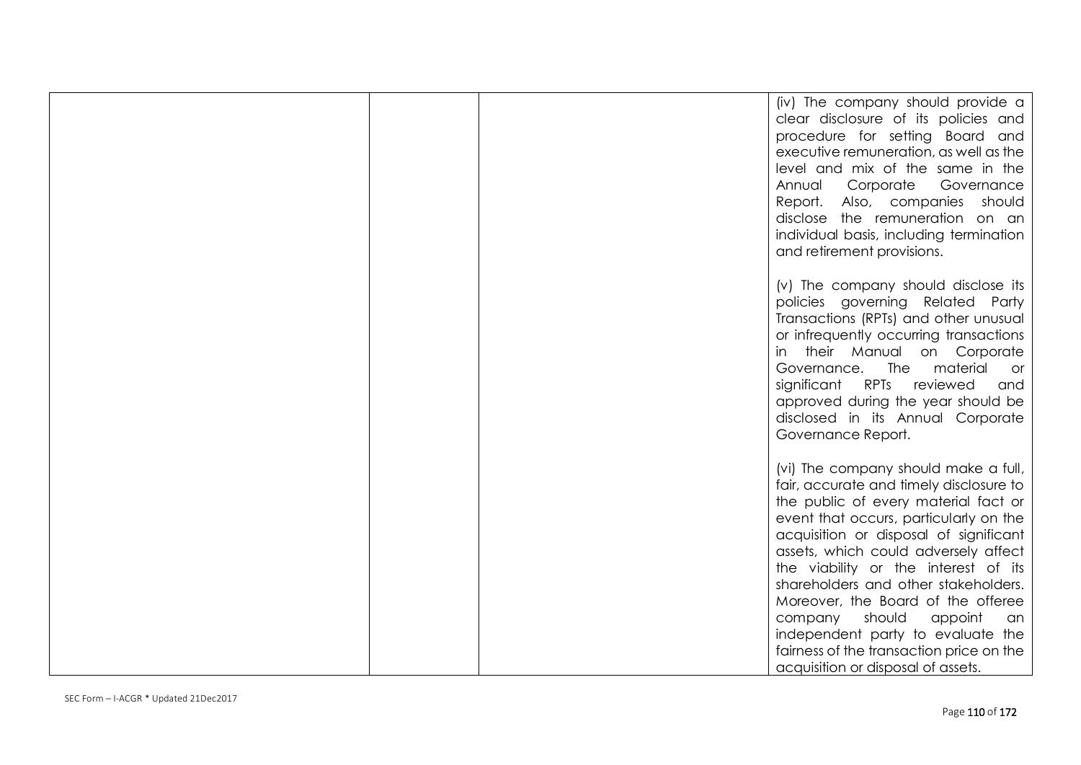|  | (iv) The company should provide a<br>clear disclosure of its policies and<br>procedure for setting Board and<br>executive remuneration, as well as the<br>level and mix of the same in the<br>Annual<br>Corporate<br>Governance<br>Report.<br>Also, companies<br>should<br>disclose the remuneration on an<br>individual basis, including termination<br>and retirement provisions.                                                                                                                                                    |
|--|----------------------------------------------------------------------------------------------------------------------------------------------------------------------------------------------------------------------------------------------------------------------------------------------------------------------------------------------------------------------------------------------------------------------------------------------------------------------------------------------------------------------------------------|
|  | (v) The company should disclose its<br>policies governing Related Party<br>Transactions (RPTs) and other unusual<br>or infrequently occurring transactions<br>their Manual on Corporate<br>in<br>Governance. The<br>material<br>or.<br>significant RPTs<br>reviewed<br>and<br>approved during the year should be<br>disclosed in its Annual Corporate<br>Governance Report.                                                                                                                                                            |
|  | (vi) The company should make a full,<br>fair, accurate and timely disclosure to<br>the public of every material fact or<br>event that occurs, particularly on the<br>acquisition or disposal of significant<br>assets, which could adversely affect<br>the viability or the interest of its<br>shareholders and other stakeholders.<br>Moreover, the Board of the offeree<br>should<br>company<br>appoint<br>an<br>independent party to evaluate the<br>fairness of the transaction price on the<br>acquisition or disposal of assets. |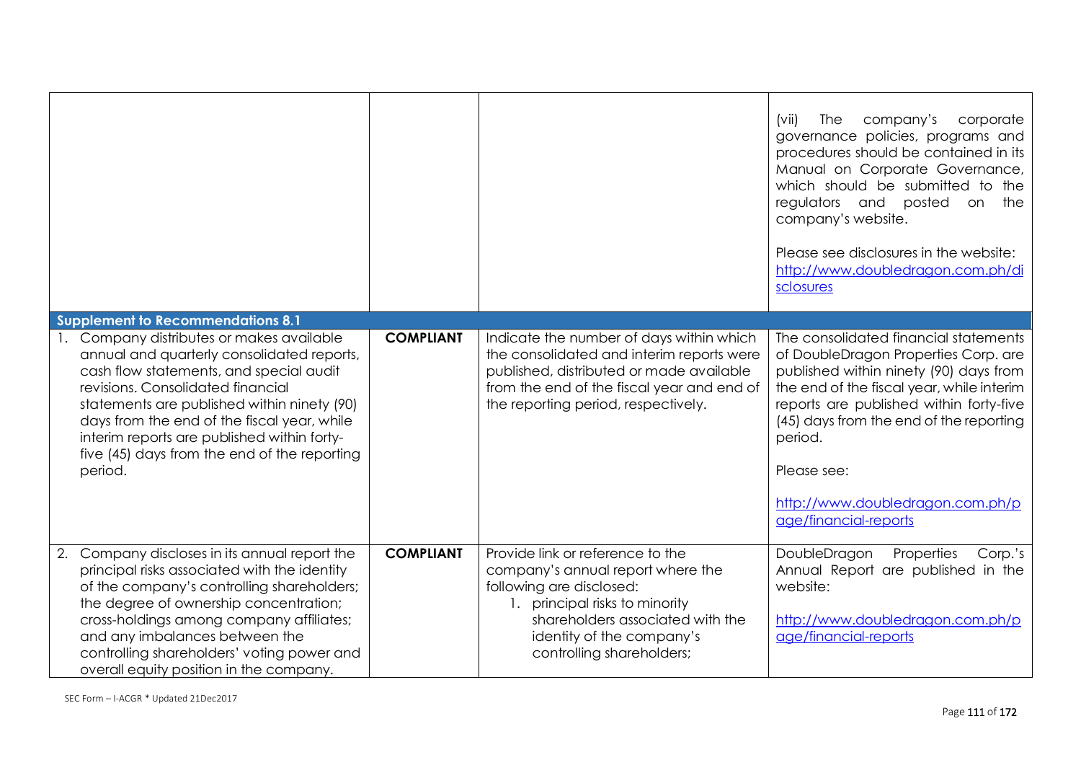|    |                                                                                                                                                                                                                                                                                                                                                                                 |                  |                                                                                                                                                                                                                                      | company's<br>corporate<br>(vii)<br>The<br>governance policies, programs and<br>procedures should be contained in its<br>Manual on Corporate Governance,<br>which should be submitted to the<br>regulators and posted<br>on the<br>company's website.<br>Please see disclosures in the website:<br>http://www.doubledragon.com.ph/di<br>sclosures  |
|----|---------------------------------------------------------------------------------------------------------------------------------------------------------------------------------------------------------------------------------------------------------------------------------------------------------------------------------------------------------------------------------|------------------|--------------------------------------------------------------------------------------------------------------------------------------------------------------------------------------------------------------------------------------|---------------------------------------------------------------------------------------------------------------------------------------------------------------------------------------------------------------------------------------------------------------------------------------------------------------------------------------------------|
|    | <b>Supplement to Recommendations 8.1</b>                                                                                                                                                                                                                                                                                                                                        |                  |                                                                                                                                                                                                                                      |                                                                                                                                                                                                                                                                                                                                                   |
|    | 1. Company distributes or makes available<br>annual and quarterly consolidated reports,<br>cash flow statements, and special audit<br>revisions. Consolidated financial<br>statements are published within ninety (90)<br>days from the end of the fiscal year, while<br>interim reports are published within forty-<br>five (45) days from the end of the reporting<br>period. | <b>COMPLIANT</b> | Indicate the number of days within which<br>the consolidated and interim reports were<br>published, distributed or made available<br>from the end of the fiscal year and end of<br>the reporting period, respectively.               | The consolidated financial statements<br>of DoubleDragon Properties Corp. are<br>published within ninety (90) days from<br>the end of the fiscal year, while interim<br>reports are published within forty-five<br>(45) days from the end of the reporting<br>period.<br>Please see:<br>http://www.doubledragon.com.ph/p<br>age/financial-reports |
| 2. | Company discloses in its annual report the<br>principal risks associated with the identity<br>of the company's controlling shareholders;<br>the degree of ownership concentration;<br>cross-holdings among company affiliates;<br>and any imbalances between the<br>controlling shareholders' voting power and<br>overall equity position in the company.                       | <b>COMPLIANT</b> | Provide link or reference to the<br>company's annual report where the<br>following are disclosed:<br>principal risks to minority<br>1.<br>shareholders associated with the<br>identity of the company's<br>controlling shareholders; | Properties<br>DoubleDragon<br>Corp.'s<br>Annual Report are published in the<br>website:<br>http://www.doubledragon.com.ph/p<br>age/financial-reports                                                                                                                                                                                              |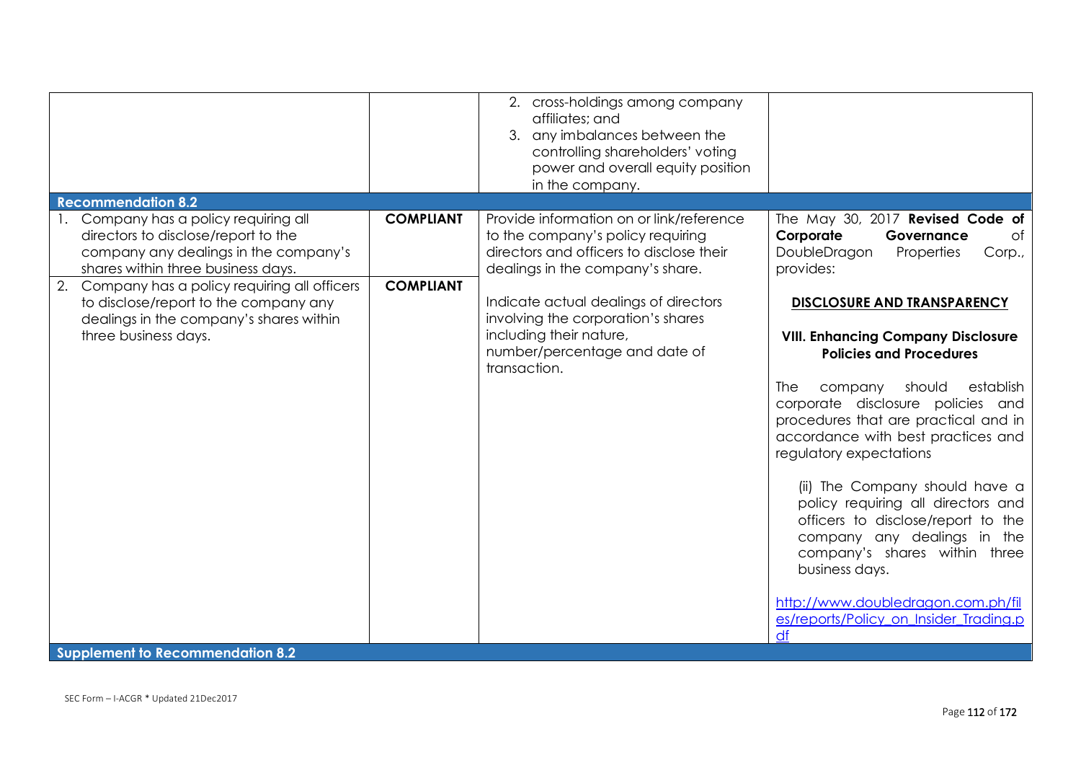|                                                                                                                                                             |                  | 2. cross-holdings among company<br>affiliates; and<br>3. any imbalances between the<br>controlling shareholders' voting<br>power and overall equity position<br>in the company. |                                                                                                                                                                                                                                                                                                                                                                                                                                                                                                                                                                                                       |
|-------------------------------------------------------------------------------------------------------------------------------------------------------------|------------------|---------------------------------------------------------------------------------------------------------------------------------------------------------------------------------|-------------------------------------------------------------------------------------------------------------------------------------------------------------------------------------------------------------------------------------------------------------------------------------------------------------------------------------------------------------------------------------------------------------------------------------------------------------------------------------------------------------------------------------------------------------------------------------------------------|
| <b>Recommendation 8.2</b>                                                                                                                                   |                  |                                                                                                                                                                                 |                                                                                                                                                                                                                                                                                                                                                                                                                                                                                                                                                                                                       |
| 1. Company has a policy requiring all<br>directors to disclose/report to the<br>company any dealings in the company's<br>shares within three business days. | <b>COMPLIANT</b> | Provide information on or link/reference<br>to the company's policy requiring<br>directors and officers to disclose their<br>dealings in the company's share.                   | The May 30, 2017 Revised Code of<br>Corporate<br>Governance<br>of<br>DoubleDragon<br>Properties<br>Corp.,<br>provides:                                                                                                                                                                                                                                                                                                                                                                                                                                                                                |
| 2. Company has a policy requiring all officers<br>to disclose/report to the company any<br>dealings in the company's shares within<br>three business days.  | <b>COMPLIANT</b> | Indicate actual dealings of directors<br>involving the corporation's shares<br>including their nature,<br>number/percentage and date of<br>transaction.                         | <b>DISCLOSURE AND TRANSPARENCY</b><br><b>VIII. Enhancing Company Disclosure</b><br><b>Policies and Procedures</b><br><b>The</b><br>establish<br>should<br>company<br>corporate disclosure policies and<br>procedures that are practical and in<br>accordance with best practices and<br>regulatory expectations<br>(ii) The Company should have a<br>policy requiring all directors and<br>officers to disclose/report to the<br>company any dealings in the<br>company's shares within three<br>business days.<br>http://www.doubledragon.com.ph/fil<br>es/reports/Policy_on_Insider_Trading.p<br>df |
| <b>Supplement to Recommendation 8.2</b>                                                                                                                     |                  |                                                                                                                                                                                 |                                                                                                                                                                                                                                                                                                                                                                                                                                                                                                                                                                                                       |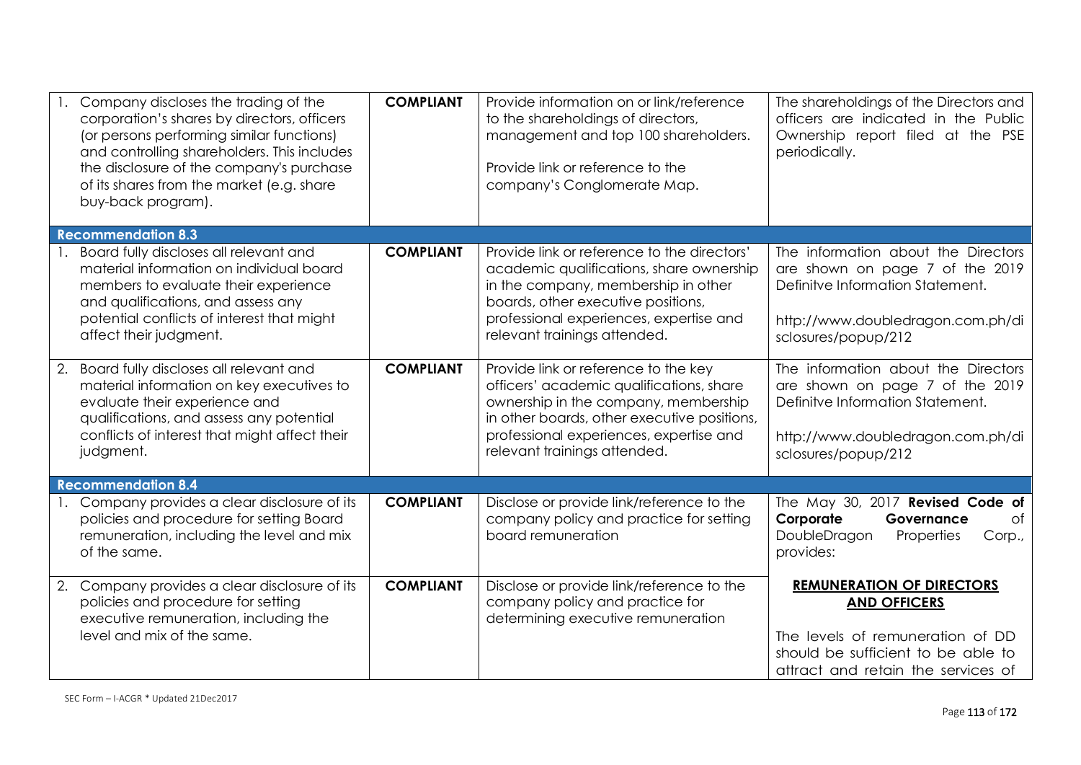|    | Company discloses the trading of the<br>corporation's shares by directors, officers<br>(or persons performing similar functions)<br>and controlling shareholders. This includes<br>the disclosure of the company's purchase<br>of its shares from the market (e.g. share<br>buy-back program). | <b>COMPLIANT</b> | Provide information on or link/reference<br>to the shareholdings of directors,<br>management and top 100 shareholders.<br>Provide link or reference to the<br>company's Conglomerate Map.                                                          | The shareholdings of the Directors and<br>officers are indicated in the Public<br>Ownership report filed at the PSE<br>periodically.                                    |
|----|------------------------------------------------------------------------------------------------------------------------------------------------------------------------------------------------------------------------------------------------------------------------------------------------|------------------|----------------------------------------------------------------------------------------------------------------------------------------------------------------------------------------------------------------------------------------------------|-------------------------------------------------------------------------------------------------------------------------------------------------------------------------|
|    | <b>Recommendation 8.3</b>                                                                                                                                                                                                                                                                      |                  |                                                                                                                                                                                                                                                    |                                                                                                                                                                         |
|    | Board fully discloses all relevant and<br>material information on individual board<br>members to evaluate their experience<br>and qualifications, and assess any<br>potential conflicts of interest that might<br>affect their judgment.                                                       | <b>COMPLIANT</b> | Provide link or reference to the directors'<br>academic qualifications, share ownership<br>in the company, membership in other<br>boards, other executive positions,<br>professional experiences, expertise and<br>relevant trainings attended.    | The information about the Directors<br>are shown on page 7 of the 2019<br>Definitve Information Statement.<br>http://www.doubledragon.com.ph/di<br>sclosures/popup/212  |
| 2. | Board fully discloses all relevant and<br>material information on key executives to<br>evaluate their experience and<br>qualifications, and assess any potential<br>conflicts of interest that might affect their<br>judgment.                                                                 | <b>COMPLIANT</b> | Provide link or reference to the key<br>officers' academic qualifications, share<br>ownership in the company, membership<br>in other boards, other executive positions,<br>professional experiences, expertise and<br>relevant trainings attended. | The information about the Directors<br>are shown on page 7 of the 2019<br>Definitve Information Statement.<br>http://www.doubledragon.com.ph/di<br>sclosures/popup/212  |
|    | <b>Recommendation 8.4</b>                                                                                                                                                                                                                                                                      |                  |                                                                                                                                                                                                                                                    |                                                                                                                                                                         |
|    | 1. Company provides a clear disclosure of its<br>policies and procedure for setting Board<br>remuneration, including the level and mix<br>of the same.                                                                                                                                         | <b>COMPLIANT</b> | Disclose or provide link/reference to the<br>company policy and practice for setting<br>board remuneration                                                                                                                                         | The May 30, 2017 Revised Code of<br>Corporate<br>Governance<br>of<br>DoubleDragon<br>Properties<br>Corp.,<br>provides:                                                  |
|    | 2. Company provides a clear disclosure of its<br>policies and procedure for setting<br>executive remuneration, including the<br>level and mix of the same.                                                                                                                                     | <b>COMPLIANT</b> | Disclose or provide link/reference to the<br>company policy and practice for<br>determining executive remuneration                                                                                                                                 | <b>REMUNERATION OF DIRECTORS</b><br><b>AND OFFICERS</b><br>The levels of remuneration of DD<br>should be sufficient to be able to<br>attract and retain the services of |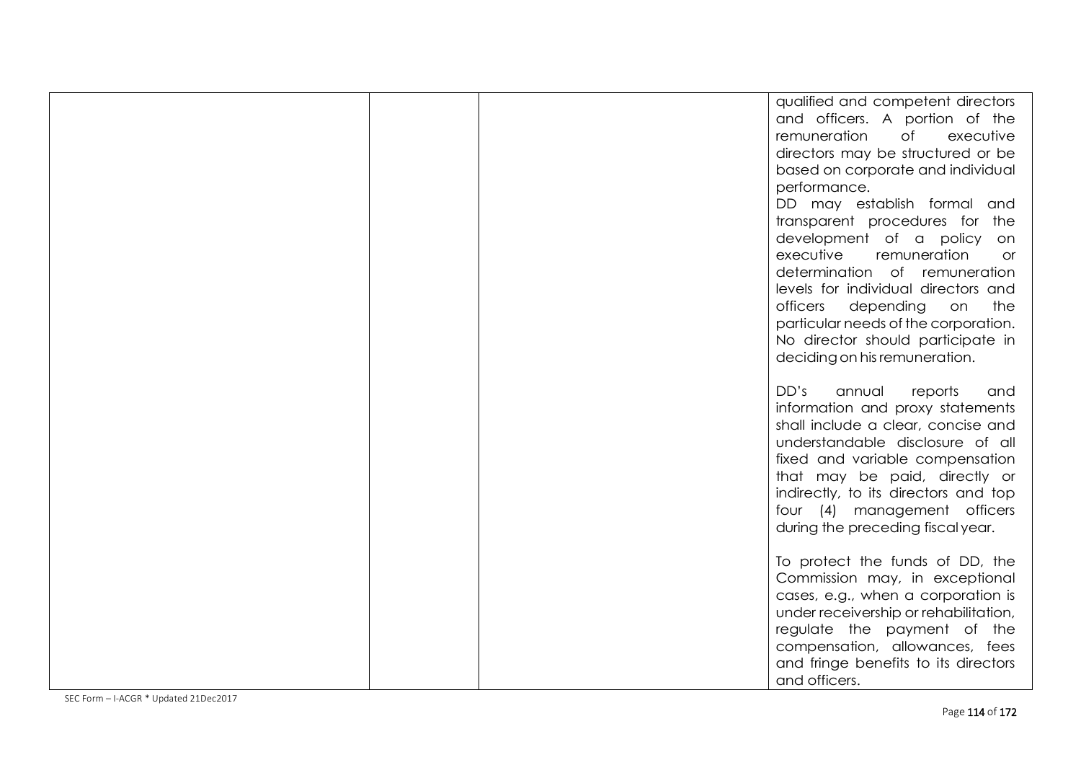|  | qualified and competent directors<br>and officers. A portion of the<br>remuneration<br>$\circ$ f<br>executive<br>directors may be structured or be<br>based on corporate and individual<br>performance.<br>DD may establish formal and<br>transparent procedures for the<br>development of a policy on<br>executive<br>remuneration<br><b>or</b><br>determination of remuneration<br>levels for individual directors and<br>officers<br>the<br>depending<br>on<br>particular needs of the corporation.<br>No director should participate in<br>deciding on his remuneration. |
|--|------------------------------------------------------------------------------------------------------------------------------------------------------------------------------------------------------------------------------------------------------------------------------------------------------------------------------------------------------------------------------------------------------------------------------------------------------------------------------------------------------------------------------------------------------------------------------|
|  | DD's<br>annual<br>reports<br>and<br>information and proxy statements<br>shall include a clear, concise and<br>understandable disclosure of all<br>fixed and variable compensation<br>that may be paid, directly or<br>indirectly, to its directors and top<br>four (4) management officers<br>during the preceding fiscal year.                                                                                                                                                                                                                                              |
|  | To protect the funds of DD, the<br>Commission may, in exceptional<br>cases, e.g., when a corporation is<br>under receivership or rehabilitation,<br>regulate the payment of the<br>compensation, allowances, fees<br>and fringe benefits to its directors<br>and officers.                                                                                                                                                                                                                                                                                                   |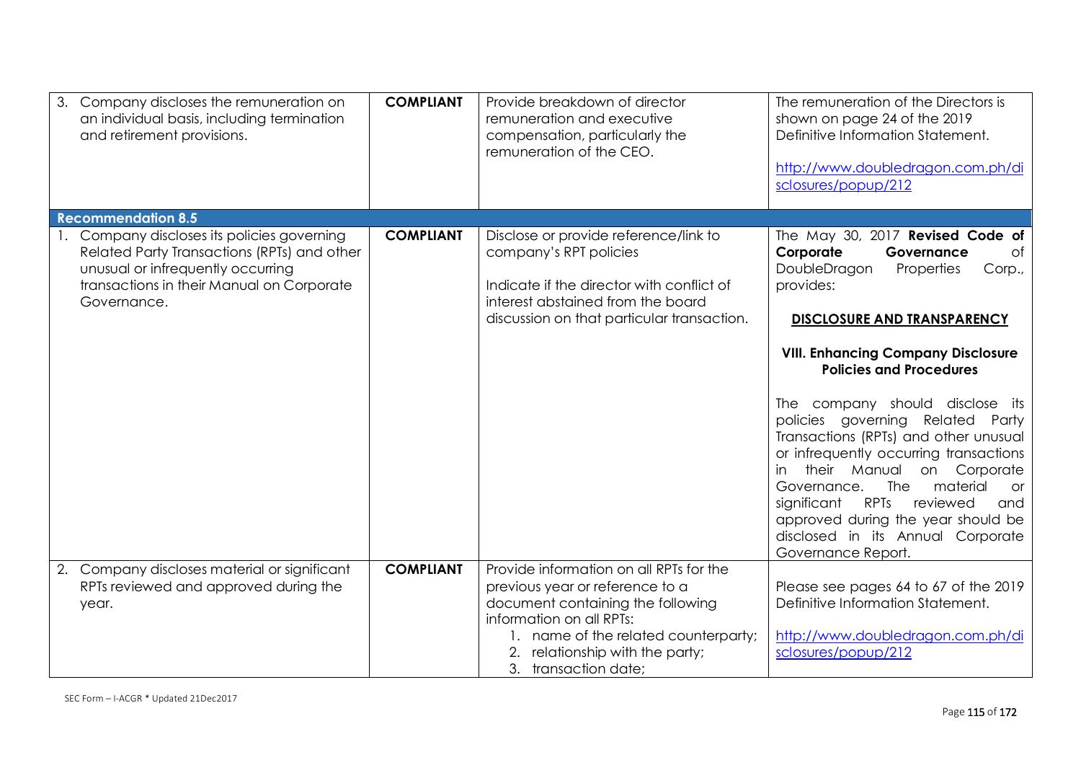| 3. Company discloses the remuneration on<br>an individual basis, including termination<br>and retirement provisions.                                                                        | <b>COMPLIANT</b> | Provide breakdown of director<br>remuneration and executive<br>compensation, particularly the<br>remuneration of the CEO.                                                                                                                      | The remuneration of the Directors is<br>shown on page 24 of the 2019<br>Definitive Information Statement.<br>http://www.doubledragon.com.ph/di<br>sclosures/popup/212                                                                                                                                                                                                                                                                                                                                                                                                                         |
|---------------------------------------------------------------------------------------------------------------------------------------------------------------------------------------------|------------------|------------------------------------------------------------------------------------------------------------------------------------------------------------------------------------------------------------------------------------------------|-----------------------------------------------------------------------------------------------------------------------------------------------------------------------------------------------------------------------------------------------------------------------------------------------------------------------------------------------------------------------------------------------------------------------------------------------------------------------------------------------------------------------------------------------------------------------------------------------|
| <b>Recommendation 8.5</b>                                                                                                                                                                   |                  |                                                                                                                                                                                                                                                |                                                                                                                                                                                                                                                                                                                                                                                                                                                                                                                                                                                               |
| 1. Company discloses its policies governing<br>Related Party Transactions (RPTs) and other<br>unusual or infrequently occurring<br>transactions in their Manual on Corporate<br>Governance. | <b>COMPLIANT</b> | Disclose or provide reference/link to<br>company's RPT policies<br>Indicate if the director with conflict of<br>interest abstained from the board<br>discussion on that particular transaction.                                                | The May 30, 2017 Revised Code of<br>Corporate<br>Governance<br>of<br>DoubleDragon<br>Properties<br>Corp.,<br>provides:<br><b>DISCLOSURE AND TRANSPARENCY</b><br><b>VIII. Enhancing Company Disclosure</b><br><b>Policies and Procedures</b><br>The company should disclose its<br>policies governing Related Party<br>Transactions (RPTs) and other unusual<br>or infrequently occurring transactions<br>their Manual on<br>Corporate<br>in.<br>The<br>material<br>Governance.<br><b>or</b><br><b>RPT<sub>s</sub></b><br>significant<br>reviewed<br>and<br>approved during the year should be |
|                                                                                                                                                                                             |                  |                                                                                                                                                                                                                                                | disclosed in its Annual Corporate                                                                                                                                                                                                                                                                                                                                                                                                                                                                                                                                                             |
| 2. Company discloses material or significant<br>RPTs reviewed and approved during the<br>year.                                                                                              | <b>COMPLIANT</b> | Provide information on all RPTs for the<br>previous year or reference to a<br>document containing the following<br>information on all RPTs:<br>1. name of the related counterparty;<br>2. relationship with the party;<br>3. transaction date; | Governance Report.<br>Please see pages 64 to 67 of the 2019<br>Definitive Information Statement.<br>http://www.doubledragon.com.ph/di<br>sclosures/popup/212                                                                                                                                                                                                                                                                                                                                                                                                                                  |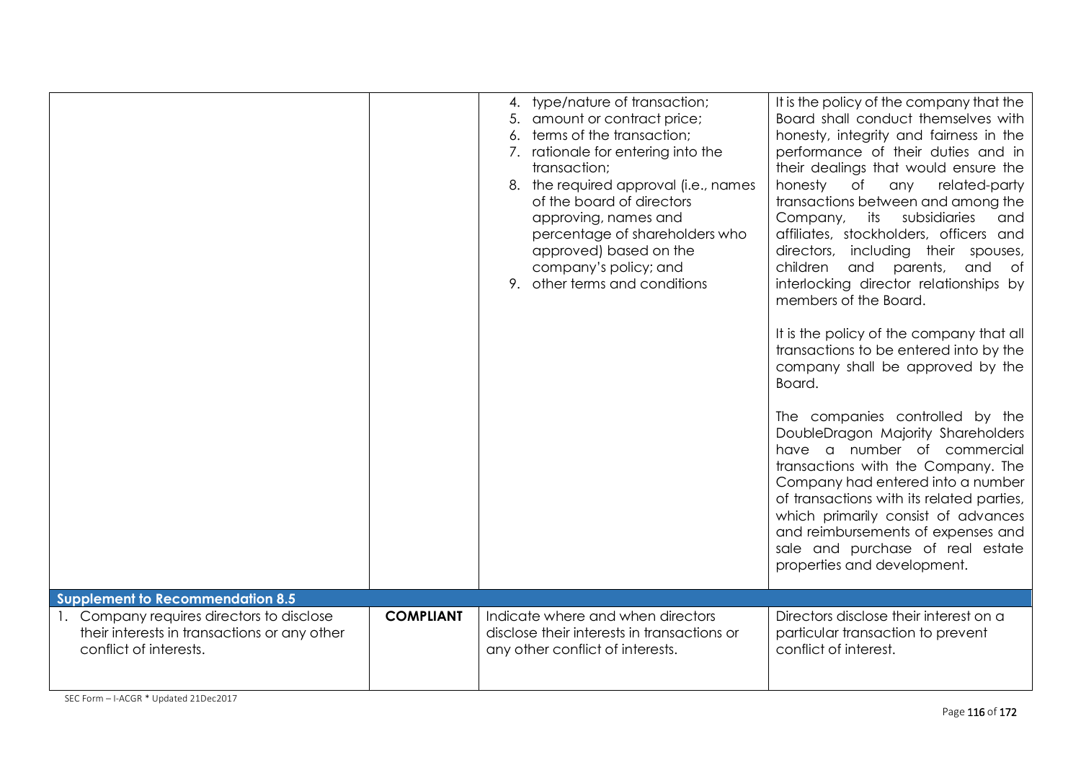|                                                                                      |                  | 4. type/nature of transaction;<br>5. amount or contract price;<br>6. terms of the transaction;<br>7. rationale for entering into the<br>transaction;<br>8. the required approval (i.e., names<br>of the board of directors<br>approving, names and<br>percentage of shareholders who<br>approved) based on the<br>company's policy; and<br>9. other terms and conditions | It is the policy of the company that the<br>Board shall conduct themselves with<br>honesty, integrity and fairness in the<br>performance of their duties and in<br>their dealings that would ensure the<br>of<br>honesty<br>any related-party<br>transactions between and among the<br>Company, its<br>subsidiaries<br>and<br>affiliates, stockholders, officers and<br>including their spouses,<br>directors,<br>children<br>and parents,<br>and<br>of<br>interlocking director relationships by<br>members of the Board.<br>It is the policy of the company that all<br>transactions to be entered into by the<br>company shall be approved by the<br>Board.<br>The companies controlled by the<br>DoubleDragon Majority Shareholders<br>have a number of commercial<br>transactions with the Company. The<br>Company had entered into a number<br>of transactions with its related parties,<br>which primarily consist of advances<br>and reimbursements of expenses and<br>sale and purchase of real estate<br>properties and development. |
|--------------------------------------------------------------------------------------|------------------|--------------------------------------------------------------------------------------------------------------------------------------------------------------------------------------------------------------------------------------------------------------------------------------------------------------------------------------------------------------------------|------------------------------------------------------------------------------------------------------------------------------------------------------------------------------------------------------------------------------------------------------------------------------------------------------------------------------------------------------------------------------------------------------------------------------------------------------------------------------------------------------------------------------------------------------------------------------------------------------------------------------------------------------------------------------------------------------------------------------------------------------------------------------------------------------------------------------------------------------------------------------------------------------------------------------------------------------------------------------------------------------------------------------------------------|
| <b>Supplement to Recommendation 8.5</b><br>1. Company requires directors to disclose | <b>COMPLIANT</b> | Indicate where and when directors                                                                                                                                                                                                                                                                                                                                        | Directors disclose their interest on a                                                                                                                                                                                                                                                                                                                                                                                                                                                                                                                                                                                                                                                                                                                                                                                                                                                                                                                                                                                                         |
| their interests in transactions or any other<br>conflict of interests.               |                  | disclose their interests in transactions or<br>any other conflict of interests.                                                                                                                                                                                                                                                                                          | particular transaction to prevent<br>conflict of interest.                                                                                                                                                                                                                                                                                                                                                                                                                                                                                                                                                                                                                                                                                                                                                                                                                                                                                                                                                                                     |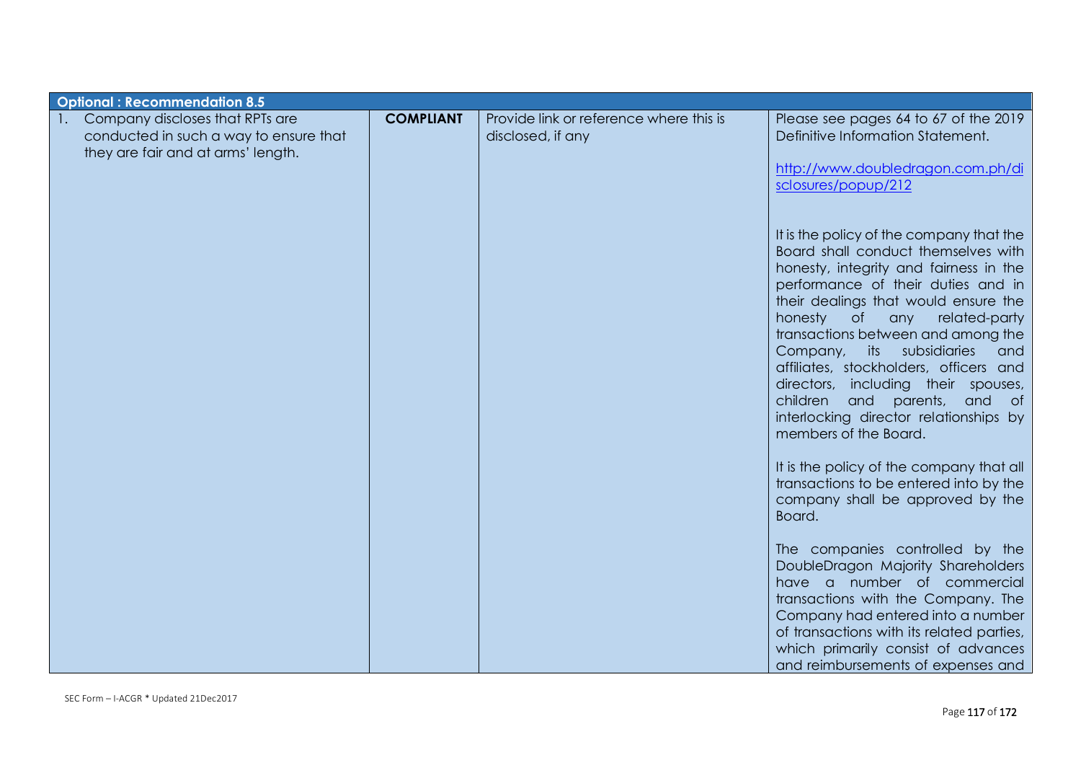| <b>Optional: Recommendation 8.5</b>                                                                                               |                  |                                                              |                                                                                                                                                                                                                                                                                                                                                                                                                                                                                                                             |
|-----------------------------------------------------------------------------------------------------------------------------------|------------------|--------------------------------------------------------------|-----------------------------------------------------------------------------------------------------------------------------------------------------------------------------------------------------------------------------------------------------------------------------------------------------------------------------------------------------------------------------------------------------------------------------------------------------------------------------------------------------------------------------|
| Company discloses that RPTs are<br>$\mathbf{1}$ .<br>conducted in such a way to ensure that<br>they are fair and at arms' length. | <b>COMPLIANT</b> | Provide link or reference where this is<br>disclosed, if any | Please see pages 64 to 67 of the 2019<br>Definitive Information Statement.<br>http://www.doubledragon.com.ph/di<br>sclosures/popup/212                                                                                                                                                                                                                                                                                                                                                                                      |
|                                                                                                                                   |                  |                                                              | It is the policy of the company that the<br>Board shall conduct themselves with<br>honesty, integrity and fairness in the<br>performance of their duties and in<br>their dealings that would ensure the<br>$\circ$ f<br>honesty<br>any related-party<br>transactions between and among the<br>Company, its subsidiaries<br>and<br>affiliates, stockholders, officers and<br>directors, including their spouses,<br>children<br>and<br>parents,<br>and of<br>interlocking director relationships by<br>members of the Board. |
|                                                                                                                                   |                  |                                                              | It is the policy of the company that all<br>transactions to be entered into by the<br>company shall be approved by the<br>Board.                                                                                                                                                                                                                                                                                                                                                                                            |
|                                                                                                                                   |                  |                                                              | The companies controlled by the<br>DoubleDragon Majority Shareholders<br>have a number of commercial<br>transactions with the Company. The<br>Company had entered into a number<br>of transactions with its related parties,<br>which primarily consist of advances<br>and reimbursements of expenses and                                                                                                                                                                                                                   |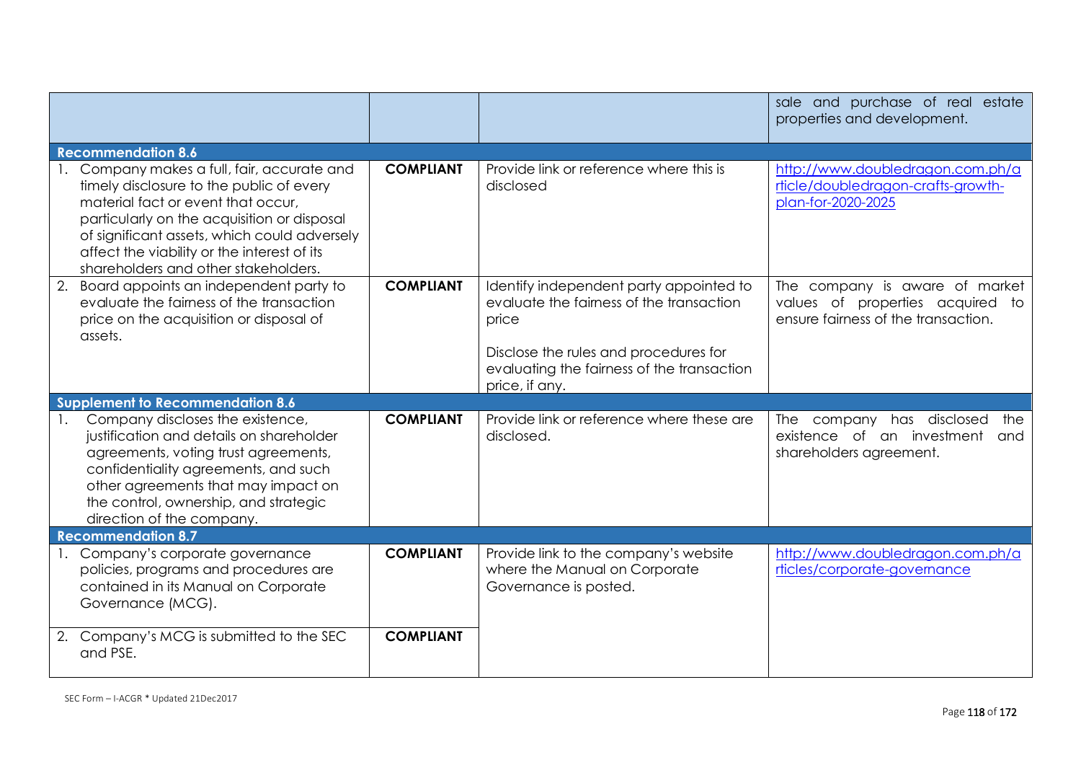|                                                                                                                                                                                                                                                                                                                     |                  |                                                                                                                                                                                                       | sale and purchase of real estate<br>properties and development.                                           |
|---------------------------------------------------------------------------------------------------------------------------------------------------------------------------------------------------------------------------------------------------------------------------------------------------------------------|------------------|-------------------------------------------------------------------------------------------------------------------------------------------------------------------------------------------------------|-----------------------------------------------------------------------------------------------------------|
| <b>Recommendation 8.6</b>                                                                                                                                                                                                                                                                                           |                  |                                                                                                                                                                                                       |                                                                                                           |
| 1. Company makes a full, fair, accurate and<br>timely disclosure to the public of every<br>material fact or event that occur,<br>particularly on the acquisition or disposal<br>of significant assets, which could adversely<br>affect the viability or the interest of its<br>shareholders and other stakeholders. | <b>COMPLIANT</b> | Provide link or reference where this is<br>disclosed                                                                                                                                                  | http://www.doubledragon.com.ph/a<br>rticle/doubledragon-crafts-growth-<br>plan-for-2020-2025              |
| 2. Board appoints an independent party to<br>evaluate the fairness of the transaction<br>price on the acquisition or disposal of<br>assets.                                                                                                                                                                         | <b>COMPLIANT</b> | Identify independent party appointed to<br>evaluate the fairness of the transaction<br>price<br>Disclose the rules and procedures for<br>evaluating the fairness of the transaction<br>price, if any. | The company is aware of market<br>values of properties acquired to<br>ensure fairness of the transaction. |
| <b>Supplement to Recommendation 8.6</b>                                                                                                                                                                                                                                                                             |                  |                                                                                                                                                                                                       |                                                                                                           |
| Company discloses the existence,<br>justification and details on shareholder<br>agreements, voting trust agreements,<br>confidentiality agreements, and such<br>other agreements that may impact on<br>the control, ownership, and strategic<br>direction of the company.                                           | <b>COMPLIANT</b> | Provide link or reference where these are<br>disclosed.                                                                                                                                               | The company has disclosed<br>the<br>existence of an investment<br>and<br>shareholders agreement.          |
| <b>Recommendation 8.7</b>                                                                                                                                                                                                                                                                                           |                  |                                                                                                                                                                                                       |                                                                                                           |
| 1. Company's corporate governance<br>policies, programs and procedures are<br>contained in its Manual on Corporate<br>Governance (MCG).                                                                                                                                                                             | <b>COMPLIANT</b> | Provide link to the company's website<br>where the Manual on Corporate<br>Governance is posted.                                                                                                       | http://www.doubledragon.com.ph/a<br>rticles/corporate-governance                                          |
| 2. Company's MCG is submitted to the SEC<br>and PSE.                                                                                                                                                                                                                                                                | <b>COMPLIANT</b> |                                                                                                                                                                                                       |                                                                                                           |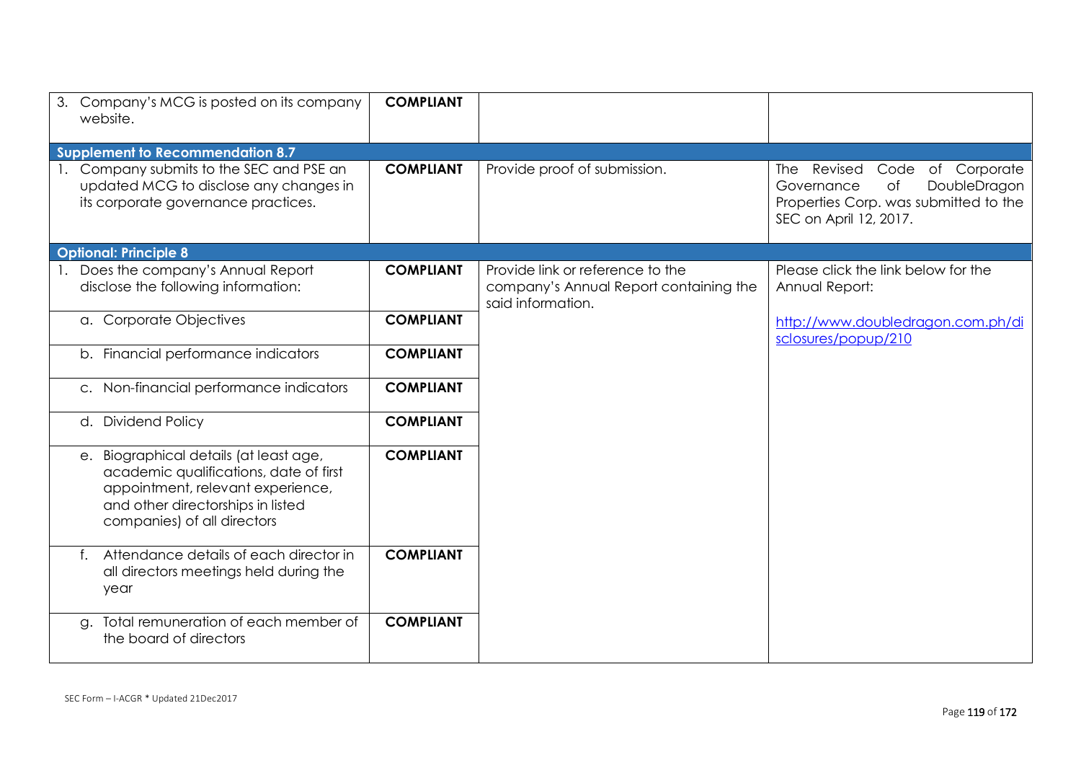| Company's MCG is posted on its company<br>3.<br>website.                                                                                                                                  | <b>COMPLIANT</b> |                                                                                                 |                                                                                                                                               |
|-------------------------------------------------------------------------------------------------------------------------------------------------------------------------------------------|------------------|-------------------------------------------------------------------------------------------------|-----------------------------------------------------------------------------------------------------------------------------------------------|
| <b>Supplement to Recommendation 8.7</b>                                                                                                                                                   |                  |                                                                                                 |                                                                                                                                               |
| Company submits to the SEC and PSE an<br>updated MCG to disclose any changes in<br>its corporate governance practices.                                                                    | <b>COMPLIANT</b> | Provide proof of submission.                                                                    | Revised<br>Code<br>of Corporate<br>The<br>DoubleDragon<br>of<br>Governance<br>Properties Corp. was submitted to the<br>SEC on April 12, 2017. |
| <b>Optional: Principle 8</b>                                                                                                                                                              |                  |                                                                                                 |                                                                                                                                               |
| Does the company's Annual Report<br>disclose the following information:                                                                                                                   | <b>COMPLIANT</b> | Provide link or reference to the<br>company's Annual Report containing the<br>said information. | Please click the link below for the<br>Annual Report:                                                                                         |
| a. Corporate Objectives                                                                                                                                                                   | <b>COMPLIANT</b> |                                                                                                 | http://www.doubledragon.com.ph/di<br>sclosures/popup/210                                                                                      |
| b. Financial performance indicators                                                                                                                                                       | <b>COMPLIANT</b> |                                                                                                 |                                                                                                                                               |
| c. Non-financial performance indicators                                                                                                                                                   | <b>COMPLIANT</b> |                                                                                                 |                                                                                                                                               |
| d. Dividend Policy                                                                                                                                                                        | <b>COMPLIANT</b> |                                                                                                 |                                                                                                                                               |
| e. Biographical details (at least age,<br>academic qualifications, date of first<br>appointment, relevant experience,<br>and other directorships in listed<br>companies) of all directors | <b>COMPLIANT</b> |                                                                                                 |                                                                                                                                               |
| Attendance details of each director in<br>f.<br>all directors meetings held during the<br>year                                                                                            | <b>COMPLIANT</b> |                                                                                                 |                                                                                                                                               |
| Total remuneration of each member of<br>a.<br>the board of directors                                                                                                                      | <b>COMPLIANT</b> |                                                                                                 |                                                                                                                                               |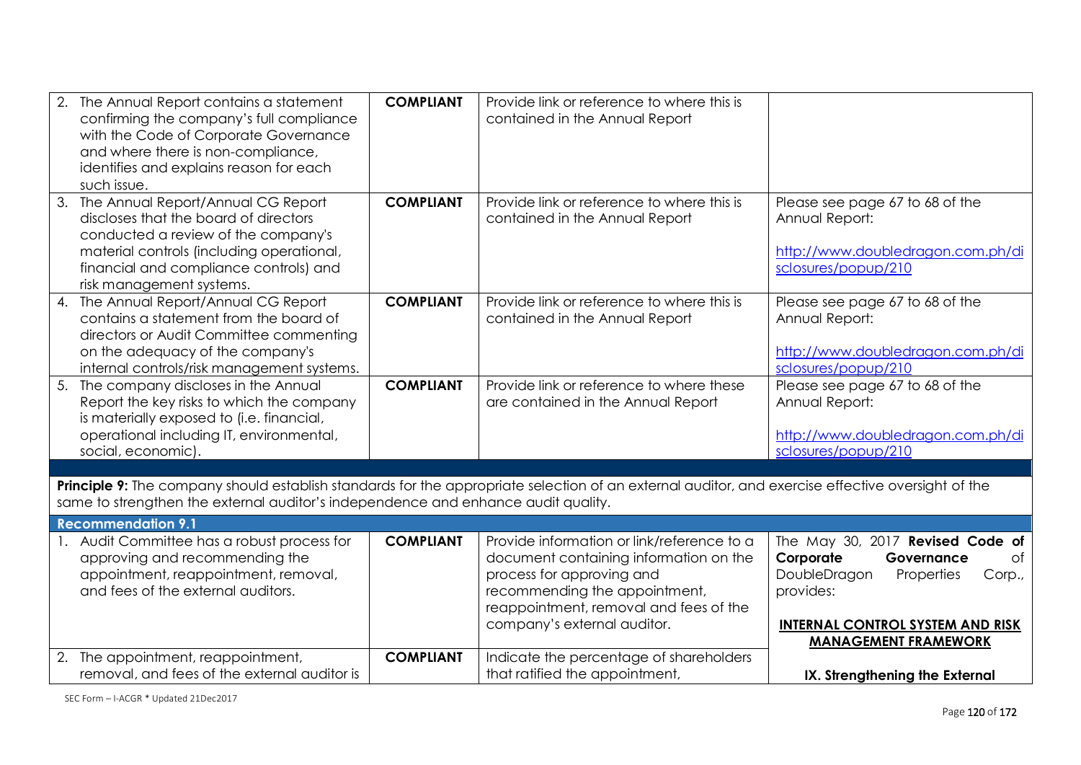| The Annual Report contains a statement<br>confirming the company's full compliance<br>with the Code of Corporate Governance<br>and where there is non-compliance,<br>identifies and explains reason for each<br>such issue.              | <b>COMPLIANT</b> | Provide link or reference to where this is<br>contained in the Annual Report                                                                                                                                                |                                                                                                                                                                                                  |
|------------------------------------------------------------------------------------------------------------------------------------------------------------------------------------------------------------------------------------------|------------------|-----------------------------------------------------------------------------------------------------------------------------------------------------------------------------------------------------------------------------|--------------------------------------------------------------------------------------------------------------------------------------------------------------------------------------------------|
| 3. The Annual Report/Annual CG Report<br>discloses that the board of directors<br>conducted a review of the company's<br>material controls (including operational,<br>financial and compliance controls) and<br>risk management systems. | <b>COMPLIANT</b> | Provide link or reference to where this is<br>contained in the Annual Report                                                                                                                                                | Please see page 67 to 68 of the<br>Annual Report:<br>http://www.doubledragon.com.ph/di<br>sclosures/popup/210                                                                                    |
| 4. The Annual Report/Annual CG Report<br>contains a statement from the board of<br>directors or Audit Committee commenting<br>on the adequacy of the company's<br>internal controls/risk management systems.                             | <b>COMPLIANT</b> | Provide link or reference to where this is<br>contained in the Annual Report                                                                                                                                                | Please see page 67 to 68 of the<br>Annual Report:<br>http://www.doubledragon.com.ph/di<br>sclosures/popup/210                                                                                    |
| 5. The company discloses in the Annual<br>Report the key risks to which the company<br>is materially exposed to (i.e. financial,<br>operational including IT, environmental,<br>social, economic).                                       | <b>COMPLIANT</b> | Provide link or reference to where these<br>are contained in the Annual Report                                                                                                                                              | Please see page 67 to 68 of the<br>Annual Report:<br>http://www.doubledragon.com.ph/di<br>sclosures/popup/210                                                                                    |
|                                                                                                                                                                                                                                          |                  |                                                                                                                                                                                                                             |                                                                                                                                                                                                  |
| Principle 9: The company should establish standards for the appropriate selection of an external auditor, and exercise effective oversight of the<br>same to strengthen the external auditor's independence and enhance audit quality.   |                  |                                                                                                                                                                                                                             |                                                                                                                                                                                                  |
| <b>Recommendation 9.1</b>                                                                                                                                                                                                                |                  |                                                                                                                                                                                                                             |                                                                                                                                                                                                  |
| Audit Committee has a robust process for<br>approving and recommending the<br>appointment, reappointment, removal,<br>and fees of the external auditors.                                                                                 | <b>COMPLIANT</b> | Provide information or link/reference to a<br>document containing information on the<br>process for approving and<br>recommending the appointment,<br>reappointment, removal and fees of the<br>company's external auditor. | The May 30, 2017 Revised Code of<br>Corporate<br>of<br>Governance<br>DoubleDragon<br>Properties<br>Corp.,<br>provides:<br><b>INTERNAL CONTROL SYSTEM AND RISK</b><br><b>MANAGEMENT FRAMEWORK</b> |
| 2. The appointment, reappointment,<br>removal, and fees of the external auditor is                                                                                                                                                       | <b>COMPLIANT</b> | Indicate the percentage of shareholders<br>that ratified the appointment,                                                                                                                                                   | IX. Strengthening the External                                                                                                                                                                   |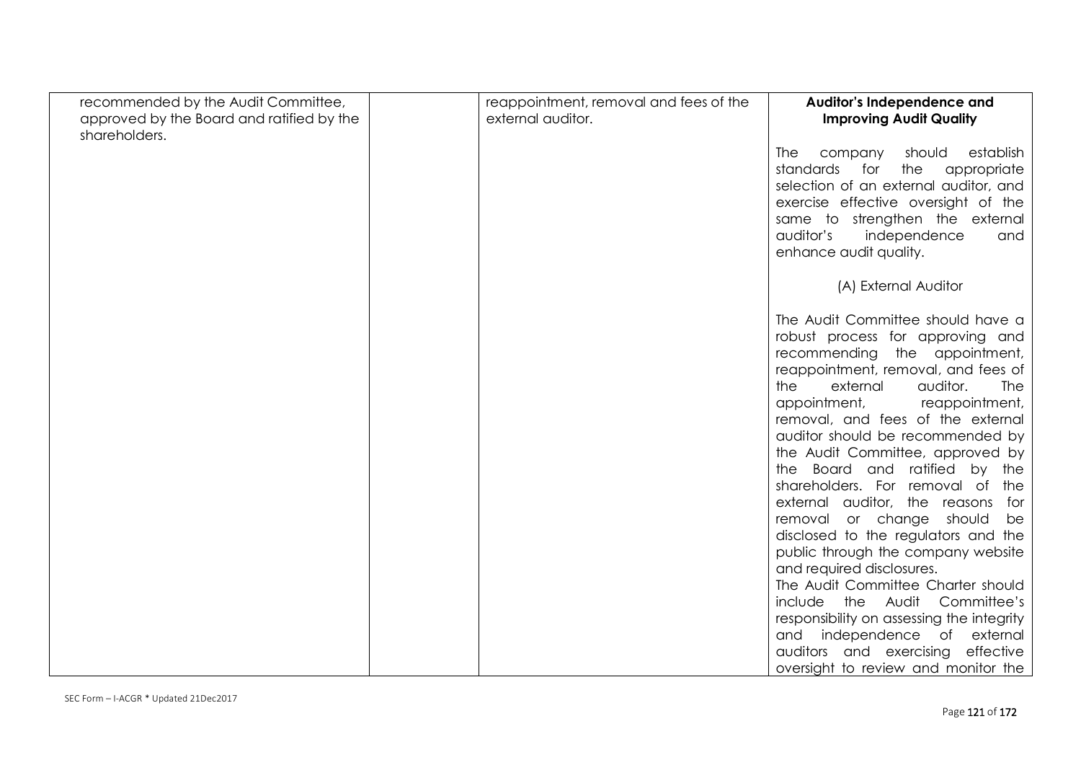| recommended by the Audit Committee,                        | reappointment, removal and fees of the | Auditor's Independence and                                            |
|------------------------------------------------------------|----------------------------------------|-----------------------------------------------------------------------|
| approved by the Board and ratified by the<br>shareholders. | external auditor.                      | <b>Improving Audit Quality</b>                                        |
|                                                            |                                        | The<br>company<br>should<br>establish                                 |
|                                                            |                                        | standards<br>for<br>the<br>appropriate                                |
|                                                            |                                        | selection of an external auditor, and                                 |
|                                                            |                                        | exercise effective oversight of the                                   |
|                                                            |                                        | same to strengthen the external<br>auditor's<br>independence<br>and   |
|                                                            |                                        | enhance audit quality.                                                |
|                                                            |                                        |                                                                       |
|                                                            |                                        | (A) External Auditor                                                  |
|                                                            |                                        |                                                                       |
|                                                            |                                        | The Audit Committee should have a<br>robust process for approving and |
|                                                            |                                        | recommending the appointment,                                         |
|                                                            |                                        | reappointment, removal, and fees of                                   |
|                                                            |                                        | external<br>auditor.<br>the<br>The                                    |
|                                                            |                                        | reappointment,<br>appointment,                                        |
|                                                            |                                        | removal, and fees of the external                                     |
|                                                            |                                        | auditor should be recommended by<br>the Audit Committee, approved by  |
|                                                            |                                        | the Board and ratified by the                                         |
|                                                            |                                        | shareholders. For removal of the                                      |
|                                                            |                                        | external auditor, the reasons<br>for                                  |
|                                                            |                                        | removal or change should<br>be                                        |
|                                                            |                                        | disclosed to the regulators and the                                   |
|                                                            |                                        | public through the company website                                    |
|                                                            |                                        | and required disclosures.<br>The Audit Committee Charter should       |
|                                                            |                                        | include the Audit<br>Committee's                                      |
|                                                            |                                        | responsibility on assessing the integrity                             |
|                                                            |                                        | and independence of external                                          |
|                                                            |                                        | auditors and exercising effective                                     |
|                                                            |                                        | oversight to review and monitor the                                   |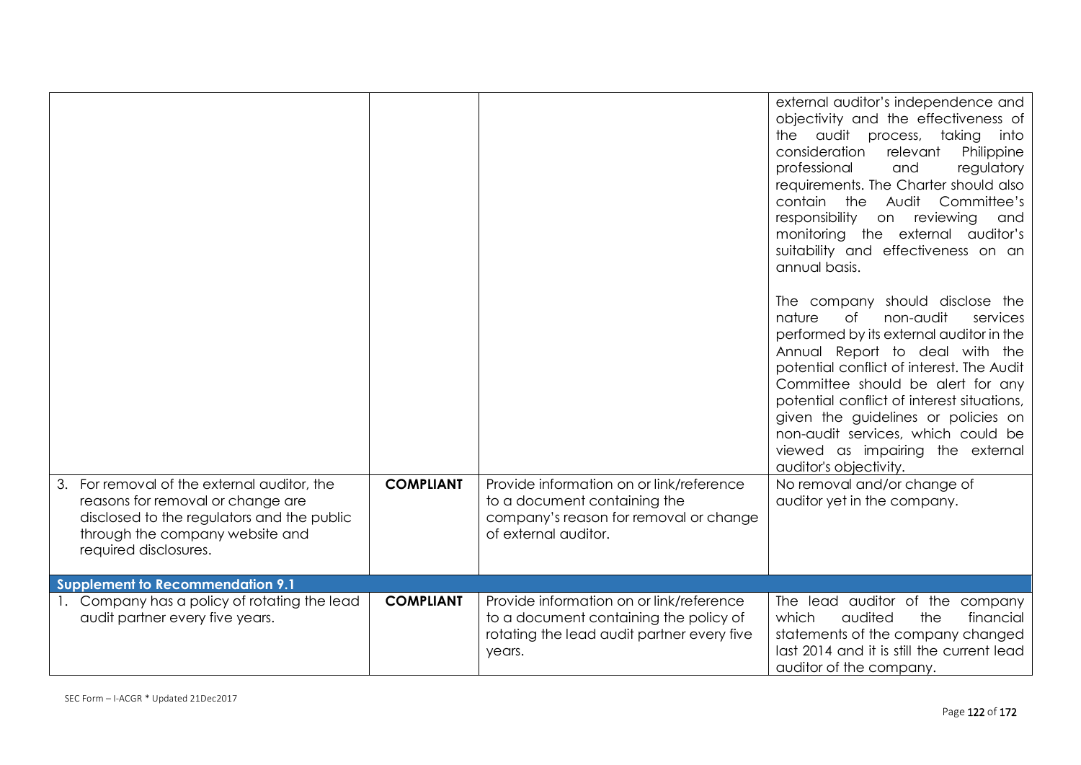| For removal of the external auditor, the<br>reasons for removal or change are<br>disclosed to the regulators and the public<br>through the company website and<br>required disclosures. | <b>COMPLIANT</b> | Provide information on or link/reference<br>to a document containing the<br>company's reason for removal or change<br>of external auditor. | external auditor's independence and<br>objectivity and the effectiveness of<br>the audit process, taking into<br>consideration<br>relevant<br>Philippine<br>professional<br>and<br>regulatory<br>requirements. The Charter should also<br>Audit Committee's<br>contain the<br>responsibility<br>on reviewing<br>and<br>monitoring the external auditor's<br>suitability and effectiveness on an<br>annual basis.<br>The company should disclose the<br>non-audit<br>nature<br>$\circ$ f<br>services<br>performed by its external auditor in the<br>Annual Report to deal with the<br>potential conflict of interest. The Audit<br>Committee should be alert for any<br>potential conflict of interest situations,<br>given the guidelines or policies on<br>non-audit services, which could be<br>viewed as impairing the external<br>auditor's objectivity.<br>No removal and/or change of<br>auditor yet in the company. |
|-----------------------------------------------------------------------------------------------------------------------------------------------------------------------------------------|------------------|--------------------------------------------------------------------------------------------------------------------------------------------|----------------------------------------------------------------------------------------------------------------------------------------------------------------------------------------------------------------------------------------------------------------------------------------------------------------------------------------------------------------------------------------------------------------------------------------------------------------------------------------------------------------------------------------------------------------------------------------------------------------------------------------------------------------------------------------------------------------------------------------------------------------------------------------------------------------------------------------------------------------------------------------------------------------------------|
| Supplement to Recommendation 9.1                                                                                                                                                        |                  |                                                                                                                                            |                                                                                                                                                                                                                                                                                                                                                                                                                                                                                                                                                                                                                                                                                                                                                                                                                                                                                                                            |
| 1. Company has a policy of rotating the lead<br>audit partner every five years.                                                                                                         | <b>COMPLIANT</b> | Provide information on or link/reference<br>to a document containing the policy of<br>rotating the lead audit partner every five<br>years. | The lead auditor of the company<br>audited<br>financial<br>which<br>the<br>statements of the company changed<br>last 2014 and it is still the current lead<br>auditor of the company.                                                                                                                                                                                                                                                                                                                                                                                                                                                                                                                                                                                                                                                                                                                                      |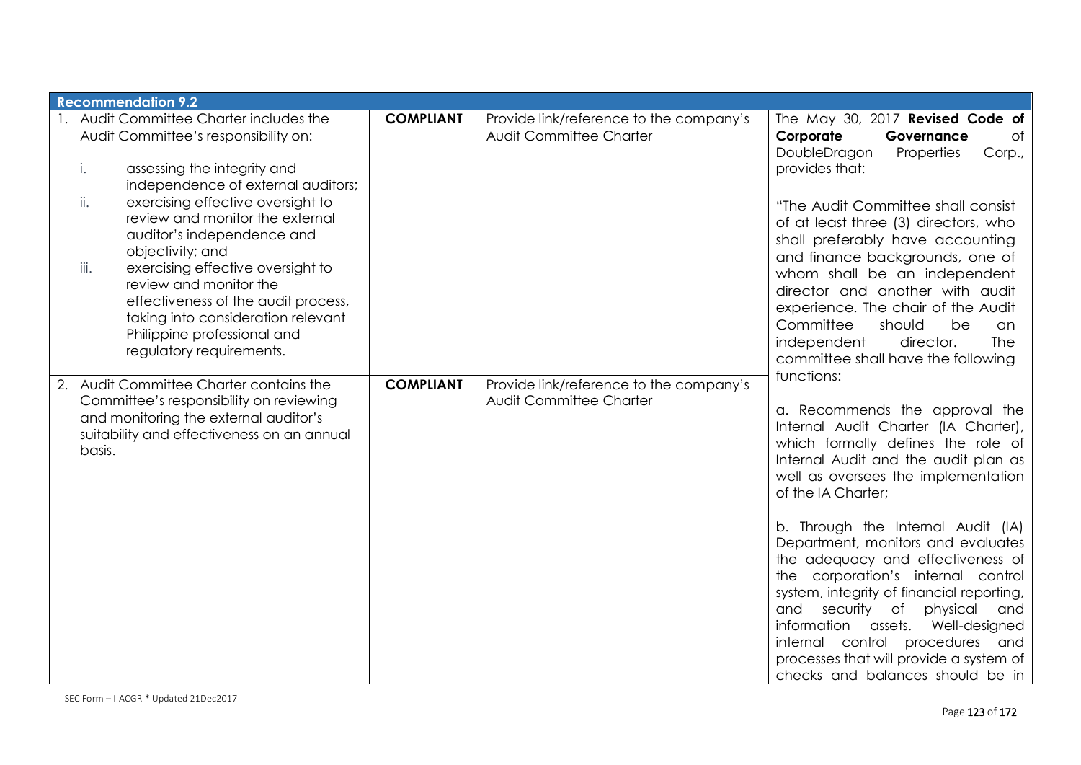| <b>Recommendation 9.2</b>                                                                                                                                                                                                                                                                                                                                                                                                                                                                                  |                  |                                                                    |                                                                                                                                                                                                                                                                                                                                                                                                                                                                                                                                                                                                                             |
|------------------------------------------------------------------------------------------------------------------------------------------------------------------------------------------------------------------------------------------------------------------------------------------------------------------------------------------------------------------------------------------------------------------------------------------------------------------------------------------------------------|------------------|--------------------------------------------------------------------|-----------------------------------------------------------------------------------------------------------------------------------------------------------------------------------------------------------------------------------------------------------------------------------------------------------------------------------------------------------------------------------------------------------------------------------------------------------------------------------------------------------------------------------------------------------------------------------------------------------------------------|
| 1. Audit Committee Charter includes the<br>Audit Committee's responsibility on:<br>assessing the integrity and<br>i.<br>independence of external auditors;<br>ii.<br>exercising effective oversight to<br>review and monitor the external<br>auditor's independence and<br>objectivity; and<br>iii.<br>exercising effective oversight to<br>review and monitor the<br>effectiveness of the audit process,<br>taking into consideration relevant<br>Philippine professional and<br>regulatory requirements. | <b>COMPLIANT</b> | Provide link/reference to the company's<br>Audit Committee Charter | The May 30, 2017 Revised Code of<br>Corporate<br>of<br>Governance<br>DoubleDragon<br>Properties<br>Corp.,<br>provides that:<br>"The Audit Committee shall consist<br>of at least three (3) directors, who<br>shall preferably have accounting<br>and finance backgrounds, one of<br>whom shall be an independent<br>director and another with audit<br>experience. The chair of the Audit<br>Committee<br>should<br>be<br>an<br>independent<br>director.<br><b>The</b><br>committee shall have the following<br>functions:                                                                                                  |
| 2. Audit Committee Charter contains the<br>Committee's responsibility on reviewing<br>and monitoring the external auditor's<br>suitability and effectiveness on an annual<br>basis.                                                                                                                                                                                                                                                                                                                        | <b>COMPLIANT</b> | Provide link/reference to the company's<br>Audit Committee Charter | a. Recommends the approval the<br>Internal Audit Charter (IA Charter),<br>which formally defines the role of<br>Internal Audit and the audit plan as<br>well as oversees the implementation<br>of the IA Charter;<br>b. Through the Internal Audit (IA)<br>Department, monitors and evaluates<br>the adequacy and effectiveness of<br>the corporation's internal control<br>system, integrity of financial reporting,<br>security of<br>physical<br>and<br>and<br>information<br>assets. Well-designed<br>internal control<br>procedures and<br>processes that will provide a system of<br>checks and balances should be in |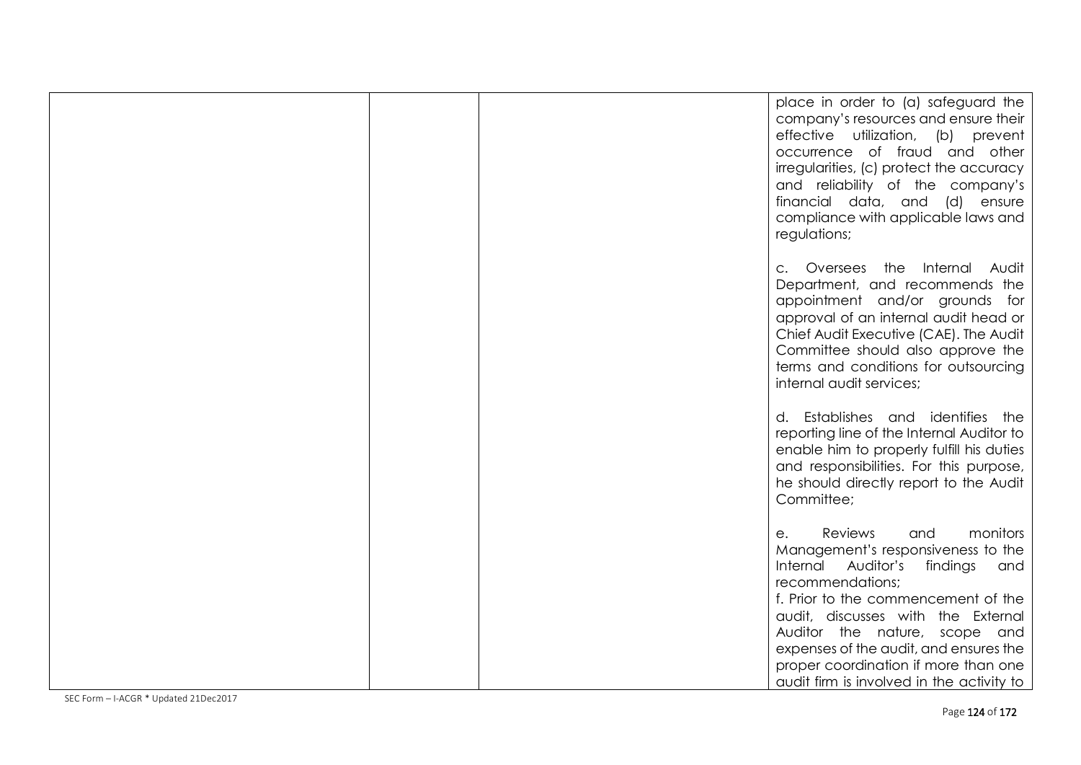|  | place in order to (a) safeguard the<br>company's resources and ensure their<br>effective utilization, (b) prevent<br>occurrence of fraud and other<br>irregularities, (c) protect the accuracy<br>and reliability of the company's<br>financial data, and (d) ensure<br>compliance with applicable laws and<br>regulations;                                                   |
|--|-------------------------------------------------------------------------------------------------------------------------------------------------------------------------------------------------------------------------------------------------------------------------------------------------------------------------------------------------------------------------------|
|  | c. Oversees the Internal Audit<br>Department, and recommends the<br>appointment and/or grounds for<br>approval of an internal audit head or<br>Chief Audit Executive (CAE). The Audit<br>Committee should also approve the<br>terms and conditions for outsourcing<br>internal audit services;                                                                                |
|  | d. Establishes and identifies the<br>reporting line of the Internal Auditor to<br>enable him to properly fulfill his duties<br>and responsibilities. For this purpose,<br>he should directly report to the Audit<br>Committee;                                                                                                                                                |
|  | Reviews<br>monitors<br>and<br>е.<br>Management's responsiveness to the<br>Internal Auditor's<br>findings and<br>recommendations;<br>f. Prior to the commencement of the<br>audit, discusses with the External<br>Auditor the nature, scope and<br>expenses of the audit, and ensures the<br>proper coordination if more than one<br>audit firm is involved in the activity to |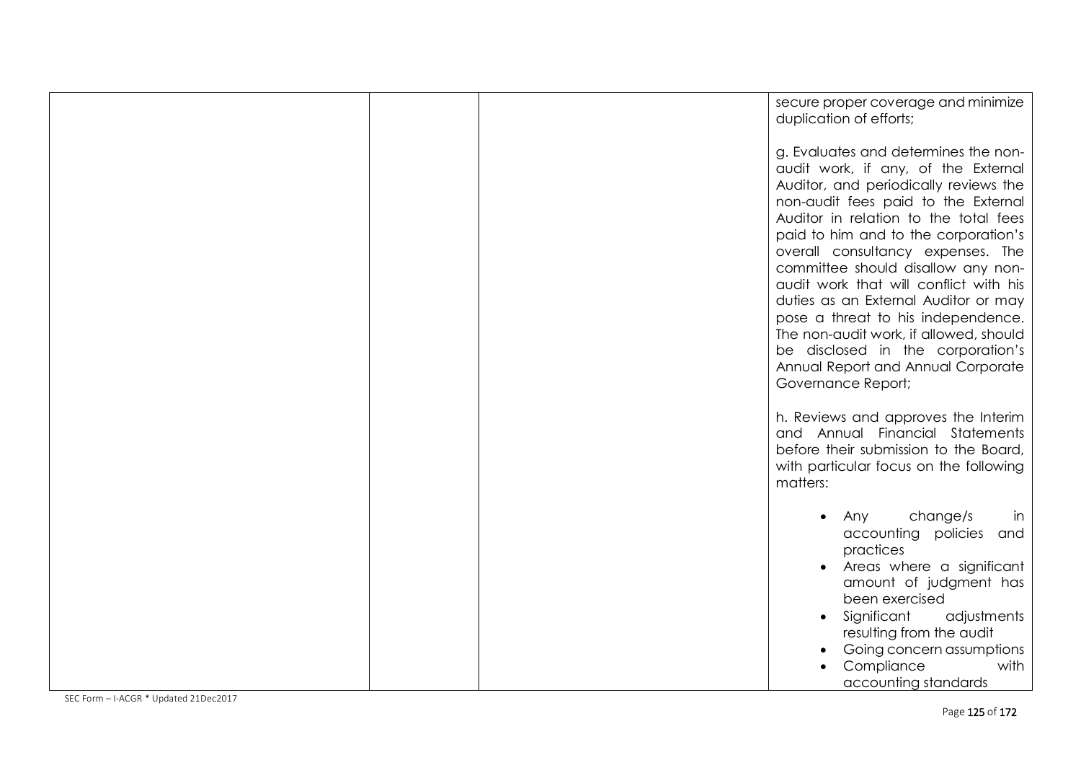| secure proper coverage and minimize<br>duplication of efforts;                                                                                                                                                                                                                                                                                                                                                                                                                                                                                                                             |
|--------------------------------------------------------------------------------------------------------------------------------------------------------------------------------------------------------------------------------------------------------------------------------------------------------------------------------------------------------------------------------------------------------------------------------------------------------------------------------------------------------------------------------------------------------------------------------------------|
| g. Evaluates and determines the non-<br>audit work, if any, of the External<br>Auditor, and periodically reviews the<br>non-audit fees paid to the External<br>Auditor in relation to the total fees<br>paid to him and to the corporation's<br>overall consultancy expenses. The<br>committee should disallow any non-<br>audit work that will conflict with his<br>duties as an External Auditor or may<br>pose a threat to his independence.<br>The non-audit work, if allowed, should<br>be disclosed in the corporation's<br>Annual Report and Annual Corporate<br>Governance Report; |
| h. Reviews and approves the Interim<br>and Annual Financial Statements<br>before their submission to the Board,<br>with particular focus on the following<br>matters:                                                                                                                                                                                                                                                                                                                                                                                                                      |
| change/s<br>Any<br>In<br>$\bullet$<br>accounting policies and<br>practices<br>Areas where a significant<br>$\bullet$<br>amount of judgment has<br>been exercised<br>Significant<br>adjustments<br>$\bullet$<br>resulting from the audit<br>Going concern assumptions<br>Compliance<br>with<br>accounting standards                                                                                                                                                                                                                                                                         |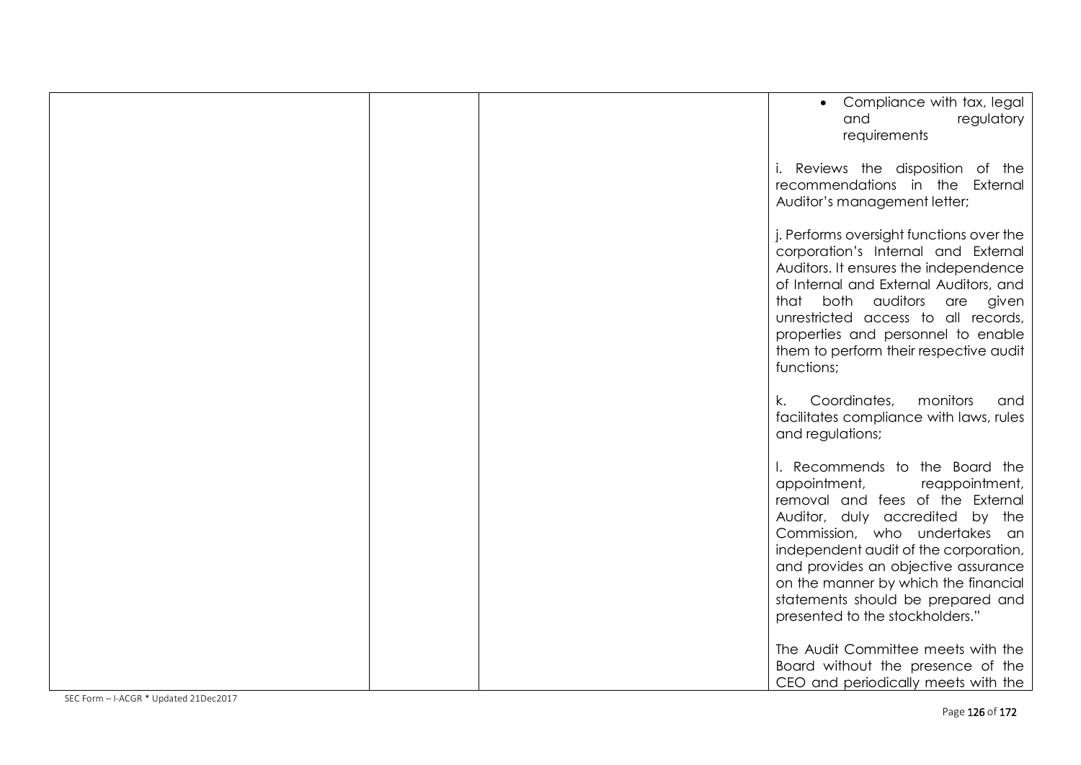|  | Compliance with tax, legal<br>regulatory<br>and<br>requirements                                                                                                                                                                                                                                                                                                          |
|--|--------------------------------------------------------------------------------------------------------------------------------------------------------------------------------------------------------------------------------------------------------------------------------------------------------------------------------------------------------------------------|
|  | i. Reviews the disposition of the<br>recommendations in the External<br>Auditor's management letter;                                                                                                                                                                                                                                                                     |
|  | j. Performs oversight functions over the<br>corporation's Internal and External<br>Auditors. It ensures the independence<br>of Internal and External Auditors, and<br>that both auditors<br>are given<br>unrestricted access to all records,<br>properties and personnel to enable<br>them to perform their respective audit<br>functions;                               |
|  | Coordinates,<br>monitors<br>k.<br>and<br>facilitates compliance with laws, rules<br>and regulations;                                                                                                                                                                                                                                                                     |
|  | I. Recommends to the Board the<br>appointment,<br>reappointment,<br>removal and fees of the External<br>Auditor, duly accredited by the<br>Commission, who undertakes an<br>independent audit of the corporation,<br>and provides an objective assurance<br>on the manner by which the financial<br>statements should be prepared and<br>presented to the stockholders." |
|  | The Audit Committee meets with the<br>Board without the presence of the<br>CEO and periodically meets with the                                                                                                                                                                                                                                                           |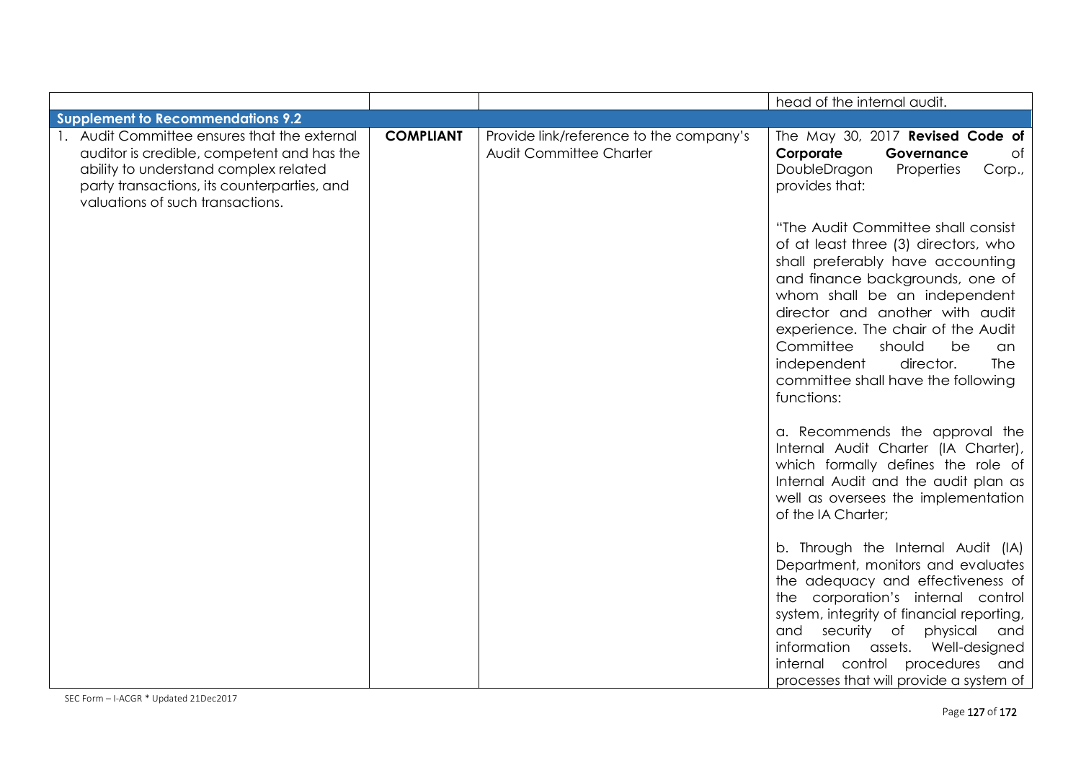|                                                                                                                                                                                                                        |                  |                                                                    | head of the internal audit.                                                                                                                                                                                                                                                                                                                                                                 |
|------------------------------------------------------------------------------------------------------------------------------------------------------------------------------------------------------------------------|------------------|--------------------------------------------------------------------|---------------------------------------------------------------------------------------------------------------------------------------------------------------------------------------------------------------------------------------------------------------------------------------------------------------------------------------------------------------------------------------------|
| <b>Supplement to Recommendations 9.2</b>                                                                                                                                                                               |                  |                                                                    |                                                                                                                                                                                                                                                                                                                                                                                             |
| 1. Audit Committee ensures that the external<br>auditor is credible, competent and has the<br>ability to understand complex related<br>party transactions, its counterparties, and<br>valuations of such transactions. | <b>COMPLIANT</b> | Provide link/reference to the company's<br>Audit Committee Charter | The May 30, 2017 Revised Code of<br>Corporate<br>Governance<br>of<br>DoubleDragon<br>Properties<br>Corp.,<br>provides that:                                                                                                                                                                                                                                                                 |
|                                                                                                                                                                                                                        |                  |                                                                    | "The Audit Committee shall consist<br>of at least three (3) directors, who<br>shall preferably have accounting<br>and finance backgrounds, one of<br>whom shall be an independent<br>director and another with audit<br>experience. The chair of the Audit<br>Committee<br>should<br>be<br>an<br>independent<br>director.<br><b>The</b><br>committee shall have the following<br>functions: |
|                                                                                                                                                                                                                        |                  |                                                                    | a. Recommends the approval the<br>Internal Audit Charter (IA Charter),<br>which formally defines the role of<br>Internal Audit and the audit plan as<br>well as oversees the implementation<br>of the IA Charter;                                                                                                                                                                           |
|                                                                                                                                                                                                                        |                  |                                                                    | b. Through the Internal Audit (IA)<br>Department, monitors and evaluates<br>the adequacy and effectiveness of<br>the corporation's internal control<br>system, integrity of financial reporting,<br>security of physical<br>and<br>and<br>information assets. Well-designed<br>internal control procedures and<br>processes that will provide a system of                                   |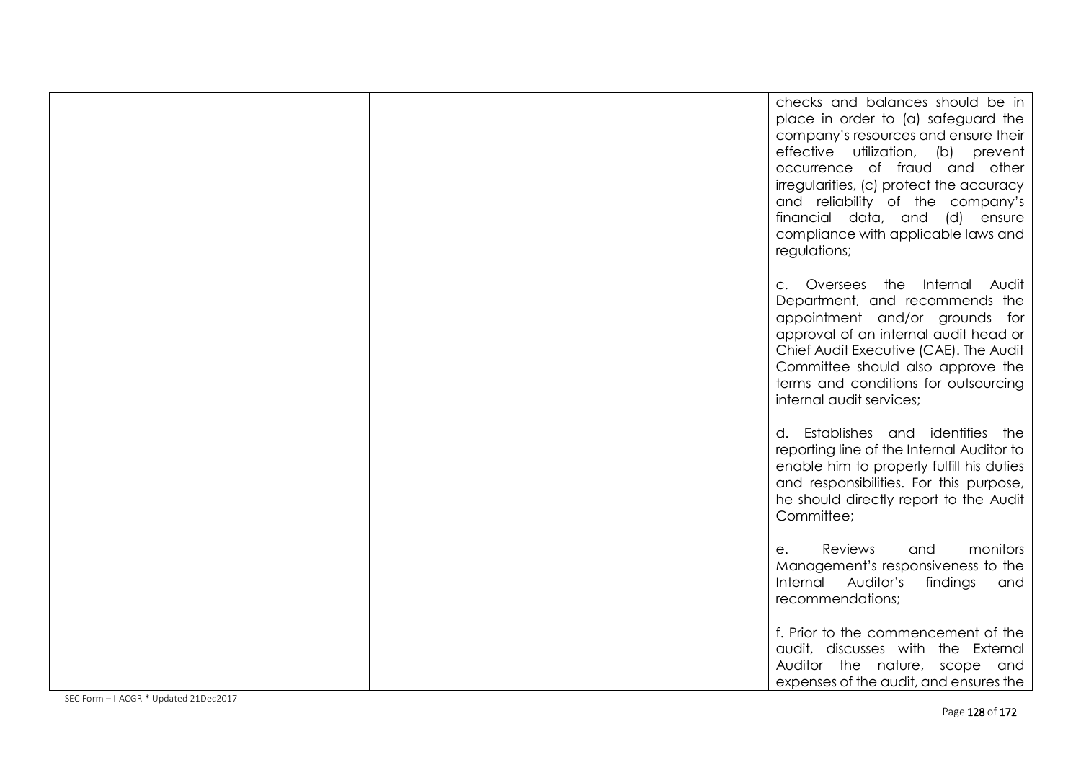|  | checks and balances should be in<br>place in order to (a) safeguard the<br>company's resources and ensure their<br>effective utilization, (b) prevent<br>occurrence of fraud and other<br>irregularities, (c) protect the accuracy<br>and reliability of the company's<br>financial data, and (d) ensure<br>compliance with applicable laws and<br>regulations; |
|--|-----------------------------------------------------------------------------------------------------------------------------------------------------------------------------------------------------------------------------------------------------------------------------------------------------------------------------------------------------------------|
|  | c. Oversees the Internal Audit<br>Department, and recommends the<br>appointment and/or grounds for<br>approval of an internal audit head or<br>Chief Audit Executive (CAE). The Audit<br>Committee should also approve the<br>terms and conditions for outsourcing<br>internal audit services;                                                                  |
|  | d. Establishes and identifies the<br>reporting line of the Internal Auditor to<br>enable him to properly fulfill his duties<br>and responsibilities. For this purpose,<br>he should directly report to the Audit<br>Committee;                                                                                                                                  |
|  | Reviews<br>monitors<br>and<br>е.<br>Management's responsiveness to the<br>Internal Auditor's<br>findings and<br>recommendations;                                                                                                                                                                                                                                |
|  | f. Prior to the commencement of the<br>audit, discusses with the External<br>Auditor the nature, scope and<br>expenses of the audit, and ensures the                                                                                                                                                                                                            |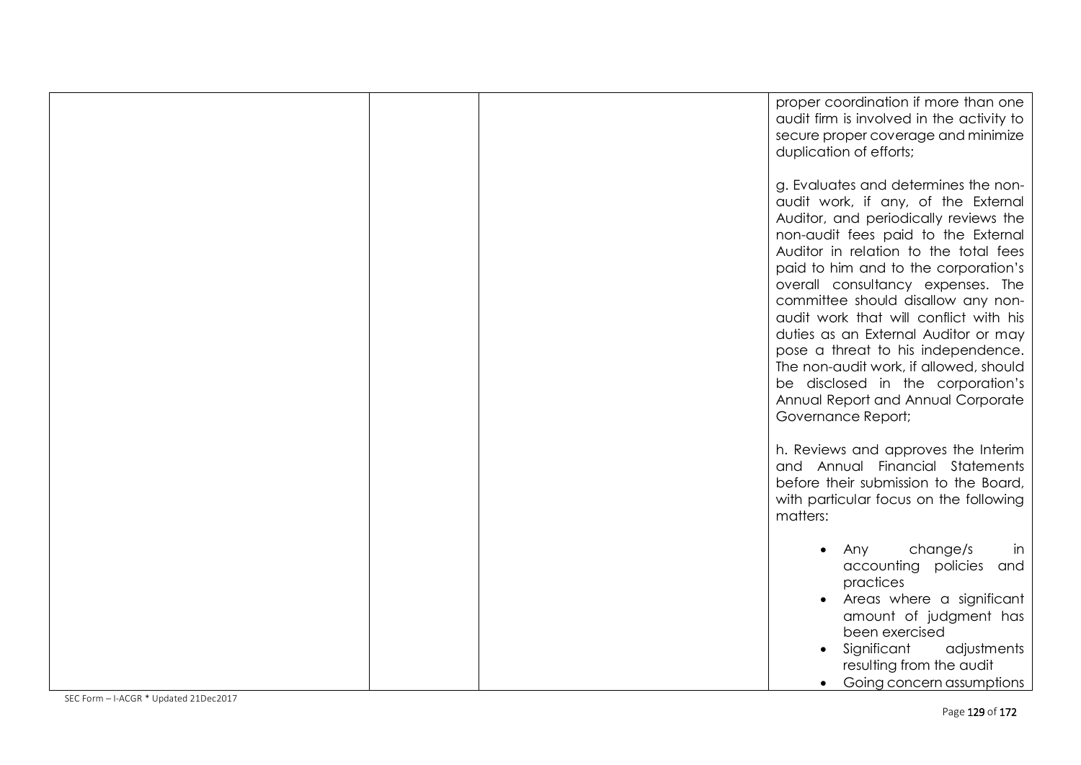|  | proper coordination if more than one<br>audit firm is involved in the activity to<br>secure proper coverage and minimize<br>duplication of efforts;                                                                                                                                                                                                                                                                                                                                                                                                                                        |
|--|--------------------------------------------------------------------------------------------------------------------------------------------------------------------------------------------------------------------------------------------------------------------------------------------------------------------------------------------------------------------------------------------------------------------------------------------------------------------------------------------------------------------------------------------------------------------------------------------|
|  | g. Evaluates and determines the non-<br>audit work, if any, of the External<br>Auditor, and periodically reviews the<br>non-audit fees paid to the External<br>Auditor in relation to the total fees<br>paid to him and to the corporation's<br>overall consultancy expenses. The<br>committee should disallow any non-<br>audit work that will conflict with his<br>duties as an External Auditor or may<br>pose a threat to his independence.<br>The non-audit work, if allowed, should<br>be disclosed in the corporation's<br>Annual Report and Annual Corporate<br>Governance Report; |
|  | h. Reviews and approves the Interim<br>and Annual Financial Statements<br>before their submission to the Board,<br>with particular focus on the following<br>matters:                                                                                                                                                                                                                                                                                                                                                                                                                      |
|  | change/s<br>Any<br>in<br>$\bullet$<br>accounting policies and<br>practices<br>Areas where a significant<br>amount of judgment has<br>been exercised<br>Significant<br>adjustments<br>resulting from the audit<br>Going concern assumptions<br>$\bullet$                                                                                                                                                                                                                                                                                                                                    |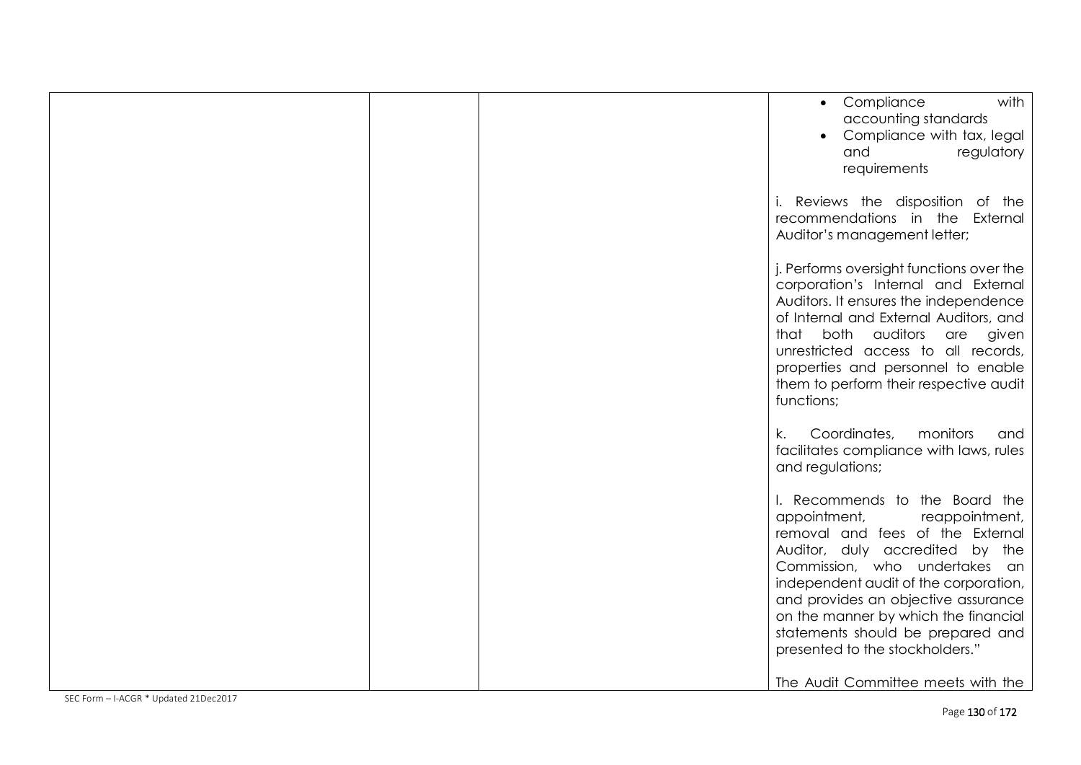|  | with<br>• Compliance<br>accounting standards<br>Compliance with tax, legal<br>regulatory<br>and<br>requirements                                                                                                                                                                                                                                                                                                |
|--|----------------------------------------------------------------------------------------------------------------------------------------------------------------------------------------------------------------------------------------------------------------------------------------------------------------------------------------------------------------------------------------------------------------|
|  | i. Reviews the disposition of the<br>recommendations in the External<br>Auditor's management letter;                                                                                                                                                                                                                                                                                                           |
|  | j. Performs oversight functions over the<br>corporation's Internal and External<br>Auditors. It ensures the independence<br>of Internal and External Auditors, and<br>that both auditors are<br>given<br>unrestricted access to all records,<br>properties and personnel to enable<br>them to perform their respective audit<br>functions;                                                                     |
|  | Coordinates,<br>monitors<br>k.<br>and<br>facilitates compliance with laws, rules<br>and regulations;                                                                                                                                                                                                                                                                                                           |
|  | I. Recommends to the Board the<br>appointment,<br>reappointment,<br>removal and fees of the External<br>Auditor, duly accredited by the<br>Commission, who undertakes an<br>independent audit of the corporation,<br>and provides an objective assurance<br>on the manner by which the financial<br>statements should be prepared and<br>presented to the stockholders."<br>The Audit Committee meets with the |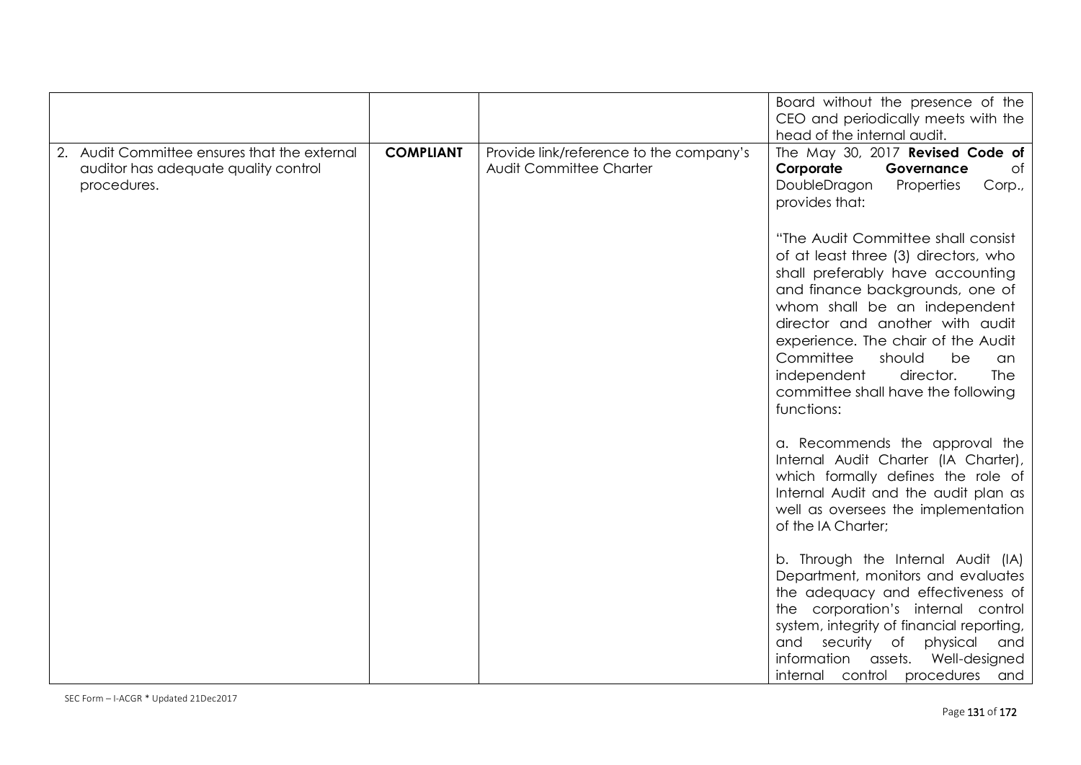|                                                                                                     |                  |                                                                    | Board without the presence of the<br>CEO and periodically meets with the<br>head of the internal audit.                                                                                                                                                                                                                                                                                     |
|-----------------------------------------------------------------------------------------------------|------------------|--------------------------------------------------------------------|---------------------------------------------------------------------------------------------------------------------------------------------------------------------------------------------------------------------------------------------------------------------------------------------------------------------------------------------------------------------------------------------|
| 2. Audit Committee ensures that the external<br>auditor has adequate quality control<br>procedures. | <b>COMPLIANT</b> | Provide link/reference to the company's<br>Audit Committee Charter | The May 30, 2017 Revised Code of<br>Corporate<br>Governance<br>Оf<br>DoubleDragon<br>Properties<br>Corp.,<br>provides that:                                                                                                                                                                                                                                                                 |
|                                                                                                     |                  |                                                                    | "The Audit Committee shall consist<br>of at least three (3) directors, who<br>shall preferably have accounting<br>and finance backgrounds, one of<br>whom shall be an independent<br>director and another with audit<br>experience. The chair of the Audit<br>Committee<br>should<br>be<br>an<br>independent<br>director.<br><b>The</b><br>committee shall have the following<br>functions: |
|                                                                                                     |                  |                                                                    | a. Recommends the approval the<br>Internal Audit Charter (IA Charter),<br>which formally defines the role of<br>Internal Audit and the audit plan as<br>well as oversees the implementation<br>of the IA Charter;                                                                                                                                                                           |
|                                                                                                     |                  |                                                                    | b. Through the Internal Audit (IA)<br>Department, monitors and evaluates<br>the adequacy and effectiveness of<br>the corporation's internal control<br>system, integrity of financial reporting,<br>and<br>security of<br>physical<br>and<br>information<br>assets.<br>Well-designed<br>internal control procedures and                                                                     |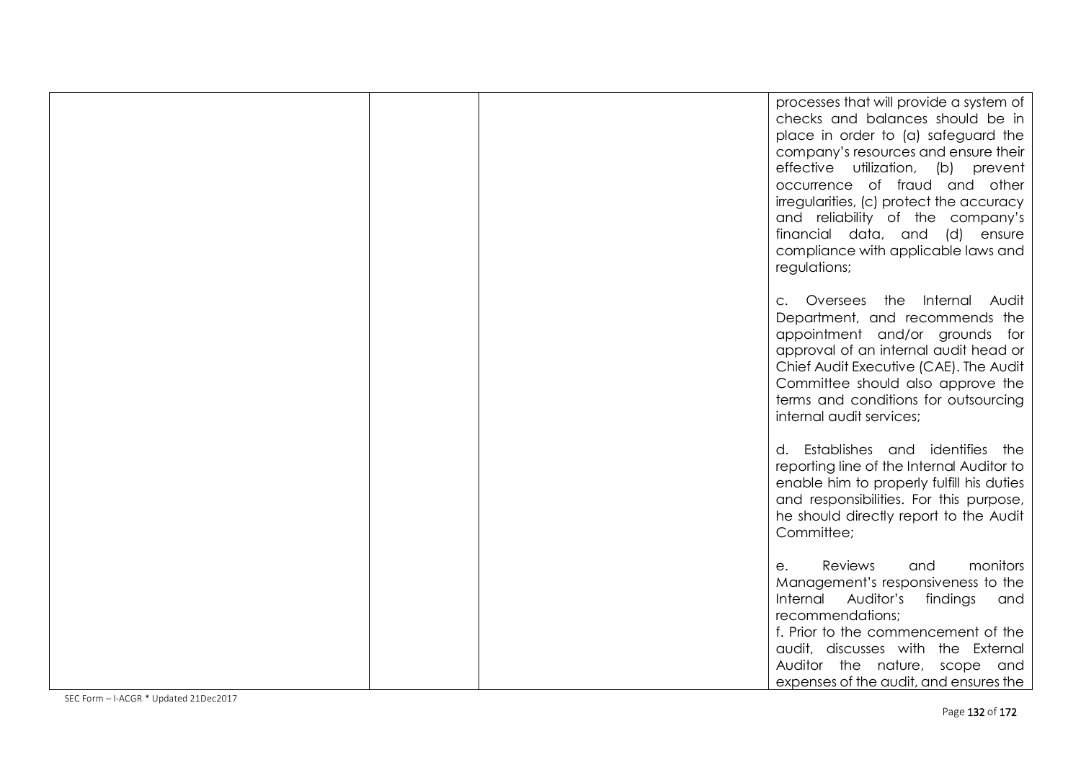|  | processes that will provide a system of<br>checks and balances should be in<br>place in order to (a) safeguard the<br>company's resources and ensure their<br>effective utilization, (b) prevent<br>occurrence of fraud and other<br>irregularities, (c) protect the accuracy<br>and reliability of the company's<br>financial data, and (d) ensure<br>compliance with applicable laws and<br>regulations; |
|--|------------------------------------------------------------------------------------------------------------------------------------------------------------------------------------------------------------------------------------------------------------------------------------------------------------------------------------------------------------------------------------------------------------|
|  | c. Oversees the Internal Audit<br>Department, and recommends the<br>appointment and/or grounds for<br>approval of an internal audit head or<br>Chief Audit Executive (CAE). The Audit<br>Committee should also approve the<br>terms and conditions for outsourcing<br>internal audit services;                                                                                                             |
|  | d. Establishes and identifies the<br>reporting line of the Internal Auditor to<br>enable him to properly fulfill his duties<br>and responsibilities. For this purpose,<br>he should directly report to the Audit<br>Committee;                                                                                                                                                                             |
|  | Reviews<br>and<br>monitors<br>e.<br>Management's responsiveness to the<br>Internal Auditor's findings and<br>recommendations;<br>f. Prior to the commencement of the<br>audit, discusses with the External<br>Auditor the nature, scope and<br>expenses of the audit, and ensures the                                                                                                                      |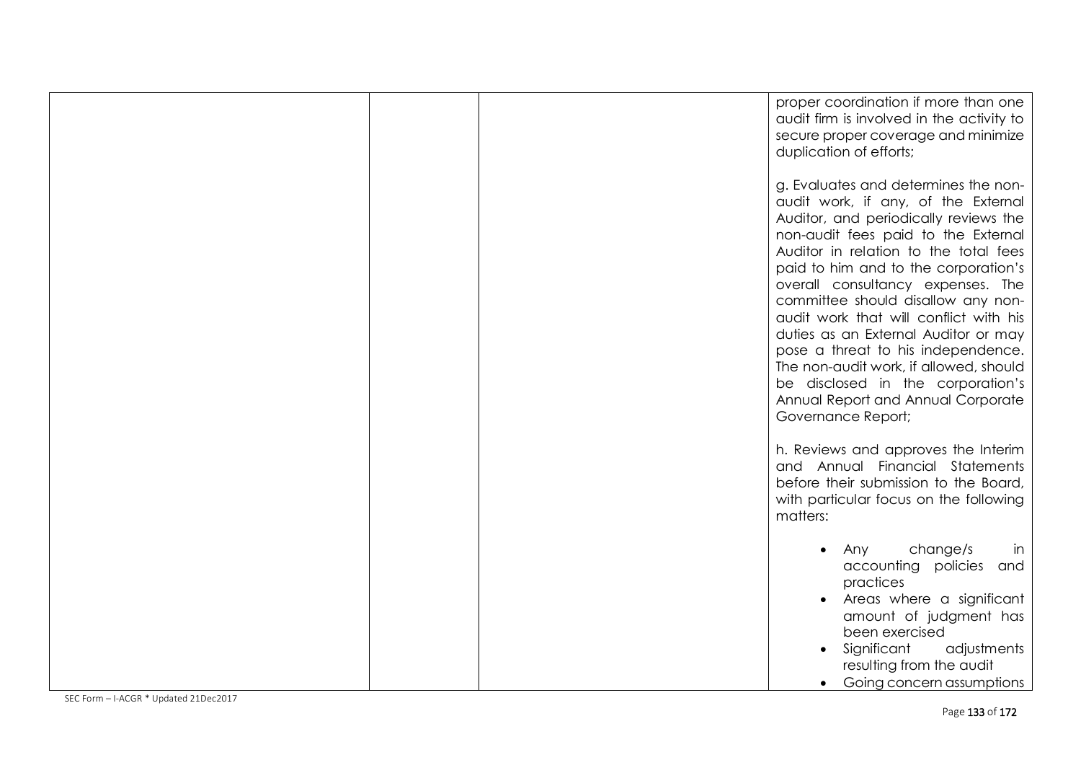|  | proper coordination if more than one<br>audit firm is involved in the activity to<br>secure proper coverage and minimize<br>duplication of efforts;                                                                                                                                                                                                                                                                                                                                                                                                                                        |
|--|--------------------------------------------------------------------------------------------------------------------------------------------------------------------------------------------------------------------------------------------------------------------------------------------------------------------------------------------------------------------------------------------------------------------------------------------------------------------------------------------------------------------------------------------------------------------------------------------|
|  | g. Evaluates and determines the non-<br>audit work, if any, of the External<br>Auditor, and periodically reviews the<br>non-audit fees paid to the External<br>Auditor in relation to the total fees<br>paid to him and to the corporation's<br>overall consultancy expenses. The<br>committee should disallow any non-<br>audit work that will conflict with his<br>duties as an External Auditor or may<br>pose a threat to his independence.<br>The non-audit work, if allowed, should<br>be disclosed in the corporation's<br>Annual Report and Annual Corporate<br>Governance Report; |
|  | h. Reviews and approves the Interim<br>and Annual Financial Statements<br>before their submission to the Board,<br>with particular focus on the following<br>matters:                                                                                                                                                                                                                                                                                                                                                                                                                      |
|  | change/s<br>Any<br>in<br>$\bullet$<br>accounting policies and<br>practices<br>Areas where a significant<br>amount of judgment has<br>been exercised<br>Significant<br>adjustments<br>resulting from the audit<br>Going concern assumptions<br>$\bullet$                                                                                                                                                                                                                                                                                                                                    |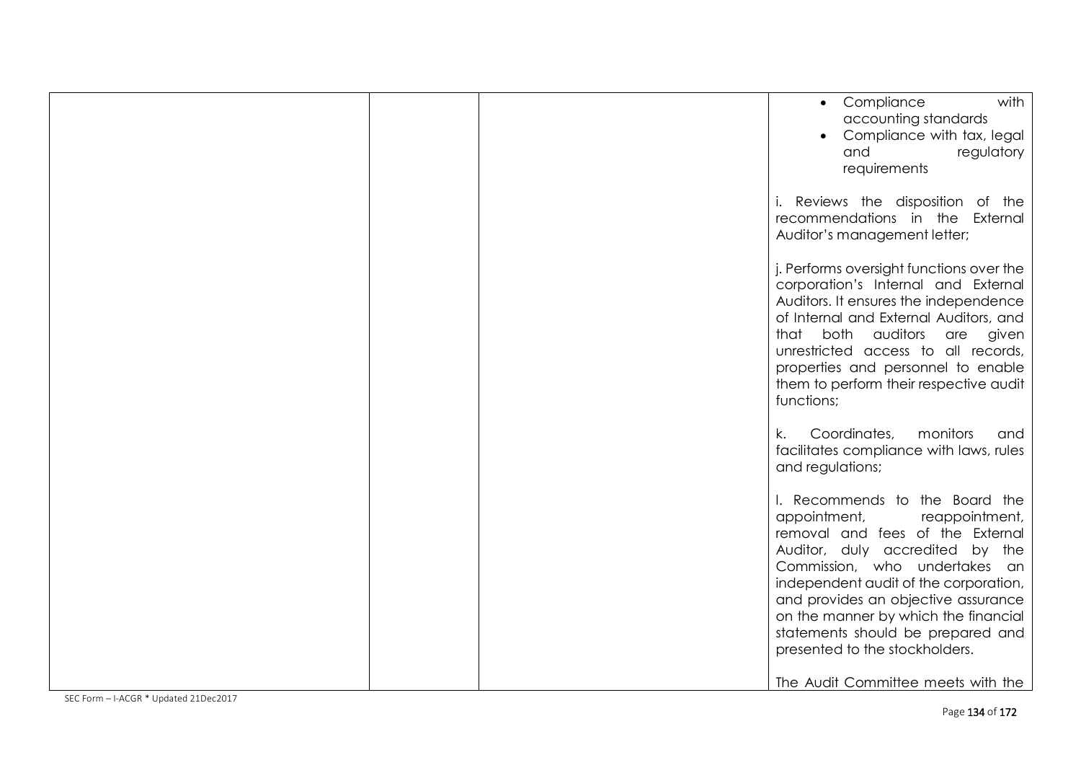|  | with<br>• Compliance<br>accounting standards<br>Compliance with tax, legal<br>regulatory<br>and<br>requirements                                                                                                                                                                                                                                                                                               |
|--|---------------------------------------------------------------------------------------------------------------------------------------------------------------------------------------------------------------------------------------------------------------------------------------------------------------------------------------------------------------------------------------------------------------|
|  | i. Reviews the disposition of the<br>recommendations in the External<br>Auditor's management letter;                                                                                                                                                                                                                                                                                                          |
|  | j. Performs oversight functions over the<br>corporation's Internal and External<br>Auditors. It ensures the independence<br>of Internal and External Auditors, and<br>that both auditors are<br>given<br>unrestricted access to all records,<br>properties and personnel to enable<br>them to perform their respective audit<br>functions;                                                                    |
|  | Coordinates,<br>monitors<br>k.<br>and<br>facilitates compliance with laws, rules<br>and regulations;                                                                                                                                                                                                                                                                                                          |
|  | I. Recommends to the Board the<br>appointment,<br>reappointment,<br>removal and fees of the External<br>Auditor, duly accredited by the<br>Commission, who undertakes an<br>independent audit of the corporation,<br>and provides an objective assurance<br>on the manner by which the financial<br>statements should be prepared and<br>presented to the stockholders.<br>The Audit Committee meets with the |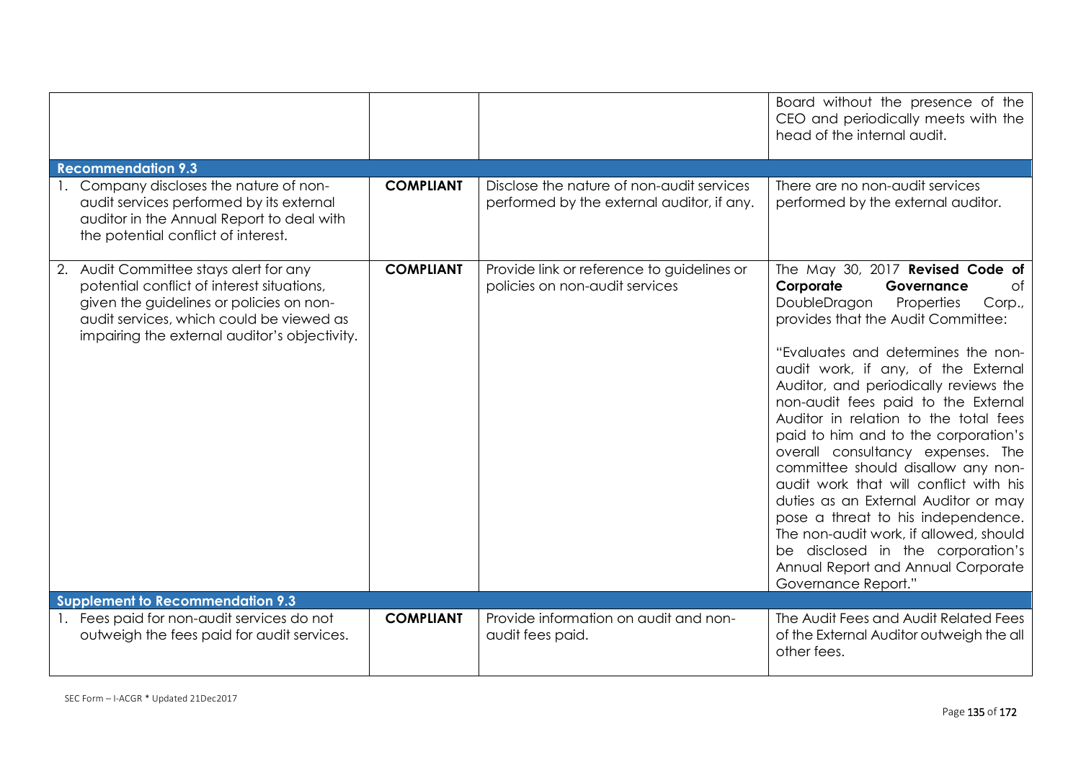|                                                                                                                                                                                                                               |                  |                                                                                         | Board without the presence of the<br>CEO and periodically meets with the<br>head of the internal audit.                                                                                                                                                                                                                                                                                                                                                                                                                                                                                                                                                                                                                                      |
|-------------------------------------------------------------------------------------------------------------------------------------------------------------------------------------------------------------------------------|------------------|-----------------------------------------------------------------------------------------|----------------------------------------------------------------------------------------------------------------------------------------------------------------------------------------------------------------------------------------------------------------------------------------------------------------------------------------------------------------------------------------------------------------------------------------------------------------------------------------------------------------------------------------------------------------------------------------------------------------------------------------------------------------------------------------------------------------------------------------------|
| <b>Recommendation 9.3</b>                                                                                                                                                                                                     |                  |                                                                                         |                                                                                                                                                                                                                                                                                                                                                                                                                                                                                                                                                                                                                                                                                                                                              |
| Company discloses the nature of non-<br>audit services performed by its external<br>auditor in the Annual Report to deal with<br>the potential conflict of interest.                                                          | <b>COMPLIANT</b> | Disclose the nature of non-audit services<br>performed by the external auditor, if any. | There are no non-audit services<br>performed by the external auditor.                                                                                                                                                                                                                                                                                                                                                                                                                                                                                                                                                                                                                                                                        |
| 2. Audit Committee stays alert for any<br>potential conflict of interest situations,<br>given the guidelines or policies on non-<br>audit services, which could be viewed as<br>impairing the external auditor's objectivity. | <b>COMPLIANT</b> | Provide link or reference to guidelines or<br>policies on non-audit services            | The May 30, 2017 Revised Code of<br>Corporate<br>Governance<br>0f<br>DoubleDragon<br>Properties<br>Corp.,<br>provides that the Audit Committee:<br>"Evaluates and determines the non-<br>audit work, if any, of the External<br>Auditor, and periodically reviews the<br>non-audit fees paid to the External<br>Auditor in relation to the total fees<br>paid to him and to the corporation's<br>overall consultancy expenses. The<br>committee should disallow any non-<br>audit work that will conflict with his<br>duties as an External Auditor or may<br>pose a threat to his independence.<br>The non-audit work, if allowed, should<br>be disclosed in the corporation's<br>Annual Report and Annual Corporate<br>Governance Report." |
| <b>Supplement to Recommendation 9.3</b>                                                                                                                                                                                       |                  |                                                                                         |                                                                                                                                                                                                                                                                                                                                                                                                                                                                                                                                                                                                                                                                                                                                              |
| 1. Fees paid for non-audit services do not<br>outweigh the fees paid for audit services.                                                                                                                                      | <b>COMPLIANT</b> | Provide information on audit and non-<br>audit fees paid.                               | The Audit Fees and Audit Related Fees<br>of the External Auditor outweigh the all<br>other fees.                                                                                                                                                                                                                                                                                                                                                                                                                                                                                                                                                                                                                                             |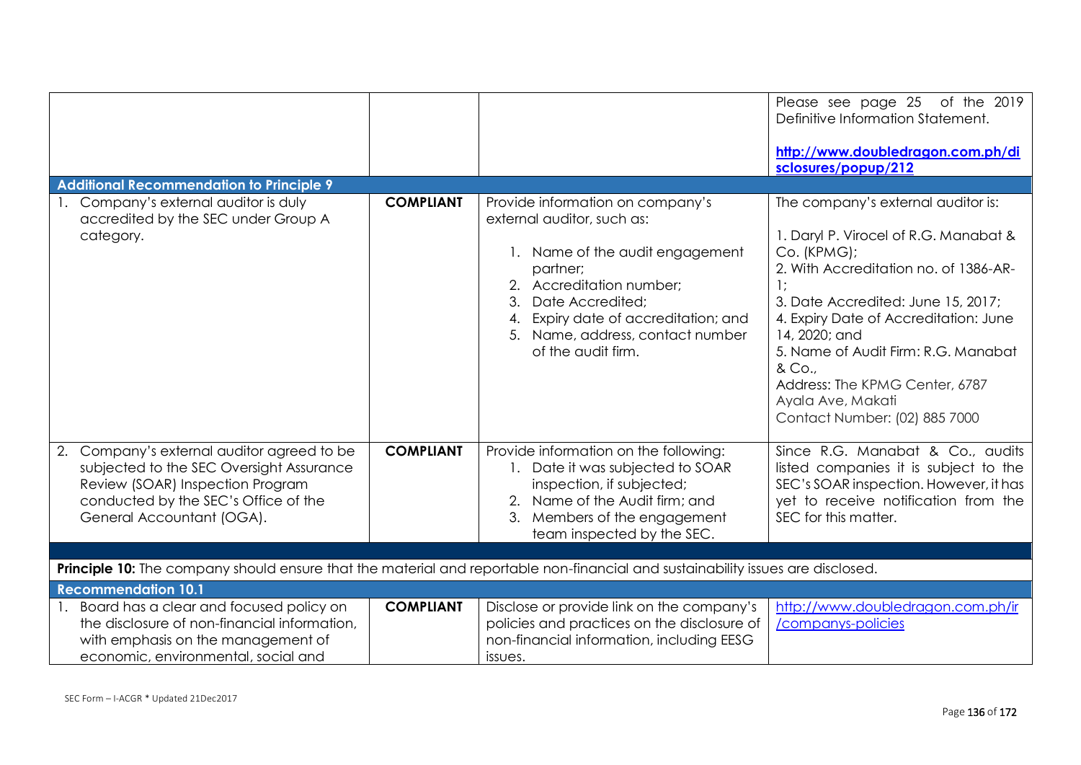|                                                                                                                                                                                                                                                                                                                                    |                  |                                                                                                                                                                                                                                                                             | Please see page 25 of the 2019<br>Definitive Information Statement.<br>http://www.doubledragon.com.ph/di<br>sclosures/popup/212                                                                                                                                                                                                                                              |
|------------------------------------------------------------------------------------------------------------------------------------------------------------------------------------------------------------------------------------------------------------------------------------------------------------------------------------|------------------|-----------------------------------------------------------------------------------------------------------------------------------------------------------------------------------------------------------------------------------------------------------------------------|------------------------------------------------------------------------------------------------------------------------------------------------------------------------------------------------------------------------------------------------------------------------------------------------------------------------------------------------------------------------------|
| <b>Additional Recommendation to Principle 9</b>                                                                                                                                                                                                                                                                                    |                  |                                                                                                                                                                                                                                                                             |                                                                                                                                                                                                                                                                                                                                                                              |
| 1. Company's external auditor is duly<br>accredited by the SEC under Group A<br>category.                                                                                                                                                                                                                                          | <b>COMPLIANT</b> | Provide information on company's<br>external auditor, such as:<br>1. Name of the audit engagement<br>partner;<br>Accreditation number:<br>2.<br>Date Accredited;<br>3.<br>Expiry date of accreditation; and<br>4.<br>5. Name, address, contact number<br>of the audit firm. | The company's external auditor is:<br>1. Daryl P. Virocel of R.G. Manabat &<br>Co. (KPMG);<br>2. With Accreditation no. of 1386-AR-<br>3. Date Accredited: June 15, 2017;<br>4. Expiry Date of Accreditation: June<br>14, 2020; and<br>5. Name of Audit Firm: R.G. Manabat<br>& Co.,<br>Address: The KPMG Center, 6787<br>Ayala Ave, Makati<br>Contact Number: (02) 885 7000 |
| 2. Company's external auditor agreed to be<br>subjected to the SEC Oversight Assurance<br>Review (SOAR) Inspection Program<br>conducted by the SEC's Office of the<br>General Accountant (OGA).<br>Principle 10: The company should ensure that the material and reportable non-financial and sustainability issues are disclosed. | <b>COMPLIANT</b> | Provide information on the following:<br>Date it was subjected to SOAR<br>inspection, if subjected;<br>2. Name of the Audit firm; and<br>Members of the engagement<br>3.<br>team inspected by the SEC.                                                                      | Since R.G. Manabat & Co., audits<br>listed companies it is subject to the<br>SEC's SOAR inspection. However, it has<br>yet to receive notification from the<br>SEC for this matter.                                                                                                                                                                                          |
| <b>Recommendation 10.1</b>                                                                                                                                                                                                                                                                                                         |                  |                                                                                                                                                                                                                                                                             |                                                                                                                                                                                                                                                                                                                                                                              |
| 1. Board has a clear and focused policy on<br>the disclosure of non-financial information,<br>with emphasis on the management of<br>economic, environmental, social and                                                                                                                                                            | <b>COMPLIANT</b> | Disclose or provide link on the company's<br>policies and practices on the disclosure of<br>non-financial information, including EESG<br>issues.                                                                                                                            | http://www.doubledragon.com.ph/ir<br>/companys-policies                                                                                                                                                                                                                                                                                                                      |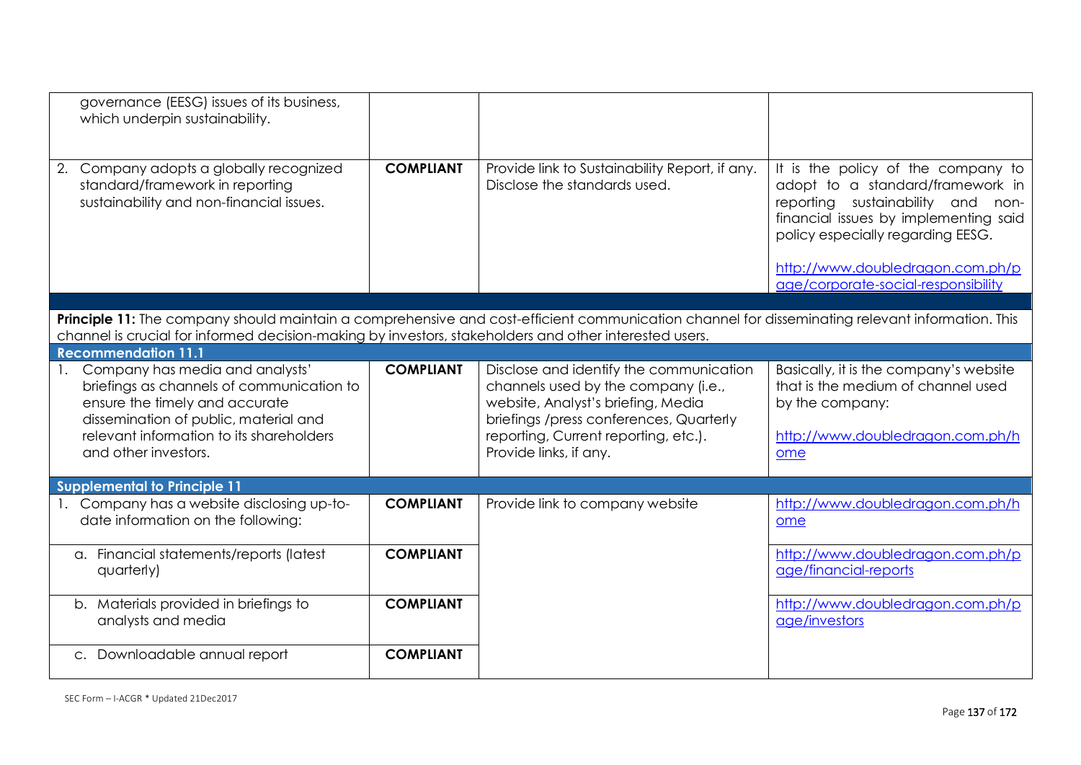| governance (EESG) issues of its business,<br>which underpin sustainability.                                                                     |                  |                                                                                 |                                                                                                                                                                                                                                  |
|-------------------------------------------------------------------------------------------------------------------------------------------------|------------------|---------------------------------------------------------------------------------|----------------------------------------------------------------------------------------------------------------------------------------------------------------------------------------------------------------------------------|
| Company adopts a globally recognized<br>2.<br>standard/framework in reporting<br>sustainability and non-financial issues.                       | <b>COMPLIANT</b> | Provide link to Sustainability Report, if any.<br>Disclose the standards used.  | It is the policy of the company to<br>adopt to a standard/framework in<br>sustainability and non-<br>reporting<br>financial issues by implementing said<br>policy especially regarding EESG.<br>http://www.doubledragon.com.ph/p |
|                                                                                                                                                 |                  |                                                                                 | age/corporate-social-responsibility                                                                                                                                                                                              |
|                                                                                                                                                 |                  |                                                                                 |                                                                                                                                                                                                                                  |
| Principle 11: The company should maintain a comprehensive and cost-efficient communication channel for disseminating relevant information. This |                  |                                                                                 |                                                                                                                                                                                                                                  |
| channel is crucial for informed decision-making by investors, stakeholders and other interested users.<br><b>Recommendation 11.1</b>            |                  |                                                                                 |                                                                                                                                                                                                                                  |
| Company has media and analysts'<br>$\mathbf{1}$ .                                                                                               | <b>COMPLIANT</b> | Disclose and identify the communication                                         | Basically, it is the company's website                                                                                                                                                                                           |
| briefings as channels of communication to                                                                                                       |                  | channels used by the company (i.e.,                                             | that is the medium of channel used                                                                                                                                                                                               |
| ensure the timely and accurate                                                                                                                  |                  | website, Analyst's briefing, Media                                              | by the company:                                                                                                                                                                                                                  |
| dissemination of public, material and<br>relevant information to its shareholders                                                               |                  | briefings /press conferences, Quarterly<br>reporting, Current reporting, etc.). | http://www.doubledragon.com.ph/h                                                                                                                                                                                                 |
| and other investors.                                                                                                                            |                  | Provide links, if any.                                                          | ome                                                                                                                                                                                                                              |
|                                                                                                                                                 |                  |                                                                                 |                                                                                                                                                                                                                                  |
| <b>Supplemental to Principle 11</b>                                                                                                             |                  |                                                                                 |                                                                                                                                                                                                                                  |
| 1. Company has a website disclosing up-to-<br>date information on the following:                                                                | <b>COMPLIANT</b> | Provide link to company website                                                 | http://www.doubledragon.com.ph/h<br>ome                                                                                                                                                                                          |
| a. Financial statements/reports (latest                                                                                                         | <b>COMPLIANT</b> |                                                                                 | http://www.doubledragon.com.ph/p                                                                                                                                                                                                 |
| quarterly)                                                                                                                                      |                  |                                                                                 | age/financial-reports                                                                                                                                                                                                            |
| b. Materials provided in briefings to                                                                                                           | <b>COMPLIANT</b> |                                                                                 | http://www.doubledragon.com.ph/p                                                                                                                                                                                                 |
| analysts and media                                                                                                                              |                  |                                                                                 | age/investors                                                                                                                                                                                                                    |
| c. Downloadable annual report                                                                                                                   | <b>COMPLIANT</b> |                                                                                 |                                                                                                                                                                                                                                  |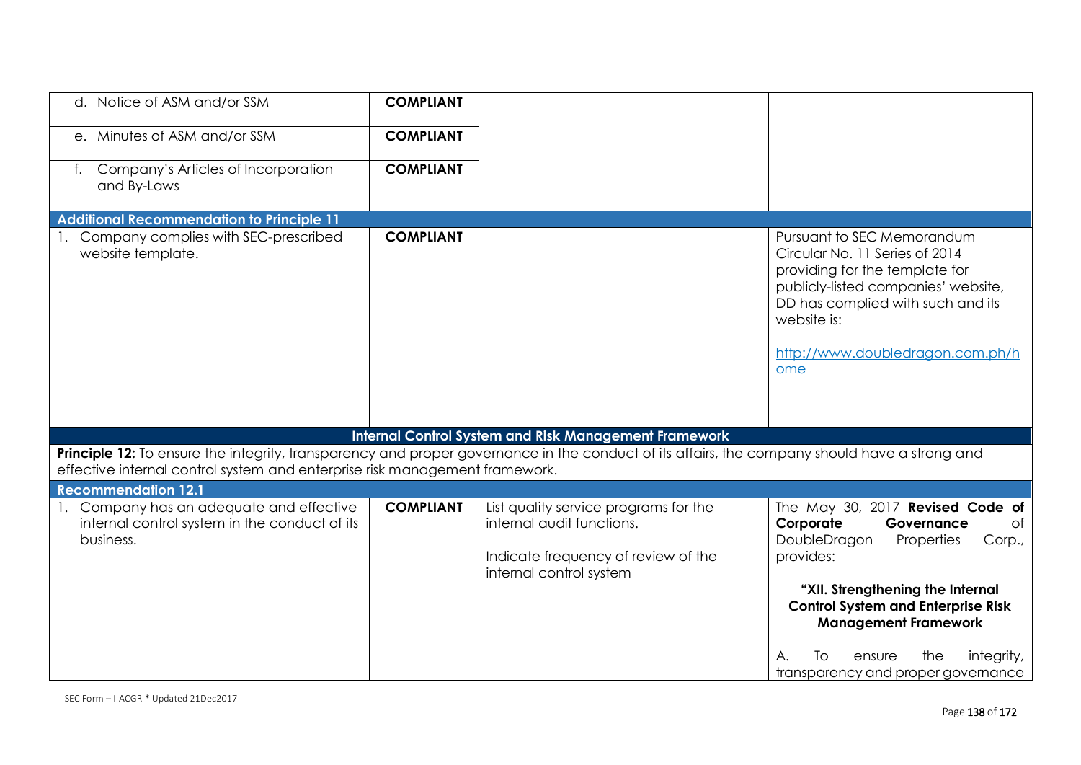| d. Notice of ASM and/or SSM                                                                                                                                                                                                  | <b>COMPLIANT</b> |                                                                                                                                      |                                                                                                                                                                                                                                                                                   |
|------------------------------------------------------------------------------------------------------------------------------------------------------------------------------------------------------------------------------|------------------|--------------------------------------------------------------------------------------------------------------------------------------|-----------------------------------------------------------------------------------------------------------------------------------------------------------------------------------------------------------------------------------------------------------------------------------|
| e. Minutes of ASM and/or SSM                                                                                                                                                                                                 | <b>COMPLIANT</b> |                                                                                                                                      |                                                                                                                                                                                                                                                                                   |
| Company's Articles of Incorporation<br>and By-Laws                                                                                                                                                                           | <b>COMPLIANT</b> |                                                                                                                                      |                                                                                                                                                                                                                                                                                   |
| <b>Additional Recommendation to Principle 11</b>                                                                                                                                                                             |                  |                                                                                                                                      |                                                                                                                                                                                                                                                                                   |
| 1. Company complies with SEC-prescribed<br>website template.                                                                                                                                                                 | <b>COMPLIANT</b> |                                                                                                                                      | Pursuant to SEC Memorandum<br>Circular No. 11 Series of 2014<br>providing for the template for<br>publicly-listed companies' website,<br>DD has complied with such and its<br>website is:<br>http://www.doubledragon.com.ph/h<br>ome                                              |
|                                                                                                                                                                                                                              |                  | <b>Internal Control System and Risk Management Framework</b>                                                                         |                                                                                                                                                                                                                                                                                   |
| Principle 12: To ensure the integrity, transparency and proper governance in the conduct of its affairs, the company should have a strong and<br>effective internal control system and enterprise risk management framework. |                  |                                                                                                                                      |                                                                                                                                                                                                                                                                                   |
| <b>Recommendation 12.1</b>                                                                                                                                                                                                   |                  |                                                                                                                                      |                                                                                                                                                                                                                                                                                   |
| 1. Company has an adequate and effective<br>internal control system in the conduct of its<br>business.                                                                                                                       | <b>COMPLIANT</b> | List quality service programs for the<br>internal audit functions.<br>Indicate frequency of review of the<br>internal control system | The May 30, 2017 Revised Code of<br>Corporate<br>Governance<br>of<br>DoubleDragon<br>Properties<br>Corp.,<br>provides:<br>"XII. Strengthening the Internal<br><b>Control System and Enterprise Risk</b><br><b>Management Framework</b><br>integrity,<br>the<br>А.<br>ensure<br>TΟ |
|                                                                                                                                                                                                                              |                  |                                                                                                                                      | transparency and proper governance                                                                                                                                                                                                                                                |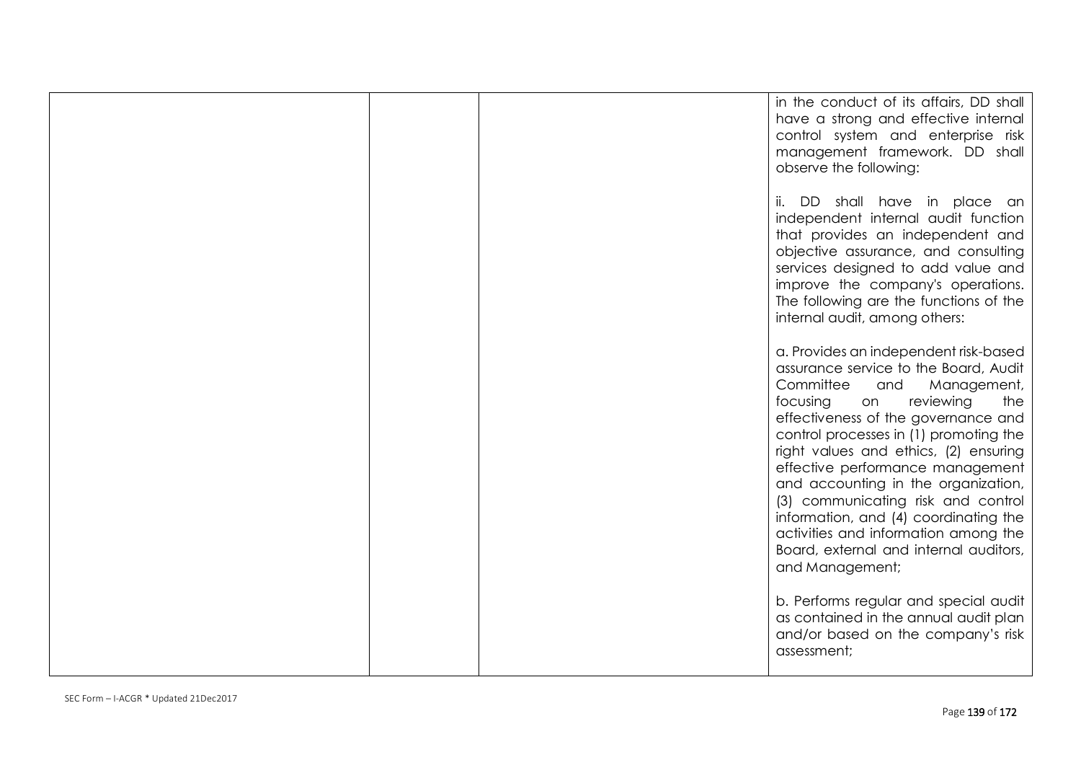|  | in the conduct of its affairs, DD shall<br>have a strong and effective internal<br>control system and enterprise risk<br>management framework. DD shall<br>observe the following:                                                                                                                                                                                                                                                                                                                                                                |
|--|--------------------------------------------------------------------------------------------------------------------------------------------------------------------------------------------------------------------------------------------------------------------------------------------------------------------------------------------------------------------------------------------------------------------------------------------------------------------------------------------------------------------------------------------------|
|  | ii. DD shall have in place an<br>independent internal audit function<br>that provides an independent and<br>objective assurance, and consulting<br>services designed to add value and<br>improve the company's operations.<br>The following are the functions of the<br>internal audit, among others:                                                                                                                                                                                                                                            |
|  | a. Provides an independent risk-based<br>assurance service to the Board, Audit<br>Committee<br>and<br>Management,<br>focusing<br>reviewing<br>the<br>on<br>effectiveness of the governance and<br>control processes in (1) promoting the<br>right values and ethics, (2) ensuring<br>effective performance management<br>and accounting in the organization,<br>(3) communicating risk and control<br>information, and (4) coordinating the<br>activities and information among the<br>Board, external and internal auditors,<br>and Management; |
|  | b. Performs regular and special audit<br>as contained in the annual audit plan<br>and/or based on the company's risk<br>assessment;                                                                                                                                                                                                                                                                                                                                                                                                              |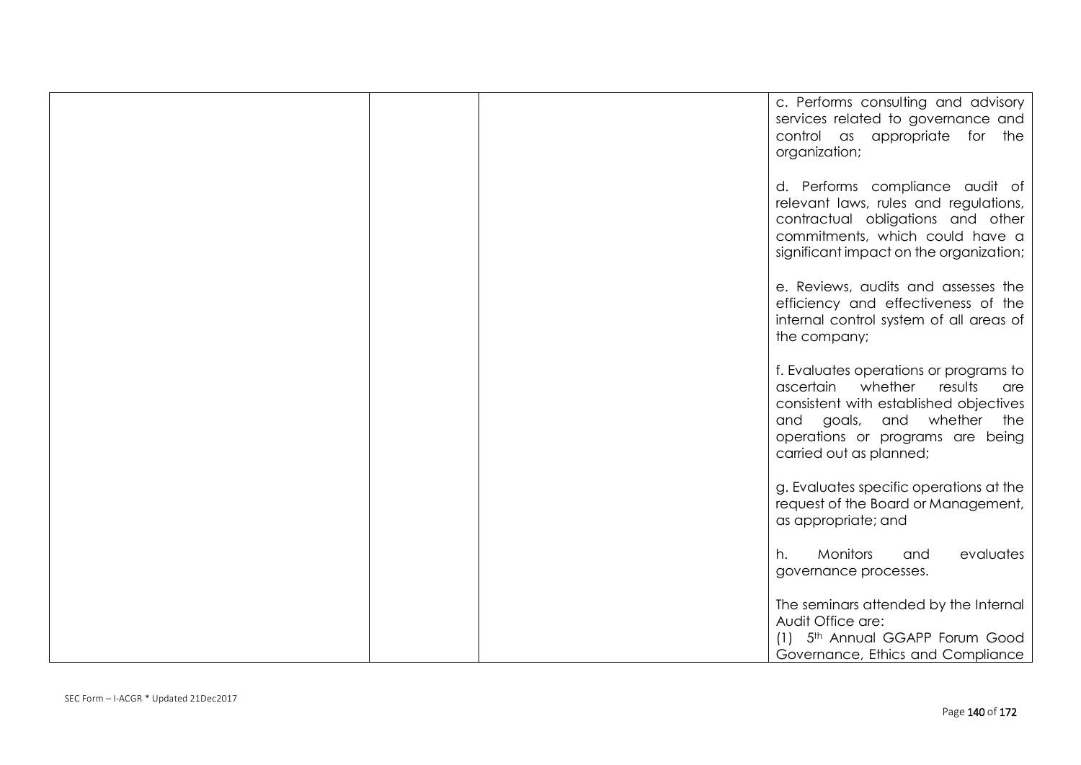|  | c. Performs consulting and advisory<br>services related to governance and<br>control as appropriate for the<br>organization;                                                                                         |
|--|----------------------------------------------------------------------------------------------------------------------------------------------------------------------------------------------------------------------|
|  | d. Performs compliance audit of<br>relevant laws, rules and regulations,<br>contractual obligations and other<br>commitments, which could have a<br>significant impact on the organization;                          |
|  | e. Reviews, audits and assesses the<br>efficiency and effectiveness of the<br>internal control system of all areas of<br>the company;                                                                                |
|  | f. Evaluates operations or programs to<br>ascertain whether<br>results<br>are<br>consistent with established objectives<br>and goals, and whether the<br>operations or programs are being<br>carried out as planned; |
|  | g. Evaluates specific operations at the<br>request of the Board or Management,<br>as appropriate; and                                                                                                                |
|  | Monitors<br>evaluates<br>h.<br>and<br>governance processes.                                                                                                                                                          |
|  | The seminars attended by the Internal<br>Audit Office are:<br>(1) 5th Annual GGAPP Forum Good<br>Governance, Ethics and Compliance                                                                                   |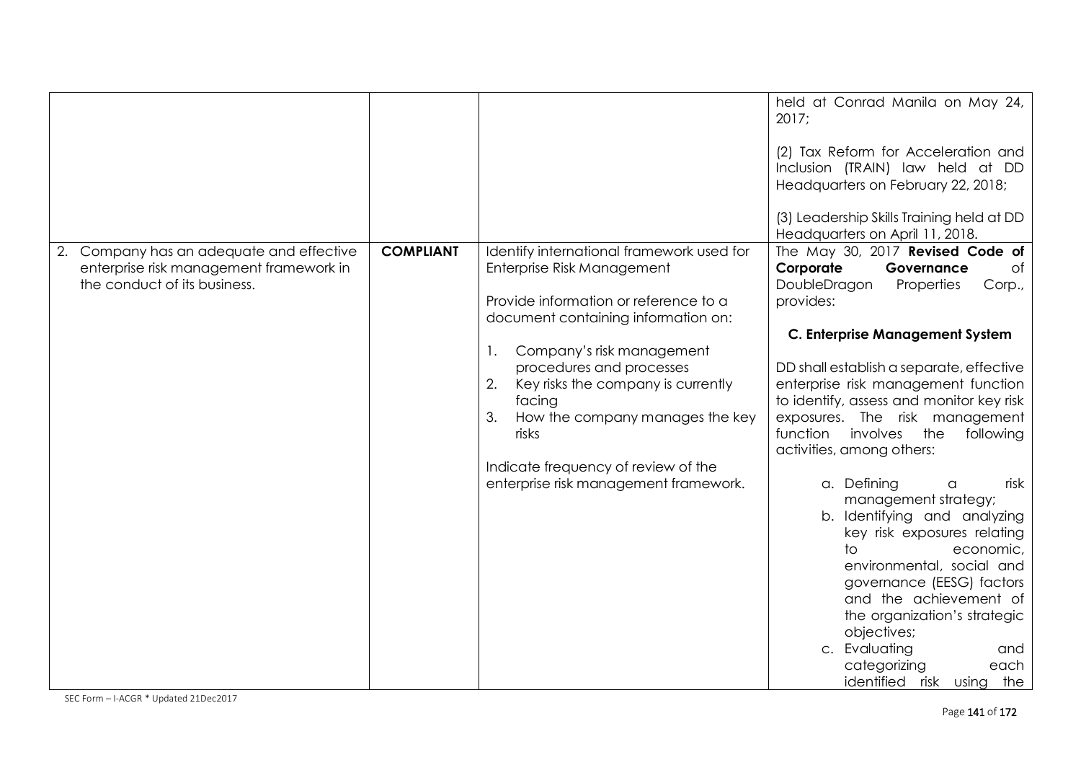|                                                                                                                     |                  |                                                                                                                                                         | held at Conrad Manila on May 24,<br>2017;<br>(2) Tax Reform for Acceleration and<br>Inclusion (TRAIN) law held at DD<br>Headquarters on February 22, 2018;<br>(3) Leadership Skills Training held at DD<br>Headquarters on April 11, 2018. |
|---------------------------------------------------------------------------------------------------------------------|------------------|---------------------------------------------------------------------------------------------------------------------------------------------------------|--------------------------------------------------------------------------------------------------------------------------------------------------------------------------------------------------------------------------------------------|
| 2. Company has an adequate and effective<br>enterprise risk management framework in<br>the conduct of its business. | <b>COMPLIANT</b> | Identify international framework used for<br>Enterprise Risk Management<br>Provide information or reference to a<br>document containing information on: | The May 30, 2017 Revised Code of<br>Corporate<br>Governance<br>of<br>DoubleDragon<br>Properties<br>Corp.,<br>provides:                                                                                                                     |
|                                                                                                                     |                  |                                                                                                                                                         | <b>C. Enterprise Management System</b>                                                                                                                                                                                                     |
|                                                                                                                     |                  | Company's risk management<br>$\mathbf{1}$ .                                                                                                             |                                                                                                                                                                                                                                            |
|                                                                                                                     |                  | procedures and processes<br>2.<br>Key risks the company is currently<br>facing                                                                          | DD shall establish a separate, effective<br>enterprise risk management function<br>to identify, assess and monitor key risk                                                                                                                |
|                                                                                                                     |                  | How the company manages the key<br>3.<br>risks                                                                                                          | exposures. The risk management<br>function involves<br>the<br>following<br>activities, among others:                                                                                                                                       |
|                                                                                                                     |                  | Indicate frequency of review of the                                                                                                                     |                                                                                                                                                                                                                                            |
|                                                                                                                     |                  | enterprise risk management framework.                                                                                                                   | a. Defining<br>risk<br>a<br>management strategy;                                                                                                                                                                                           |
|                                                                                                                     |                  |                                                                                                                                                         | b. Identifying and analyzing<br>key risk exposures relating                                                                                                                                                                                |
|                                                                                                                     |                  |                                                                                                                                                         | to.<br>economic,                                                                                                                                                                                                                           |
|                                                                                                                     |                  |                                                                                                                                                         | environmental, social and                                                                                                                                                                                                                  |
|                                                                                                                     |                  |                                                                                                                                                         | governance (EESG) factors<br>and the achievement of                                                                                                                                                                                        |
|                                                                                                                     |                  |                                                                                                                                                         | the organization's strategic<br>objectives;                                                                                                                                                                                                |
|                                                                                                                     |                  |                                                                                                                                                         | c. Evaluating<br>and                                                                                                                                                                                                                       |
|                                                                                                                     |                  |                                                                                                                                                         | categorizing<br>each<br>identified risk using the                                                                                                                                                                                          |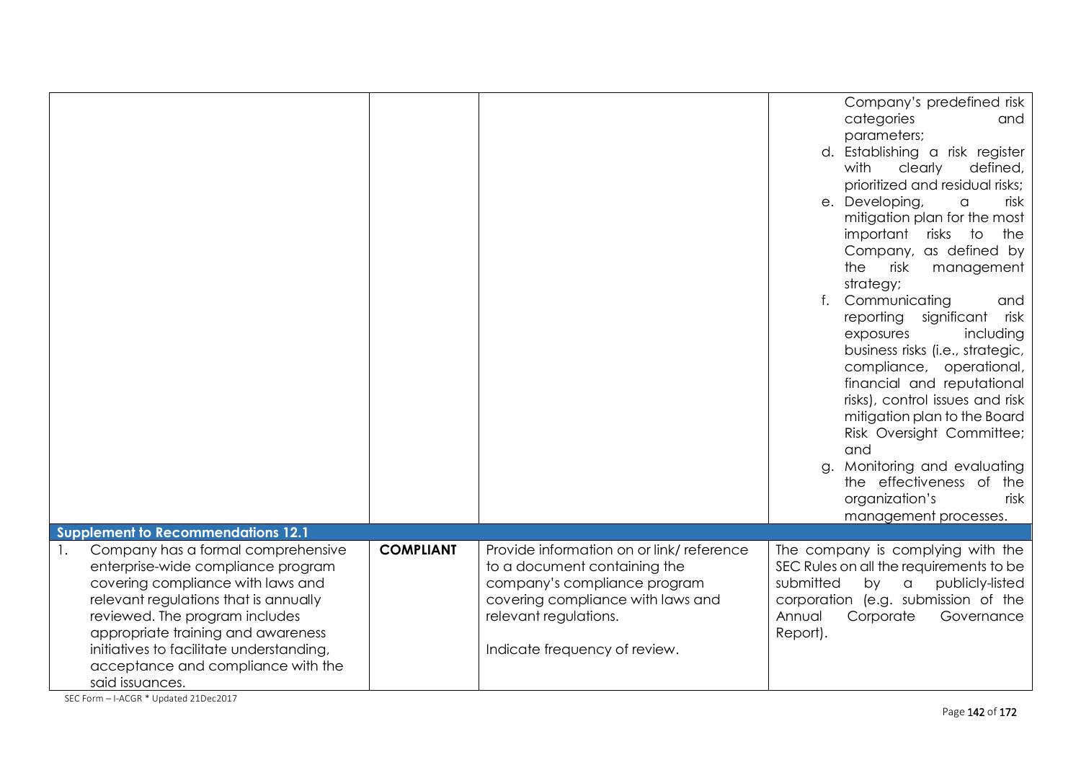|                                                                                                                                                                                                                                                                                                                                                       |                  |                                                                                                                                                                                                         | Company's predefined risk<br>categories<br>and                                                                                                                                                                                                                                                                                                         |
|-------------------------------------------------------------------------------------------------------------------------------------------------------------------------------------------------------------------------------------------------------------------------------------------------------------------------------------------------------|------------------|---------------------------------------------------------------------------------------------------------------------------------------------------------------------------------------------------------|--------------------------------------------------------------------------------------------------------------------------------------------------------------------------------------------------------------------------------------------------------------------------------------------------------------------------------------------------------|
|                                                                                                                                                                                                                                                                                                                                                       |                  |                                                                                                                                                                                                         | parameters;<br>d. Establishing a risk register<br>with<br>clearly<br>defined,                                                                                                                                                                                                                                                                          |
|                                                                                                                                                                                                                                                                                                                                                       |                  |                                                                                                                                                                                                         | prioritized and residual risks;<br>e. Developing,<br>risk<br>a<br>mitigation plan for the most<br>important risks to<br>the<br>Company, as defined by<br>the<br>risk<br>management<br>strategy;                                                                                                                                                        |
|                                                                                                                                                                                                                                                                                                                                                       |                  |                                                                                                                                                                                                         | Communicating<br>and<br>significant<br>reporting<br>risk<br>including<br>exposures<br>business risks (i.e., strategic,<br>compliance, operational,<br>financial and reputational<br>risks), control issues and risk<br>mitigation plan to the Board<br>Risk Oversight Committee;<br>and<br>Monitoring and evaluating<br>a.<br>the effectiveness of the |
|                                                                                                                                                                                                                                                                                                                                                       |                  |                                                                                                                                                                                                         | organization's<br>risk<br>management processes.                                                                                                                                                                                                                                                                                                        |
| <b>Supplement to Recommendations 12.1</b>                                                                                                                                                                                                                                                                                                             |                  |                                                                                                                                                                                                         |                                                                                                                                                                                                                                                                                                                                                        |
| Company has a formal comprehensive<br>$\mathbf{1}$ .<br>enterprise-wide compliance program<br>covering compliance with laws and<br>relevant regulations that is annually<br>reviewed. The program includes<br>appropriate training and awareness<br>initiatives to facilitate understanding,<br>acceptance and compliance with the<br>said issuances. | <b>COMPLIANT</b> | Provide information on or link/reference<br>to a document containing the<br>company's compliance program<br>covering compliance with laws and<br>relevant regulations.<br>Indicate frequency of review. | The company is complying with the<br>SEC Rules on all the requirements to be<br>submitted<br>by a<br>publicly-listed<br>corporation (e.g. submission of the<br>Annual<br>Corporate<br>Governance<br>Report).                                                                                                                                           |

SEC Form – I-ACGR \* Updated 21Dec2017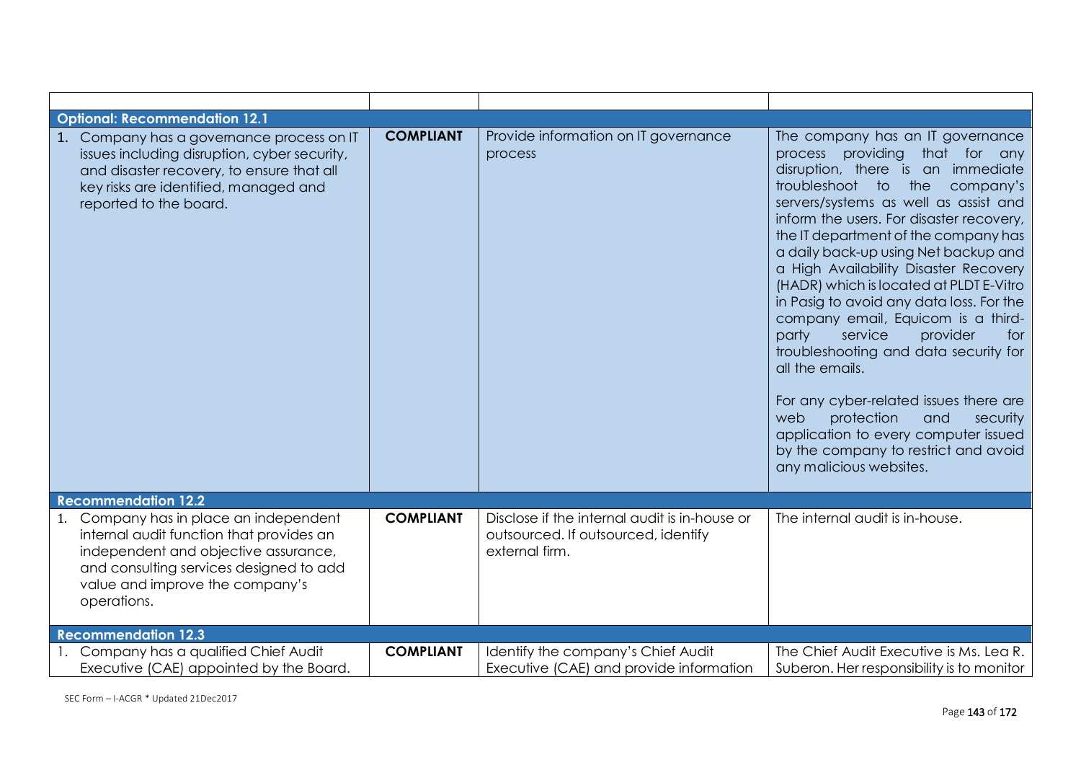| <b>Optional: Recommendation 12.1</b>                                                                                                                                                                                    |                  |                                                                                                        |                                                                                                                                                                                                                                                                                                                                                                                                                                                                                                                                                                                                                                                                                                                                                                                     |
|-------------------------------------------------------------------------------------------------------------------------------------------------------------------------------------------------------------------------|------------------|--------------------------------------------------------------------------------------------------------|-------------------------------------------------------------------------------------------------------------------------------------------------------------------------------------------------------------------------------------------------------------------------------------------------------------------------------------------------------------------------------------------------------------------------------------------------------------------------------------------------------------------------------------------------------------------------------------------------------------------------------------------------------------------------------------------------------------------------------------------------------------------------------------|
| 1. Company has a governance process on IT<br>issues including disruption, cyber security,<br>and disaster recovery, to ensure that all<br>key risks are identified, managed and<br>reported to the board.               | <b>COMPLIANT</b> | Provide information on IT governance<br>process                                                        | The company has an IT governance<br>process providing that for any<br>disruption, there is an immediate<br>troubleshoot to the company's<br>servers/systems as well as assist and<br>inform the users. For disaster recovery,<br>the IT department of the company has<br>a daily back-up using Net backup and<br>a High Availability Disaster Recovery<br>(HADR) which is located at PLDT E-Vitro<br>in Pasig to avoid any data loss. For the<br>company email, Equicom is a third-<br>party<br>service<br>provider<br>for<br>troubleshooting and data security for<br>all the emails.<br>For any cyber-related issues there are<br>protection<br>web<br>and<br>security<br>application to every computer issued<br>by the company to restrict and avoid<br>any malicious websites. |
| <b>Recommendation 12.2</b>                                                                                                                                                                                              |                  |                                                                                                        |                                                                                                                                                                                                                                                                                                                                                                                                                                                                                                                                                                                                                                                                                                                                                                                     |
| 1. Company has in place an independent<br>internal audit function that provides an<br>independent and objective assurance,<br>and consulting services designed to add<br>value and improve the company's<br>operations. | <b>COMPLIANT</b> | Disclose if the internal audit is in-house or<br>outsourced. If outsourced, identify<br>external firm. | The internal audit is in-house.                                                                                                                                                                                                                                                                                                                                                                                                                                                                                                                                                                                                                                                                                                                                                     |
| <b>Recommendation 12.3</b>                                                                                                                                                                                              |                  |                                                                                                        |                                                                                                                                                                                                                                                                                                                                                                                                                                                                                                                                                                                                                                                                                                                                                                                     |
| 1. Company has a qualified Chief Audit<br>Executive (CAE) appointed by the Board.                                                                                                                                       | <b>COMPLIANT</b> | Identify the company's Chief Audit<br>Executive (CAE) and provide information                          | The Chief Audit Executive is Ms. Lea R.<br>Suberon. Her responsibility is to monitor                                                                                                                                                                                                                                                                                                                                                                                                                                                                                                                                                                                                                                                                                                |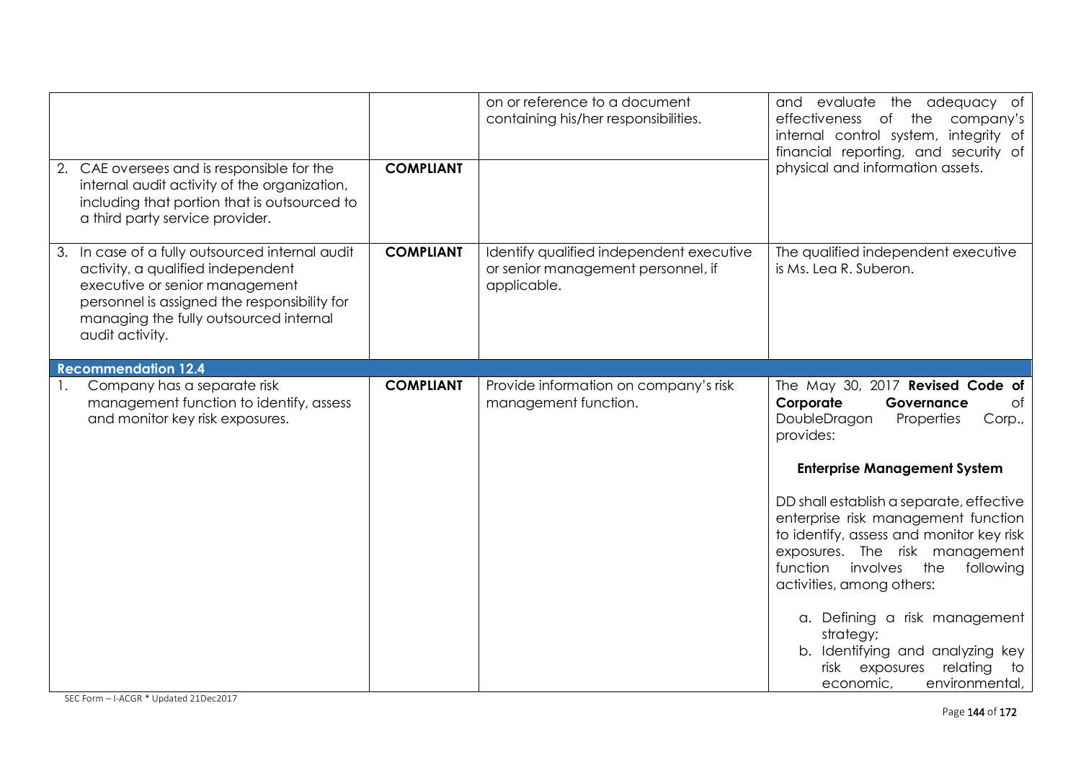| 2. CAE oversees and is responsible for the<br>internal audit activity of the organization,<br>including that portion that is outsourced to<br>a third party service provider.                                                       | <b>COMPLIANT</b> | on or reference to a document<br>containing his/her responsibilities.                         | and evaluate the adequacy of<br>company's<br>effectiveness of the<br>internal control system, integrity of<br>financial reporting, and security of<br>physical and information assets.                                                 |
|-------------------------------------------------------------------------------------------------------------------------------------------------------------------------------------------------------------------------------------|------------------|-----------------------------------------------------------------------------------------------|----------------------------------------------------------------------------------------------------------------------------------------------------------------------------------------------------------------------------------------|
| 3. In case of a fully outsourced internal audit<br>activity, a qualified independent<br>executive or senior management<br>personnel is assigned the responsibility for<br>managing the fully outsourced internal<br>audit activity. | <b>COMPLIANT</b> | Identify qualified independent executive<br>or senior management personnel, if<br>applicable. | The qualified independent executive<br>is Ms. Lea R. Suberon.                                                                                                                                                                          |
| <b>Recommendation 12.4</b>                                                                                                                                                                                                          |                  |                                                                                               |                                                                                                                                                                                                                                        |
| Company has a separate risk<br>management function to identify, assess<br>and monitor key risk exposures.                                                                                                                           | <b>COMPLIANT</b> | Provide information on company's risk<br>management function.                                 | The May 30, 2017 Revised Code of<br>Corporate<br>of<br>Governance<br>DoubleDragon<br>Corp.,<br>Properties<br>provides:<br><b>Enterprise Management System</b>                                                                          |
|                                                                                                                                                                                                                                     |                  |                                                                                               | DD shall establish a separate, effective<br>enterprise risk management function<br>to identify, assess and monitor key risk<br>exposures. The risk management<br>function<br>involves<br>the<br>following<br>activities, among others: |
|                                                                                                                                                                                                                                     |                  |                                                                                               | a. Defining a risk management<br>strategy;<br>b. Identifying and analyzing key<br>risk<br>exposures<br>relating<br>to<br>environmental,<br>economic,                                                                                   |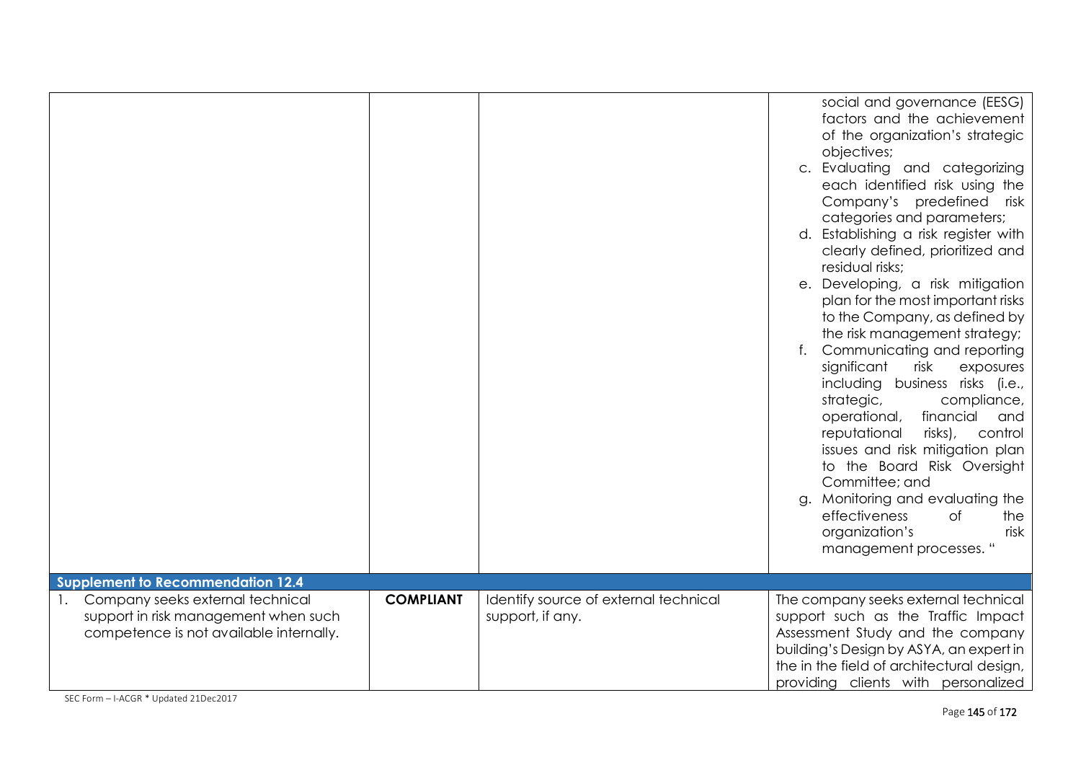|                                                                                                                        |                  |                                                           | social and governance (EESG)<br>factors and the achievement<br>of the organization's strategic<br>objectives;<br>c. Evaluating and categorizing<br>each identified risk using the<br>Company's predefined risk<br>categories and parameters;<br>d. Establishing a risk register with<br>clearly defined, prioritized and<br>residual risks;<br>Developing, a risk mitigation<br>е.<br>plan for the most important risks<br>to the Company, as defined by<br>the risk management strategy;<br>Communicating and reporting<br>f.<br>significant<br>risk<br>exposures<br>including business risks (i.e.,<br>strategic,<br>compliance,<br>operational,<br>financial<br>and<br>reputational<br>risks),<br>control<br>issues and risk mitigation plan<br>to the Board Risk Oversight<br>Committee; and<br>g. Monitoring and evaluating the<br>effectiveness<br>0f<br>the<br>organization's<br>risk<br>management processes. " |
|------------------------------------------------------------------------------------------------------------------------|------------------|-----------------------------------------------------------|-------------------------------------------------------------------------------------------------------------------------------------------------------------------------------------------------------------------------------------------------------------------------------------------------------------------------------------------------------------------------------------------------------------------------------------------------------------------------------------------------------------------------------------------------------------------------------------------------------------------------------------------------------------------------------------------------------------------------------------------------------------------------------------------------------------------------------------------------------------------------------------------------------------------------|
| <b>Supplement to Recommendation 12.4</b>                                                                               |                  |                                                           |                                                                                                                                                                                                                                                                                                                                                                                                                                                                                                                                                                                                                                                                                                                                                                                                                                                                                                                         |
| 1. Company seeks external technical<br>support in risk management when such<br>competence is not available internally. | <b>COMPLIANT</b> | Identify source of external technical<br>support, if any. | The company seeks external technical<br>support such as the Traffic Impact<br>Assessment Study and the company<br>building's Design by ASYA, an expert in<br>the in the field of architectural design,<br>providing clients with personalized                                                                                                                                                                                                                                                                                                                                                                                                                                                                                                                                                                                                                                                                           |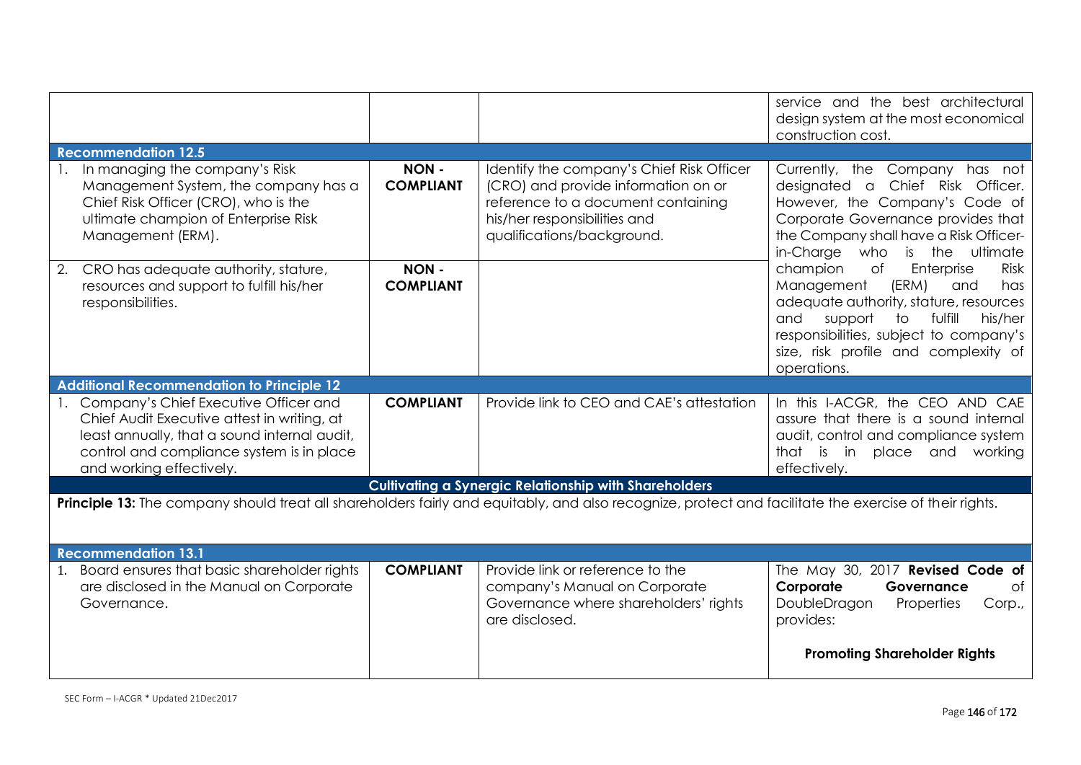|                                                                                                                                                                                                                  |                                                                                                                                                        |                                                                                                                                                                                      | service and the best architectural<br>design system at the most economical                                                                                                                                                                                                                                                                                                                                                                                                                               |  |  |
|------------------------------------------------------------------------------------------------------------------------------------------------------------------------------------------------------------------|--------------------------------------------------------------------------------------------------------------------------------------------------------|--------------------------------------------------------------------------------------------------------------------------------------------------------------------------------------|----------------------------------------------------------------------------------------------------------------------------------------------------------------------------------------------------------------------------------------------------------------------------------------------------------------------------------------------------------------------------------------------------------------------------------------------------------------------------------------------------------|--|--|
| <b>Recommendation 12.5</b>                                                                                                                                                                                       |                                                                                                                                                        |                                                                                                                                                                                      | construction cost.                                                                                                                                                                                                                                                                                                                                                                                                                                                                                       |  |  |
| 1. In managing the company's Risk<br>Management System, the company has a<br>Chief Risk Officer (CRO), who is the<br>ultimate champion of Enterprise Risk<br>Management (ERM).                                   | NON-<br><b>COMPLIANT</b>                                                                                                                               | Identify the company's Chief Risk Officer<br>(CRO) and provide information on or<br>reference to a document containing<br>his/her responsibilities and<br>qualifications/background. | Currently, the Company has not<br>Chief Risk Officer.<br>designated a<br>However, the Company's Code of<br>Corporate Governance provides that<br>the Company shall have a Risk Officer-<br>in-Charge who<br>is the ultimate<br>champion<br>of<br>Enterprise<br><b>Risk</b><br>(ERM)<br>Management<br>has<br>and<br>adequate authority, stature, resources<br>fulfill<br>and<br>support<br>to<br>his/her<br>responsibilities, subject to company's<br>size, risk profile and complexity of<br>operations. |  |  |
| CRO has adequate authority, stature,<br>2.<br>resources and support to fulfill his/her<br>responsibilities.                                                                                                      | NON-<br><b>COMPLIANT</b>                                                                                                                               |                                                                                                                                                                                      |                                                                                                                                                                                                                                                                                                                                                                                                                                                                                                          |  |  |
| <b>Additional Recommendation to Principle 12</b>                                                                                                                                                                 |                                                                                                                                                        |                                                                                                                                                                                      |                                                                                                                                                                                                                                                                                                                                                                                                                                                                                                          |  |  |
| 1. Company's Chief Executive Officer and<br>Chief Audit Executive attest in writing, at<br>least annually, that a sound internal audit,<br>control and compliance system is in place<br>and working effectively. | <b>COMPLIANT</b>                                                                                                                                       | Provide link to CEO and CAE's attestation                                                                                                                                            | In this I-ACGR, the CEO AND CAE<br>assure that there is a sound internal<br>audit, control and compliance system<br>that is in<br>place and<br>working<br>effectively.                                                                                                                                                                                                                                                                                                                                   |  |  |
|                                                                                                                                                                                                                  |                                                                                                                                                        | <b>Cultivating a Synergic Relationship with Shareholders</b>                                                                                                                         |                                                                                                                                                                                                                                                                                                                                                                                                                                                                                                          |  |  |
|                                                                                                                                                                                                                  | Principle 13: The company should treat all shareholders fairly and equitably, and also recognize, protect and facilitate the exercise of their rights. |                                                                                                                                                                                      |                                                                                                                                                                                                                                                                                                                                                                                                                                                                                                          |  |  |
| <b>Recommendation 13.1</b>                                                                                                                                                                                       |                                                                                                                                                        |                                                                                                                                                                                      |                                                                                                                                                                                                                                                                                                                                                                                                                                                                                                          |  |  |
| Board ensures that basic shareholder rights<br>1.<br>are disclosed in the Manual on Corporate<br>Governance.                                                                                                     | <b>COMPLIANT</b>                                                                                                                                       | Provide link or reference to the<br>company's Manual on Corporate<br>Governance where shareholders' rights<br>are disclosed.                                                         | The May 30, 2017 Revised Code of<br>Corporate<br>Governance<br>Ωf<br>DoubleDragon<br>Properties<br>Corp.,<br>provides:<br><b>Promoting Shareholder Rights</b>                                                                                                                                                                                                                                                                                                                                            |  |  |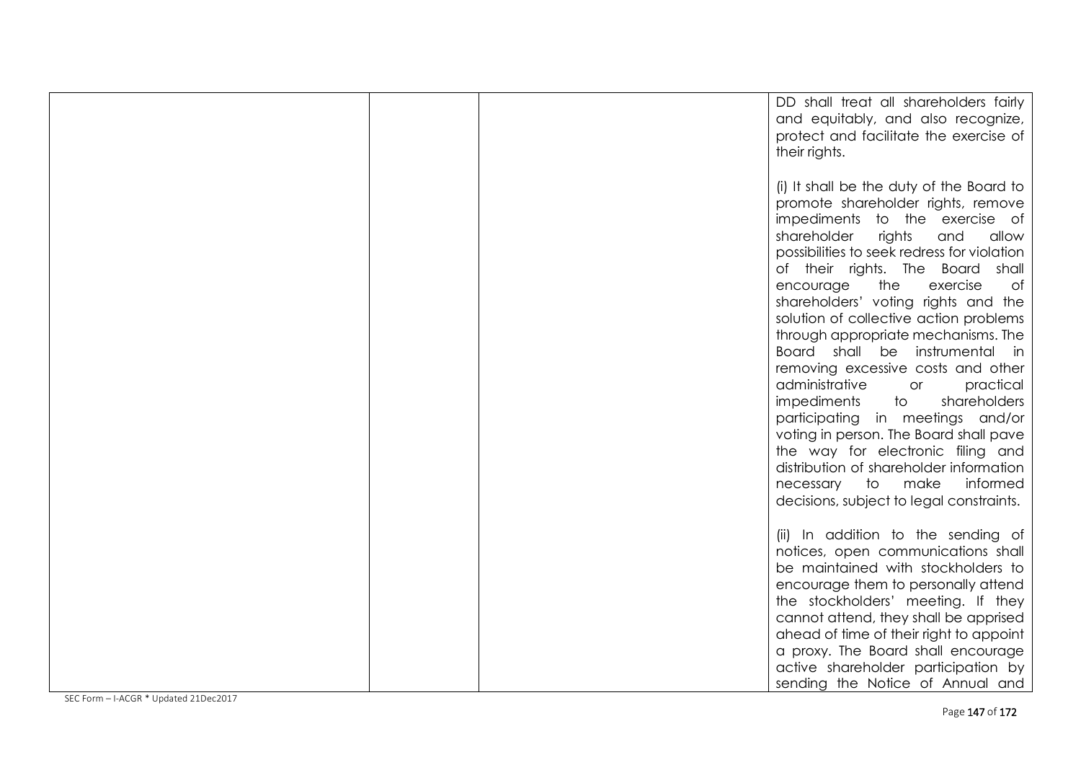|  | DD shall treat all shareholders fairly<br>and equitably, and also recognize,<br>protect and facilitate the exercise of<br>their rights.                                                                                                                                                                                                                                                                                                                                                                                                                                                                                                                                                                                                                                                                    |
|--|------------------------------------------------------------------------------------------------------------------------------------------------------------------------------------------------------------------------------------------------------------------------------------------------------------------------------------------------------------------------------------------------------------------------------------------------------------------------------------------------------------------------------------------------------------------------------------------------------------------------------------------------------------------------------------------------------------------------------------------------------------------------------------------------------------|
|  | (i) It shall be the duty of the Board to<br>promote shareholder rights, remove<br>impediments to the exercise of<br>shareholder<br>rights<br>and<br>allow<br>possibilities to seek redress for violation<br>of their rights. The Board shall<br>the<br>exercise<br>encourage<br>of<br>shareholders' voting rights and the<br>solution of collective action problems<br>through appropriate mechanisms. The<br>Board shall be instrumental in<br>removing excessive costs and other<br>administrative<br>practical<br>or<br>impediments<br>to<br>shareholders<br>participating in meetings and/or<br>voting in person. The Board shall pave<br>the way for electronic filing and<br>distribution of shareholder information<br>make<br>informed<br>necessary to<br>decisions, subject to legal constraints. |
|  | (ii) In addition to the sending of<br>notices, open communications shall<br>be maintained with stockholders to<br>encourage them to personally attend<br>the stockholders' meeting. If they<br>cannot attend, they shall be apprised<br>ahead of time of their right to appoint<br>a proxy. The Board shall encourage<br>active shareholder participation by<br>sending the Notice of Annual and                                                                                                                                                                                                                                                                                                                                                                                                           |

SEC Form – I-ACGR \* Updated 21Dec2017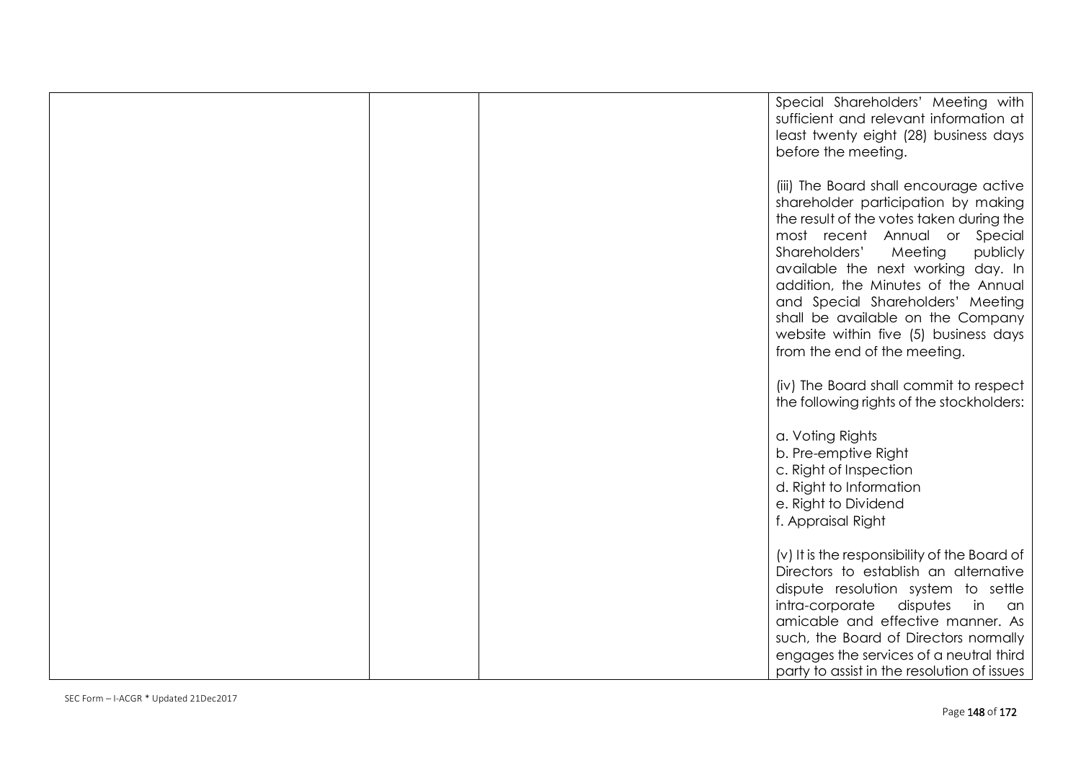| Special Shareholders' Meeting with<br>sufficient and relevant information at<br>least twenty eight (28) business days<br>before the meeting.                                                                                                                                                                                                                                                                                       |
|------------------------------------------------------------------------------------------------------------------------------------------------------------------------------------------------------------------------------------------------------------------------------------------------------------------------------------------------------------------------------------------------------------------------------------|
| (iii) The Board shall encourage active<br>shareholder participation by making<br>the result of the votes taken during the<br>most recent Annual or Special<br>Shareholders'<br>publicly<br>Meeting<br>available the next working day. In<br>addition, the Minutes of the Annual<br>and Special Shareholders' Meeting<br>shall be available on the Company<br>website within five (5) business days<br>from the end of the meeting. |
| (iv) The Board shall commit to respect<br>the following rights of the stockholders:                                                                                                                                                                                                                                                                                                                                                |
| a. Voting Rights<br>b. Pre-emptive Right<br>c. Right of Inspection<br>d. Right to Information<br>e. Right to Dividend<br>f. Appraisal Right                                                                                                                                                                                                                                                                                        |
| (v) It is the responsibility of the Board of<br>Directors to establish an alternative<br>dispute resolution system to settle<br>intra-corporate<br>disputes<br>in<br>an<br>amicable and effective manner. As<br>such, the Board of Directors normally<br>engages the services of a neutral third<br>party to assist in the resolution of issues                                                                                    |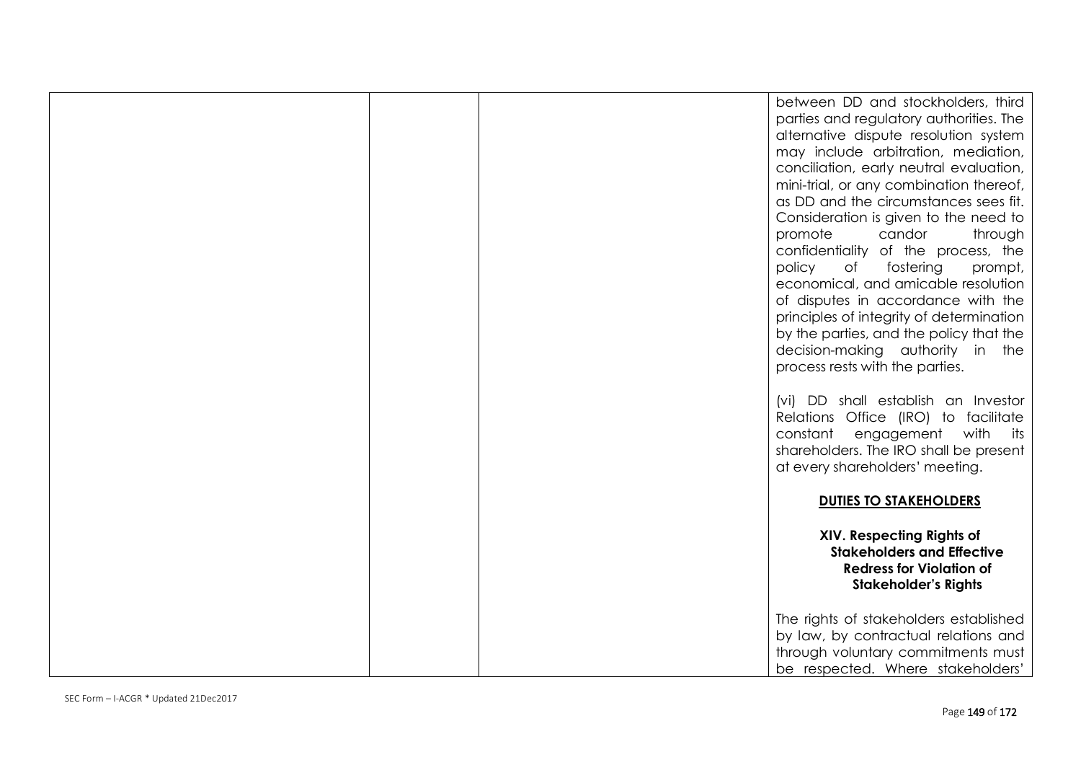|  | between DD and stockholders, third<br>parties and regulatory authorities. The<br>alternative dispute resolution system<br>may include arbitration, mediation,<br>conciliation, early neutral evaluation,<br>mini-trial, or any combination thereof,<br>as DD and the circumstances sees fit.<br>Consideration is given to the need to<br>promote<br>candor<br>through<br>confidentiality of the process, the<br>fostering<br>policy<br>of<br>prompt,<br>economical, and amicable resolution<br>of disputes in accordance with the<br>principles of integrity of determination<br>by the parties, and the policy that the<br>decision-making authority in the<br>process rests with the parties. |
|--|-------------------------------------------------------------------------------------------------------------------------------------------------------------------------------------------------------------------------------------------------------------------------------------------------------------------------------------------------------------------------------------------------------------------------------------------------------------------------------------------------------------------------------------------------------------------------------------------------------------------------------------------------------------------------------------------------|
|  | (vi) DD shall establish an Investor<br>Relations Office (IRO) to facilitate<br>constant engagement with its<br>shareholders. The IRO shall be present<br>at every shareholders' meeting.                                                                                                                                                                                                                                                                                                                                                                                                                                                                                                        |
|  | <b>DUTIES TO STAKEHOLDERS</b>                                                                                                                                                                                                                                                                                                                                                                                                                                                                                                                                                                                                                                                                   |
|  | XIV. Respecting Rights of<br><b>Stakeholders and Effective</b><br><b>Redress for Violation of</b><br><b>Stakeholder's Rights</b>                                                                                                                                                                                                                                                                                                                                                                                                                                                                                                                                                                |
|  | The rights of stakeholders established<br>by law, by contractual relations and<br>through voluntary commitments must<br>be respected. Where stakeholders'                                                                                                                                                                                                                                                                                                                                                                                                                                                                                                                                       |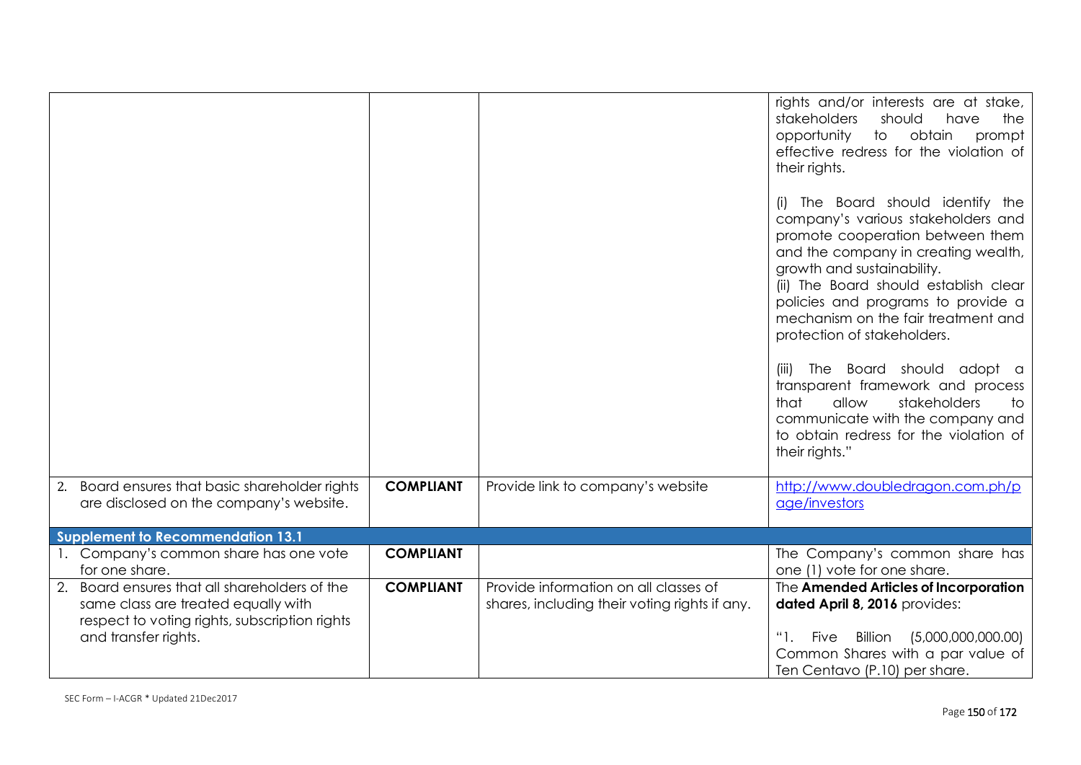|                                                                                                                                                               |                  |                                                                                        | rights and/or interests are at stake,<br>stakeholders<br>should<br>have<br>the<br>$\overline{\phantom{a}}$<br>obtain<br>opportunity<br>prompt<br>effective redress for the violation of<br>their rights.<br>The Board should identify the<br>company's various stakeholders and<br>promote cooperation between them<br>and the company in creating wealth,<br>growth and sustainability.<br>(ii) The Board should establish clear<br>policies and programs to provide a<br>mechanism on the fair treatment and<br>protection of stakeholders.<br>(iii) The Board should adopt a<br>transparent framework and process<br>allow<br>stakeholders<br>that<br>to<br>communicate with the company and<br>to obtain redress for the violation of<br>their rights." |
|---------------------------------------------------------------------------------------------------------------------------------------------------------------|------------------|----------------------------------------------------------------------------------------|-------------------------------------------------------------------------------------------------------------------------------------------------------------------------------------------------------------------------------------------------------------------------------------------------------------------------------------------------------------------------------------------------------------------------------------------------------------------------------------------------------------------------------------------------------------------------------------------------------------------------------------------------------------------------------------------------------------------------------------------------------------|
| 2. Board ensures that basic shareholder rights<br>are disclosed on the company's website.                                                                     | <b>COMPLIANT</b> | Provide link to company's website                                                      | http://www.doubledragon.com.ph/p<br>age/investors                                                                                                                                                                                                                                                                                                                                                                                                                                                                                                                                                                                                                                                                                                           |
| <b>Supplement to Recommendation 13.1</b>                                                                                                                      |                  |                                                                                        |                                                                                                                                                                                                                                                                                                                                                                                                                                                                                                                                                                                                                                                                                                                                                             |
| 1. Company's common share has one vote<br>for one share.                                                                                                      | <b>COMPLIANT</b> |                                                                                        | The Company's common share has<br>one (1) vote for one share.                                                                                                                                                                                                                                                                                                                                                                                                                                                                                                                                                                                                                                                                                               |
| 2. Board ensures that all shareholders of the<br>same class are treated equally with<br>respect to voting rights, subscription rights<br>and transfer rights. | <b>COMPLIANT</b> | Provide information on all classes of<br>shares, including their voting rights if any. | The Amended Articles of Incorporation<br>dated April 8, 2016 provides:<br>Billion (5,000,000,000.00)<br>"1. Five<br>Common Shares with a par value of<br>Ten Centavo (P.10) per share.                                                                                                                                                                                                                                                                                                                                                                                                                                                                                                                                                                      |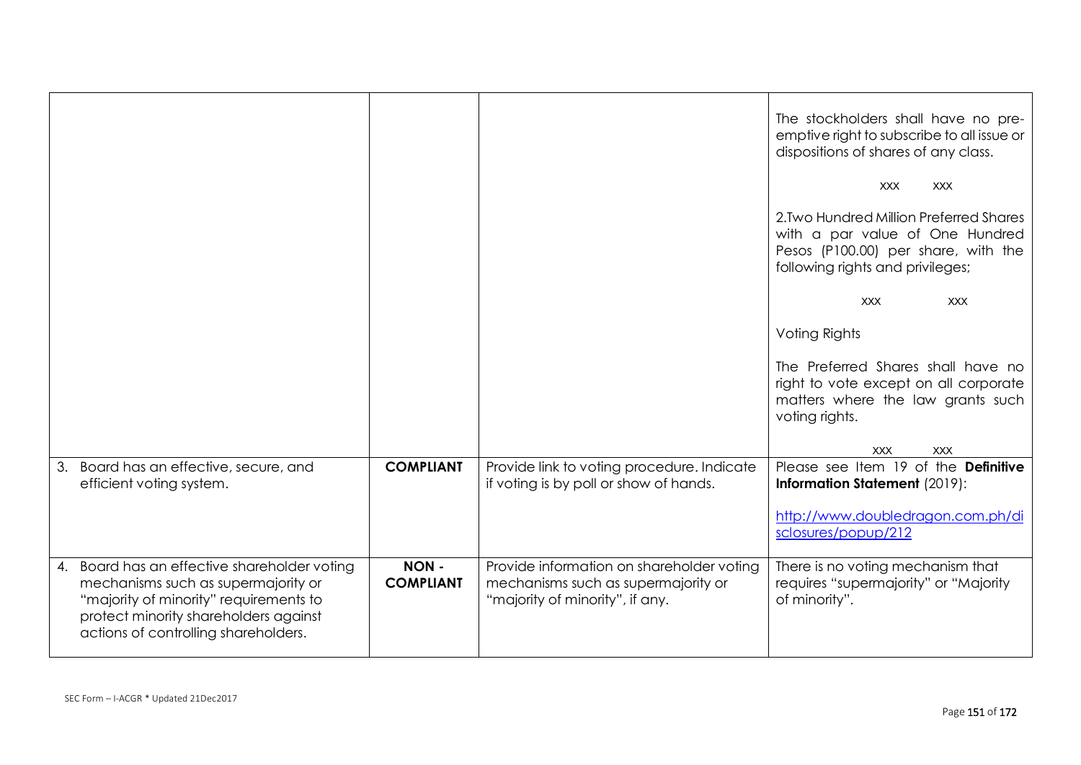|                                                                                                                                                                                                                |                          |                                                                                                                     | The stockholders shall have no pre-<br>emptive right to subscribe to all issue or<br>dispositions of shares of any class.                             |
|----------------------------------------------------------------------------------------------------------------------------------------------------------------------------------------------------------------|--------------------------|---------------------------------------------------------------------------------------------------------------------|-------------------------------------------------------------------------------------------------------------------------------------------------------|
|                                                                                                                                                                                                                |                          |                                                                                                                     | <b>XXX</b><br><b>XXX</b>                                                                                                                              |
|                                                                                                                                                                                                                |                          |                                                                                                                     | 2. Two Hundred Million Preferred Shares<br>with a par value of One Hundred<br>Pesos (P100.00) per share, with the<br>following rights and privileges; |
|                                                                                                                                                                                                                |                          |                                                                                                                     | <b>XXX</b><br><b>XXX</b>                                                                                                                              |
|                                                                                                                                                                                                                |                          |                                                                                                                     | Voting Rights                                                                                                                                         |
|                                                                                                                                                                                                                |                          |                                                                                                                     | The Preferred Shares shall have no<br>right to vote except on all corporate<br>matters where the law grants such<br>voting rights.                    |
|                                                                                                                                                                                                                |                          |                                                                                                                     | <b>XXX</b><br><b>XXX</b>                                                                                                                              |
| Board has an effective, secure, and<br>3.<br>efficient voting system.                                                                                                                                          | <b>COMPLIANT</b>         | Provide link to voting procedure. Indicate<br>if voting is by poll or show of hands.                                | Please see Item 19 of the Definitive<br><b>Information Statement (2019):</b>                                                                          |
|                                                                                                                                                                                                                |                          |                                                                                                                     | http://www.doubledragon.com.ph/di<br>sclosures/popup/212                                                                                              |
| 4. Board has an effective shareholder voting<br>mechanisms such as supermajority or<br>"majority of minority" requirements to<br>protect minority shareholders against<br>actions of controlling shareholders. | NON-<br><b>COMPLIANT</b> | Provide information on shareholder voting<br>mechanisms such as supermajority or<br>"majority of minority", if any. | There is no voting mechanism that<br>requires "supermajority" or "Majority<br>of minority".                                                           |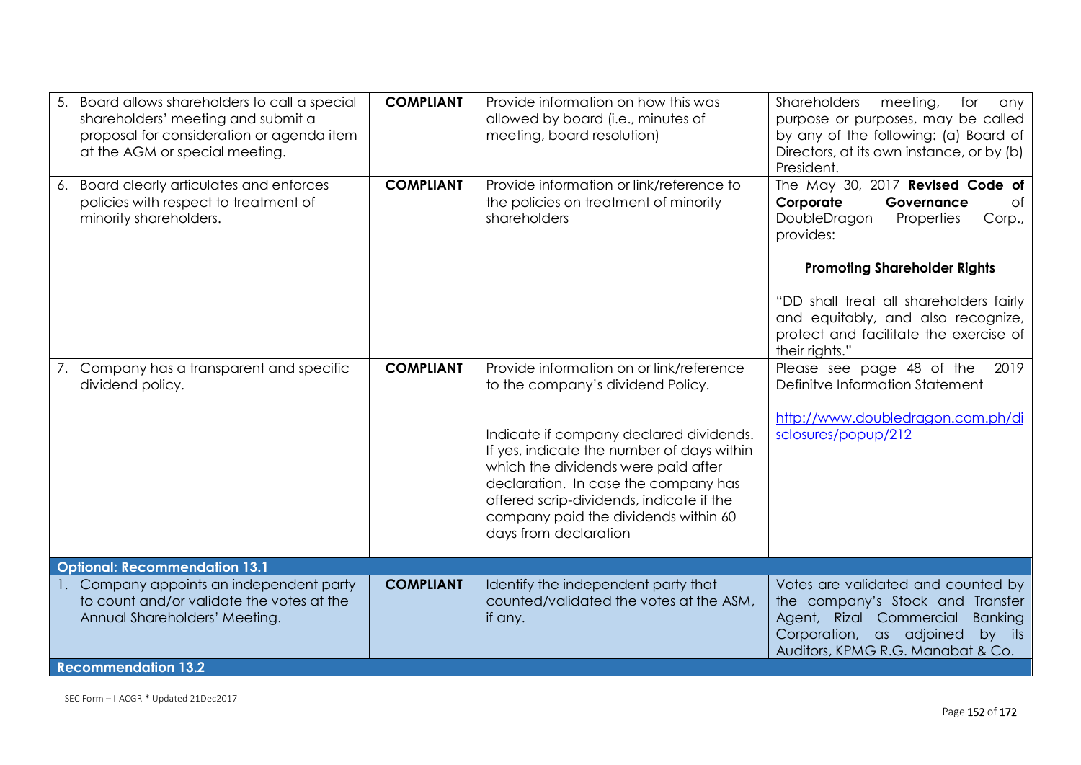| 5. | Board allows shareholders to call a special<br>shareholders' meeting and submit a<br>proposal for consideration or agenda item<br>at the AGM or special meeting. | <b>COMPLIANT</b> | Provide information on how this was<br>allowed by board (i.e., minutes of<br>meeting, board resolution)                                                                                                                                                                           | Shareholders<br>meeting,<br>for<br>any<br>purpose or purposes, may be called<br>by any of the following: (a) Board of<br>Directors, at its own instance, or by (b)<br>President.               |
|----|------------------------------------------------------------------------------------------------------------------------------------------------------------------|------------------|-----------------------------------------------------------------------------------------------------------------------------------------------------------------------------------------------------------------------------------------------------------------------------------|------------------------------------------------------------------------------------------------------------------------------------------------------------------------------------------------|
|    | 6. Board clearly articulates and enforces<br>policies with respect to treatment of<br>minority shareholders.                                                     | <b>COMPLIANT</b> | Provide information or link/reference to<br>the policies on treatment of minority<br>shareholders                                                                                                                                                                                 | The May 30, 2017 Revised Code of<br>Corporate<br>Governance<br>0f<br>DoubleDragon<br>Properties<br>Corp.,<br>provides:                                                                         |
|    |                                                                                                                                                                  |                  |                                                                                                                                                                                                                                                                                   | <b>Promoting Shareholder Rights</b><br>"DD shall treat all shareholders fairly<br>and equitably, and also recognize,<br>protect and facilitate the exercise of<br>their rights."               |
|    | 7. Company has a transparent and specific<br>dividend policy.                                                                                                    | <b>COMPLIANT</b> | Provide information on or link/reference<br>to the company's dividend Policy.                                                                                                                                                                                                     | Please see page 48 of the<br>2019<br>Definitve Information Statement                                                                                                                           |
|    |                                                                                                                                                                  |                  | Indicate if company declared dividends.<br>If yes, indicate the number of days within<br>which the dividends were paid after<br>declaration. In case the company has<br>offered scrip-dividends, indicate if the<br>company paid the dividends within 60<br>days from declaration | http://www.doubledragon.com.ph/di<br>sclosures/popup/212                                                                                                                                       |
|    | <b>Optional: Recommendation 13.1</b>                                                                                                                             |                  |                                                                                                                                                                                                                                                                                   |                                                                                                                                                                                                |
|    | 1. Company appoints an independent party<br>to count and/or validate the votes at the<br>Annual Shareholders' Meeting.                                           | <b>COMPLIANT</b> | Identify the independent party that<br>counted/validated the votes at the ASM,<br>if any.                                                                                                                                                                                         | Votes are validated and counted by<br>the company's Stock and Transfer<br>Agent, Rizal Commercial<br><b>Banking</b><br>Corporation, as adjoined<br>by its<br>Auditors, KPMG R.G. Manabat & Co. |
|    | <b>Recommendation 13.2</b>                                                                                                                                       |                  |                                                                                                                                                                                                                                                                                   |                                                                                                                                                                                                |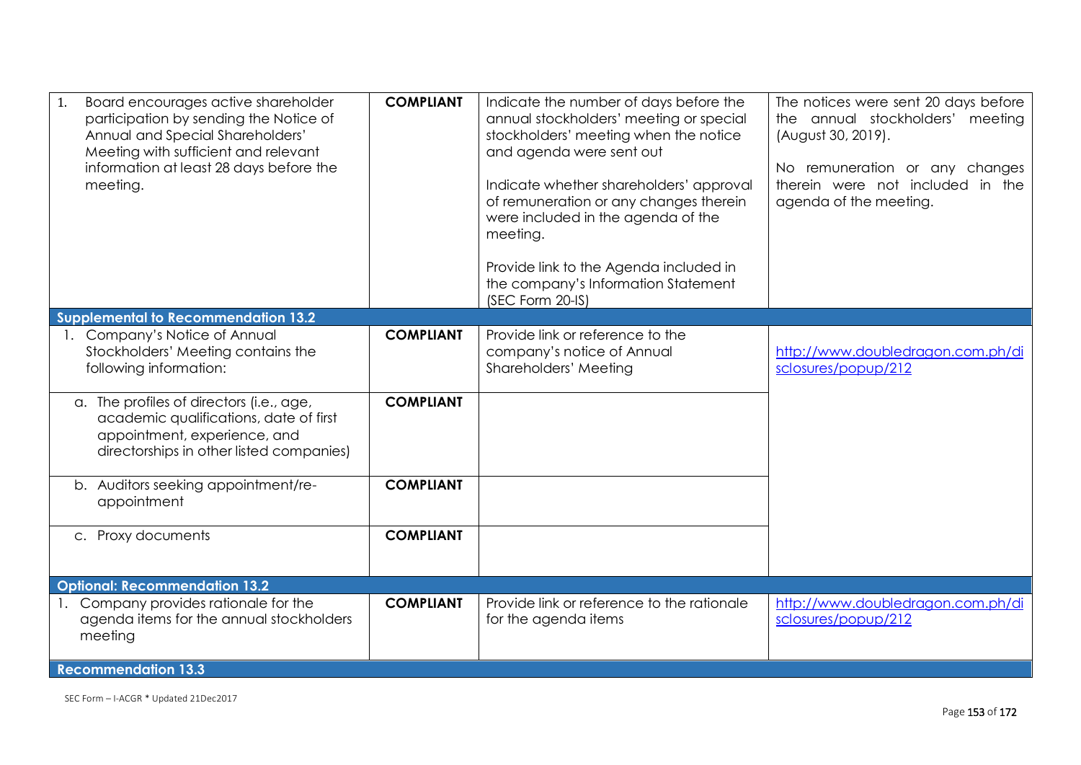| Board encourages active shareholder<br>1.<br>participation by sending the Notice of<br>Annual and Special Shareholders'<br>Meeting with sufficient and relevant<br>information at least 28 days before the<br>meeting. | <b>COMPLIANT</b>                     | Indicate the number of days before the<br>annual stockholders' meeting or special<br>stockholders' meeting when the notice<br>and agenda were sent out<br>Indicate whether shareholders' approval<br>of remuneration or any changes therein<br>were included in the agenda of the<br>meeting.<br>Provide link to the Agenda included in<br>the company's Information Statement<br>(SEC Form 20-IS) | The notices were sent 20 days before<br>the annual stockholders' meeting<br>(August 30, 2019).<br>No remuneration or any changes<br>therein were not included in the<br>agenda of the meeting. |
|------------------------------------------------------------------------------------------------------------------------------------------------------------------------------------------------------------------------|--------------------------------------|----------------------------------------------------------------------------------------------------------------------------------------------------------------------------------------------------------------------------------------------------------------------------------------------------------------------------------------------------------------------------------------------------|------------------------------------------------------------------------------------------------------------------------------------------------------------------------------------------------|
| <b>Supplemental to Recommendation 13.2</b>                                                                                                                                                                             |                                      |                                                                                                                                                                                                                                                                                                                                                                                                    |                                                                                                                                                                                                |
| Company's Notice of Annual<br>Stockholders' Meeting contains the<br>following information:<br>a. The profiles of directors (i.e., age,                                                                                 | <b>COMPLIANT</b><br><b>COMPLIANT</b> | Provide link or reference to the<br>company's notice of Annual<br>Shareholders' Meeting                                                                                                                                                                                                                                                                                                            | http://www.doubledragon.com.ph/di<br>sclosures/popup/212                                                                                                                                       |
| academic qualifications, date of first<br>appointment, experience, and<br>directorships in other listed companies)                                                                                                     |                                      |                                                                                                                                                                                                                                                                                                                                                                                                    |                                                                                                                                                                                                |
| b. Auditors seeking appointment/re-<br>appointment                                                                                                                                                                     | <b>COMPLIANT</b>                     |                                                                                                                                                                                                                                                                                                                                                                                                    |                                                                                                                                                                                                |
| c. Proxy documents                                                                                                                                                                                                     | <b>COMPLIANT</b>                     |                                                                                                                                                                                                                                                                                                                                                                                                    |                                                                                                                                                                                                |
| <b>Optional: Recommendation 13.2</b>                                                                                                                                                                                   |                                      |                                                                                                                                                                                                                                                                                                                                                                                                    |                                                                                                                                                                                                |
| 1. Company provides rationale for the<br>agenda items for the annual stockholders<br>meeting                                                                                                                           | <b>COMPLIANT</b>                     | Provide link or reference to the rationale<br>for the agenda items                                                                                                                                                                                                                                                                                                                                 | http://www.doubledragon.com.ph/di<br>sclosures/popup/212                                                                                                                                       |
| <b>Recommendation 13.3</b>                                                                                                                                                                                             |                                      |                                                                                                                                                                                                                                                                                                                                                                                                    |                                                                                                                                                                                                |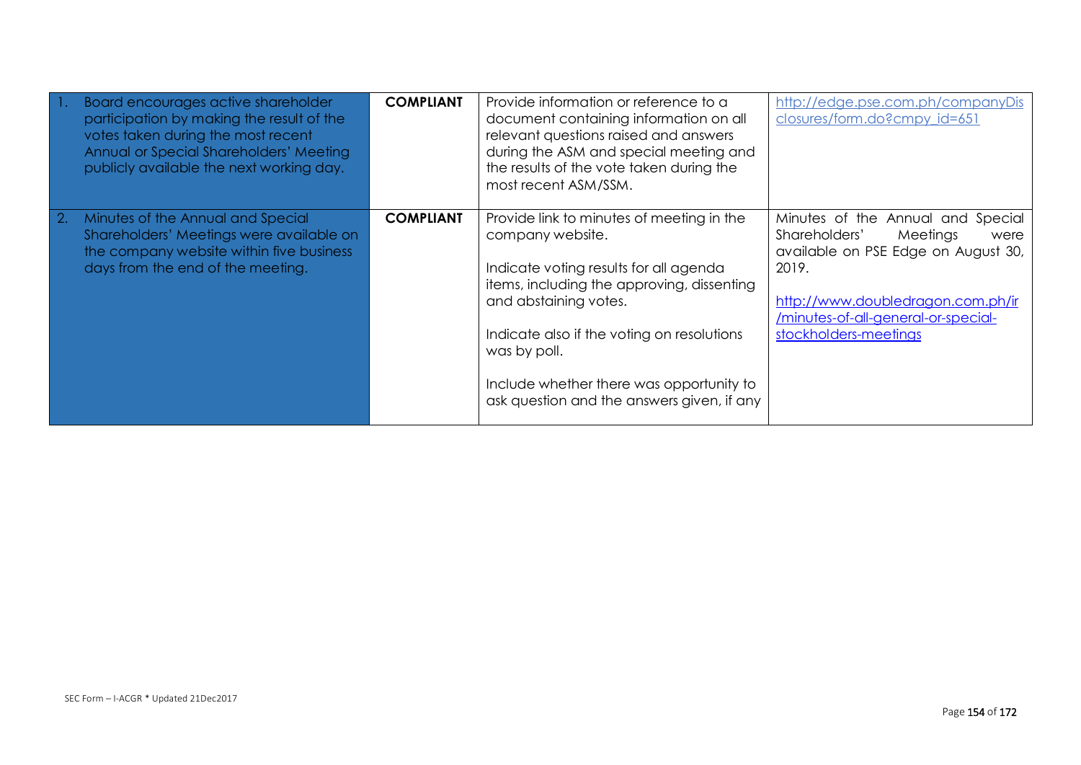| Board encourages active shareholder<br>participation by making the result of the<br>votes taken during the most recent<br>Annual or Special Shareholders' Meeting<br>publicly available the next working day. | <b>COMPLIANT</b> | Provide information or reference to a<br>document containing information on all<br>relevant questions raised and answers<br>during the ASM and special meeting and<br>the results of the vote taken during the<br>most recent ASM/SSM.                                                                                                 | http://edge.pse.com.ph/companyDis<br>closures/form.do?cmpy_id=651                                                                                                                                                           |
|---------------------------------------------------------------------------------------------------------------------------------------------------------------------------------------------------------------|------------------|----------------------------------------------------------------------------------------------------------------------------------------------------------------------------------------------------------------------------------------------------------------------------------------------------------------------------------------|-----------------------------------------------------------------------------------------------------------------------------------------------------------------------------------------------------------------------------|
| 2. Minutes of the Annual and Special<br>Shareholders' Meetings were available on<br>the company website within five business<br>days from the end of the meeting.                                             | <b>COMPLIANT</b> | Provide link to minutes of meeting in the<br>company website.<br>Indicate voting results for all agenda<br>items, including the approving, dissenting<br>and abstaining votes.<br>Indicate also if the voting on resolutions<br>was by poll.<br>Include whether there was opportunity to<br>ask question and the answers given, if any | Minutes of the Annual and Special<br>Shareholders'<br>Meetings<br>were<br>available on PSE Edge on August 30,<br>2019.<br>http://www.doubledragon.com.ph/ir<br>/minutes-of-all-general-or-special-<br>stockholders-meetings |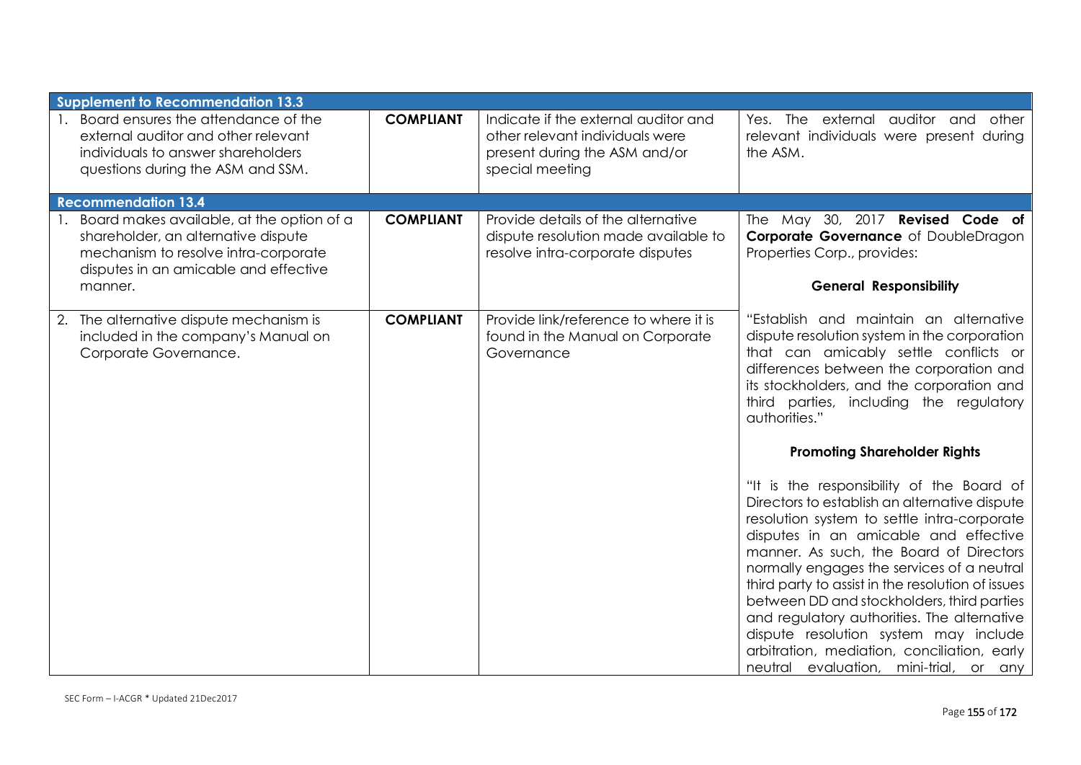| <b>Supplement to Recommendation 13.3</b>                                                                                                                          |                  |                                                                                                                             |                                                                                                                                                                                                                                                                                                                                                                                                                                                                                                                                                                 |
|-------------------------------------------------------------------------------------------------------------------------------------------------------------------|------------------|-----------------------------------------------------------------------------------------------------------------------------|-----------------------------------------------------------------------------------------------------------------------------------------------------------------------------------------------------------------------------------------------------------------------------------------------------------------------------------------------------------------------------------------------------------------------------------------------------------------------------------------------------------------------------------------------------------------|
| Board ensures the attendance of the<br>external auditor and other relevant<br>individuals to answer shareholders<br>questions during the ASM and SSM.             | <b>COMPLIANT</b> | Indicate if the external auditor and<br>other relevant individuals were<br>present during the ASM and/or<br>special meeting | Yes. The external auditor and other<br>relevant individuals were present during<br>the ASM.                                                                                                                                                                                                                                                                                                                                                                                                                                                                     |
| <b>Recommendation 13.4</b>                                                                                                                                        |                  |                                                                                                                             |                                                                                                                                                                                                                                                                                                                                                                                                                                                                                                                                                                 |
| Board makes available, at the option of a<br>shareholder, an alternative dispute<br>mechanism to resolve intra-corporate<br>disputes in an amicable and effective | <b>COMPLIANT</b> | Provide details of the alternative<br>dispute resolution made available to<br>resolve intra-corporate disputes              | The May 30, 2017 Revised Code of<br>Corporate Governance of DoubleDragon<br>Properties Corp., provides:                                                                                                                                                                                                                                                                                                                                                                                                                                                         |
| manner.                                                                                                                                                           |                  |                                                                                                                             | <b>General Responsibility</b>                                                                                                                                                                                                                                                                                                                                                                                                                                                                                                                                   |
| 2. The alternative dispute mechanism is<br>included in the company's Manual on<br>Corporate Governance.                                                           | <b>COMPLIANT</b> | Provide link/reference to where it is<br>found in the Manual on Corporate<br>Governance                                     | "Establish and maintain an alternative<br>dispute resolution system in the corporation<br>that can amicably settle conflicts or<br>differences between the corporation and<br>its stockholders, and the corporation and<br>third parties, including the regulatory<br>authorities."                                                                                                                                                                                                                                                                             |
|                                                                                                                                                                   |                  |                                                                                                                             | <b>Promoting Shareholder Rights</b>                                                                                                                                                                                                                                                                                                                                                                                                                                                                                                                             |
|                                                                                                                                                                   |                  |                                                                                                                             | "It is the responsibility of the Board of<br>Directors to establish an alternative dispute<br>resolution system to settle intra-corporate<br>disputes in an amicable and effective<br>manner. As such, the Board of Directors<br>normally engages the services of a neutral<br>third party to assist in the resolution of issues<br>between DD and stockholders, third parties<br>and regulatory authorities. The alternative<br>dispute resolution system may include<br>arbitration, mediation, conciliation, early<br>neutral evaluation, mini-trial, or any |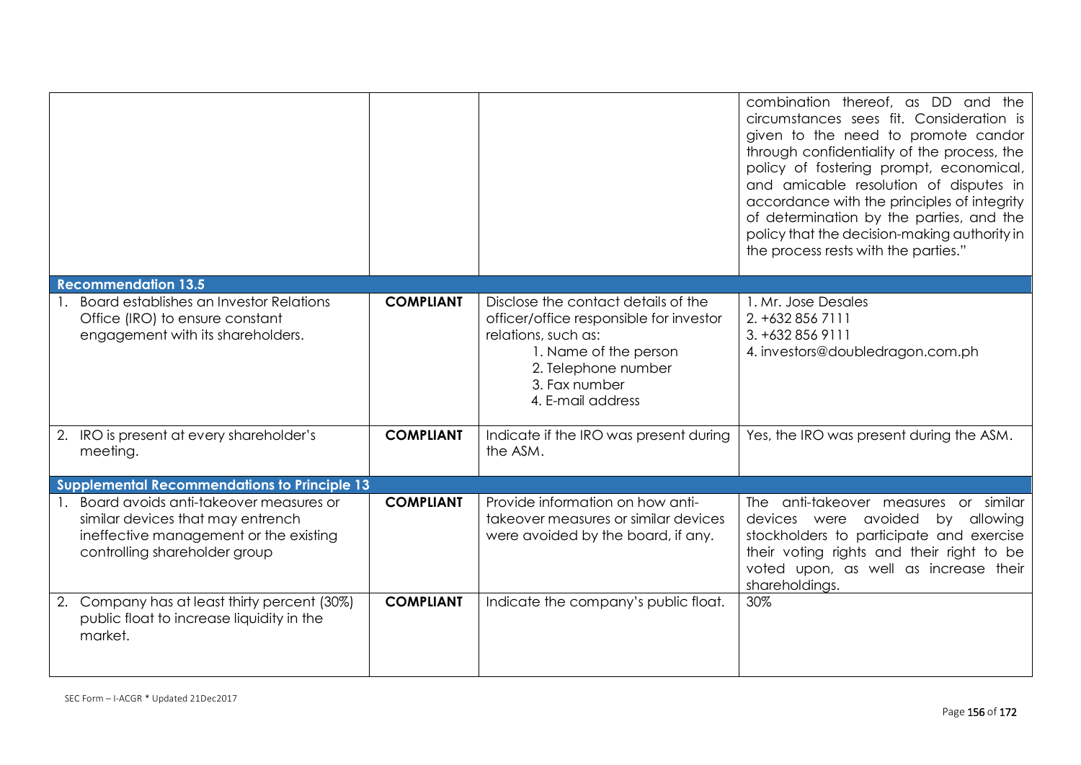|                                                                                                                                                        |                  |                                                                                                                                                                                             | combination thereof, as DD and the<br>circumstances sees fit. Consideration is<br>given to the need to promote candor<br>through confidentiality of the process, the<br>policy of fostering prompt, economical,<br>and amicable resolution of disputes in<br>accordance with the principles of integrity<br>of determination by the parties, and the<br>policy that the decision-making authority in<br>the process rests with the parties." |
|--------------------------------------------------------------------------------------------------------------------------------------------------------|------------------|---------------------------------------------------------------------------------------------------------------------------------------------------------------------------------------------|----------------------------------------------------------------------------------------------------------------------------------------------------------------------------------------------------------------------------------------------------------------------------------------------------------------------------------------------------------------------------------------------------------------------------------------------|
| <b>Recommendation 13.5</b>                                                                                                                             |                  |                                                                                                                                                                                             |                                                                                                                                                                                                                                                                                                                                                                                                                                              |
| Board establishes an Investor Relations<br>Office (IRO) to ensure constant<br>engagement with its shareholders.                                        | <b>COMPLIANT</b> | Disclose the contact details of the<br>officer/office responsible for investor<br>relations, such as:<br>1. Name of the person<br>2. Telephone number<br>3. Fax number<br>4. E-mail address | 1. Mr. Jose Desales<br>2. +632 856 7111<br>3. +632 856 9111<br>4. investors@doubledragon.com.ph                                                                                                                                                                                                                                                                                                                                              |
| 2. IRO is present at every shareholder's<br>meeting.                                                                                                   | <b>COMPLIANT</b> | Indicate if the IRO was present during<br>the ASM.                                                                                                                                          | Yes, the IRO was present during the ASM.                                                                                                                                                                                                                                                                                                                                                                                                     |
| <b>Supplemental Recommendations to Principle 13</b>                                                                                                    |                  |                                                                                                                                                                                             |                                                                                                                                                                                                                                                                                                                                                                                                                                              |
| Board avoids anti-takeover measures or<br>similar devices that may entrench<br>ineffective management or the existing<br>controlling shareholder group | <b>COMPLIANT</b> | Provide information on how anti-<br>takeover measures or similar devices<br>were avoided by the board, if any.                                                                              | The anti-takeover measures or similar<br>devices were avoided<br>by allowing<br>stockholders to participate and exercise<br>their voting rights and their right to be<br>voted upon, as well as increase their<br>shareholdings.                                                                                                                                                                                                             |
| 2. Company has at least thirty percent (30%)<br>public float to increase liquidity in the<br>market.                                                   | <b>COMPLIANT</b> | Indicate the company's public float.                                                                                                                                                        | 30%                                                                                                                                                                                                                                                                                                                                                                                                                                          |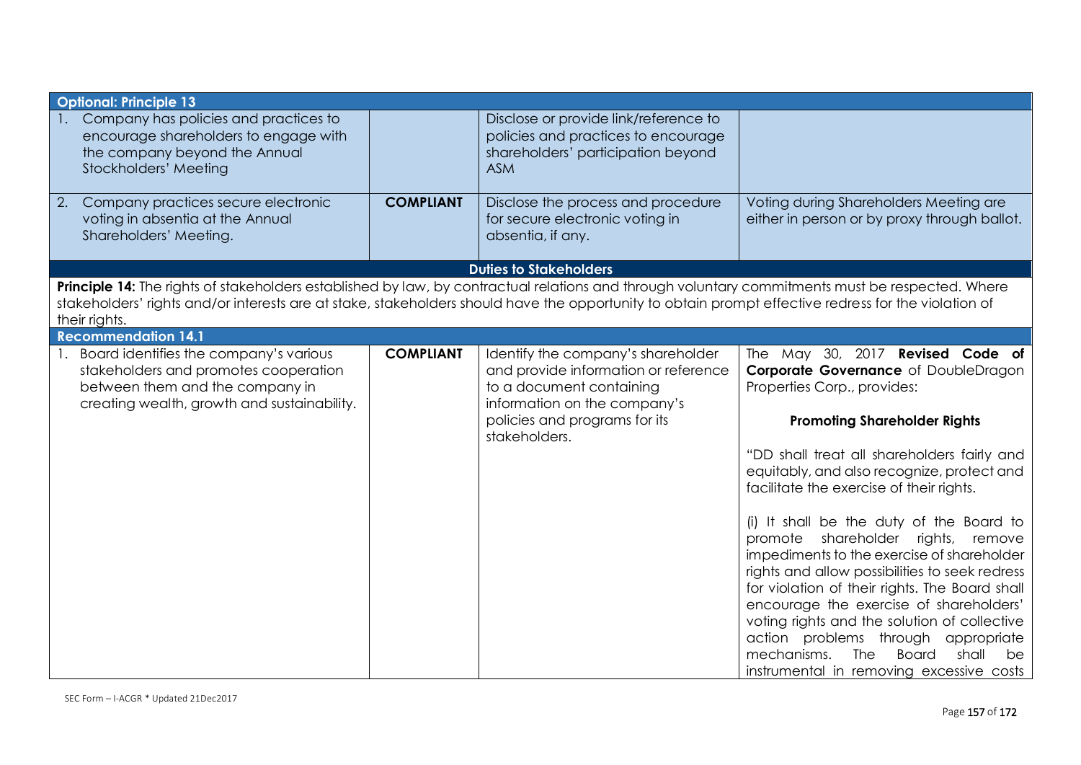| <b>Optional: Principle 13</b>                                                                                                                                                                                                                                                                                             |                  |                                                                                                                                                                                          |                                                                                                                                                                                                                                                                                                                                                                                                                                                                                                                                                                                                                                                                                                                                                                   |
|---------------------------------------------------------------------------------------------------------------------------------------------------------------------------------------------------------------------------------------------------------------------------------------------------------------------------|------------------|------------------------------------------------------------------------------------------------------------------------------------------------------------------------------------------|-------------------------------------------------------------------------------------------------------------------------------------------------------------------------------------------------------------------------------------------------------------------------------------------------------------------------------------------------------------------------------------------------------------------------------------------------------------------------------------------------------------------------------------------------------------------------------------------------------------------------------------------------------------------------------------------------------------------------------------------------------------------|
| Company has policies and practices to<br>encourage shareholders to engage with<br>the company beyond the Annual<br>Stockholders' Meeting                                                                                                                                                                                  |                  | Disclose or provide link/reference to<br>policies and practices to encourage<br>shareholders' participation beyond<br><b>ASM</b>                                                         |                                                                                                                                                                                                                                                                                                                                                                                                                                                                                                                                                                                                                                                                                                                                                                   |
| Company practices secure electronic<br>2.<br>voting in absentia at the Annual<br>Shareholders' Meeting.                                                                                                                                                                                                                   | <b>COMPLIANT</b> | Disclose the process and procedure<br>for secure electronic voting in<br>absentia, if any.                                                                                               | Voting during Shareholders Meeting are<br>either in person or by proxy through ballot.                                                                                                                                                                                                                                                                                                                                                                                                                                                                                                                                                                                                                                                                            |
|                                                                                                                                                                                                                                                                                                                           |                  | <b>Duties to Stakeholders</b>                                                                                                                                                            |                                                                                                                                                                                                                                                                                                                                                                                                                                                                                                                                                                                                                                                                                                                                                                   |
| Principle 14: The rights of stakeholders established by law, by contractual relations and through voluntary commitments must be respected. Where<br>stakeholders' rights and/or interests are at stake, stakeholders should have the opportunity to obtain prompt effective redress for the violation of<br>their rights. |                  |                                                                                                                                                                                          |                                                                                                                                                                                                                                                                                                                                                                                                                                                                                                                                                                                                                                                                                                                                                                   |
| <b>Recommendation 14.1</b>                                                                                                                                                                                                                                                                                                |                  |                                                                                                                                                                                          |                                                                                                                                                                                                                                                                                                                                                                                                                                                                                                                                                                                                                                                                                                                                                                   |
| 1. Board identifies the company's various<br>stakeholders and promotes cooperation<br>between them and the company in<br>creating wealth, growth and sustainability.                                                                                                                                                      | <b>COMPLIANT</b> | Identify the company's shareholder<br>and provide information or reference<br>to a document containing<br>information on the company's<br>policies and programs for its<br>stakeholders. | The May 30, 2017 Revised Code of<br>Corporate Governance of DoubleDragon<br>Properties Corp., provides:<br><b>Promoting Shareholder Rights</b><br>"DD shall treat all shareholders fairly and<br>equitably, and also recognize, protect and<br>facilitate the exercise of their rights.<br>(i) It shall be the duty of the Board to<br>promote shareholder rights, remove<br>impediments to the exercise of shareholder<br>rights and allow possibilities to seek redress<br>for violation of their rights. The Board shall<br>encourage the exercise of shareholders'<br>voting rights and the solution of collective<br>action problems through<br>appropriate<br>The<br><b>Board</b><br>mechanisms.<br>shall<br>be<br>instrumental in removing excessive costs |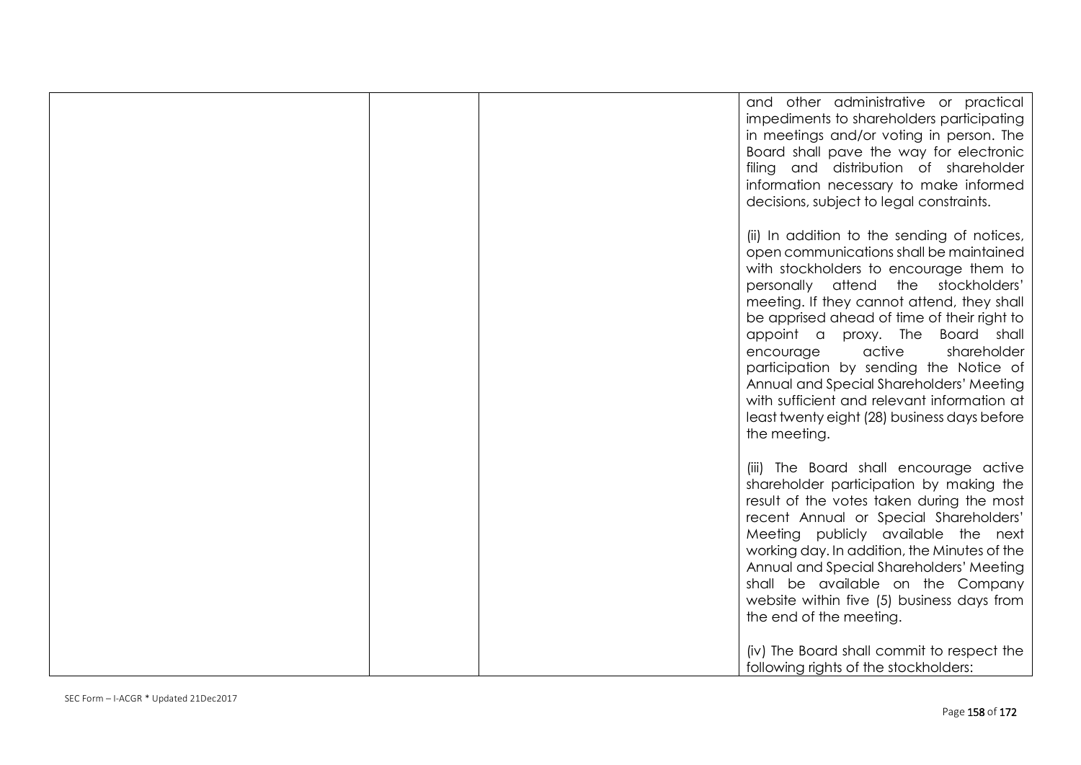| and other administrative or practical<br>impediments to shareholders participating<br>in meetings and/or voting in person. The<br>Board shall pave the way for electronic<br>filing and distribution of shareholder<br>information necessary to make informed<br>decisions, subject to legal constraints.                                                                                                                                                                                                                                           |
|-----------------------------------------------------------------------------------------------------------------------------------------------------------------------------------------------------------------------------------------------------------------------------------------------------------------------------------------------------------------------------------------------------------------------------------------------------------------------------------------------------------------------------------------------------|
| (ii) In addition to the sending of notices,<br>open communications shall be maintained<br>with stockholders to encourage them to<br>personally attend the stockholders'<br>meeting. If they cannot attend, they shall<br>be apprised ahead of time of their right to<br>appoint a proxy. The Board shall<br>encourage<br>active<br>shareholder<br>participation by sending the Notice of<br>Annual and Special Shareholders' Meeting<br>with sufficient and relevant information at<br>least twenty eight (28) business days before<br>the meeting. |
| (iii) The Board shall encourage active<br>shareholder participation by making the<br>result of the votes taken during the most<br>recent Annual or Special Shareholders'<br>Meeting publicly available the next<br>working day. In addition, the Minutes of the<br>Annual and Special Shareholders' Meeting<br>shall be available on the Company<br>website within five (5) business days from<br>the end of the meeting.<br>(iv) The Board shall commit to respect the                                                                             |
| following rights of the stockholders:                                                                                                                                                                                                                                                                                                                                                                                                                                                                                                               |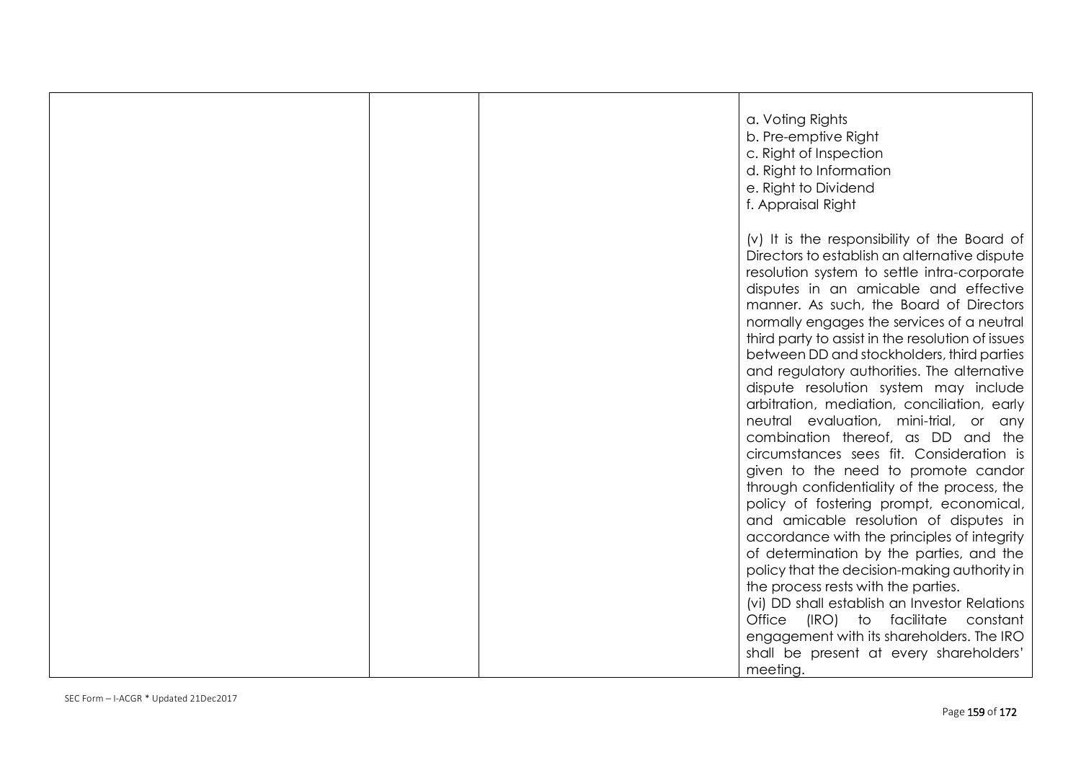| a. Voting Rights<br>b. Pre-emptive Right<br>c. Right of Inspection<br>d. Right to Information<br>e. Right to Dividend<br>f. Appraisal Right                                                                                                                                                                                                                                                                                                                                                                                                                                                                                                                                                                                                                                                                                                                                                                                |
|----------------------------------------------------------------------------------------------------------------------------------------------------------------------------------------------------------------------------------------------------------------------------------------------------------------------------------------------------------------------------------------------------------------------------------------------------------------------------------------------------------------------------------------------------------------------------------------------------------------------------------------------------------------------------------------------------------------------------------------------------------------------------------------------------------------------------------------------------------------------------------------------------------------------------|
| (v) It is the responsibility of the Board of<br>Directors to establish an alternative dispute<br>resolution system to settle intra-corporate<br>disputes in an amicable and effective<br>manner. As such, the Board of Directors<br>normally engages the services of a neutral<br>third party to assist in the resolution of issues<br>between DD and stockholders, third parties<br>and regulatory authorities. The alternative<br>dispute resolution system may include<br>arbitration, mediation, conciliation, early<br>neutral evaluation, mini-trial, or any<br>combination thereof, as DD and the<br>circumstances sees fit. Consideration is<br>given to the need to promote candor<br>through confidentiality of the process, the<br>policy of fostering prompt, economical,<br>and amicable resolution of disputes in<br>accordance with the principles of integrity<br>of determination by the parties, and the |
| policy that the decision-making authority in<br>the process rests with the parties.<br>(vi) DD shall establish an Investor Relations<br>Office (IRO) to facilitate constant<br>engagement with its shareholders. The IRO<br>shall be present at every shareholders'<br>meeting.                                                                                                                                                                                                                                                                                                                                                                                                                                                                                                                                                                                                                                            |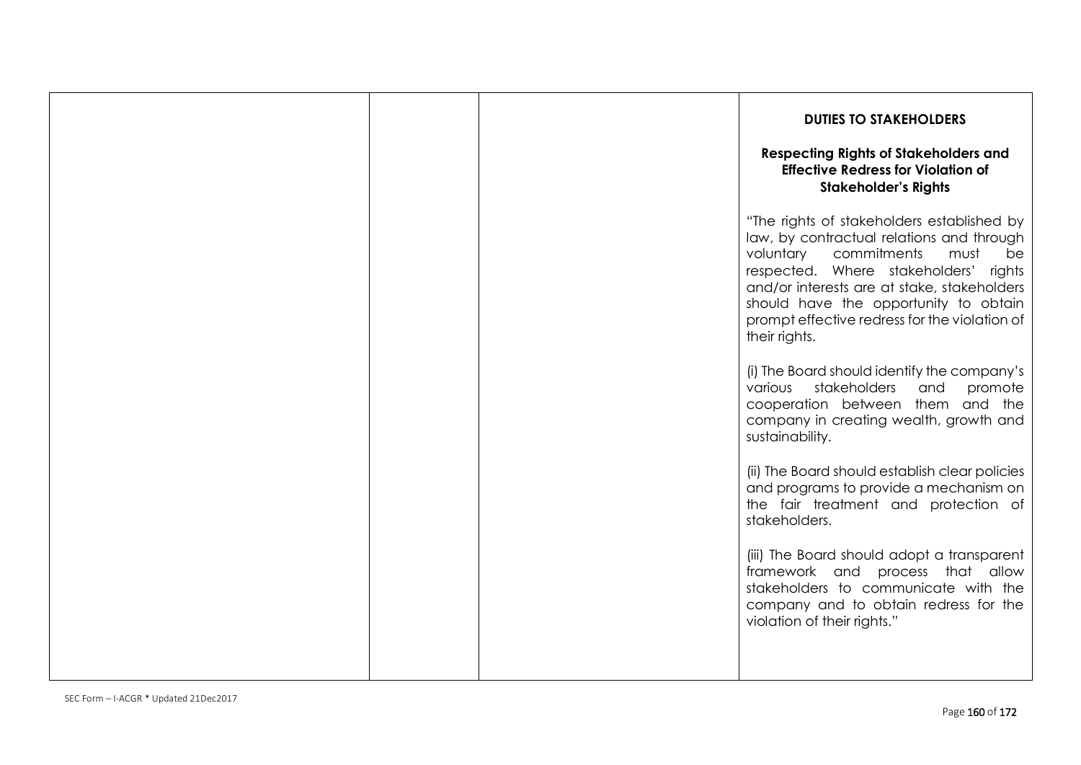|  | <b>DUTIES TO STAKEHOLDERS</b><br><b>Respecting Rights of Stakeholders and</b><br><b>Effective Redress for Violation of</b><br><b>Stakeholder's Rights</b>                                                                                                                                                                               |
|--|-----------------------------------------------------------------------------------------------------------------------------------------------------------------------------------------------------------------------------------------------------------------------------------------------------------------------------------------|
|  | "The rights of stakeholders established by<br>law, by contractual relations and through<br>voluntary<br>commitments<br>must<br>be<br>respected. Where stakeholders'<br>rights<br>and/or interests are at stake, stakeholders<br>should have the opportunity to obtain<br>prompt effective redress for the violation of<br>their rights. |
|  | (i) The Board should identify the company's<br>stakeholders<br>and<br>promote<br>various<br>cooperation between them and the<br>company in creating wealth, growth and<br>sustainability.                                                                                                                                               |
|  | (ii) The Board should establish clear policies<br>and programs to provide a mechanism on<br>the fair treatment and protection of<br>stakeholders.                                                                                                                                                                                       |
|  | (iii) The Board should adopt a transparent<br>framework and process that allow<br>stakeholders to communicate with the<br>company and to obtain redress for the<br>violation of their rights."                                                                                                                                          |
|  |                                                                                                                                                                                                                                                                                                                                         |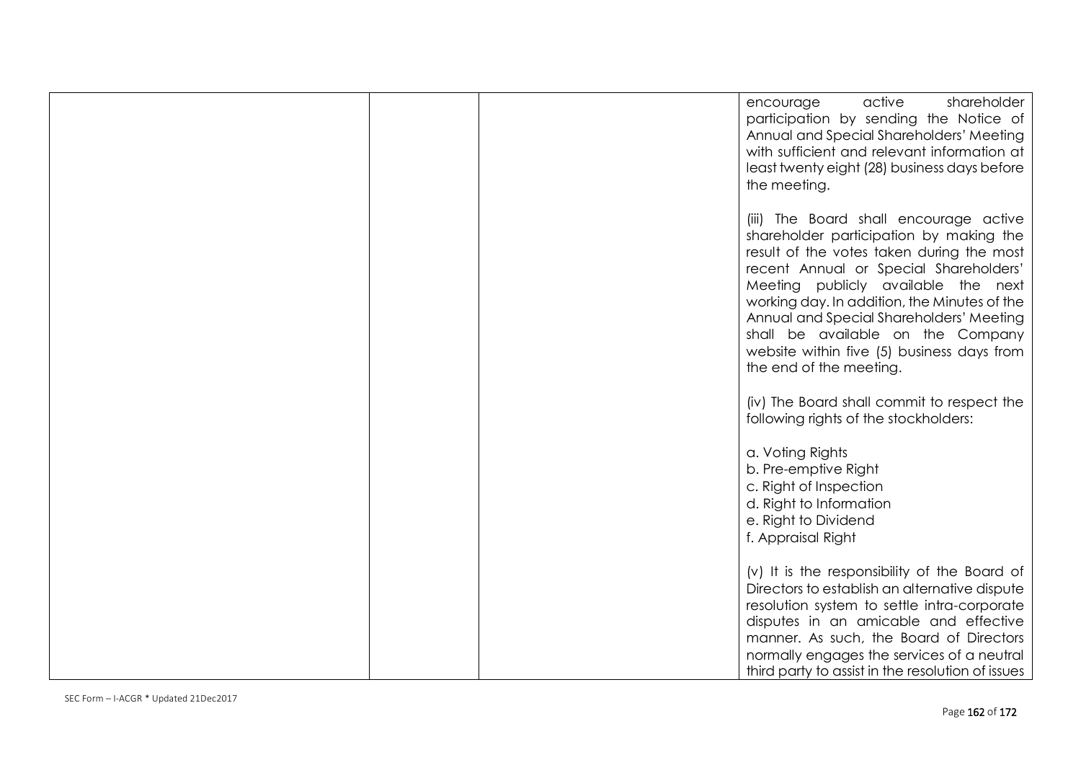| active<br>shareholder<br>encourage<br>participation by sending the Notice of<br>Annual and Special Shareholders' Meeting<br>with sufficient and relevant information at<br>least twenty eight (28) business days before<br>the meeting.                                                                                                                                                                                   |
|---------------------------------------------------------------------------------------------------------------------------------------------------------------------------------------------------------------------------------------------------------------------------------------------------------------------------------------------------------------------------------------------------------------------------|
| (iii) The Board shall encourage active<br>shareholder participation by making the<br>result of the votes taken during the most<br>recent Annual or Special Shareholders'<br>Meeting publicly available the next<br>working day. In addition, the Minutes of the<br>Annual and Special Shareholders' Meeting<br>shall be available on the Company<br>website within five (5) business days from<br>the end of the meeting. |
| (iv) The Board shall commit to respect the<br>following rights of the stockholders:                                                                                                                                                                                                                                                                                                                                       |
| a. Voting Rights<br>b. Pre-emptive Right<br>c. Right of Inspection<br>d. Right to Information<br>e. Right to Dividend<br>f. Appraisal Right                                                                                                                                                                                                                                                                               |
| (v) It is the responsibility of the Board of<br>Directors to establish an alternative dispute<br>resolution system to settle intra-corporate<br>disputes in an amicable and effective<br>manner. As such, the Board of Directors<br>normally engages the services of a neutral<br>third party to assist in the resolution of issues                                                                                       |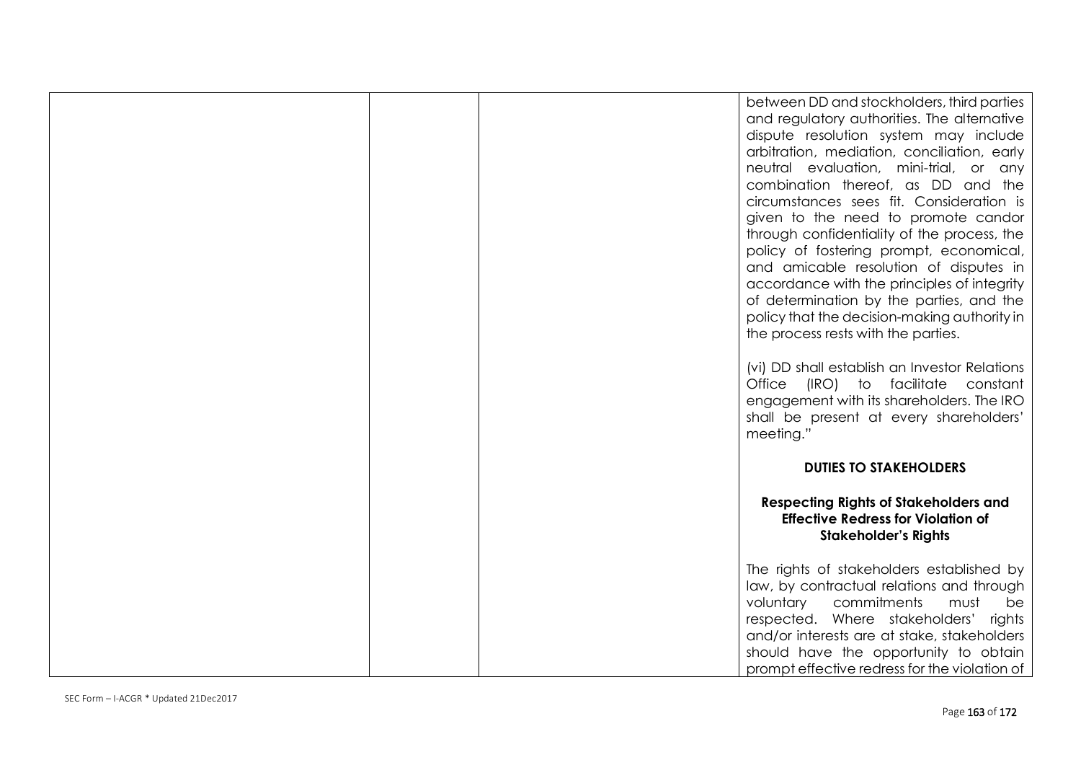|  | between DD and stockholders, third parties<br>and regulatory authorities. The alternative<br>dispute resolution system may include<br>arbitration, mediation, conciliation, early<br>neutral evaluation, mini-trial, or any<br>combination thereof, as DD and the<br>circumstances sees fit. Consideration is<br>given to the need to promote candor<br>through confidentiality of the process, the<br>policy of fostering prompt, economical,<br>and amicable resolution of disputes in<br>accordance with the principles of integrity<br>of determination by the parties, and the<br>policy that the decision-making authority in<br>the process rests with the parties. |
|--|----------------------------------------------------------------------------------------------------------------------------------------------------------------------------------------------------------------------------------------------------------------------------------------------------------------------------------------------------------------------------------------------------------------------------------------------------------------------------------------------------------------------------------------------------------------------------------------------------------------------------------------------------------------------------|
|  | (vi) DD shall establish an Investor Relations<br>Office (IRO) to facilitate<br>constant<br>engagement with its shareholders. The IRO<br>shall be present at every shareholders'<br>meeting."                                                                                                                                                                                                                                                                                                                                                                                                                                                                               |
|  | <b>DUTIES TO STAKEHOLDERS</b>                                                                                                                                                                                                                                                                                                                                                                                                                                                                                                                                                                                                                                              |
|  | <b>Respecting Rights of Stakeholders and</b><br><b>Effective Redress for Violation of</b><br><b>Stakeholder's Rights</b>                                                                                                                                                                                                                                                                                                                                                                                                                                                                                                                                                   |
|  | The rights of stakeholders established by<br>law, by contractual relations and through<br>voluntary<br>commitments<br>must<br>be<br>respected. Where stakeholders' rights<br>and/or interests are at stake, stakeholders<br>should have the opportunity to obtain<br>prompt effective redress for the violation of                                                                                                                                                                                                                                                                                                                                                         |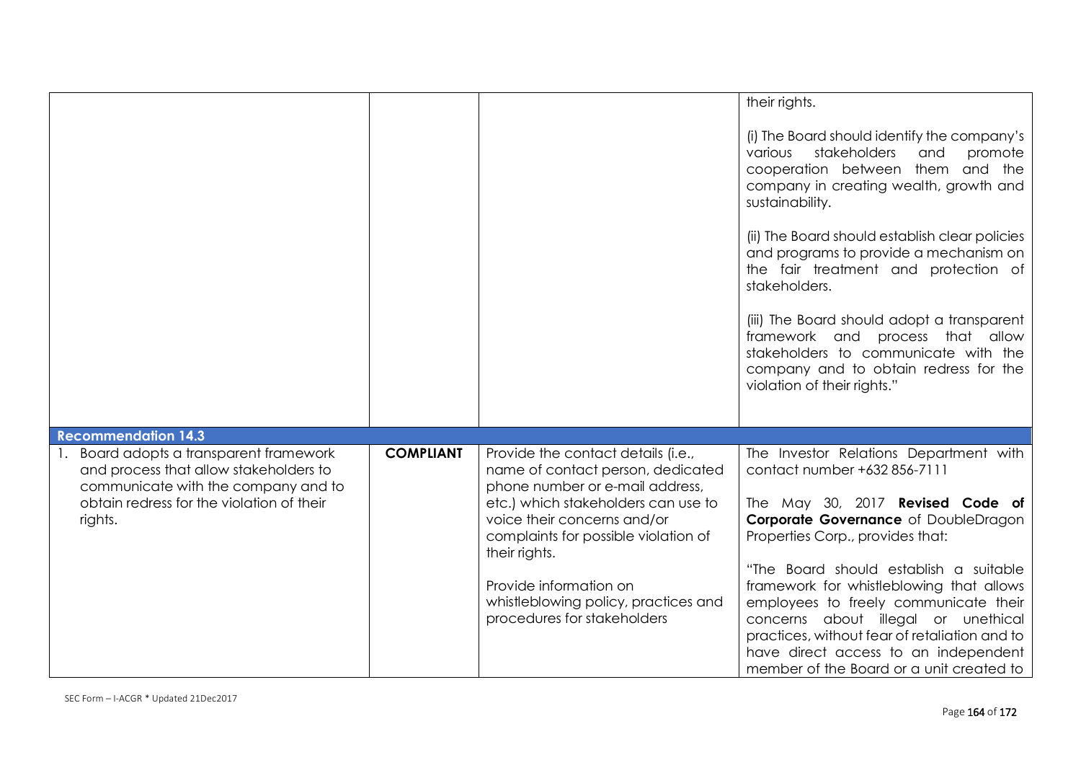|                                                                                                                                                                                                             |                  |                                                                                                                                                                                                                                                                                                                                            | their rights.<br>(i) The Board should identify the company's<br>stakeholders<br>promote<br>various<br>and<br>cooperation between them and the<br>company in creating wealth, growth and<br>sustainability.<br>(ii) The Board should establish clear policies<br>and programs to provide a mechanism on<br>the fair treatment and protection of<br>stakeholders.<br>(iii) The Board should adopt a transparent<br>framework and process that allow<br>stakeholders to communicate with the<br>company and to obtain redress for the<br>violation of their rights." |
|-------------------------------------------------------------------------------------------------------------------------------------------------------------------------------------------------------------|------------------|--------------------------------------------------------------------------------------------------------------------------------------------------------------------------------------------------------------------------------------------------------------------------------------------------------------------------------------------|-------------------------------------------------------------------------------------------------------------------------------------------------------------------------------------------------------------------------------------------------------------------------------------------------------------------------------------------------------------------------------------------------------------------------------------------------------------------------------------------------------------------------------------------------------------------|
| <b>Recommendation 14.3</b><br>Board adopts a transparent framework<br>and process that allow stakeholders to<br>communicate with the company and to<br>obtain redress for the violation of their<br>rights. | <b>COMPLIANT</b> | Provide the contact details (i.e.,<br>name of contact person, dedicated<br>phone number or e-mail address,<br>etc.) which stakeholders can use to<br>voice their concerns and/or<br>complaints for possible violation of<br>their rights.<br>Provide information on<br>whistleblowing policy, practices and<br>procedures for stakeholders | The Investor Relations Department with<br>contact number +632 856-7111<br>The May 30, 2017 <b>Revised Code of</b><br>Corporate Governance of DoubleDragon<br>Properties Corp., provides that:<br>"The Board should establish a suitable<br>framework for whistleblowing that allows<br>employees to freely communicate their<br>concerns about illegal or unethical<br>practices, without fear of retaliation and to<br>have direct access to an independent<br>member of the Board or a unit created to                                                          |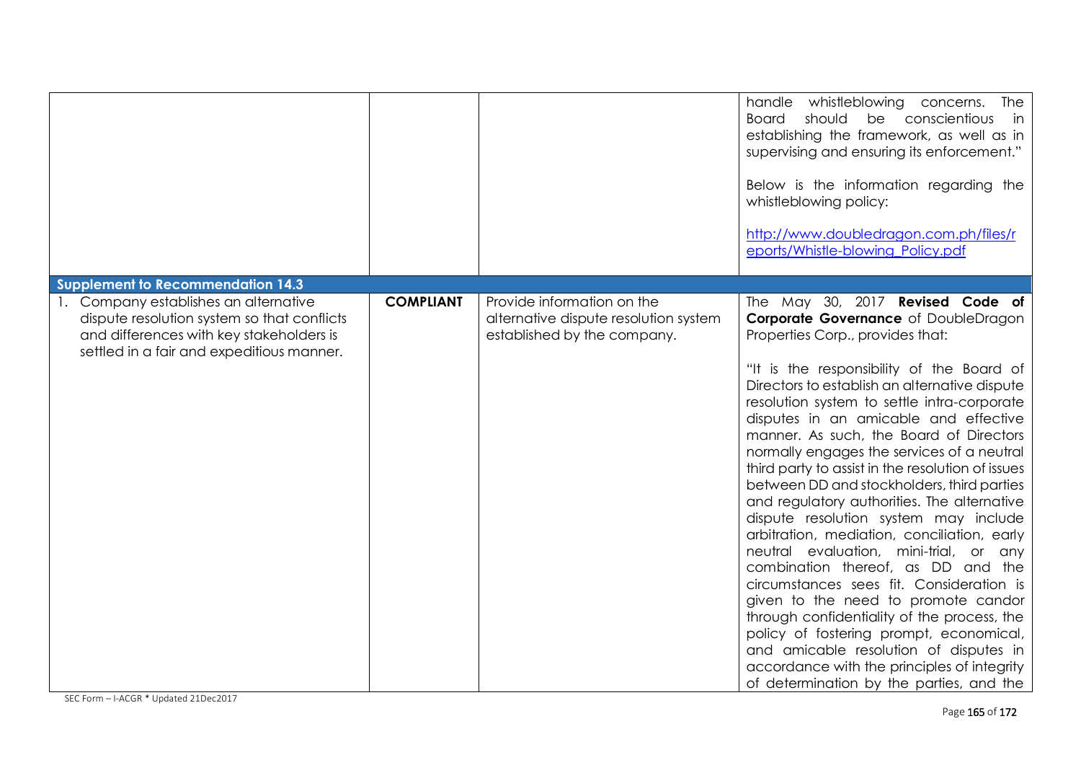|                                                                                                                                                                                                                           |                  |                                                                                                    | handle whistleblowing concerns.<br>The<br>should<br>be conscientious<br>Board<br>in<br>establishing the framework, as well as in<br>supervising and ensuring its enforcement."<br>Below is the information regarding the<br>whistleblowing policy:<br>http://www.doubledragon.com.ph/files/r<br>eports/Whistle-blowing Policy.pdf                                                                                                                                                                                                                                                                                                                                                                                                                                                                                                                                                                                                                                                                                                       |
|---------------------------------------------------------------------------------------------------------------------------------------------------------------------------------------------------------------------------|------------------|----------------------------------------------------------------------------------------------------|-----------------------------------------------------------------------------------------------------------------------------------------------------------------------------------------------------------------------------------------------------------------------------------------------------------------------------------------------------------------------------------------------------------------------------------------------------------------------------------------------------------------------------------------------------------------------------------------------------------------------------------------------------------------------------------------------------------------------------------------------------------------------------------------------------------------------------------------------------------------------------------------------------------------------------------------------------------------------------------------------------------------------------------------|
| <b>Supplement to Recommendation 14.3</b><br>1. Company establishes an alternative<br>dispute resolution system so that conflicts<br>and differences with key stakeholders is<br>settled in a fair and expeditious manner. | <b>COMPLIANT</b> | Provide information on the<br>alternative dispute resolution system<br>established by the company. | The May 30, 2017 Revised Code of<br>Corporate Governance of DoubleDragon<br>Properties Corp., provides that:<br>"It is the responsibility of the Board of<br>Directors to establish an alternative dispute<br>resolution system to settle intra-corporate<br>disputes in an amicable and effective<br>manner. As such, the Board of Directors<br>normally engages the services of a neutral<br>third party to assist in the resolution of issues<br>between DD and stockholders, third parties<br>and regulatory authorities. The alternative<br>dispute resolution system may include<br>arbitration, mediation, conciliation, early<br>neutral evaluation, mini-trial, or any<br>combination thereof, as DD and the<br>circumstances sees fit. Consideration is<br>given to the need to promote candor<br>through confidentiality of the process, the<br>policy of fostering prompt, economical,<br>and amicable resolution of disputes in<br>accordance with the principles of integrity<br>of determination by the parties, and the |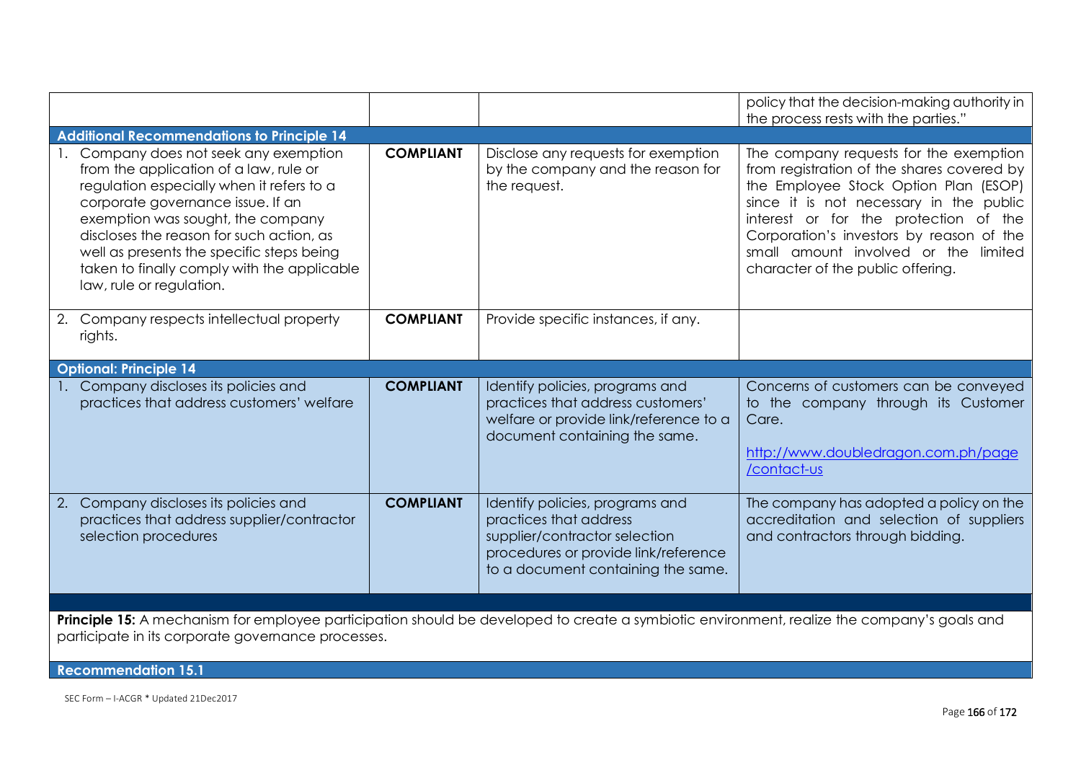|                                                                                                                                                                                                                                                                                                                                                                             |                  |                                                                                                                                                                          | policy that the decision-making authority in<br>the process rests with the parties."                                                                                                                                                                                                                                                       |  |  |
|-----------------------------------------------------------------------------------------------------------------------------------------------------------------------------------------------------------------------------------------------------------------------------------------------------------------------------------------------------------------------------|------------------|--------------------------------------------------------------------------------------------------------------------------------------------------------------------------|--------------------------------------------------------------------------------------------------------------------------------------------------------------------------------------------------------------------------------------------------------------------------------------------------------------------------------------------|--|--|
| <b>Additional Recommendations to Principle 14</b>                                                                                                                                                                                                                                                                                                                           |                  |                                                                                                                                                                          |                                                                                                                                                                                                                                                                                                                                            |  |  |
| 1. Company does not seek any exemption<br>from the application of a law, rule or<br>regulation especially when it refers to a<br>corporate governance issue. If an<br>exemption was sought, the company<br>discloses the reason for such action, as<br>well as presents the specific steps being<br>taken to finally comply with the applicable<br>law, rule or regulation. | <b>COMPLIANT</b> | Disclose any requests for exemption<br>by the company and the reason for<br>the request.                                                                                 | The company requests for the exemption<br>from registration of the shares covered by<br>the Employee Stock Option Plan (ESOP)<br>since it is not necessary in the public<br>interest or for the protection of the<br>Corporation's investors by reason of the<br>small amount involved or the limited<br>character of the public offering. |  |  |
| 2. Company respects intellectual property<br>rights.                                                                                                                                                                                                                                                                                                                        | <b>COMPLIANT</b> | Provide specific instances, if any.                                                                                                                                      |                                                                                                                                                                                                                                                                                                                                            |  |  |
| <b>Optional: Principle 14</b>                                                                                                                                                                                                                                                                                                                                               |                  |                                                                                                                                                                          |                                                                                                                                                                                                                                                                                                                                            |  |  |
| 1. Company discloses its policies and<br>practices that address customers' welfare                                                                                                                                                                                                                                                                                          | <b>COMPLIANT</b> | Identify policies, programs and<br>practices that address customers'<br>welfare or provide link/reference to a<br>document containing the same.                          | Concerns of customers can be conveyed<br>to the company through its Customer<br>Care.<br>http://www.doubledragon.com.ph/page<br>/contact-us                                                                                                                                                                                                |  |  |
| 2. Company discloses its policies and<br>practices that address supplier/contractor<br>selection procedures                                                                                                                                                                                                                                                                 | <b>COMPLIANT</b> | Identify policies, programs and<br>practices that address<br>supplier/contractor selection<br>procedures or provide link/reference<br>to a document containing the same. | The company has adopted a policy on the<br>accreditation and selection of suppliers<br>and contractors through bidding.                                                                                                                                                                                                                    |  |  |
|                                                                                                                                                                                                                                                                                                                                                                             |                  |                                                                                                                                                                          |                                                                                                                                                                                                                                                                                                                                            |  |  |
| Principle 15: A mechanism for employee participation should be developed to create a symbiotic environment, realize the company's goals and<br>participate in its corporate governance processes.                                                                                                                                                                           |                  |                                                                                                                                                                          |                                                                                                                                                                                                                                                                                                                                            |  |  |
| <b>Recommendation 15.1</b>                                                                                                                                                                                                                                                                                                                                                  |                  |                                                                                                                                                                          |                                                                                                                                                                                                                                                                                                                                            |  |  |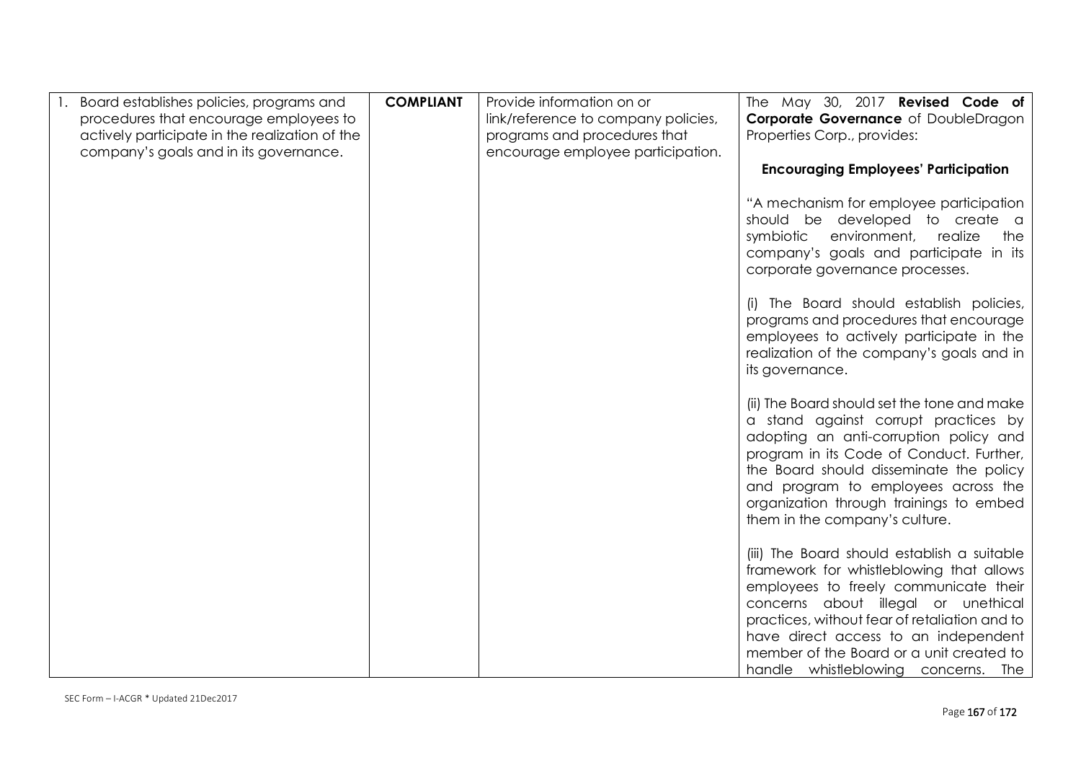| Board establishes policies, programs and<br>procedures that encourage employees to<br>actively participate in the realization of the<br>company's goals and in its governance. | <b>COMPLIANT</b> | Provide information on or<br>link/reference to company policies,<br>programs and procedures that<br>encourage employee participation. | The May 30, 2017 Revised Code of<br>Corporate Governance of DoubleDragon<br>Properties Corp., provides:                                                                                                                                                                                                                                             |
|--------------------------------------------------------------------------------------------------------------------------------------------------------------------------------|------------------|---------------------------------------------------------------------------------------------------------------------------------------|-----------------------------------------------------------------------------------------------------------------------------------------------------------------------------------------------------------------------------------------------------------------------------------------------------------------------------------------------------|
|                                                                                                                                                                                |                  |                                                                                                                                       | <b>Encouraging Employees' Participation</b>                                                                                                                                                                                                                                                                                                         |
|                                                                                                                                                                                |                  |                                                                                                                                       | "A mechanism for employee participation<br>should be developed to create a<br>symbiotic<br>environment,<br>realize<br>the<br>company's goals and participate in its<br>corporate governance processes.                                                                                                                                              |
|                                                                                                                                                                                |                  |                                                                                                                                       | (i) The Board should establish policies,<br>programs and procedures that encourage<br>employees to actively participate in the<br>realization of the company's goals and in<br>its governance.                                                                                                                                                      |
|                                                                                                                                                                                |                  |                                                                                                                                       | (ii) The Board should set the tone and make<br>a stand against corrupt practices by<br>adopting an anti-corruption policy and<br>program in its Code of Conduct. Further,<br>the Board should disseminate the policy<br>and program to employees across the<br>organization through trainings to embed<br>them in the company's culture.            |
|                                                                                                                                                                                |                  |                                                                                                                                       | (iii) The Board should establish a suitable<br>framework for whistleblowing that allows<br>employees to freely communicate their<br>concerns about illegal or unethical<br>practices, without fear of retaliation and to<br>have direct access to an independent<br>member of the Board or a unit created to<br>handle whistleblowing concerns. The |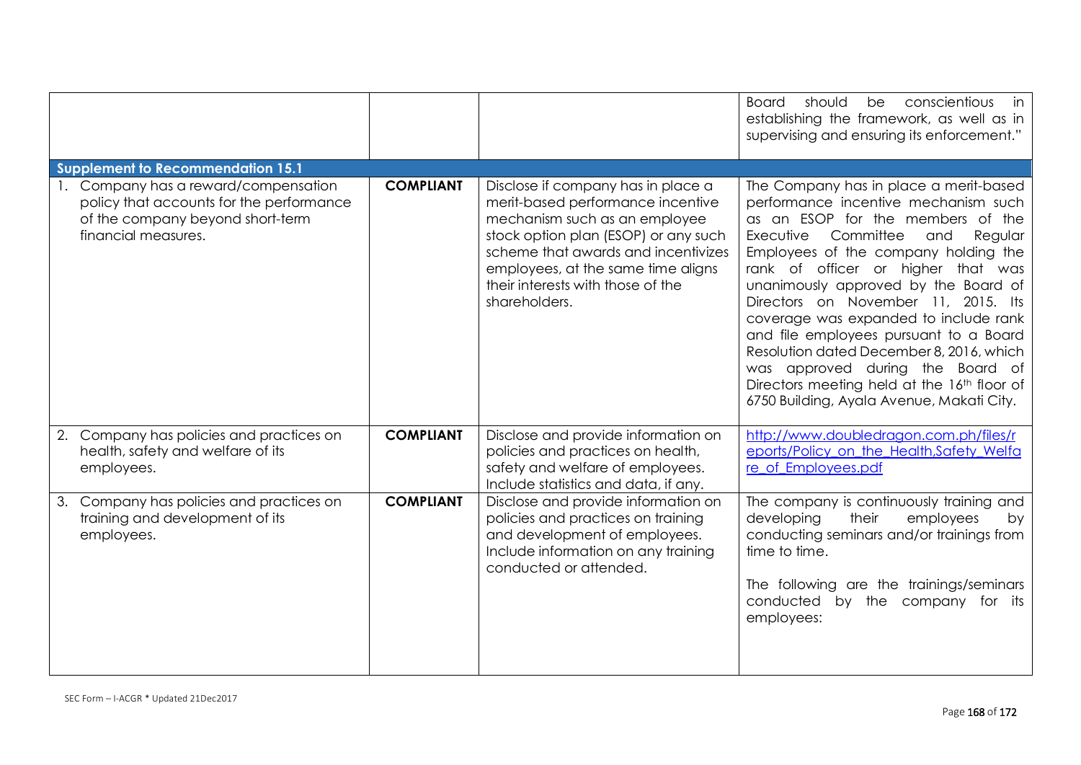|                                                                                                                                          |                  |                                                                                                                                                                                                                                                                                     | conscientious<br><b>Board</b><br>should<br>be<br>in<br>establishing the framework, as well as in<br>supervising and ensuring its enforcement."                                                                                                                                                                                                                                                                                                                                                                                                                                              |
|------------------------------------------------------------------------------------------------------------------------------------------|------------------|-------------------------------------------------------------------------------------------------------------------------------------------------------------------------------------------------------------------------------------------------------------------------------------|---------------------------------------------------------------------------------------------------------------------------------------------------------------------------------------------------------------------------------------------------------------------------------------------------------------------------------------------------------------------------------------------------------------------------------------------------------------------------------------------------------------------------------------------------------------------------------------------|
| Supplement to Recommendation 15.1                                                                                                        |                  |                                                                                                                                                                                                                                                                                     |                                                                                                                                                                                                                                                                                                                                                                                                                                                                                                                                                                                             |
| Company has a reward/compensation<br>policy that accounts for the performance<br>of the company beyond short-term<br>financial measures. | <b>COMPLIANT</b> | Disclose if company has in place a<br>merit-based performance incentive<br>mechanism such as an employee<br>stock option plan (ESOP) or any such<br>scheme that awards and incentivizes<br>employees, at the same time aligns<br>their interests with those of the<br>shareholders. | The Company has in place a merit-based<br>performance incentive mechanism such<br>as an ESOP for the members of the<br>Executive<br>Committee<br>Regular<br>and<br>Employees of the company holding the<br>rank of officer or higher that was<br>unanimously approved by the Board of<br>Directors on November 11, 2015. Its<br>coverage was expanded to include rank<br>and file employees pursuant to a Board<br>Resolution dated December 8, 2016, which<br>was approved during the Board of<br>Directors meeting held at the 16th floor of<br>6750 Building, Ayala Avenue, Makati City. |
| 2. Company has policies and practices on<br>health, safety and welfare of its<br>employees.                                              | <b>COMPLIANT</b> | Disclose and provide information on<br>policies and practices on health,<br>safety and welfare of employees.<br>Include statistics and data, if any.                                                                                                                                | http://www.doubledragon.com.ph/files/r<br>eports/Policy_on_the_Health,Safety_Welfa<br>re of Employees.pdf                                                                                                                                                                                                                                                                                                                                                                                                                                                                                   |
| 3. Company has policies and practices on<br>training and development of its<br>employees.                                                | <b>COMPLIANT</b> | Disclose and provide information on<br>policies and practices on training<br>and development of employees.<br>Include information on any training<br>conducted or attended.                                                                                                         | The company is continuously training and<br>developing<br>their<br>employees<br>by<br>conducting seminars and/or trainings from<br>time to time.<br>The following are the trainings/seminars<br>conducted<br>by the company for its<br>employees:                                                                                                                                                                                                                                                                                                                                           |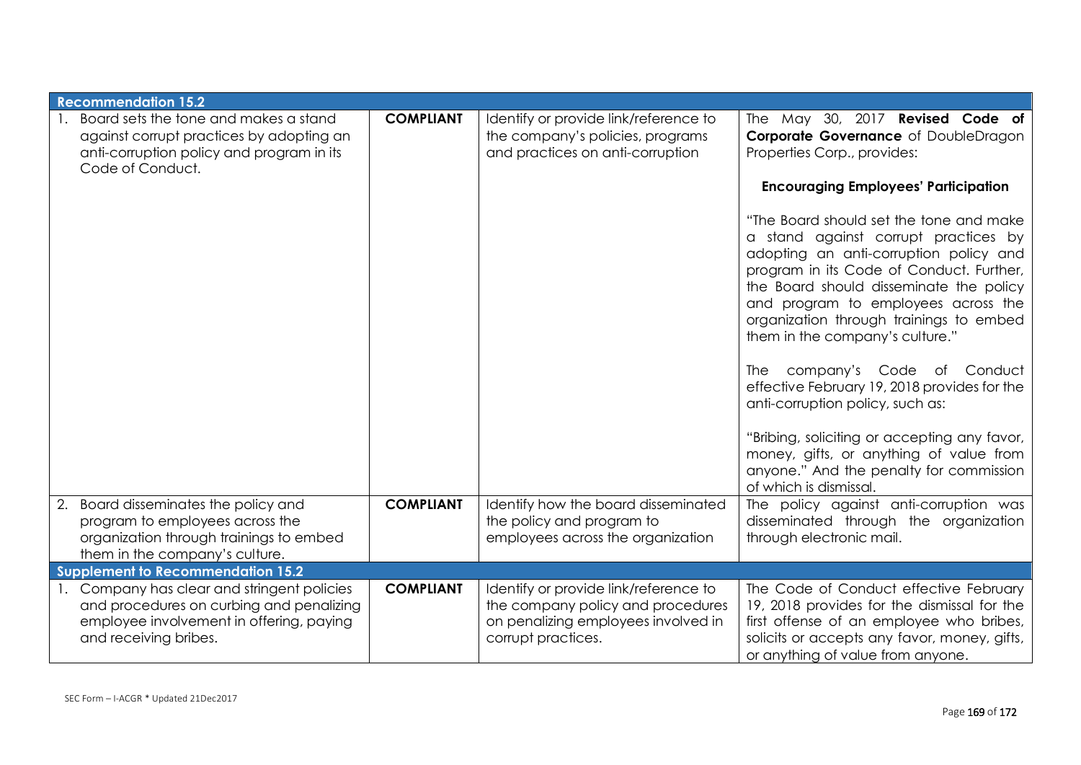| <b>Recommendation 15.2</b>                                                                                                                                   |                  |                                                                                                                                         |                                                                                                                                                                                                                                                                                                                                                                                                                                                                                                                                                                                                                                                                                                                                                                                                      |
|--------------------------------------------------------------------------------------------------------------------------------------------------------------|------------------|-----------------------------------------------------------------------------------------------------------------------------------------|------------------------------------------------------------------------------------------------------------------------------------------------------------------------------------------------------------------------------------------------------------------------------------------------------------------------------------------------------------------------------------------------------------------------------------------------------------------------------------------------------------------------------------------------------------------------------------------------------------------------------------------------------------------------------------------------------------------------------------------------------------------------------------------------------|
| 1. Board sets the tone and makes a stand<br>against corrupt practices by adopting an<br>anti-corruption policy and program in its<br>Code of Conduct.        | <b>COMPLIANT</b> | Identify or provide link/reference to<br>the company's policies, programs<br>and practices on anti-corruption                           | The May 30, 2017 <b>Revised Code of</b><br>Corporate Governance of DoubleDragon<br>Properties Corp., provides:<br><b>Encouraging Employees' Participation</b><br>"The Board should set the tone and make<br>a stand against corrupt practices by<br>adopting an anti-corruption policy and<br>program in its Code of Conduct. Further,<br>the Board should disseminate the policy<br>and program to employees across the<br>organization through trainings to embed<br>them in the company's culture."<br>company's Code<br>Conduct<br>The<br>of<br>effective February 19, 2018 provides for the<br>anti-corruption policy, such as:<br>"Bribing, soliciting or accepting any favor,<br>money, gifts, or anything of value from<br>anyone." And the penalty for commission<br>of which is dismissal. |
| 2. Board disseminates the policy and<br>program to employees across the<br>organization through trainings to embed<br>them in the company's culture.         | <b>COMPLIANT</b> | Identify how the board disseminated<br>the policy and program to<br>employees across the organization                                   | The policy against anti-corruption was<br>disseminated through the organization<br>through electronic mail.                                                                                                                                                                                                                                                                                                                                                                                                                                                                                                                                                                                                                                                                                          |
| <b>Supplement to Recommendation 15.2</b>                                                                                                                     |                  |                                                                                                                                         |                                                                                                                                                                                                                                                                                                                                                                                                                                                                                                                                                                                                                                                                                                                                                                                                      |
| 1. Company has clear and stringent policies<br>and procedures on curbing and penalizing<br>employee involvement in offering, paying<br>and receiving bribes. | <b>COMPLIANT</b> | Identify or provide link/reference to<br>the company policy and procedures<br>on penalizing employees involved in<br>corrupt practices. | The Code of Conduct effective February<br>19, 2018 provides for the dismissal for the<br>first offense of an employee who bribes,<br>solicits or accepts any favor, money, gifts,<br>or anything of value from anyone.                                                                                                                                                                                                                                                                                                                                                                                                                                                                                                                                                                               |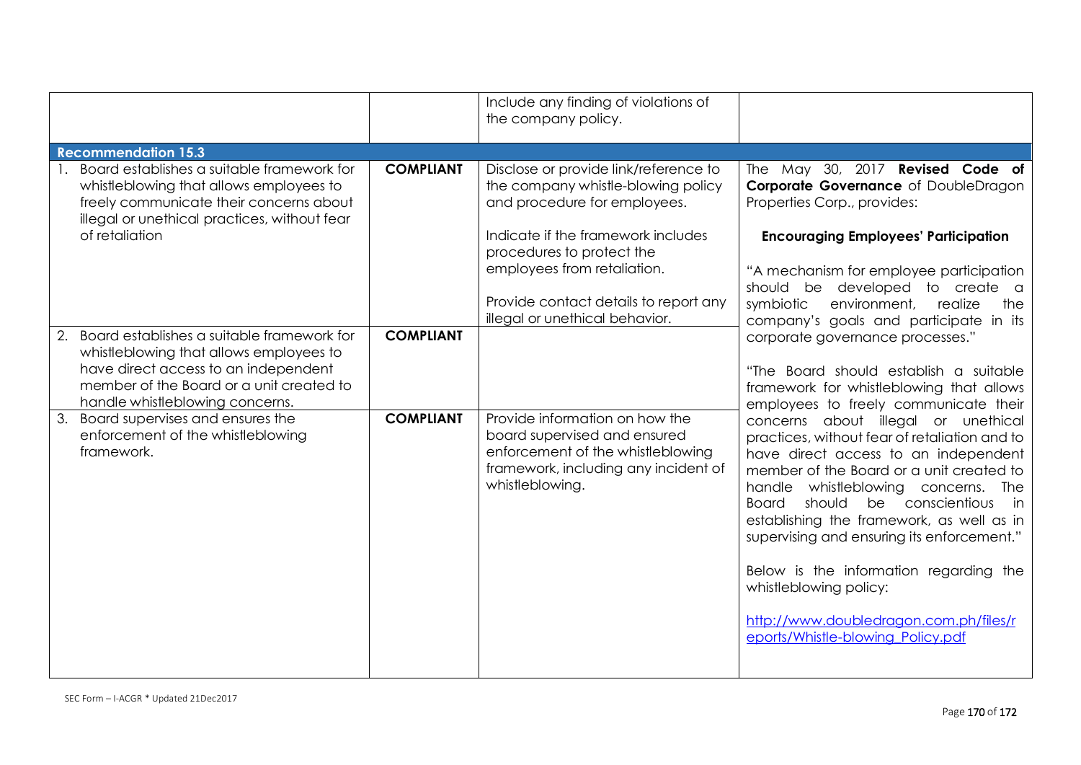|                                                                                                                                                                                                                    |                  | Include any finding of violations of<br>the company policy.                                                                                                    |                                                                                                                                                                                                                                                                                                                                                                                                                                                                                                               |
|--------------------------------------------------------------------------------------------------------------------------------------------------------------------------------------------------------------------|------------------|----------------------------------------------------------------------------------------------------------------------------------------------------------------|---------------------------------------------------------------------------------------------------------------------------------------------------------------------------------------------------------------------------------------------------------------------------------------------------------------------------------------------------------------------------------------------------------------------------------------------------------------------------------------------------------------|
| <b>Recommendation 15.3</b>                                                                                                                                                                                         |                  |                                                                                                                                                                |                                                                                                                                                                                                                                                                                                                                                                                                                                                                                                               |
| Board establishes a suitable framework for<br>whistleblowing that allows employees to<br>freely communicate their concerns about<br>illegal or unethical practices, without fear                                   | <b>COMPLIANT</b> | Disclose or provide link/reference to<br>the company whistle-blowing policy<br>and procedure for employees.                                                    | The May 30, 2017 Revised Code of<br>Corporate Governance of DoubleDragon<br>Properties Corp., provides:                                                                                                                                                                                                                                                                                                                                                                                                       |
| of retaliation                                                                                                                                                                                                     |                  | Indicate if the framework includes<br>procedures to protect the<br>employees from retaliation.<br>Provide contact details to report any                        | <b>Encouraging Employees' Participation</b><br>"A mechanism for employee participation<br>should be developed to create a<br>environment,<br>symbiotic<br>realize<br>the                                                                                                                                                                                                                                                                                                                                      |
| Board establishes a suitable framework for<br>2.<br>whistleblowing that allows employees to<br>have direct access to an independent<br>member of the Board or a unit created to<br>handle whistleblowing concerns. | <b>COMPLIANT</b> | illegal or unethical behavior.                                                                                                                                 | company's goals and participate in its<br>corporate governance processes."<br>"The Board should establish a suitable<br>framework for whistleblowing that allows<br>employees to freely communicate their                                                                                                                                                                                                                                                                                                     |
| 3.<br>Board supervises and ensures the<br>enforcement of the whistleblowing<br>framework.                                                                                                                          | <b>COMPLIANT</b> | Provide information on how the<br>board supervised and ensured<br>enforcement of the whistleblowing<br>framework, including any incident of<br>whistleblowing. | concerns about illegal or unethical<br>practices, without fear of retaliation and to<br>have direct access to an independent<br>member of the Board or a unit created to<br>handle whistleblowing concerns.<br>The<br>be conscientious<br>should<br>Board<br>in<br>establishing the framework, as well as in<br>supervising and ensuring its enforcement."<br>Below is the information regarding the<br>whistleblowing policy:<br>http://www.doubledragon.com.ph/files/r<br>eports/Whistle-blowing_Policy.pdf |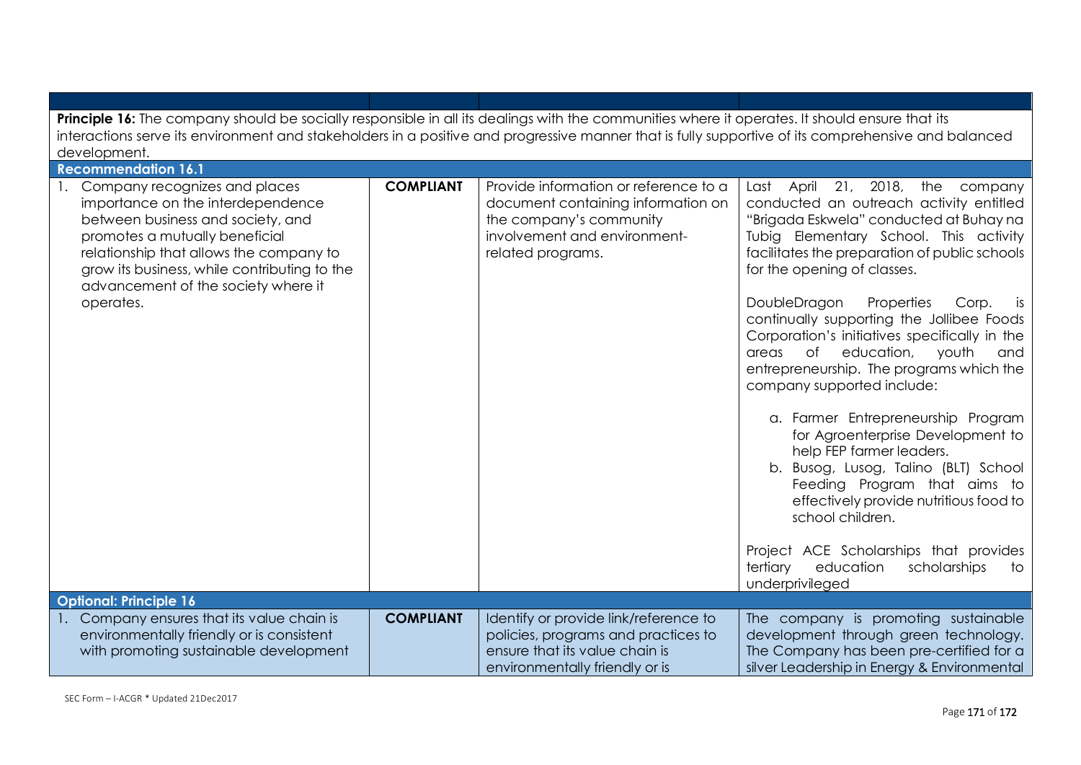| Principle 16: The company should be socially responsible in all its dealings with the communities where it operates. It should ensure that its<br>interactions serve its environment and stakeholders in a positive and progressive manner that is fully supportive of its comprehensive and balanced<br>development. |                  |                                                                                                                                                             |                                                                                                                                                                                                                                                                                                                                                                                                                                                                                                                                                                                                                                                                                                                                                                                                                                                                                   |  |
|-----------------------------------------------------------------------------------------------------------------------------------------------------------------------------------------------------------------------------------------------------------------------------------------------------------------------|------------------|-------------------------------------------------------------------------------------------------------------------------------------------------------------|-----------------------------------------------------------------------------------------------------------------------------------------------------------------------------------------------------------------------------------------------------------------------------------------------------------------------------------------------------------------------------------------------------------------------------------------------------------------------------------------------------------------------------------------------------------------------------------------------------------------------------------------------------------------------------------------------------------------------------------------------------------------------------------------------------------------------------------------------------------------------------------|--|
| <b>Recommendation 16.1</b>                                                                                                                                                                                                                                                                                            |                  |                                                                                                                                                             |                                                                                                                                                                                                                                                                                                                                                                                                                                                                                                                                                                                                                                                                                                                                                                                                                                                                                   |  |
| Company recognizes and places<br>importance on the interdependence<br>between business and society, and<br>promotes a mutually beneficial<br>relationship that allows the company to<br>grow its business, while contributing to the<br>advancement of the society where it<br>operates.                              | <b>COMPLIANT</b> | Provide information or reference to a<br>document containing information on<br>the company's community<br>involvement and environment-<br>related programs. | 21, 2018, the company<br>April<br>Last<br>conducted an outreach activity entitled<br>"Brigada Eskwela" conducted at Buhay na<br>Tubig Elementary School. This activity<br>facilitates the preparation of public schools<br>for the opening of classes.<br>DoubleDragon<br>Properties<br>Corp.<br>is<br>continually supporting the Jollibee Foods<br>Corporation's initiatives specifically in the<br>of<br>education,<br>youth<br>and<br>areas<br>entrepreneurship. The programs which the<br>company supported include:<br>a. Farmer Entrepreneurship Program<br>for Agroenterprise Development to<br>help FEP farmer leaders.<br>b. Busog, Lusog, Talino (BLT) School<br>Feeding Program that aims to<br>effectively provide nutritious food to<br>school children.<br>Project ACE Scholarships that provides<br>tertiary<br>education<br>scholarships<br>to<br>underprivileged |  |
| <b>Optional: Principle 16</b>                                                                                                                                                                                                                                                                                         |                  |                                                                                                                                                             |                                                                                                                                                                                                                                                                                                                                                                                                                                                                                                                                                                                                                                                                                                                                                                                                                                                                                   |  |
| 1. Company ensures that its value chain is<br>environmentally friendly or is consistent<br>with promoting sustainable development                                                                                                                                                                                     | <b>COMPLIANT</b> | Identify or provide link/reference to<br>policies, programs and practices to<br>ensure that its value chain is<br>environmentally friendly or is            | The company is promoting sustainable<br>development through green technology.<br>The Company has been pre-certified for a<br>silver Leadership in Energy & Environmental                                                                                                                                                                                                                                                                                                                                                                                                                                                                                                                                                                                                                                                                                                          |  |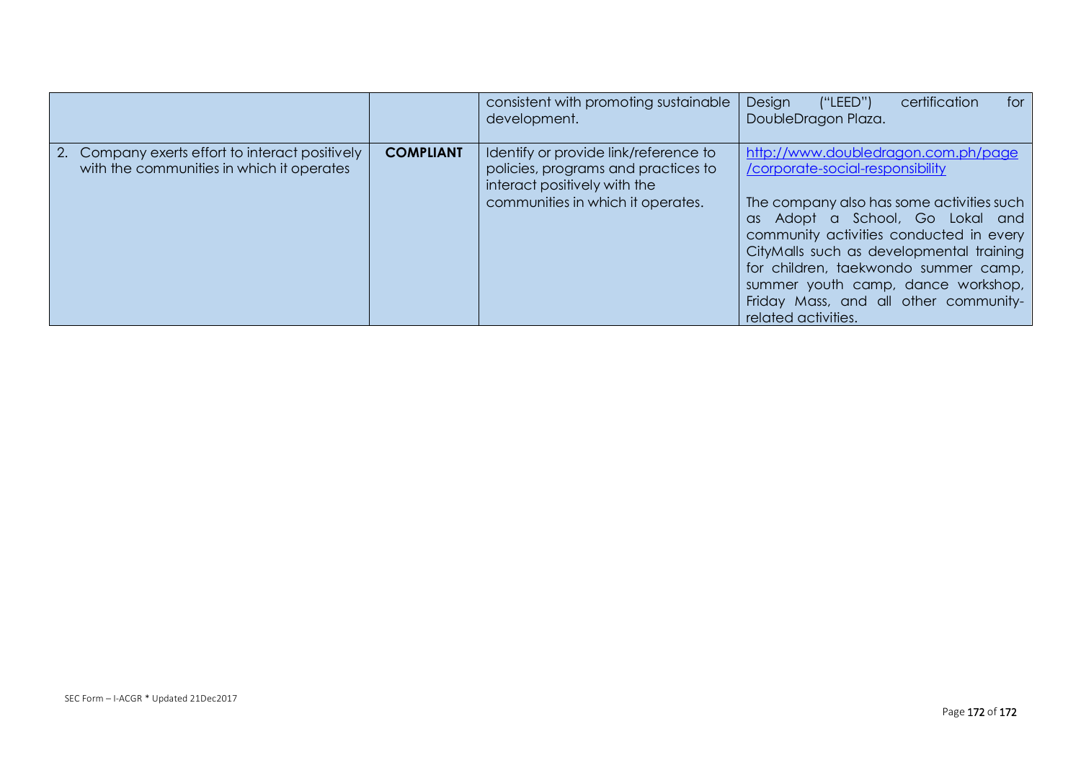|                                                                                              |                  | consistent with promoting sustainable<br>development.                                                                                             | Design<br>for<br>('`LEED")<br>certification<br>DoubleDragon Plaza.                                                                                                                                                                                                                                                                                                                           |
|----------------------------------------------------------------------------------------------|------------------|---------------------------------------------------------------------------------------------------------------------------------------------------|----------------------------------------------------------------------------------------------------------------------------------------------------------------------------------------------------------------------------------------------------------------------------------------------------------------------------------------------------------------------------------------------|
| 2. Company exerts effort to interact positively<br>with the communities in which it operates | <b>COMPLIANT</b> | Identify or provide link/reference to<br>policies, programs and practices to<br>interact positively with the<br>communities in which it operates. | http://www.doubledragon.com.ph/page<br>/corporate-social-responsibility<br>The company also has some activities such<br>as Adopt a School, Go Lokal and<br>community activities conducted in every<br>CityMalls such as developmental training<br>for children, taekwondo summer camp,<br>summer youth camp, dance workshop,<br>Friday Mass, and all other community-<br>related activities. |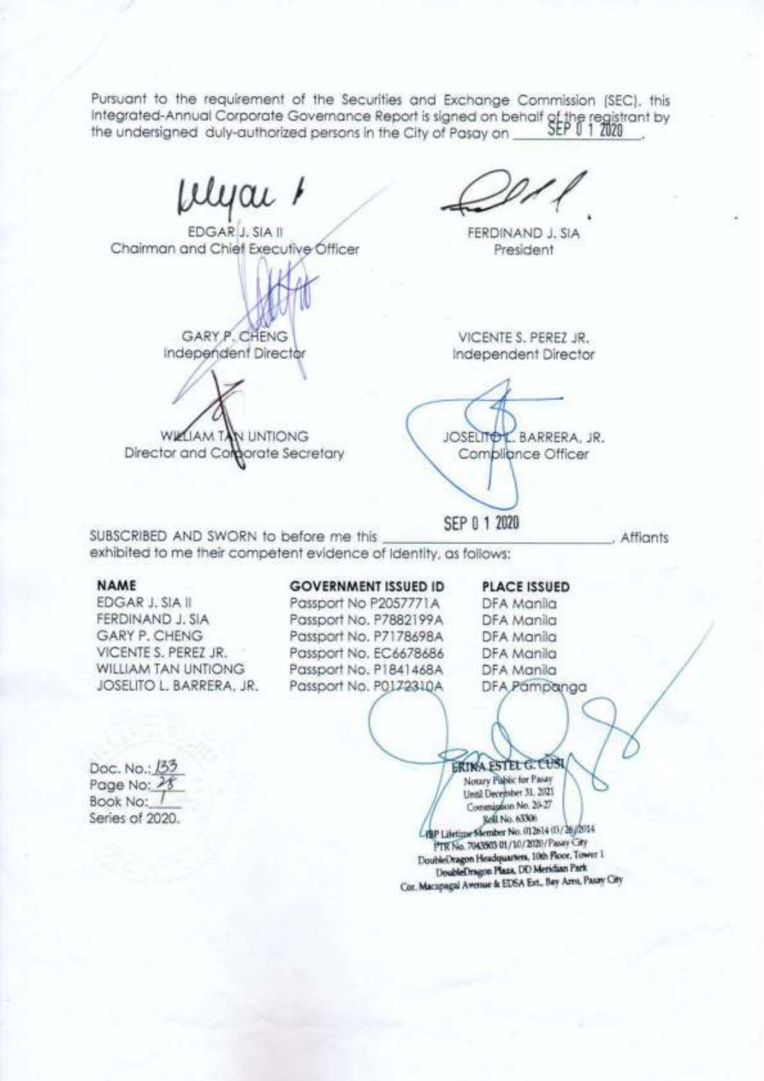Pursuant to the requirement of the Securities and Exchange Commission (SEC), this Integrated-Annual Corporate Governance Report is signed on behalf of the registrant by the undersigned duly-authorized persons in the City of Pasay on

lyai '

EDGAR J. SIA II Chairman and Chief Executive Officer

GARY P. CHENG Independent Director

WIZLIAM TAN UNTIONG Director and Comparate Secretary

VICENTE S. PEREZ JR. Independent Director

FERDINAND J. SIA

President

JOSELITOL, BARRERA, JR. Combliance Officer

SEP 0 1 2020

SUBSCRIBED AND SWORN to before me this exhibited to me their competent evidence of identity, as follows:

## **NAME**

**EDGAR J. SIA II** FERDINAND J. SIA GARY P. CHENG VICENTE S. PEREZ JR. **WILLIAM TAN UNTIONG** JOSELITO L. BARRERA, JR.

### **GOVERNMENT ISSUED ID**

Passport No P2057771A Passport No. P7882199A Passport No. P7178698A Passport No. EC6678686 Passport No. P1841468A Passport No. P0172310A

# **PLACE ISSUED**

Affiants

DFA Manila DFA Manila DFA Manila DFA Manila DFA Manila DFA Pampanga

Doc. No.: 133 Page No: 21 Book No: Series of 2020.

**ERINA ESTEL G. LUSI** Notary Public for Pasay Until December 31, 2021 Commission No. 20-27 Rell No. 65306 4 HP Lifetime Member No. 012614 03/26/2014 PTR No. 7043503 01/10/2020/Paser City DoubleDragon Headquarters, 10th Floor, Tower 1 DoubleDragon Plaza, DD Meridian Park Cor. Macapagal Avenue & EDSA Ext., Bay Area, Pasay City